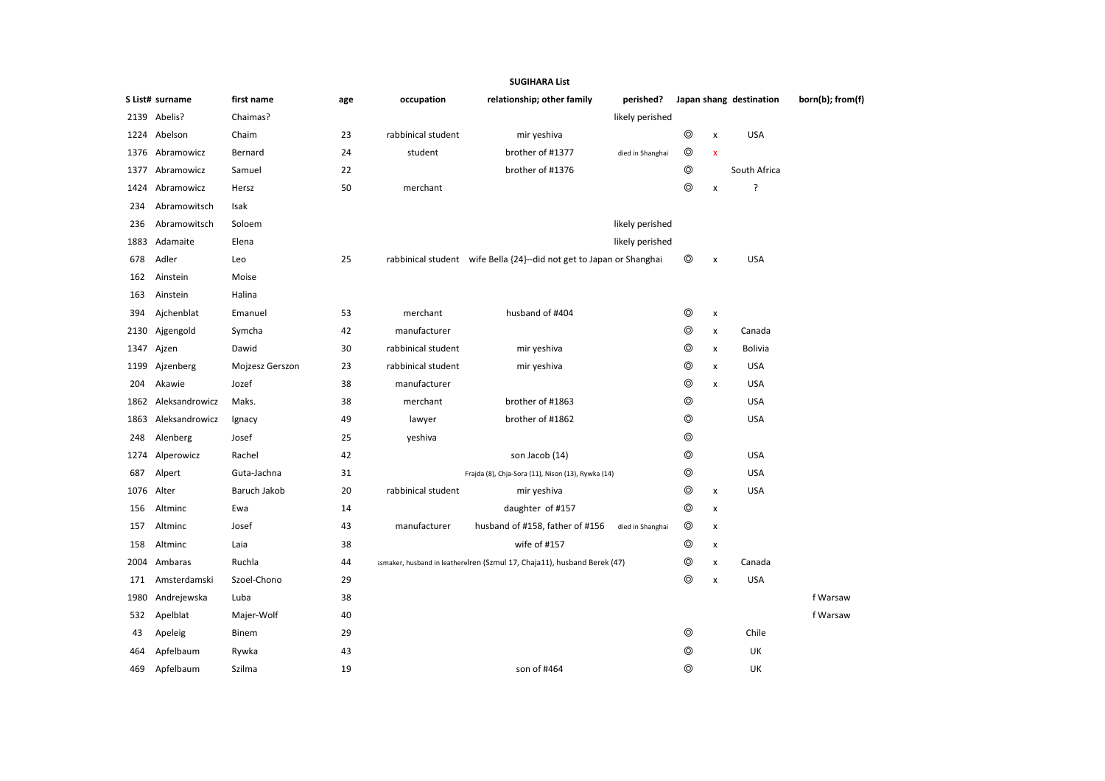|      |                 |                 |     |                    | <b>SUGIHARA List</b>                                                     |                  |                |                           |                         |                  |
|------|-----------------|-----------------|-----|--------------------|--------------------------------------------------------------------------|------------------|----------------|---------------------------|-------------------------|------------------|
|      | S List# surname | first name      | age | occupation         | relationship; other family                                               | perished?        |                |                           | Japan shang destination | born(b); from(f) |
|      | 2139 Abelis?    | Chaimas?        |     |                    |                                                                          | likely perished  |                |                           |                         |                  |
| 1224 | Abelson         | Chaim           | 23  | rabbinical student | mir yeshiva                                                              |                  | ⊚              | $\pmb{\times}$            | <b>USA</b>              |                  |
| 1376 | Abramowicz      | Bernard         | 24  | student            | brother of #1377                                                         | died in Shanghai | $\circledcirc$ | $\boldsymbol{\mathsf{x}}$ |                         |                  |
| 1377 | Abramowicz      | Samuel          | 22  |                    | brother of #1376                                                         |                  | $\circledcirc$ |                           | South Africa            |                  |
| 1424 | Abramowicz      | Hersz           | 50  | merchant           |                                                                          |                  | ⊚              | $\pmb{\mathsf{x}}$        | ?                       |                  |
| 234  | Abramowitsch    | Isak            |     |                    |                                                                          |                  |                |                           |                         |                  |
| 236  | Abramowitsch    | Soloem          |     |                    |                                                                          | likely perished  |                |                           |                         |                  |
| 1883 | Adamaite        | Elena           |     |                    |                                                                          | likely perished  |                |                           |                         |                  |
| 678  | Adler           | Leo             | 25  |                    | rabbinical student wife Bella {24}--did not get to Japan or Shanghai     |                  | $\circledcirc$ | $\pmb{\times}$            | <b>USA</b>              |                  |
| 162  | Ainstein        | Moise           |     |                    |                                                                          |                  |                |                           |                         |                  |
| 163  | Ainstein        | Halina          |     |                    |                                                                          |                  |                |                           |                         |                  |
| 394  | Ajchenblat      | Emanuel         | 53  | merchant           | husband of #404                                                          |                  | $\circledcirc$ | X                         |                         |                  |
| 2130 | Ajgengold       | Symcha          | 42  | manufacturer       |                                                                          |                  | $\circledcirc$ | x                         | Canada                  |                  |
| 1347 | Ajzen           | Dawid           | 30  | rabbinical student | mir yeshiva                                                              |                  | ⊚              | x                         | <b>Bolivia</b>          |                  |
| 1199 | Ajzenberg       | Mojzesz Gerszon | 23  | rabbinical student | mir yeshiva                                                              |                  | ⊚              | $\pmb{\times}$            | <b>USA</b>              |                  |
| 204  | Akawie          | Jozef           | 38  | manufacturer       |                                                                          |                  | ⊚              | $\pmb{\times}$            | <b>USA</b>              |                  |
| 1862 | Aleksandrowicz  | Maks.           | 38  | merchant           | brother of #1863                                                         |                  | $\circledcirc$ |                           | <b>USA</b>              |                  |
| 1863 | Aleksandrowicz  | Ignacy          | 49  | lawyer             | brother of #1862                                                         |                  | ⊚              |                           | <b>USA</b>              |                  |
| 248  | Alenberg        | Josef           | 25  | yeshiva            |                                                                          |                  | $\circledcirc$ |                           |                         |                  |
| 1274 | Alperowicz      | Rachel          | 42  |                    | son Jacob (14)                                                           |                  | ⊚              |                           | <b>USA</b>              |                  |
| 687  | Alpert          | Guta-Jachna     | 31  |                    | Frajda (8), Chja-Sora (11), Nison (13), Rywka (14)                       |                  | ⊚              |                           | <b>USA</b>              |                  |
| 1076 | Alter           | Baruch Jakob    | 20  | rabbinical student | mir yeshiva                                                              |                  | $\circledcirc$ | x                         | <b>USA</b>              |                  |
| 156  | Altminc         | Ewa             | 14  |                    | daughter of #157                                                         |                  | ⊚              | x                         |                         |                  |
| 157  | Altminc         | Josef           | 43  | manufacturer       | husband of #158, father of #156                                          | died in Shanghai | ⊚              | X                         |                         |                  |
| 158  | Altminc         | Laia            | 38  |                    | wife of #157                                                             |                  | ◎              | x                         |                         |                  |
| 2004 | Ambaras         | Ruchla          | 44  |                    | ssmaker, husband in leatherwlren (Szmul 17, Chaja11), husband Berek (47) |                  | ⊚              | X                         | Canada                  |                  |
| 171  | Amsterdamski    | Szoel-Chono     | 29  |                    |                                                                          |                  | ⊚              | x                         | <b>USA</b>              |                  |
| 1980 | Andrejewska     | Luba            | 38  |                    |                                                                          |                  |                |                           |                         | f Warsaw         |
| 532  | Apelblat        | Majer-Wolf      | 40  |                    |                                                                          |                  |                |                           |                         | f Warsaw         |
| 43   | Apeleig         | Binem           | 29  |                    |                                                                          |                  | ⊚              |                           | Chile                   |                  |
| 464  | Apfelbaum       | Rywka           | 43  |                    |                                                                          |                  | ⊚              |                           | UK                      |                  |
| 469  | Apfelbaum       | Szilma          | 19  |                    | son of #464                                                              |                  | ⊚              |                           | UK                      |                  |
|      |                 |                 |     |                    |                                                                          |                  |                |                           |                         |                  |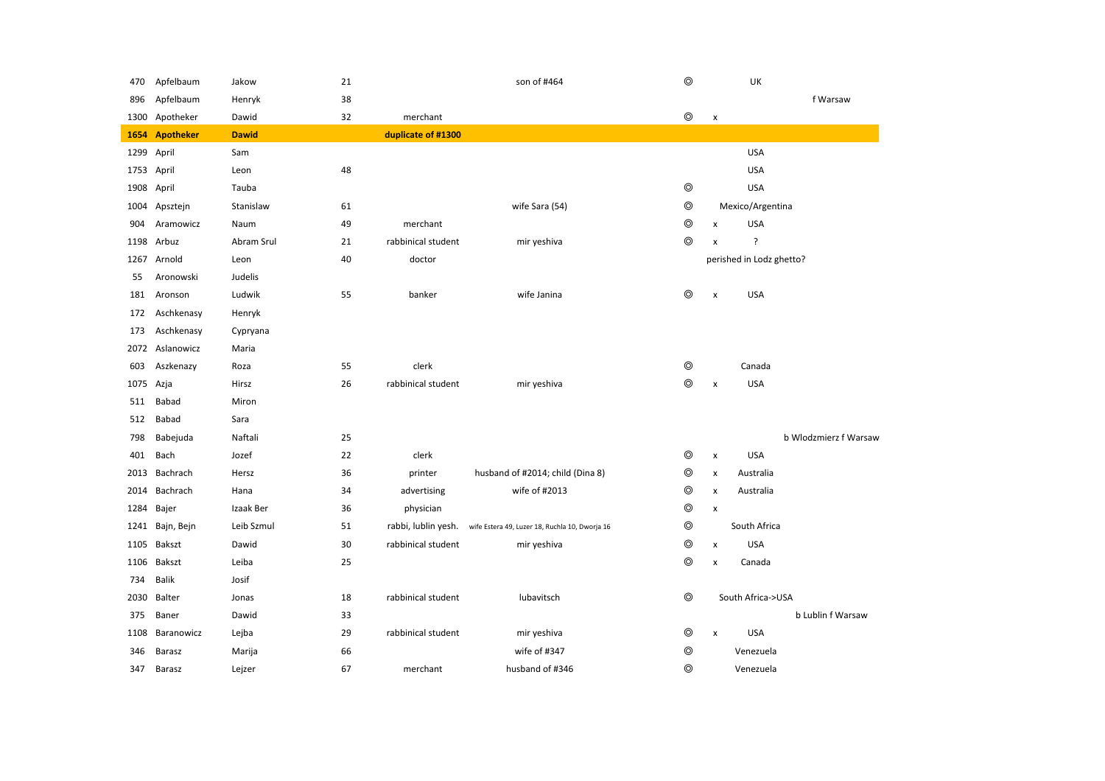| 470  | Apfelbaum        | Jakow        | 21 |                     | son of #464                                    | $\circledcirc$ |                    | UK                       |                       |
|------|------------------|--------------|----|---------------------|------------------------------------------------|----------------|--------------------|--------------------------|-----------------------|
| 896  | Apfelbaum        | Henryk       | 38 |                     |                                                |                |                    |                          | f Warsaw              |
| 1300 | Apotheker        | Dawid        | 32 | merchant            |                                                | $\circledcirc$ | $\pmb{\mathsf{x}}$ |                          |                       |
| 1654 | <b>Apotheker</b> | <b>Dawid</b> |    | duplicate of #1300  |                                                |                |                    |                          |                       |
| 1299 | April            | Sam          |    |                     |                                                |                |                    | <b>USA</b>               |                       |
| 1753 | April            | Leon         | 48 |                     |                                                |                |                    | <b>USA</b>               |                       |
| 1908 | April            | Tauba        |    |                     |                                                | $\circledcirc$ |                    | <b>USA</b>               |                       |
| 1004 | Apsztejn         | Stanislaw    | 61 |                     | wife Sara (54)                                 | $\circledcirc$ |                    | Mexico/Argentina         |                       |
| 904  | Aramowicz        | Naum         | 49 | merchant            |                                                | $\circledcirc$ | X                  | <b>USA</b>               |                       |
| 1198 | Arbuz            | Abram Srul   | 21 | rabbinical student  | mir yeshiva                                    | $\circledcirc$ | $\pmb{\times}$     | ?                        |                       |
| 1267 | Arnold           | Leon         | 40 | doctor              |                                                |                |                    | perished in Lodz ghetto? |                       |
| 55   | Aronowski        | Judelis      |    |                     |                                                |                |                    |                          |                       |
| 181  | Aronson          | Ludwik       | 55 | banker              | wife Janina                                    | $\circledcirc$ | $\pmb{\mathsf{x}}$ | <b>USA</b>               |                       |
| 172  | Aschkenasy       | Henryk       |    |                     |                                                |                |                    |                          |                       |
| 173  | Aschkenasy       | Cypryana     |    |                     |                                                |                |                    |                          |                       |
| 2072 | Aslanowicz       | Maria        |    |                     |                                                |                |                    |                          |                       |
| 603  | Aszkenazy        | Roza         | 55 | clerk               |                                                | $^{\circ}$     |                    | Canada                   |                       |
| 1075 | Azja             | Hirsz        | 26 | rabbinical student  | mir yeshiva                                    | $\circledcirc$ | $\pmb{\times}$     | <b>USA</b>               |                       |
| 511  | Babad            | Miron        |    |                     |                                                |                |                    |                          |                       |
| 512  | Babad            | Sara         |    |                     |                                                |                |                    |                          |                       |
| 798  | Babejuda         | Naftali      | 25 |                     |                                                |                |                    |                          | b Wlodzmierz f Warsaw |
| 401  | Bach             | Jozef        | 22 | clerk               |                                                | $^{\circ}$     | x                  | <b>USA</b>               |                       |
| 2013 | Bachrach         | Hersz        | 36 | printer             | husband of #2014; child (Dina 8)               | $\circledcirc$ | $\pmb{\times}$     | Australia                |                       |
| 2014 | Bachrach         | Hana         | 34 | advertising         | wife of #2013                                  | $\circledcirc$ | $\pmb{\times}$     | Australia                |                       |
| 1284 | Bajer            | Izaak Ber    | 36 | physician           |                                                | $\circledcirc$ | $\pmb{\times}$     |                          |                       |
| 1241 | Bajn, Bejn       | Leib Szmul   | 51 | rabbi, lublin yesh. | wife Estera 49, Luzer 18, Ruchla 10, Dworja 16 | $\circledcirc$ |                    | South Africa             |                       |
| 1105 | Bakszt           | Dawid        | 30 | rabbinical student  | mir yeshiva                                    | $\circledcirc$ | $\pmb{\times}$     | <b>USA</b>               |                       |
| 1106 | Bakszt           | Leiba        | 25 |                     |                                                | $\circledcirc$ | $\pmb{\mathsf{x}}$ | Canada                   |                       |
| 734  | <b>Balik</b>     | Josif        |    |                     |                                                |                |                    |                          |                       |
| 2030 | Balter           | Jonas        | 18 | rabbinical student  | lubavitsch                                     | $\circledcirc$ |                    | South Africa->USA        |                       |
| 375  | Baner            | Dawid        | 33 |                     |                                                |                |                    |                          | b Lublin f Warsaw     |
| 1108 | Baranowicz       | Lejba        | 29 | rabbinical student  | mir yeshiva                                    | $\circledcirc$ | $\pmb{\times}$     | <b>USA</b>               |                       |
| 346  | Barasz           | Marija       | 66 |                     | wife of #347                                   | $\circledcirc$ |                    | Venezuela                |                       |
| 347  | Barasz           | Lejzer       | 67 | merchant            | husband of #346                                | $\circledcirc$ |                    | Venezuela                |                       |
|      |                  |              |    |                     |                                                |                |                    |                          |                       |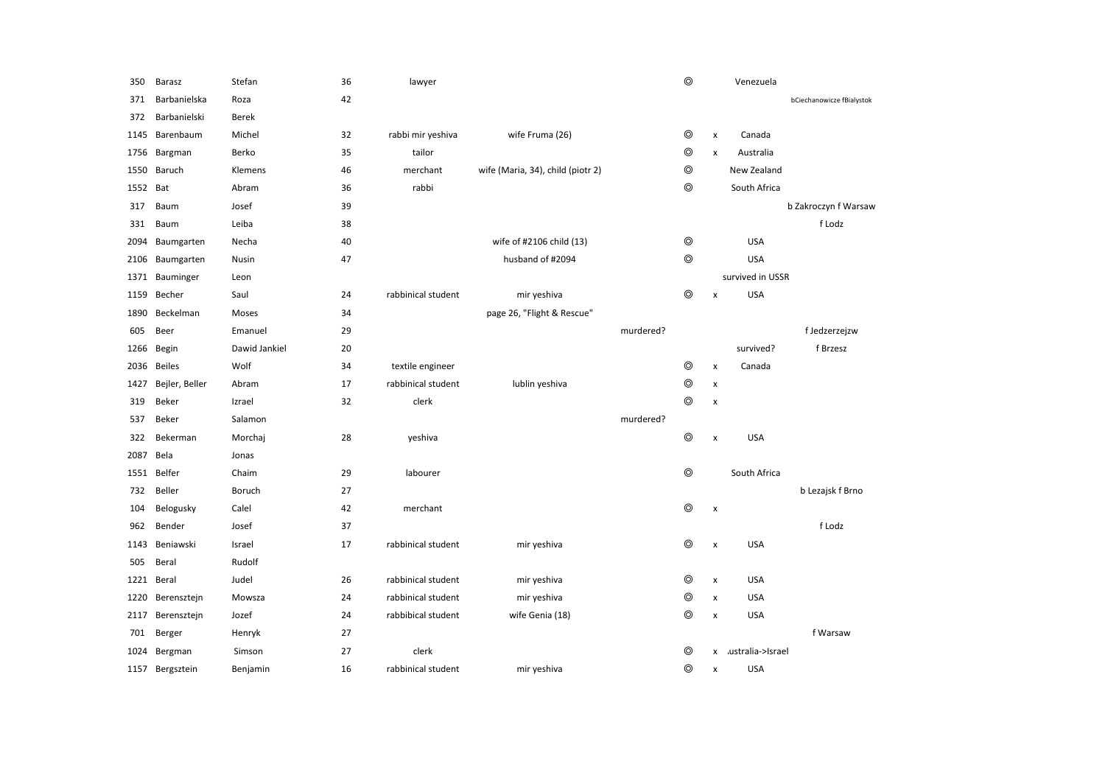| 350  | Barasz          | Stefan        | 36 | lawyer             |                                   |           | $\circledcirc$ |                    | Venezuela         |                           |
|------|-----------------|---------------|----|--------------------|-----------------------------------|-----------|----------------|--------------------|-------------------|---------------------------|
| 371  | Barbanielska    | Roza          | 42 |                    |                                   |           |                |                    |                   | bCiechanowicze fBialystok |
| 372  | Barbanielski    | <b>Berek</b>  |    |                    |                                   |           |                |                    |                   |                           |
| 1145 | Barenbaum       | Michel        | 32 | rabbi mir yeshiva  | wife Fruma (26)                   |           | $\circledcirc$ | $\pmb{\mathsf{x}}$ | Canada            |                           |
| 1756 | Bargman         | Berko         | 35 | tailor             |                                   |           | $\circledcirc$ | $\pmb{\chi}$       | Australia         |                           |
| 1550 | Baruch          | Klemens       | 46 | merchant           | wife (Maria, 34), child (piotr 2) |           | $\circledcirc$ |                    | New Zealand       |                           |
| 1552 | Bat             | Abram         | 36 | rabbi              |                                   |           | $\circledcirc$ |                    | South Africa      |                           |
| 317  | Baum            | Josef         | 39 |                    |                                   |           |                |                    |                   | b Zakroczyn f Warsaw      |
| 331  | Baum            | Leiba         | 38 |                    |                                   |           |                |                    |                   | f Lodz                    |
| 2094 | Baumgarten      | Necha         | 40 |                    | wife of #2106 child (13)          |           | $\circledcirc$ |                    | <b>USA</b>        |                           |
| 2106 | Baumgarten      | Nusin         | 47 |                    | husband of #2094                  |           | $\circledcirc$ |                    | <b>USA</b>        |                           |
| 1371 | Bauminger       | Leon          |    |                    |                                   |           |                |                    | survived in USSR  |                           |
| 1159 | Becher          | Saul          | 24 | rabbinical student | mir yeshiva                       |           | $\circledcirc$ | x                  | <b>USA</b>        |                           |
| 1890 | Beckelman       | Moses         | 34 |                    | page 26, "Flight & Rescue"        |           |                |                    |                   |                           |
| 605  | Beer            | Emanuel       | 29 |                    |                                   | murdered? |                |                    |                   | f Jedzerzejzw             |
| 1266 | Begin           | Dawid Jankiel | 20 |                    |                                   |           |                |                    | survived?         | f Brzesz                  |
| 2036 | <b>Beiles</b>   | Wolf          | 34 | textile engineer   |                                   |           | $\circledcirc$ | $\pmb{\times}$     | Canada            |                           |
| 1427 | Bejler, Beller  | Abram         | 17 | rabbinical student | lublin yeshiva                    |           | $\circledcirc$ | $\pmb{\times}$     |                   |                           |
| 319  | Beker           | Izrael        | 32 | clerk              |                                   |           | $\circledcirc$ | x                  |                   |                           |
| 537  | Beker           | Salamon       |    |                    |                                   | murdered? |                |                    |                   |                           |
| 322  | Bekerman        | Morchaj       | 28 | yeshiva            |                                   |           | $^{\circ}$     | $\pmb{\times}$     | <b>USA</b>        |                           |
| 2087 | Bela            | Jonas         |    |                    |                                   |           |                |                    |                   |                           |
| 1551 | Belfer          | Chaim         | 29 | labourer           |                                   |           | $\circledcirc$ |                    | South Africa      |                           |
| 732  | Beller          | Boruch        | 27 |                    |                                   |           |                |                    |                   | b Lezajsk f Brno          |
| 104  | Belogusky       | Calel         | 42 | merchant           |                                   |           | $\circledcirc$ | x                  |                   |                           |
| 962  | Bender          | Josef         | 37 |                    |                                   |           |                |                    |                   | f Lodz                    |
| 1143 | Beniawski       | Israel        | 17 | rabbinical student | mir yeshiva                       |           | $\circledcirc$ | x                  | <b>USA</b>        |                           |
| 505  | Beral           | Rudolf        |    |                    |                                   |           |                |                    |                   |                           |
| 1221 | Beral           | Judel         | 26 | rabbinical student | mir yeshiva                       |           | $^{\circ}$     | x                  | <b>USA</b>        |                           |
| 1220 | Berensztejn     | Mowsza        | 24 | rabbinical student | mir yeshiva                       |           | ⊚              | x                  | <b>USA</b>        |                           |
| 2117 | Berensztejn     | Jozef         | 24 | rabbibical student | wife Genia (18)                   |           | $\circledcirc$ | $\pmb{\times}$     | <b>USA</b>        |                           |
| 701  | Berger          | Henryk        | 27 |                    |                                   |           |                |                    |                   | f Warsaw                  |
| 1024 | Bergman         | Simson        | 27 | clerk              |                                   |           | $\circledcirc$ | x                  | .ustralia->Israel |                           |
|      | 1157 Bergsztein | Benjamin      | 16 | rabbinical student | mir yeshiva                       |           | $\circledcirc$ | x                  | <b>USA</b>        |                           |
|      |                 |               |    |                    |                                   |           |                |                    |                   |                           |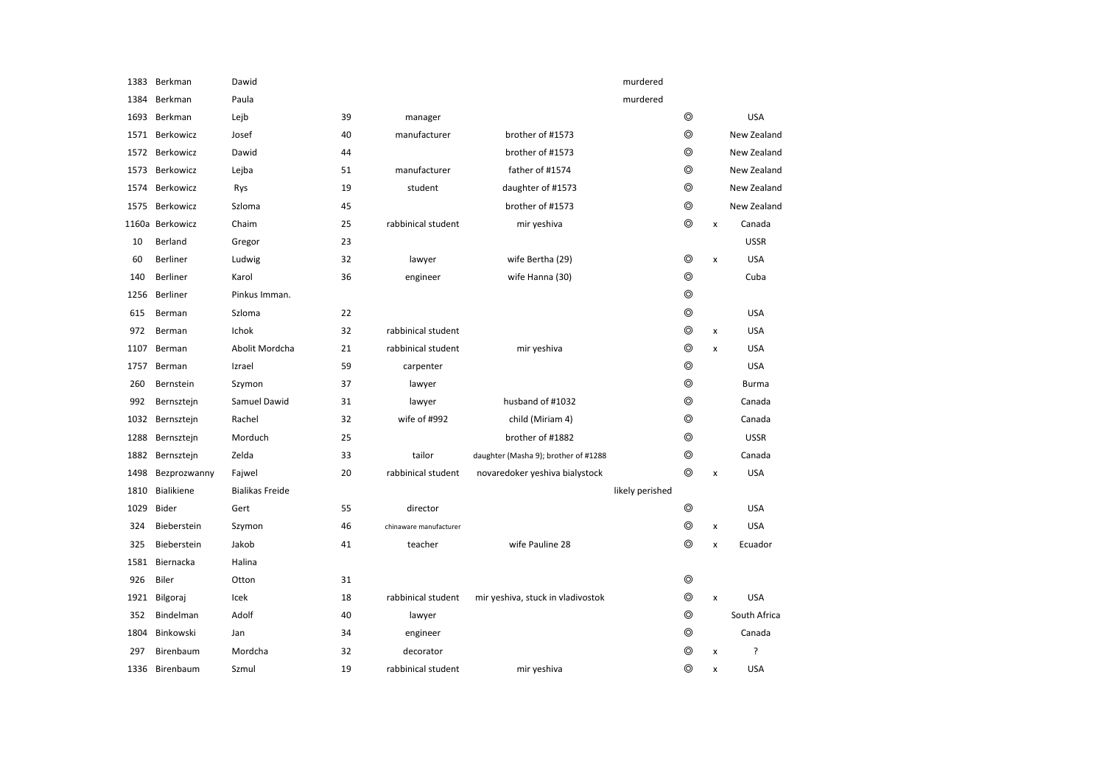| 1383  | Berkman         | Dawid                  |    |                        |                                      | murdered        |            |                           |              |
|-------|-----------------|------------------------|----|------------------------|--------------------------------------|-----------------|------------|---------------------------|--------------|
| 1384  | Berkman         | Paula                  |    |                        |                                      | murdered        |            |                           |              |
| 1693  | Berkman         | Lejb                   | 39 | manager                |                                      |                 | ⊚          |                           | <b>USA</b>   |
| 1571  | Berkowicz       | Josef                  | 40 | manufacturer           | brother of #1573                     |                 | ⊚          |                           | New Zealand  |
| 1572  | Berkowicz       | Dawid                  | 44 |                        | brother of #1573                     |                 | ⊚          |                           | New Zealand  |
| 1573  | Berkowicz       | Lejba                  | 51 | manufacturer           | father of #1574                      |                 | ⊚          |                           | New Zealand  |
| 1574  | Berkowicz       | Rys                    | 19 | student                | daughter of #1573                    |                 | ⊚          |                           | New Zealand  |
| 1575  | Berkowicz       | Szloma                 | 45 |                        | brother of #1573                     |                 | ⊚          |                           | New Zealand  |
| 1160a | Berkowicz       | Chaim                  | 25 | rabbinical student     | mir yeshiva                          |                 | $^{\circ}$ | x                         | Canada       |
| 10    | Berland         | Gregor                 | 23 |                        |                                      |                 |            |                           | <b>USSR</b>  |
| 60    | <b>Berliner</b> | Ludwig                 | 32 | lawyer                 | wife Bertha (29)                     |                 | ⊚          | $\boldsymbol{\mathsf{x}}$ | <b>USA</b>   |
| 140   | Berliner        | Karol                  | 36 | engineer               | wife Hanna (30)                      |                 | ⊚          |                           | Cuba         |
| 1256  | Berliner        | Pinkus Imman.          |    |                        |                                      |                 | ⊚          |                           |              |
| 615   | Berman          | Szloma                 | 22 |                        |                                      |                 | ⊚          |                           | <b>USA</b>   |
| 972   | Berman          | Ichok                  | 32 | rabbinical student     |                                      |                 | ⊚          | $\pmb{\times}$            | <b>USA</b>   |
| 1107  | Berman          | Abolit Mordcha         | 21 | rabbinical student     | mir yeshiva                          |                 | $^{\circ}$ | X                         | <b>USA</b>   |
| 1757  | Berman          | Izrael                 | 59 | carpenter              |                                      |                 | ⊚          |                           | <b>USA</b>   |
| 260   | Bernstein       | Szymon                 | 37 | lawyer                 |                                      |                 | ⊚          |                           | <b>Burma</b> |
| 992   | Bernsztejn      | Samuel Dawid           | 31 | lawyer                 | husband of #1032                     |                 | $^{\circ}$ |                           | Canada       |
| 1032  | Bernsztejn      | Rachel                 | 32 | wife of #992           | child (Miriam 4)                     |                 | ⊚          |                           | Canada       |
| 1288  | Bernsztejn      | Morduch                | 25 |                        | brother of #1882                     |                 | ⊚          |                           | <b>USSR</b>  |
| 1882  | Bernsztejn      | Zelda                  | 33 | tailor                 | daughter (Masha 9); brother of #1288 |                 | ⊚          |                           | Canada       |
| 1498  | Bezprozwanny    | Fajwel                 | 20 | rabbinical student     | novaredoker yeshiva bialystock       |                 | ⊚          | $\pmb{\times}$            | <b>USA</b>   |
| 1810  | Bialikiene      | <b>Bialikas Freide</b> |    |                        |                                      | likely perished |            |                           |              |
| 1029  | Bider           | Gert                   | 55 | director               |                                      |                 | ⊚          |                           | <b>USA</b>   |
| 324   | Bieberstein     | Szymon                 | 46 | chinaware manufacturer |                                      |                 | ⊚          | x                         | <b>USA</b>   |
| 325   | Bieberstein     | Jakob                  | 41 | teacher                | wife Pauline 28                      |                 | ⊚          | $\pmb{\times}$            | Ecuador      |
| 1581  | Biernacka       | Halina                 |    |                        |                                      |                 |            |                           |              |
| 926   | Biler           | Otton                  | 31 |                        |                                      |                 | $^{\circ}$ |                           |              |
| 1921  | Bilgoraj        | Icek                   | 18 | rabbinical student     | mir yeshiva, stuck in vladivostok    |                 | ⊚          | $\pmb{\times}$            | <b>USA</b>   |
| 352   | Bindelman       | Adolf                  | 40 | lawyer                 |                                      |                 | ⊚          |                           | South Africa |
| 1804  | Binkowski       | Jan                    | 34 | engineer               |                                      |                 | ⊚          |                           | Canada       |
| 297   | Birenbaum       | Mordcha                | 32 | decorator              |                                      |                 | ⊚          | $\pmb{\times}$            | ?            |
| 1336  | Birenbaum       | Szmul                  | 19 | rabbinical student     | mir yeshiva                          |                 | ⊚          | x                         | <b>USA</b>   |
|       |                 |                        |    |                        |                                      |                 |            |                           |              |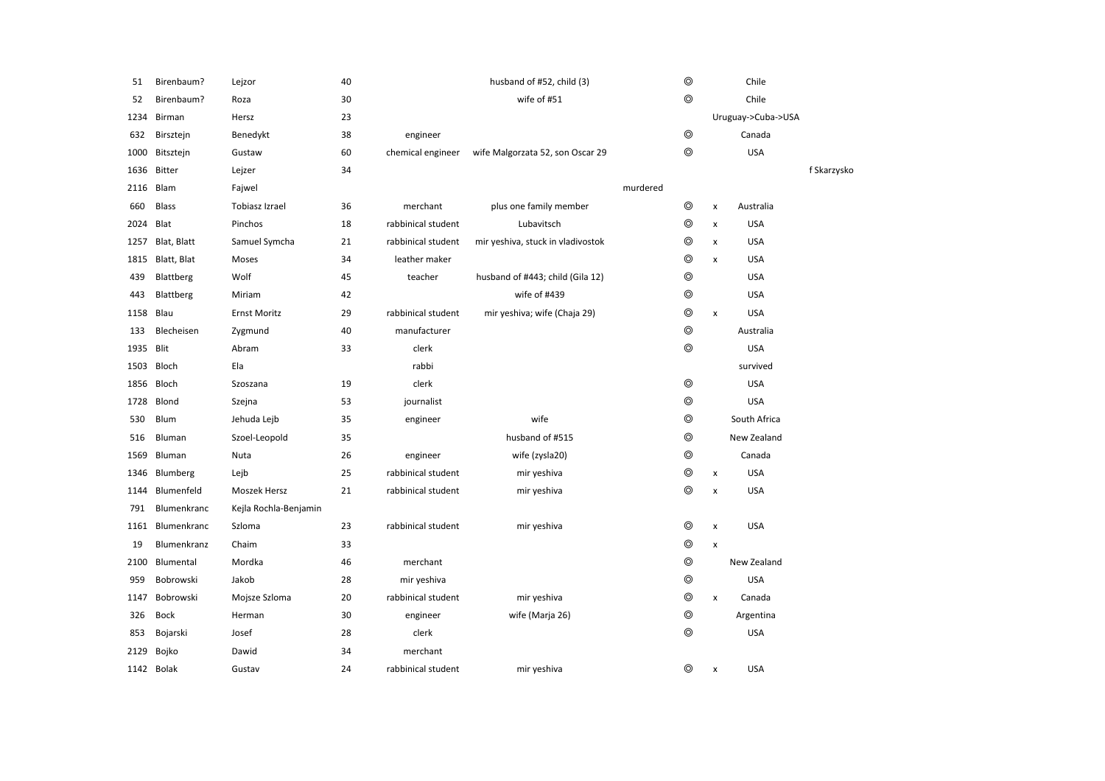| 51   | Birenbaum?       | Lejzor                | 40 |                    | husband of #52, child (3)         |          | $\circledcirc$ |                | Chile              |             |
|------|------------------|-----------------------|----|--------------------|-----------------------------------|----------|----------------|----------------|--------------------|-------------|
| 52   | Birenbaum?       | Roza                  | 30 |                    | wife of #51                       |          | ⊚              |                | Chile              |             |
| 1234 | Birman           | Hersz                 | 23 |                    |                                   |          |                |                | Uruguay->Cuba->USA |             |
| 632  | Birsztejn        | Benedykt              | 38 | engineer           |                                   |          | $\circledcirc$ |                | Canada             |             |
| 1000 | Bitsztejn        | Gustaw                | 60 | chemical engineer  | wife Malgorzata 52, son Oscar 29  |          | $\circledcirc$ |                | <b>USA</b>         |             |
| 1636 | Bitter           | Lejzer                | 34 |                    |                                   |          |                |                |                    | f Skarzysko |
| 2116 | Blam             | Fajwel                |    |                    |                                   | murdered |                |                |                    |             |
| 660  | <b>Blass</b>     | Tobiasz Izrael        | 36 | merchant           | plus one family member            |          | $\circledcirc$ | $\pmb{\times}$ | Australia          |             |
| 2024 | Blat             | Pinchos               | 18 | rabbinical student | Lubavitsch                        |          | $\circledcirc$ | $\pmb{\times}$ | <b>USA</b>         |             |
| 1257 | Blat, Blatt      | Samuel Symcha         | 21 | rabbinical student | mir yeshiva, stuck in vladivostok |          | ⊚              | $\pmb{\times}$ | <b>USA</b>         |             |
|      | 1815 Blatt, Blat | Moses                 | 34 | leather maker      |                                   |          | ⊚              | $\pmb{\times}$ | <b>USA</b>         |             |
| 439  | Blattberg        | Wolf                  | 45 | teacher            | husband of #443; child (Gila 12)  |          | $\circledcirc$ |                | <b>USA</b>         |             |
| 443  | Blattberg        | Miriam                | 42 |                    | wife of #439                      |          | ⊚              |                | <b>USA</b>         |             |
| 1158 | Blau             | <b>Ernst Moritz</b>   | 29 | rabbinical student | mir yeshiva; wife (Chaja 29)      |          | ⊚              | $\pmb{\times}$ | <b>USA</b>         |             |
| 133  | Blecheisen       | Zygmund               | 40 | manufacturer       |                                   |          | ⊚              |                | Australia          |             |
| 1935 | Blit             | Abram                 | 33 | clerk              |                                   |          | $\circledcirc$ |                | <b>USA</b>         |             |
| 1503 | Bloch            | Ela                   |    | rabbi              |                                   |          |                |                | survived           |             |
| 1856 | Bloch            | Szoszana              | 19 | clerk              |                                   |          | $^{\circ}$     |                | <b>USA</b>         |             |
| 1728 | Blond            | Szejna                | 53 | journalist         |                                   |          | ⊚              |                | <b>USA</b>         |             |
| 530  | Blum             | Jehuda Lejb           | 35 | engineer           | wife                              |          | $\circledcirc$ |                | South Africa       |             |
| 516  | Bluman           | Szoel-Leopold         | 35 |                    | husband of #515                   |          | $\circledcirc$ |                | New Zealand        |             |
| 1569 | Bluman           | Nuta                  | 26 | engineer           | wife (zysla20)                    |          | $\circledcirc$ |                | Canada             |             |
| 1346 | Blumberg         | Lejb                  | 25 | rabbinical student | mir yeshiva                       |          | ⊚              | $\pmb{\times}$ | <b>USA</b>         |             |
| 1144 | Blumenfeld       | Moszek Hersz          | 21 | rabbinical student | mir yeshiva                       |          | $\circledcirc$ | $\pmb{\times}$ | <b>USA</b>         |             |
| 791  | Blumenkranc      | Kejla Rochla-Benjamin |    |                    |                                   |          |                |                |                    |             |
| 1161 | Blumenkranc      | Szloma                | 23 | rabbinical student | mir yeshiva                       |          | $\circledcirc$ | $\pmb{\times}$ | <b>USA</b>         |             |
| 19   | Blumenkranz      | Chaim                 | 33 |                    |                                   |          | $\circledcirc$ | $\pmb{\times}$ |                    |             |
| 2100 | Blumental        | Mordka                | 46 | merchant           |                                   |          | $\circledcirc$ |                | New Zealand        |             |
| 959  | Bobrowski        | Jakob                 | 28 | mir yeshiva        |                                   |          | $\circledcirc$ |                | <b>USA</b>         |             |
| 1147 | Bobrowski        | Mojsze Szloma         | 20 | rabbinical student | mir yeshiva                       |          | $^{\circ}$     | $\pmb{\times}$ | Canada             |             |
| 326  | <b>Bock</b>      | Herman                | 30 | engineer           | wife (Marja 26)                   |          | $\circledcirc$ |                | Argentina          |             |
| 853  | Bojarski         | Josef                 | 28 | clerk              |                                   |          | $\circledcirc$ |                | <b>USA</b>         |             |
| 2129 | Bojko            | Dawid                 | 34 | merchant           |                                   |          |                |                |                    |             |
|      | 1142 Bolak       | Gustav                | 24 | rabbinical student | mir yeshiva                       |          | ⊚              | $\pmb{\times}$ | <b>USA</b>         |             |
|      |                  |                       |    |                    |                                   |          |                |                |                    |             |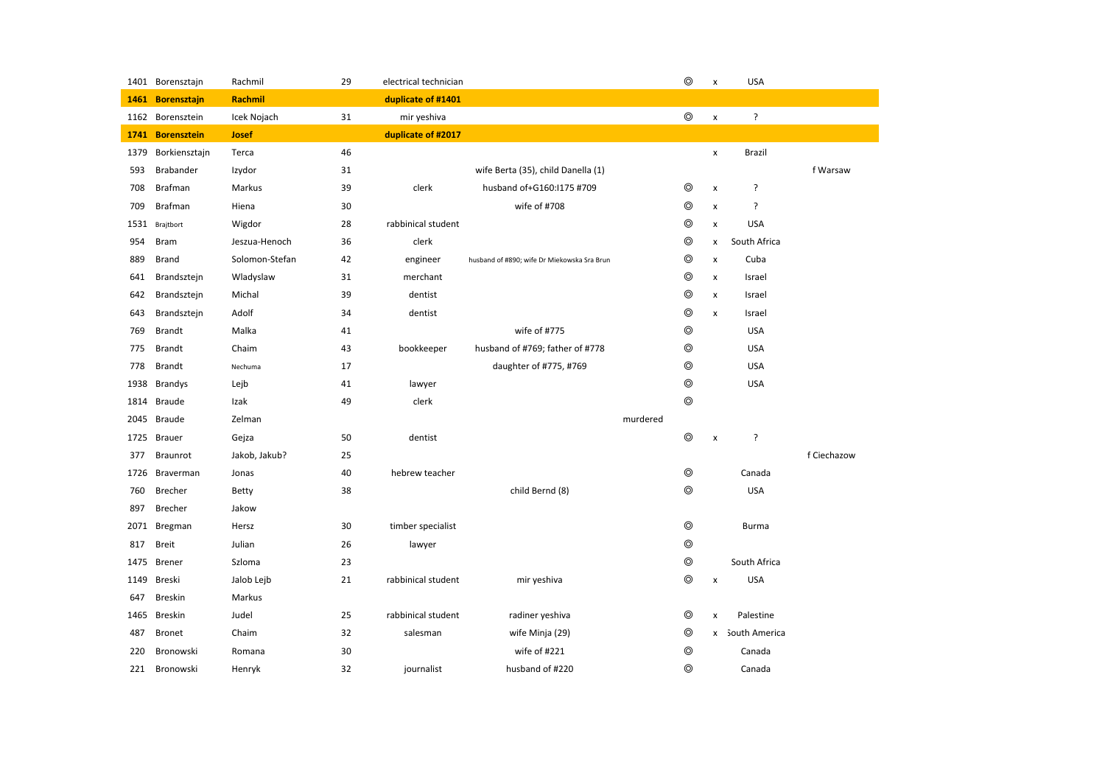|      | 1401 Borensztajn   | Rachmil        | 29 | electrical technician |                                             |          | $\circledcirc$ | $\pmb{\mathsf{x}}$        | <b>USA</b>      |             |
|------|--------------------|----------------|----|-----------------------|---------------------------------------------|----------|----------------|---------------------------|-----------------|-------------|
| 1461 | <b>Borensztajn</b> | Rachmil        |    | duplicate of #1401    |                                             |          |                |                           |                 |             |
|      | 1162 Borensztein   | Icek Nojach    | 31 | mir yeshiva           |                                             |          | $\circledcirc$ | $\pmb{\mathsf{x}}$        | ŗ               |             |
|      | 1741 Borensztein   | <b>Josef</b>   |    | duplicate of #2017    |                                             |          |                |                           |                 |             |
| 1379 | Borkiensztajn      | Terca          | 46 |                       |                                             |          |                | x                         | Brazil          |             |
| 593  | <b>Brabander</b>   | Izydor         | 31 |                       | wife Berta (35), child Danella (1)          |          |                |                           |                 | f Warsaw    |
| 708  | Brafman            | Markus         | 39 | clerk                 | husband of+G160:I175 #709                   |          | ⊚              | $\pmb{\times}$            | ?               |             |
| 709  | Brafman            | Hiena          | 30 |                       | wife of #708                                |          | $\circledcirc$ | $\pmb{\mathsf{x}}$        | ?               |             |
|      | 1531 Brajtbort     | Wigdor         | 28 | rabbinical student    |                                             |          | $\circledcirc$ | x                         | <b>USA</b>      |             |
| 954  | <b>Bram</b>        | Jeszua-Henoch  | 36 | clerk                 |                                             |          | ⊚              | x                         | South Africa    |             |
| 889  | Brand              | Solomon-Stefan | 42 | engineer              | husband of #890; wife Dr Miekowska Sra Brun |          | ◎              | $\pmb{\times}$            | Cuba            |             |
| 641  | Brandsztejn        | Wladyslaw      | 31 | merchant              |                                             |          | ⊚              | x                         | Israel          |             |
| 642  | Brandsztejn        | Michal         | 39 | dentist               |                                             |          | $\circledcirc$ | $\pmb{\times}$            | Israel          |             |
| 643  | Brandsztejn        | Adolf          | 34 | dentist               |                                             |          | $\circledcirc$ | x                         | Israel          |             |
| 769  | <b>Brandt</b>      | Malka          | 41 |                       | wife of #775                                |          | $\circledcirc$ |                           | <b>USA</b>      |             |
| 775  | <b>Brandt</b>      | Chaim          | 43 | bookkeeper            | husband of #769; father of #778             |          | $\circledcirc$ |                           | <b>USA</b>      |             |
| 778  | <b>Brandt</b>      | Nechuma        | 17 |                       | daughter of #775, #769                      |          | $^{\circ}$     |                           | <b>USA</b>      |             |
| 1938 | <b>Brandys</b>     | Lejb           | 41 | lawyer                |                                             |          | $\circledcirc$ |                           | <b>USA</b>      |             |
| 1814 | Braude             | Izak           | 49 | clerk                 |                                             |          | $\circledcirc$ |                           |                 |             |
| 2045 | Braude             | Zelman         |    |                       |                                             | murdered |                |                           |                 |             |
| 1725 | <b>Brauer</b>      | Gejza          | 50 | dentist               |                                             |          | $\circledcirc$ | $\boldsymbol{\mathsf{x}}$ | ?               |             |
| 377  | Braunrot           | Jakob, Jakub?  | 25 |                       |                                             |          |                |                           |                 | f Ciechazow |
| 1726 | Braverman          | Jonas          | 40 | hebrew teacher        |                                             |          | $^{\circ}$     |                           | Canada          |             |
| 760  | <b>Brecher</b>     | Betty          | 38 |                       | child Bernd (8)                             |          | ⊚              |                           | <b>USA</b>      |             |
| 897  | Brecher            | Jakow          |    |                       |                                             |          |                |                           |                 |             |
| 2071 | Bregman            | Hersz          | 30 | timber specialist     |                                             |          | $\circledcirc$ |                           | <b>Burma</b>    |             |
| 817  | <b>Breit</b>       | Julian         | 26 | lawyer                |                                             |          | $\circledcirc$ |                           |                 |             |
| 1475 | <b>Brener</b>      | Szloma         | 23 |                       |                                             |          | $\circledcirc$ |                           | South Africa    |             |
| 1149 | Breski             | Jalob Lejb     | 21 | rabbinical student    | mir yeshiva                                 |          | $\circledcirc$ | $\pmb{\times}$            | <b>USA</b>      |             |
| 647  | Breskin            | Markus         |    |                       |                                             |          |                |                           |                 |             |
| 1465 | Breskin            | Judel          | 25 | rabbinical student    | radiner yeshiva                             |          | $\circledcirc$ | $\pmb{\mathsf{x}}$        | Palestine       |             |
| 487  | <b>Bronet</b>      | Chaim          | 32 | salesman              | wife Minja (29)                             |          | $\circledcirc$ |                           | x South America |             |
| 220  | Bronowski          | Romana         | 30 |                       | wife of #221                                |          | $\circledcirc$ |                           | Canada          |             |
| 221  | Bronowski          | Henryk         | 32 | journalist            | husband of #220                             |          | ⊚              |                           | Canada          |             |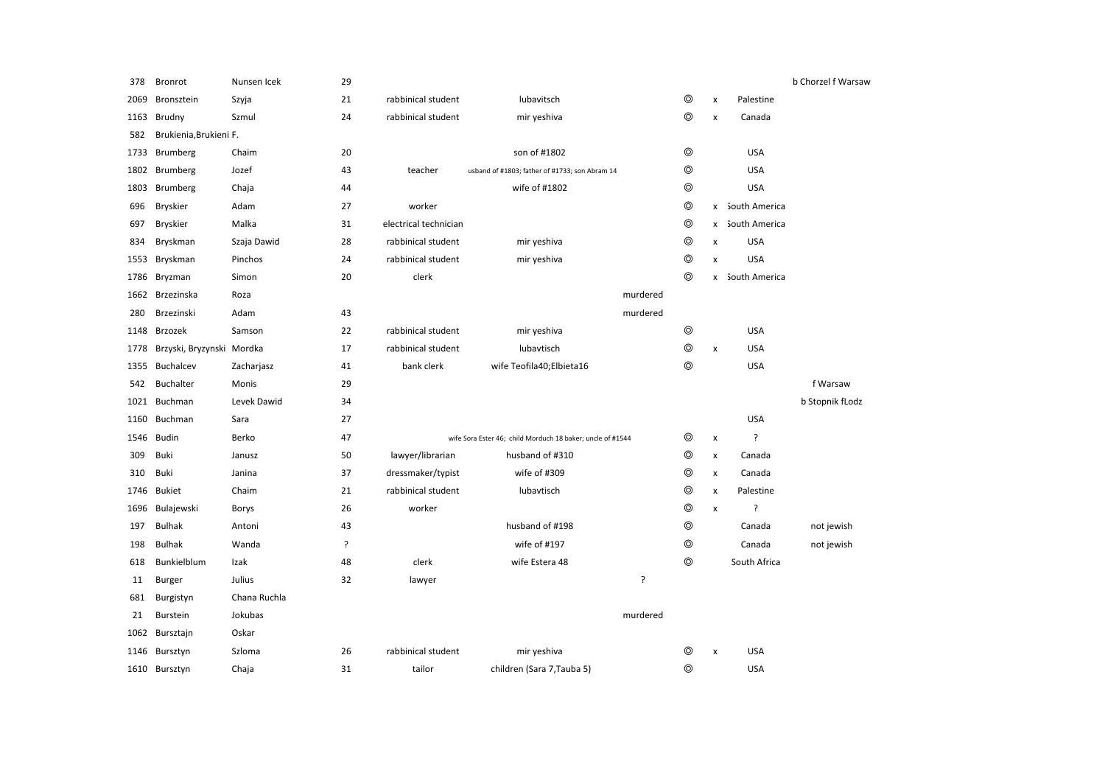| 378  | <b>Bronrot</b>            | Nunsen Icek  | 29 |                       |                                                            |                |                    |                 | b Chorzel f Warsaw |
|------|---------------------------|--------------|----|-----------------------|------------------------------------------------------------|----------------|--------------------|-----------------|--------------------|
| 2069 | Bronsztein                | Szyja        | 21 | rabbinical student    | lubavitsch                                                 | $\circledcirc$ | X                  | Palestine       |                    |
| 1163 | Brudny                    | Szmul        | 24 | rabbinical student    | mir yeshiva                                                | $\circledcirc$ | X                  | Canada          |                    |
| 582  | Brukienia, Brukieni F.    |              |    |                       |                                                            |                |                    |                 |                    |
| 1733 | <b>Brumberg</b>           | Chaim        | 20 |                       | son of #1802                                               | $\circledcirc$ |                    | <b>USA</b>      |                    |
| 1802 | Brumberg                  | Jozef        | 43 | teacher               | usband of #1803; father of #1733; son Abram 14             | $\circledcirc$ |                    | <b>USA</b>      |                    |
| 1803 | <b>Brumberg</b>           | Chaja        | 44 |                       | wife of #1802                                              | $\circledcirc$ |                    | <b>USA</b>      |                    |
| 696  | <b>Bryskier</b>           | Adam         | 27 | worker                |                                                            | $\circledcirc$ |                    | x South America |                    |
| 697  | Bryskier                  | Malka        | 31 | electrical technician |                                                            | $\circledcirc$ | x                  | South America   |                    |
| 834  | Bryskman                  | Szaja Dawid  | 28 | rabbinical student    | mir yeshiva                                                | $\circledcirc$ | x                  | <b>USA</b>      |                    |
| 1553 | Bryskman                  | Pinchos      | 24 | rabbinical student    | mir yeshiva                                                | $\circledcirc$ | x                  | <b>USA</b>      |                    |
| 1786 | Bryzman                   | Simon        | 20 | clerk                 |                                                            | $^{\circ}$     |                    | x South America |                    |
|      | 1662 Brzezinska           | Roza         |    |                       | murdered                                                   |                |                    |                 |                    |
| 280  | Brzezinski                | Adam         | 43 |                       | murdered                                                   |                |                    |                 |                    |
| 1148 | Brzozek                   | Samson       | 22 | rabbinical student    | mir yeshiva                                                | $\circledcirc$ |                    | <b>USA</b>      |                    |
| 1778 | Brzyski, Bryzynski Mordka |              | 17 | rabbinical student    | lubavtisch                                                 | $\circledcirc$ | X                  | <b>USA</b>      |                    |
| 1355 | <b>Buchalcev</b>          | Zacharjasz   | 41 | bank clerk            | wife Teofila40;Elbieta16                                   | $\circledcirc$ |                    | <b>USA</b>      |                    |
| 542  | Buchalter                 | Monis        | 29 |                       |                                                            |                |                    |                 | f Warsaw           |
| 1021 | Buchman                   | Levek Dawid  | 34 |                       |                                                            |                |                    |                 | b Stopnik fLodz    |
| 1160 | Buchman                   | Sara         | 27 |                       |                                                            |                |                    | <b>USA</b>      |                    |
| 1546 | <b>Budin</b>              | Berko        | 47 |                       | wife Sora Ester 46; child Morduch 18 baker; uncle of #1544 | ◎              | $\pmb{\mathsf{x}}$ | ?               |                    |
| 309  | Buki                      | Janusz       | 50 | lawyer/librarian      | husband of #310                                            | $\circledcirc$ | X                  | Canada          |                    |
| 310  | Buki                      | Janina       | 37 | dressmaker/typist     | wife of #309                                               | $\circledcirc$ | X                  | Canada          |                    |
| 1746 | <b>Bukiet</b>             | Chaim        | 21 | rabbinical student    | lubavtisch                                                 | $\circledcirc$ | $\pmb{\mathsf{x}}$ | Palestine       |                    |
| 1696 | Bulajewski                | Borys        | 26 | worker                |                                                            | $^{\circ}$     | X                  | ?               |                    |
| 197  | <b>Bulhak</b>             | Antoni       | 43 |                       | husband of #198                                            | $\circledcirc$ |                    | Canada          | not jewish         |
| 198  | <b>Bulhak</b>             | Wanda        | Ś. |                       | wife of #197                                               | $\circledcirc$ |                    | Canada          | not jewish         |
| 618  | Bunkielblum               | Izak         | 48 | clerk                 | wife Estera 48                                             | $\circledcirc$ |                    | South Africa    |                    |
| 11   | Burger                    | Julius       | 32 | lawyer                | ?                                                          |                |                    |                 |                    |
| 681  | Burgistyn                 | Chana Ruchla |    |                       |                                                            |                |                    |                 |                    |
| 21   | <b>Burstein</b>           | Jokubas      |    |                       | murdered                                                   |                |                    |                 |                    |
| 1062 | Bursztajn                 | Oskar        |    |                       |                                                            |                |                    |                 |                    |
| 1146 | Bursztyn                  | Szloma       | 26 | rabbinical student    | mir yeshiva                                                | ◎              | X                  | <b>USA</b>      |                    |
|      | 1610 Bursztyn             | Chaja        | 31 | tailor                | children (Sara 7, Tauba 5)                                 | ⊚              |                    | <b>USA</b>      |                    |
|      |                           |              |    |                       |                                                            |                |                    |                 |                    |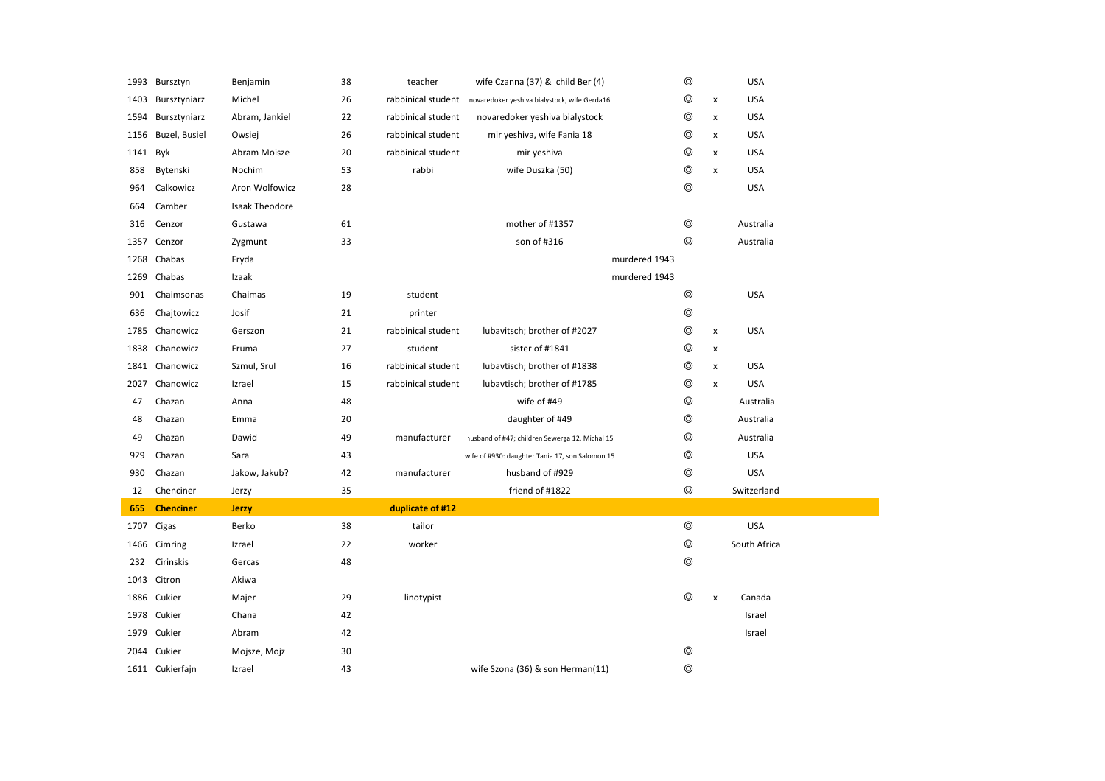|      | 1993 Bursztyn    | Benjamin       | 38 | teacher            | wife Czanna (37) & child Ber (4)                | $\circledcirc$ |                | <b>USA</b>   |
|------|------------------|----------------|----|--------------------|-------------------------------------------------|----------------|----------------|--------------|
| 1403 | Bursztyniarz     | Michel         | 26 | rabbinical student | novaredoker yeshiva bialystock; wife Gerda16    | ◎              | X              | <b>USA</b>   |
| 1594 | Bursztyniarz     | Abram, Jankiel | 22 | rabbinical student | novaredoker yeshiva bialystock                  | ◎              | x              | <b>USA</b>   |
| 1156 | Buzel, Busiel    | Owsiej         | 26 | rabbinical student | mir yeshiva, wife Fania 18                      | ◎              | x              | <b>USA</b>   |
| 1141 | Byk              | Abram Moisze   | 20 | rabbinical student | mir yeshiva                                     | $\circledcirc$ | x              | <b>USA</b>   |
| 858  | Bytenski         | Nochim         | 53 | rabbi              | wife Duszka (50)                                | $\circledcirc$ | $\pmb{\times}$ | <b>USA</b>   |
| 964  | Calkowicz        | Aron Wolfowicz | 28 |                    |                                                 | $\circledcirc$ |                | <b>USA</b>   |
| 664  | Camber           | Isaak Theodore |    |                    |                                                 |                |                |              |
| 316  | Cenzor           | Gustawa        | 61 |                    | mother of #1357                                 | $\circledcirc$ |                | Australia    |
| 1357 | Cenzor           | Zygmunt        | 33 |                    | son of #316                                     | $\circledcirc$ |                | Australia    |
| 1268 | Chabas           | Fryda          |    |                    | murdered 1943                                   |                |                |              |
| 1269 | Chabas           | Izaak          |    |                    | murdered 1943                                   |                |                |              |
| 901  | Chaimsonas       | Chaimas        | 19 | student            |                                                 | $\circledcirc$ |                | <b>USA</b>   |
| 636  | Chajtowicz       | Josif          | 21 | printer            |                                                 | $\circledcirc$ |                |              |
| 1785 | Chanowicz        | Gerszon        | 21 | rabbinical student | lubavitsch; brother of #2027                    | $\circledcirc$ | x              | <b>USA</b>   |
| 1838 | Chanowicz        | Fruma          | 27 | student            | sister of #1841                                 | $\circledcirc$ | x              |              |
|      | 1841 Chanowicz   | Szmul, Srul    | 16 | rabbinical student | lubavtisch; brother of #1838                    | $\circledcirc$ | $\pmb{\times}$ | <b>USA</b>   |
| 2027 | Chanowicz        | Izrael         | 15 | rabbinical student | lubavtisch; brother of #1785                    | $\circledcirc$ | $\pmb{\times}$ | <b>USA</b>   |
| 47   | Chazan           | Anna           | 48 |                    | wife of #49                                     | $\circledcirc$ |                | Australia    |
|      |                  |                | 20 |                    | daughter of #49                                 | $\circledcirc$ |                | Australia    |
| 48   | Chazan           | Emma           |    |                    |                                                 |                |                |              |
| 49   | Chazan           | Dawid          | 49 | manufacturer       | nusband of #47; children Sewerga 12, Michal 15  | ◎              |                | Australia    |
| 929  | Chazan           | Sara           | 43 |                    | wife of #930: daughter Tania 17, son Salomon 15 | $\circledcirc$ |                | <b>USA</b>   |
| 930  | Chazan           | Jakow, Jakub?  | 42 | manufacturer       | husband of #929                                 | $\circledcirc$ |                | <b>USA</b>   |
| 12   | Chenciner        | Jerzy          | 35 |                    | friend of #1822                                 | $\circledcirc$ |                | Switzerland  |
| 655  | <b>Chenciner</b> | <b>Jerzy</b>   |    | duplicate of #12   |                                                 |                |                |              |
| 1707 | Cigas            | Berko          | 38 | tailor             |                                                 | $\circledcirc$ |                | <b>USA</b>   |
| 1466 | Cimring          | Izrael         | 22 | worker             |                                                 | $\circledcirc$ |                | South Africa |
| 232  | Cirinskis        | Gercas         | 48 |                    |                                                 | $\circledcirc$ |                |              |
| 1043 | Citron           | Akiwa          |    |                    |                                                 |                |                |              |
| 1886 | Cukier           | Majer          | 29 | linotypist         |                                                 | $\circledcirc$ | $\pmb{\times}$ | Canada       |
|      | 1978 Cukier      | Chana          | 42 |                    |                                                 |                |                | Israel       |
| 1979 | Cukier           | Abram          | 42 |                    |                                                 |                |                | Israel       |
| 2044 | Cukier           | Mojsze, Mojz   | 30 |                    |                                                 | ⊚              |                |              |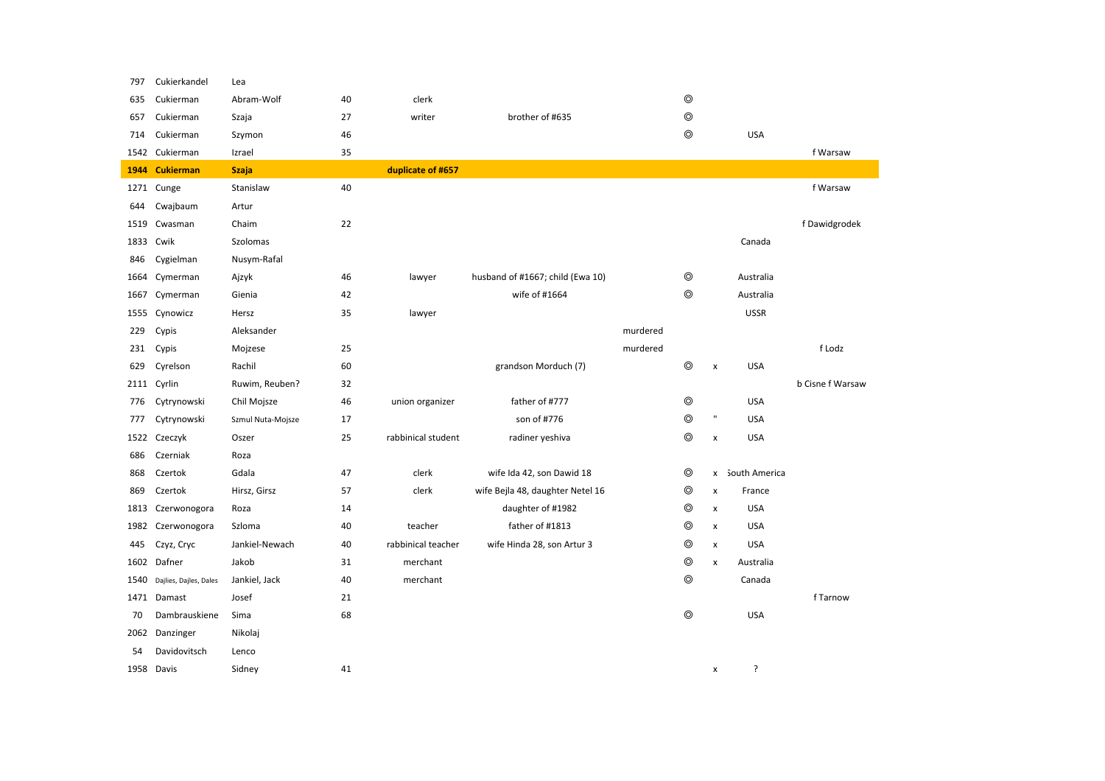| 797  | Cukierkandel           | Lea               |    |                    |                                  |          |                |              |                 |                  |
|------|------------------------|-------------------|----|--------------------|----------------------------------|----------|----------------|--------------|-----------------|------------------|
| 635  | Cukierman              | Abram-Wolf        | 40 | clerk              |                                  |          | $^{\circ}$     |              |                 |                  |
| 657  | Cukierman              | Szaja             | 27 | writer             | brother of #635                  |          | $\circledcirc$ |              |                 |                  |
| 714  | Cukierman              | Szymon            | 46 |                    |                                  |          | $\circledcirc$ |              | <b>USA</b>      |                  |
|      | 1542 Cukierman         | Izrael            | 35 |                    |                                  |          |                |              |                 | f Warsaw         |
| 1944 | <b>Cukierman</b>       | <b>Szaja</b>      |    | duplicate of #657  |                                  |          |                |              |                 |                  |
| 1271 | Cunge                  | Stanislaw         | 40 |                    |                                  |          |                |              |                 | f Warsaw         |
| 644  | Cwajbaum               | Artur             |    |                    |                                  |          |                |              |                 |                  |
| 1519 | Cwasman                | Chaim             | 22 |                    |                                  |          |                |              |                 | f Dawidgrodek    |
| 1833 | Cwik                   | Szolomas          |    |                    |                                  |          |                |              | Canada          |                  |
| 846  | Cygielman              | Nusym-Rafal       |    |                    |                                  |          |                |              |                 |                  |
| 1664 | Cymerman               | Ajzyk             | 46 | lawyer             | husband of #1667; child (Ewa 10) |          | $\circledcirc$ |              | Australia       |                  |
| 1667 | Cymerman               | Gienia            | 42 |                    | wife of #1664                    |          | $\circledcirc$ |              | Australia       |                  |
| 1555 | Cynowicz               | Hersz             | 35 | lawyer             |                                  |          |                |              | <b>USSR</b>     |                  |
| 229  | Cypis                  | Aleksander        |    |                    |                                  | murdered |                |              |                 |                  |
| 231  | Cypis                  | Mojzese           | 25 |                    |                                  | murdered |                |              |                 | f Lodz           |
| 629  | Cyrelson               | Rachil            | 60 |                    | grandson Morduch (7)             |          | $^{\circ}$     | X            | <b>USA</b>      |                  |
|      | 2111 Cyrlin            | Ruwim, Reuben?    | 32 |                    |                                  |          |                |              |                 | b Cisne f Warsaw |
| 776  | Cytrynowski            | Chil Mojsze       | 46 | union organizer    | father of #777                   |          | $\circledcirc$ |              | <b>USA</b>      |                  |
| 777  | Cytrynowski            | Szmul Nuta-Mojsze | 17 |                    | son of #776                      |          | $\circledcirc$ | $\mathbf{u}$ | <b>USA</b>      |                  |
|      | 1522 Czeczyk           | Oszer             | 25 | rabbinical student | radiner yeshiva                  |          | $\circledcirc$ | X            | <b>USA</b>      |                  |
| 686  | Czerniak               | Roza              |    |                    |                                  |          |                |              |                 |                  |
| 868  | Czertok                | Gdala             | 47 | clerk              | wife Ida 42, son Dawid 18        |          | ⊚              |              | x South America |                  |
| 869  | Czertok                | Hirsz, Girsz      | 57 | clerk              | wife Bejla 48, daughter Netel 16 |          | $^{\circ}$     | X            | France          |                  |
| 1813 | Czerwonogora           | Roza              | 14 |                    | daughter of #1982                |          | $\circledcirc$ | X            | <b>USA</b>      |                  |
| 1982 | Czerwonogora           | Szloma            | 40 | teacher            | father of #1813                  |          | $^{\circ}$     | X            | <b>USA</b>      |                  |
| 445  | Czyz, Cryc             | Jankiel-Newach    | 40 | rabbinical teacher | wife Hinda 28, son Artur 3       |          | $\circledcirc$ | X            | <b>USA</b>      |                  |
| 1602 | Dafner                 | Jakob             | 31 | merchant           |                                  |          | $^{\circ}$     | x            | Australia       |                  |
| 1540 | Dajlies, Dajles, Dales | Jankiel, Jack     | 40 | merchant           |                                  |          | $\circledcirc$ |              | Canada          |                  |
| 1471 | Damast                 | Josef             | 21 |                    |                                  |          |                |              |                 | f Tarnow         |
| 70   | Dambrauskiene          | Sima              | 68 |                    |                                  |          | $\circledcirc$ |              | <b>USA</b>      |                  |
| 2062 | Danzinger              | Nikolaj           |    |                    |                                  |          |                |              |                 |                  |
| 54   | Davidovitsch           | Lenco             |    |                    |                                  |          |                |              |                 |                  |
|      | 1958 Davis             | Sidney            | 41 |                    |                                  |          |                | X            | ?               |                  |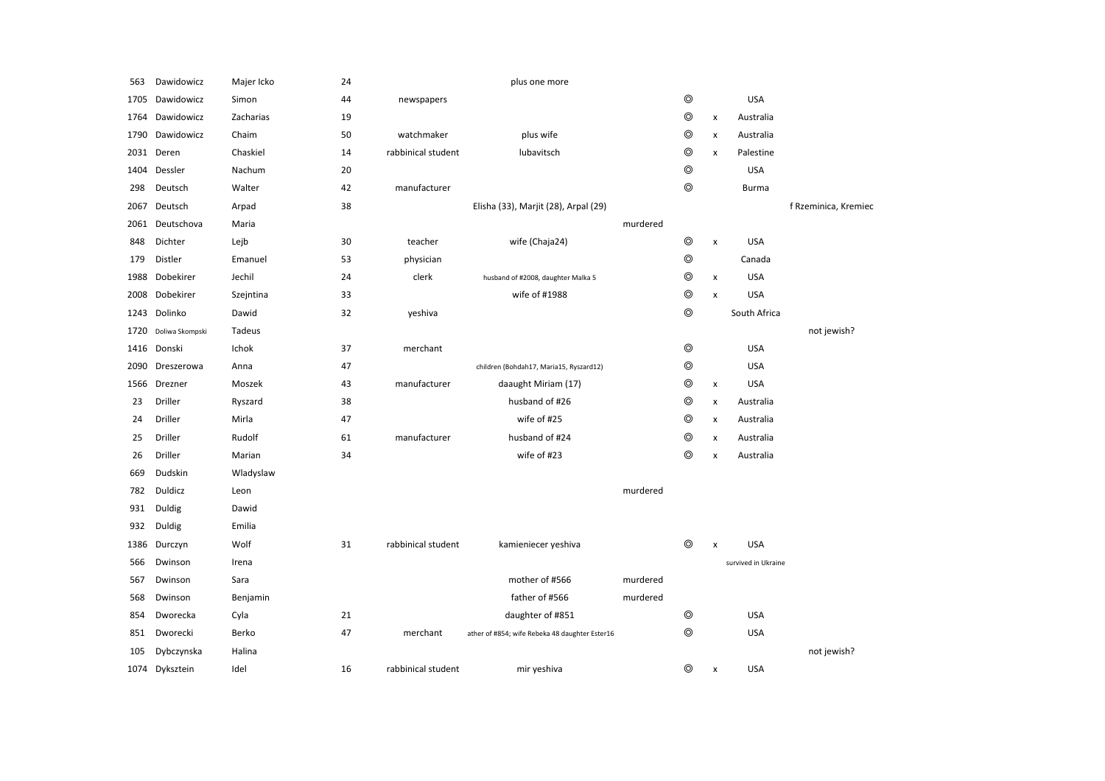| 563  | Dawidowicz      | Majer Icko | 24 |                    | plus one more                                  |          |                |                           |                     |                      |
|------|-----------------|------------|----|--------------------|------------------------------------------------|----------|----------------|---------------------------|---------------------|----------------------|
| 1705 | Dawidowicz      | Simon      | 44 | newspapers         |                                                |          | $\circledcirc$ |                           | <b>USA</b>          |                      |
| 1764 | Dawidowicz      | Zacharias  | 19 |                    |                                                |          | $\circledcirc$ | $\pmb{\times}$            | Australia           |                      |
| 1790 | Dawidowicz      | Chaim      | 50 | watchmaker         | plus wife                                      |          | $\circledcirc$ | $\pmb{\times}$            | Australia           |                      |
| 2031 | Deren           | Chaskiel   | 14 | rabbinical student | lubavitsch                                     |          | $\circledcirc$ | $\pmb{\times}$            | Palestine           |                      |
| 1404 | Dessler         | Nachum     | 20 |                    |                                                |          | $\circledcirc$ |                           | <b>USA</b>          |                      |
| 298  | Deutsch         | Walter     | 42 | manufacturer       |                                                |          | $\circledcirc$ |                           | <b>Burma</b>        |                      |
| 2067 | Deutsch         | Arpad      | 38 |                    | Elisha (33), Marjit (28), Arpal (29)           |          |                |                           |                     | f Rzeminica, Kremiec |
| 2061 | Deutschova      | Maria      |    |                    |                                                | murdered |                |                           |                     |                      |
| 848  | Dichter         | Lejb       | 30 | teacher            | wife (Chaja24)                                 |          | $\circledcirc$ | $\pmb{\times}$            | <b>USA</b>          |                      |
| 179  | <b>Distler</b>  | Emanuel    | 53 | physician          |                                                |          | $\circledcirc$ |                           | Canada              |                      |
| 1988 | Dobekirer       | Jechil     | 24 | clerk              | husband of #2008, daughter Malka 5             |          | $\circledcirc$ | $\boldsymbol{\mathsf{x}}$ | <b>USA</b>          |                      |
| 2008 | Dobekirer       | Szejntina  | 33 |                    | wife of #1988                                  |          | $\circledcirc$ | $\pmb{\times}$            | <b>USA</b>          |                      |
|      | 1243 Dolinko    | Dawid      | 32 | yeshiva            |                                                |          | $\circledcirc$ |                           | South Africa        |                      |
| 1720 | Doliwa Skompski | Tadeus     |    |                    |                                                |          |                |                           |                     | not jewish?          |
| 1416 | Donski          | Ichok      | 37 | merchant           |                                                |          | $\circledcirc$ |                           | <b>USA</b>          |                      |
| 2090 | Dreszerowa      | Anna       | 47 |                    | children (Bohdah17, Maria15, Ryszard12)        |          | $\circledcirc$ |                           | <b>USA</b>          |                      |
| 1566 | Drezner         | Moszek     | 43 | manufacturer       | daaught Miriam (17)                            |          | $\circledcirc$ | $\pmb{\times}$            | <b>USA</b>          |                      |
| 23   | Driller         | Ryszard    | 38 |                    | husband of #26                                 |          | $\circledcirc$ | $\pmb{\times}$            | Australia           |                      |
| 24   | Driller         | Mirla      | 47 |                    | wife of #25                                    |          | $\circledcirc$ | $\pmb{\times}$            | Australia           |                      |
| 25   | <b>Driller</b>  | Rudolf     | 61 | manufacturer       | husband of #24                                 |          | $\circledcirc$ | $\pmb{\times}$            | Australia           |                      |
| 26   | Driller         | Marian     | 34 |                    | wife of #23                                    |          | $\circledcirc$ | $\pmb{\times}$            | Australia           |                      |
| 669  | Dudskin         | Wladyslaw  |    |                    |                                                |          |                |                           |                     |                      |
| 782  | Duldicz         | Leon       |    |                    |                                                | murdered |                |                           |                     |                      |
| 931  | Duldig          | Dawid      |    |                    |                                                |          |                |                           |                     |                      |
| 932  | Duldig          | Emilia     |    |                    |                                                |          |                |                           |                     |                      |
| 1386 | Durczyn         | Wolf       | 31 | rabbinical student | kamieniecer yeshiva                            |          | $^{\circ}$     | x                         | <b>USA</b>          |                      |
| 566  | Dwinson         | Irena      |    |                    |                                                |          |                |                           | survived in Ukraine |                      |
| 567  | Dwinson         | Sara       |    |                    | mother of #566                                 | murdered |                |                           |                     |                      |
| 568  | Dwinson         | Benjamin   |    |                    | father of #566                                 | murdered |                |                           |                     |                      |
| 854  | Dworecka        | Cyla       | 21 |                    | daughter of #851                               |          | $\circledcirc$ |                           | <b>USA</b>          |                      |
| 851  | Dworecki        | Berko      | 47 | merchant           | ather of #854; wife Rebeka 48 daughter Ester16 |          | $\circledcirc$ |                           | <b>USA</b>          |                      |
| 105  | Dybczynska      | Halina     |    |                    |                                                |          |                |                           |                     | not jewish?          |
|      | 1074 Dyksztein  | Idel       | 16 | rabbinical student | mir yeshiva                                    |          | ⊚              | х                         | <b>USA</b>          |                      |
|      |                 |            |    |                    |                                                |          |                |                           |                     |                      |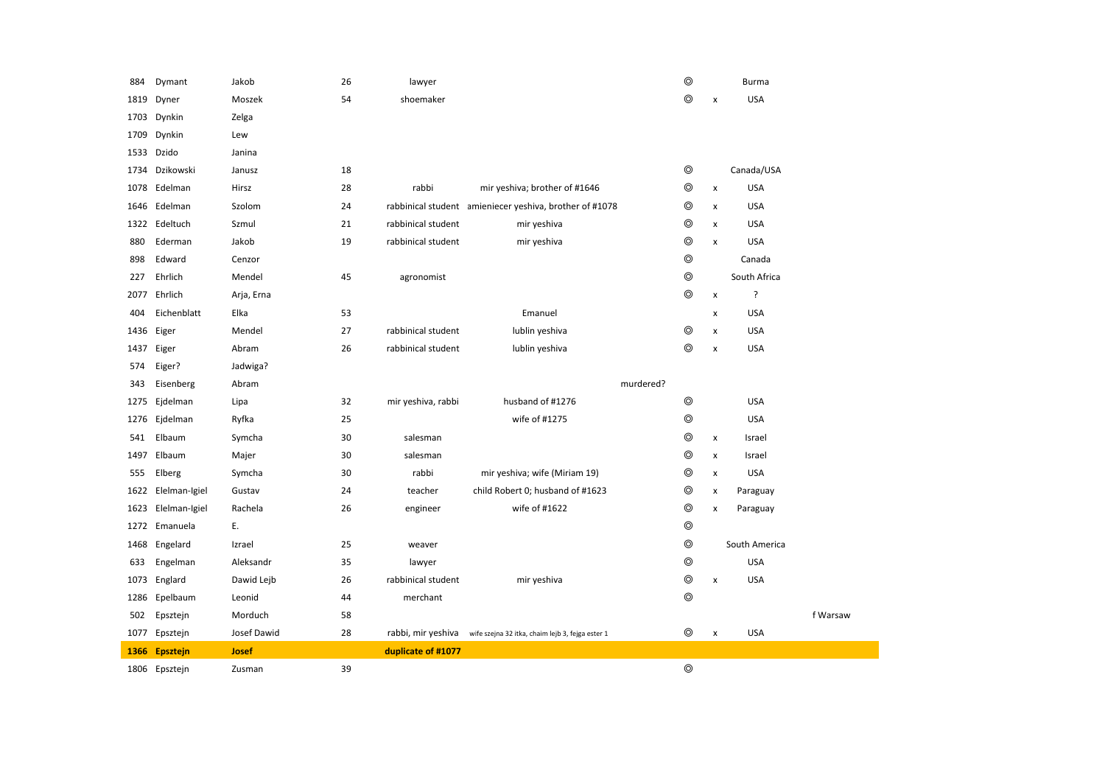| 884  | Dymant             | Jakob        | 26 | lawyer             |                                                         | ⊚              |                | <b>Burma</b>  |          |
|------|--------------------|--------------|----|--------------------|---------------------------------------------------------|----------------|----------------|---------------|----------|
| 1819 | Dyner              | Moszek       | 54 | shoemaker          |                                                         | $\circledcirc$ | x              | <b>USA</b>    |          |
| 1703 | Dynkin             | Zelga        |    |                    |                                                         |                |                |               |          |
| 1709 | Dynkin             | Lew          |    |                    |                                                         |                |                |               |          |
|      | 1533 Dzido         | Janina       |    |                    |                                                         |                |                |               |          |
|      | 1734 Dzikowski     | Janusz       | 18 |                    |                                                         | $^{\circ}$     |                | Canada/USA    |          |
|      | 1078 Edelman       | Hirsz        | 28 | rabbi              | mir yeshiva; brother of #1646                           | $^{\circ}$     | x              | <b>USA</b>    |          |
| 1646 | Edelman            | Szolom       | 24 |                    | rabbinical student amieniecer yeshiva, brother of #1078 | ⊚              | $\pmb{\times}$ | <b>USA</b>    |          |
|      | 1322 Edeltuch      | Szmul        | 21 | rabbinical student | mir yeshiva                                             | $^{\circ}$     | $\pmb{\times}$ | <b>USA</b>    |          |
| 880  | Ederman            | Jakob        | 19 | rabbinical student | mir yeshiva                                             | $^{\circ}$     | x              | <b>USA</b>    |          |
| 898  | Edward             | Cenzor       |    |                    |                                                         | $^{\circ}$     |                | Canada        |          |
| 227  | Ehrlich            | Mendel       | 45 | agronomist         |                                                         | $^{\circ}$     |                | South Africa  |          |
| 2077 | Ehrlich            | Arja, Erna   |    |                    |                                                         | $\circledcirc$ | $\pmb{\times}$ | ŗ             |          |
| 404  | Eichenblatt        | Elka         | 53 |                    | Emanuel                                                 |                | x              | <b>USA</b>    |          |
| 1436 | Eiger              | Mendel       | 27 | rabbinical student | lublin yeshiva                                          | ⊚              | x              | <b>USA</b>    |          |
| 1437 | Eiger              | Abram        | 26 | rabbinical student | lublin yeshiva                                          | ⊚              | x              | <b>USA</b>    |          |
| 574  | Eiger?             | Jadwiga?     |    |                    |                                                         |                |                |               |          |
| 343  | Eisenberg          | Abram        |    |                    | murdered?                                               |                |                |               |          |
|      |                    |              |    |                    |                                                         |                |                |               |          |
| 1275 | Ejdelman           | Lipa         | 32 | mir yeshiva, rabbi | husband of #1276                                        | $^{\circ}$     |                | <b>USA</b>    |          |
| 1276 | Ejdelman           | Ryfka        | 25 |                    | wife of #1275                                           | $\circledcirc$ |                | <b>USA</b>    |          |
| 541  | Elbaum             | Symcha       | 30 | salesman           |                                                         | ⊚              | x              | Israel        |          |
| 1497 | Elbaum             | Majer        | 30 | salesman           |                                                         | ⊚              | x              | Israel        |          |
| 555  | Elberg             | Symcha       | 30 | rabbi              | mir yeshiva; wife (Miriam 19)                           | ⊚              | $\pmb{\times}$ | <b>USA</b>    |          |
|      | 1622 Elelman-Igiel | Gustav       | 24 | teacher            | child Robert 0; husband of #1623                        | $^{\circ}$     | x              | Paraguay      |          |
| 1623 | Elelman-Igiel      | Rachela      | 26 | engineer           | wife of #1622                                           | $^{\circ}$     | x              | Paraguay      |          |
| 1272 | Emanuela           | Ε.           |    |                    |                                                         | $^{\circ}$     |                |               |          |
| 1468 | Engelard           | Izrael       | 25 | weaver             |                                                         | $^{\circ}$     |                | South America |          |
| 633  | Engelman           | Aleksandr    | 35 | lawyer             |                                                         | $\circledcirc$ |                | <b>USA</b>    |          |
| 1073 | Englard            | Dawid Lejb   | 26 | rabbinical student | mir yeshiva                                             | $\circledcirc$ | x              | <b>USA</b>    |          |
| 1286 | Epelbaum           | Leonid       | 44 | merchant           |                                                         | ⊚              |                |               |          |
| 502  | Epsztejn           | Morduch      | 58 |                    |                                                         |                |                |               | f Warsaw |
|      | 1077 Epsztejn      | Josef Dawid  | 28 | rabbi, mir yeshiva | wife szejna 32 itka, chaim lejb 3, fejga ester 1        | $^{\circ}$     | $\pmb{\times}$ | <b>USA</b>    |          |
| 1366 | Epsztejn           | <b>Josef</b> |    | duplicate of #1077 |                                                         |                |                |               |          |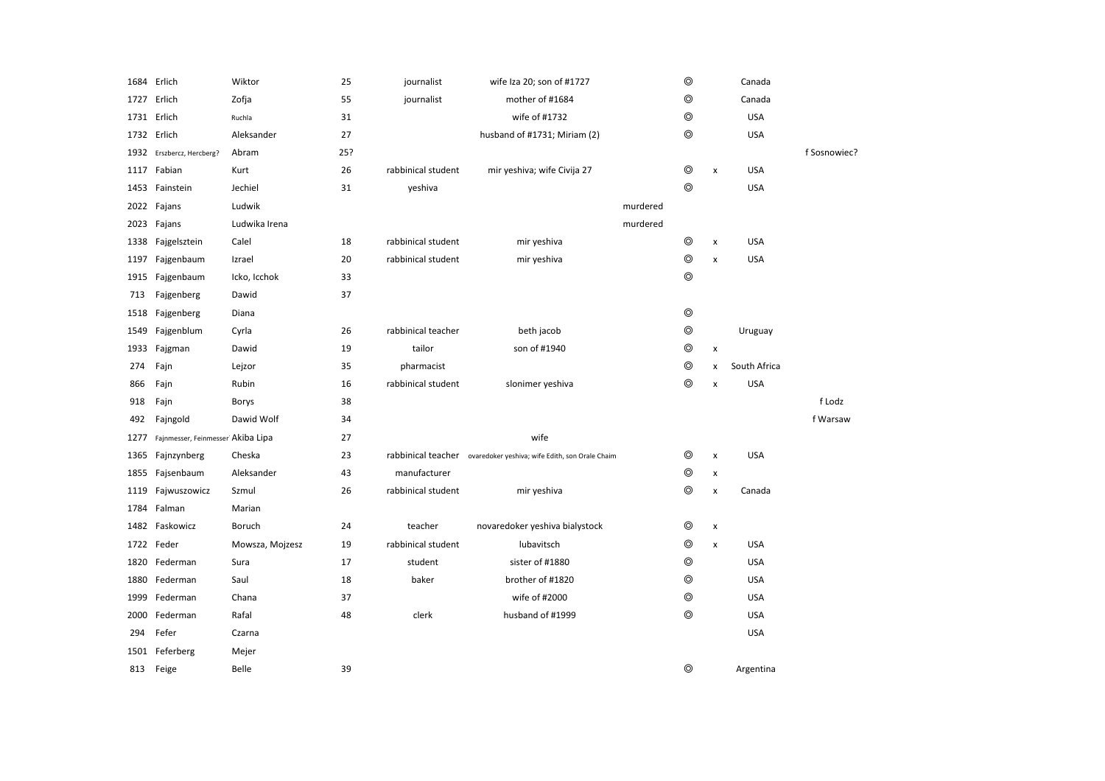|      | 1684 Erlich                       | Wiktor          | 25  | journalist         | wife Iza 20; son of #1727                                          |          | ⊚              |                    | Canada       |              |
|------|-----------------------------------|-----------------|-----|--------------------|--------------------------------------------------------------------|----------|----------------|--------------------|--------------|--------------|
|      | 1727 Erlich                       | Zofja           | 55  | journalist         | mother of #1684                                                    |          | ⊚              |                    | Canada       |              |
|      | 1731 Erlich                       | Ruchla          | 31  |                    | wife of #1732                                                      |          | $\circledcirc$ |                    | <b>USA</b>   |              |
|      | 1732 Erlich                       | Aleksander      | 27  |                    | husband of #1731; Miriam (2)                                       |          | ⊚              |                    | USA          |              |
|      | 1932 Erszbercz, Hercberg?         | Abram           | 25? |                    |                                                                    |          |                |                    |              | f Sosnowiec? |
|      | 1117 Fabian                       | Kurt            | 26  | rabbinical student | mir yeshiva; wife Civija 27                                        |          | ◎              | x                  | <b>USA</b>   |              |
|      | 1453 Fainstein                    | Jechiel         | 31  | yeshiva            |                                                                    |          | $\circledcirc$ |                    | <b>USA</b>   |              |
|      | 2022 Fajans                       | Ludwik          |     |                    |                                                                    | murdered |                |                    |              |              |
|      | 2023 Fajans                       | Ludwika Irena   |     |                    |                                                                    | murdered |                |                    |              |              |
| 1338 | Fajgelsztein                      | Calel           | 18  | rabbinical student | mir yeshiva                                                        |          | ◎              | $\pmb{\times}$     | <b>USA</b>   |              |
| 1197 | Fajgenbaum                        | Izrael          | 20  | rabbinical student | mir yeshiva                                                        |          | $\circledcirc$ | $\pmb{\times}$     | <b>USA</b>   |              |
| 1915 | Fajgenbaum                        | Icko, Icchok    | 33  |                    |                                                                    |          | $\circledcirc$ |                    |              |              |
| 713  | Fajgenberg                        | Dawid           | 37  |                    |                                                                    |          |                |                    |              |              |
| 1518 | Fajgenberg                        | Diana           |     |                    |                                                                    |          | $\circledcirc$ |                    |              |              |
| 1549 | Fajgenblum                        | Cyrla           | 26  | rabbinical teacher | beth jacob                                                         |          | ⊚              |                    | Uruguay      |              |
| 1933 | Fajgman                           | Dawid           | 19  | tailor             | son of #1940                                                       |          | ◎              | $\pmb{\times}$     |              |              |
| 274  | Fajn                              | Lejzor          | 35  | pharmacist         |                                                                    |          | ◎              | X                  | South Africa |              |
| 866  | Fajn                              | Rubin           | 16  | rabbinical student | slonimer yeshiva                                                   |          | $\circledcirc$ | X                  | <b>USA</b>   |              |
| 918  | Fajn                              | Borys           | 38  |                    |                                                                    |          |                |                    |              | f Lodz       |
| 492  | Fajngold                          | Dawid Wolf      | 34  |                    |                                                                    |          |                |                    |              | f Warsaw     |
| 1277 | Fajnmesser, Feinmesser Akiba Lipa |                 | 27  |                    | wife                                                               |          |                |                    |              |              |
| 1365 | Fajnzynberg                       | Cheska          | 23  |                    | rabbinical teacher ovaredoker yeshiva; wife Edith, son Orale Chaim |          | ◎              | $\pmb{\times}$     | <b>USA</b>   |              |
| 1855 | Fajsenbaum                        | Aleksander      | 43  | manufacturer       |                                                                    |          | $\circledcirc$ | $\pmb{\times}$     |              |              |
| 1119 | Fajwuszowicz                      | Szmul           | 26  | rabbinical student | mir yeshiva                                                        |          | $\circledcirc$ | $\pmb{\mathsf{x}}$ | Canada       |              |
| 1784 | Falman                            | Marian          |     |                    |                                                                    |          |                |                    |              |              |
| 1482 | Faskowicz                         | Boruch          | 24  | teacher            | novaredoker yeshiva bialystock                                     |          | ◎              | $\pmb{\times}$     |              |              |
|      | 1722 Feder                        | Mowsza, Mojzesz | 19  | rabbinical student | lubavitsch                                                         |          | $\circledcirc$ | $\pmb{\mathsf{x}}$ | <b>USA</b>   |              |
| 1820 | Federman                          | Sura            | 17  | student            | sister of #1880                                                    |          | $\circledcirc$ |                    | <b>USA</b>   |              |
| 1880 | Federman                          | Saul            | 18  | baker              | brother of #1820                                                   |          | $\circledcirc$ |                    | <b>USA</b>   |              |
| 1999 | Federman                          | Chana           | 37  |                    | wife of #2000                                                      |          | ◎              |                    | <b>USA</b>   |              |
| 2000 | Federman                          | Rafal           | 48  | clerk              | husband of #1999                                                   |          | $\circledcirc$ |                    | <b>USA</b>   |              |
| 294  | Fefer                             | Czarna          |     |                    |                                                                    |          |                |                    | <b>USA</b>   |              |
| 1501 | Feferberg                         | Mejer           |     |                    |                                                                    |          |                |                    |              |              |
| 813  | Feige                             | Belle           | 39  |                    |                                                                    |          | $\circledcirc$ |                    | Argentina    |              |
|      |                                   |                 |     |                    |                                                                    |          |                |                    |              |              |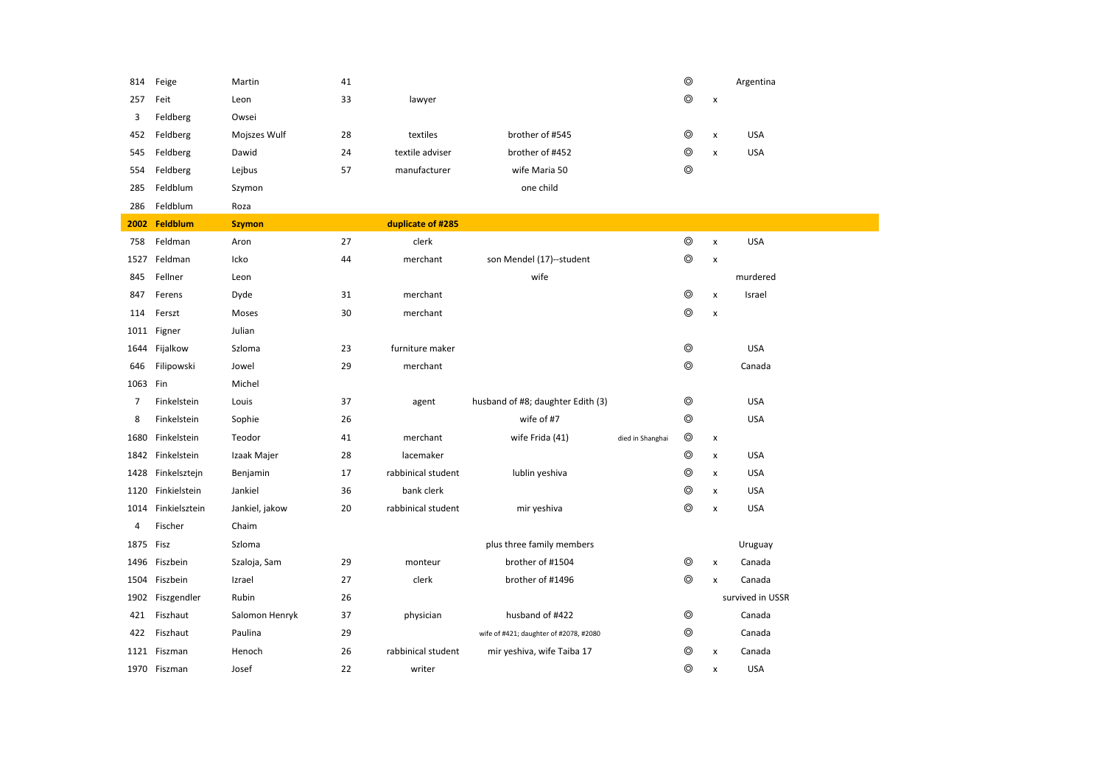| 814            | Feige             | Martin         | 41 |                    |                                        |                  | $\circledcirc$ |                    | Argentina        |
|----------------|-------------------|----------------|----|--------------------|----------------------------------------|------------------|----------------|--------------------|------------------|
| 257            | Feit              | Leon           | 33 | lawyer             |                                        |                  | $\circledcirc$ | $\pmb{\times}$     |                  |
| 3              | Feldberg          | Owsei          |    |                    |                                        |                  |                |                    |                  |
| 452            | Feldberg          | Mojszes Wulf   | 28 | textiles           | brother of #545                        |                  | $\circledcirc$ | x                  | <b>USA</b>       |
| 545            | Feldberg          | Dawid          | 24 | textile adviser    | brother of #452                        |                  | $\circledcirc$ | $\pmb{\times}$     | <b>USA</b>       |
| 554            | Feldberg          | Lejbus         | 57 | manufacturer       | wife Maria 50                          |                  | $\circledcirc$ |                    |                  |
| 285            | Feldblum          | Szymon         |    |                    | one child                              |                  |                |                    |                  |
| 286            | Feldblum          | Roza           |    |                    |                                        |                  |                |                    |                  |
| 2002           | Feldblum          | <b>Szymon</b>  |    | duplicate of #285  |                                        |                  |                |                    |                  |
| 758            | Feldman           | Aron           | 27 | clerk              |                                        |                  | $\circledcirc$ | $\pmb{\times}$     | <b>USA</b>       |
| 1527           | Feldman           | Icko           | 44 | merchant           | son Mendel (17)--student               |                  | $\circledcirc$ | x                  |                  |
| 845            | Fellner           | Leon           |    |                    | wife                                   |                  |                |                    | murdered         |
| 847            | Ferens            | Dyde           | 31 | merchant           |                                        |                  | $\circledcirc$ | $\pmb{\times}$     | Israel           |
| 114            | Ferszt            | Moses          | 30 | merchant           |                                        |                  | $\circledcirc$ | $\pmb{\times}$     |                  |
|                | 1011 Figner       | Julian         |    |                    |                                        |                  |                |                    |                  |
| 1644           | Fijalkow          | Szloma         | 23 | furniture maker    |                                        |                  | $^{\circ}$     |                    | <b>USA</b>       |
| 646            | Filipowski        | Jowel          | 29 | merchant           |                                        |                  | $\circledcirc$ |                    | Canada           |
| 1063 Fin       |                   | Michel         |    |                    |                                        |                  |                |                    |                  |
| 7              | Finkelstein       | Louis          | 37 | agent              | husband of #8; daughter Edith (3)      |                  | $\circledcirc$ |                    | <b>USA</b>       |
| 8              | Finkelstein       | Sophie         | 26 |                    | wife of #7                             |                  | $\circledcirc$ |                    | <b>USA</b>       |
| 1680           | Finkelstein       | Teodor         | 41 | merchant           | wife Frida (41)                        | died in Shanghai | $\circledcirc$ | x                  |                  |
| 1842           | Finkelstein       | Izaak Majer    | 28 | lacemaker          |                                        |                  | $\circledcirc$ | $\pmb{\mathsf{x}}$ | <b>USA</b>       |
| 1428           | Finkelsztejn      | Benjamin       | 17 | rabbinical student | lublin yeshiva                         |                  | ◎              | x                  | <b>USA</b>       |
|                | 1120 Finkielstein | Jankiel        | 36 | bank clerk         |                                        |                  | $\circledcirc$ | x                  | <b>USA</b>       |
| 1014           | Finkielsztein     | Jankiel, jakow | 20 | rabbinical student | mir yeshiva                            |                  | $\circledcirc$ | $\pmb{\times}$     | <b>USA</b>       |
| $\overline{4}$ | Fischer           | Chaim          |    |                    |                                        |                  |                |                    |                  |
| 1875           | Fisz              | Szloma         |    |                    | plus three family members              |                  |                |                    | Uruguay          |
| 1496           | Fiszbein          | Szaloja, Sam   | 29 | monteur            | brother of #1504                       |                  | ◎              | $\pmb{\chi}$       | Canada           |
|                | 1504 Fiszbein     | Izrael         | 27 | clerk              | brother of #1496                       |                  | $\circledcirc$ | $\pmb{\mathsf{x}}$ | Canada           |
| 1902           | Fiszgendler       | Rubin          | 26 |                    |                                        |                  |                |                    | survived in USSR |
| 421            | Fiszhaut          | Salomon Henryk | 37 | physician          | husband of #422                        |                  | ◎              |                    | Canada           |
| 422            | Fiszhaut          | Paulina        | 29 |                    | wife of #421; daughter of #2078, #2080 |                  | $\circledcirc$ |                    | Canada           |
| 1121           | Fiszman           | Henoch         | 26 | rabbinical student | mir yeshiva, wife Taiba 17             |                  | $\circledcirc$ | $\pmb{\times}$     | Canada           |
|                | 1970 Fiszman      | Josef          | 22 | writer             |                                        |                  | $\circledcirc$ | $\pmb{\times}$     | <b>USA</b>       |
|                |                   |                |    |                    |                                        |                  |                |                    |                  |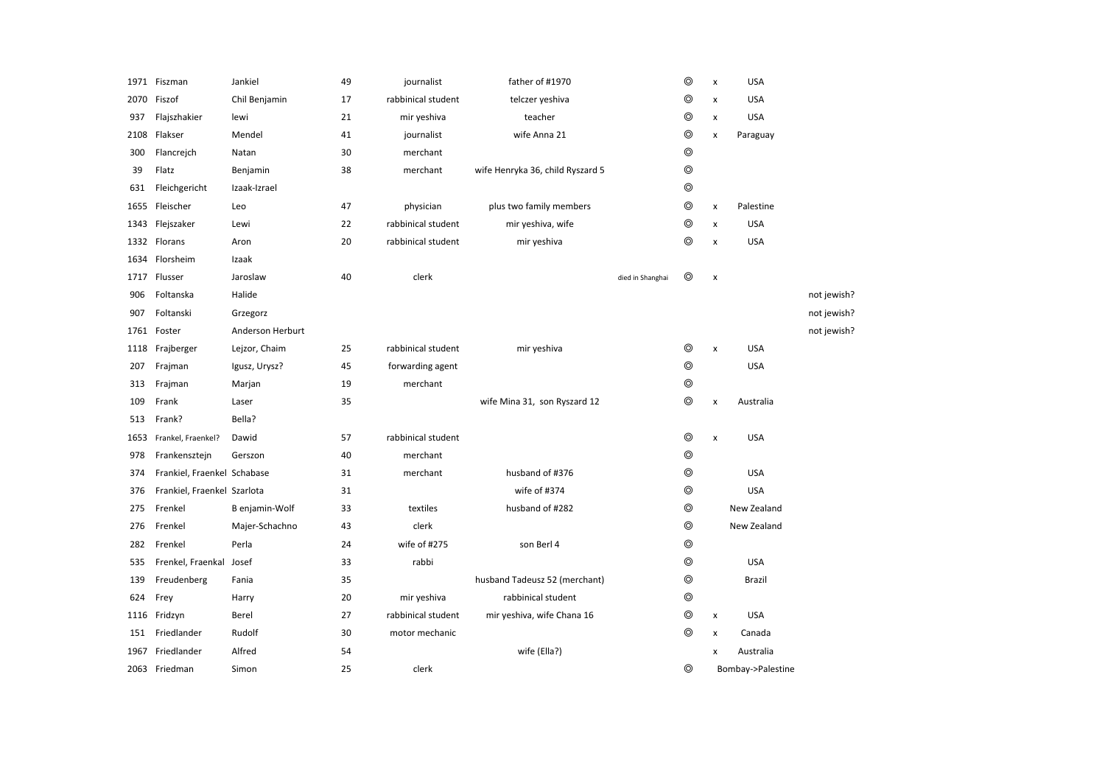|      | 1971 Fiszman                | Jankiel          | 49 | journalist         | father of #1970                  |                  | ⊚              | x              | <b>USA</b>        |             |
|------|-----------------------------|------------------|----|--------------------|----------------------------------|------------------|----------------|----------------|-------------------|-------------|
| 2070 | Fiszof                      | Chil Benjamin    | 17 | rabbinical student | telczer yeshiva                  |                  | ⊚              | x              | <b>USA</b>        |             |
| 937  | Flajszhakier                | lewi             | 21 | mir yeshiva        | teacher                          |                  | $\circledcirc$ | x              | <b>USA</b>        |             |
| 2108 | Flakser                     | Mendel           | 41 | journalist         | wife Anna 21                     |                  | $\circledcirc$ | X              | Paraguay          |             |
| 300  | Flancrejch                  | Natan            | 30 | merchant           |                                  |                  | $\circledcirc$ |                |                   |             |
| 39   | Flatz                       | Benjamin         | 38 | merchant           | wife Henryka 36, child Ryszard 5 |                  | $\circledcirc$ |                |                   |             |
| 631  | Fleichgericht               | Izaak-Izrael     |    |                    |                                  |                  | $^{\circ}$     |                |                   |             |
| 1655 | Fleischer                   | Leo              | 47 | physician          | plus two family members          |                  | $\circledcirc$ | $\pmb{\times}$ | Palestine         |             |
| 1343 | Flejszaker                  | Lewi             | 22 | rabbinical student | mir yeshiva, wife                |                  | $\circledcirc$ | $\pmb{\times}$ | <b>USA</b>        |             |
| 1332 | Florans                     | Aron             | 20 | rabbinical student | mir yeshiva                      |                  | ⊚              | x              | <b>USA</b>        |             |
| 1634 | Florsheim                   | Izaak            |    |                    |                                  |                  |                |                |                   |             |
| 1717 | Flusser                     | Jaroslaw         | 40 | clerk              |                                  | died in Shanghai | $^{\circ}$     | $\pmb{\times}$ |                   |             |
| 906  | Foltanska                   | Halide           |    |                    |                                  |                  |                |                |                   | not jewish? |
| 907  | Foltanski                   | Grzegorz         |    |                    |                                  |                  |                |                |                   | not jewish? |
| 1761 | Foster                      | Anderson Herburt |    |                    |                                  |                  |                |                |                   | not jewish? |
| 1118 | Frajberger                  | Lejzor, Chaim    | 25 | rabbinical student | mir yeshiva                      |                  | ⊚              | X              | <b>USA</b>        |             |
| 207  | Frajman                     | Igusz, Urysz?    | 45 | forwarding agent   |                                  |                  | $\circledcirc$ |                | <b>USA</b>        |             |
| 313  | Frajman                     | Marjan           | 19 | merchant           |                                  |                  | $^{\circ}$     |                |                   |             |
| 109  | Frank                       | Laser            | 35 |                    | wife Mina 31, son Ryszard 12     |                  | $^{\circ}$     | x              | Australia         |             |
| 513  | Frank?                      | Bella?           |    |                    |                                  |                  |                |                |                   |             |
| 1653 | Frankel, Fraenkel?          | Dawid            | 57 | rabbinical student |                                  |                  | $\circledcirc$ | X              | <b>USA</b>        |             |
| 978  | Frankensztejn               | Gerszon          | 40 | merchant           |                                  |                  | $\circledcirc$ |                |                   |             |
| 374  | Frankiel, Fraenkel Schabase |                  | 31 | merchant           | husband of #376                  |                  | ⊚              |                | <b>USA</b>        |             |
| 376  | Frankiel, Fraenkel Szarlota |                  | 31 |                    | wife of #374                     |                  | $^{\circ}$     |                | <b>USA</b>        |             |
| 275  | Frenkel                     | B enjamin-Wolf   | 33 | textiles           | husband of #282                  |                  | ⊚              |                | New Zealand       |             |
| 276  | Frenkel                     | Majer-Schachno   | 43 | clerk              |                                  |                  | $\circledcirc$ |                | New Zealand       |             |
| 282  | Frenkel                     | Perla            | 24 | wife of #275       | son Berl 4                       |                  | $\circledcirc$ |                |                   |             |
| 535  | Frenkel, Fraenkal Josef     |                  | 33 | rabbi              |                                  |                  | $\circledcirc$ |                | <b>USA</b>        |             |
| 139  | Freudenberg                 | Fania            | 35 |                    | husband Tadeusz 52 (merchant)    |                  | $\circledcirc$ |                | Brazil            |             |
| 624  | Frey                        | Harry            | 20 | mir yeshiva        | rabbinical student               |                  | $\circledcirc$ |                |                   |             |
| 1116 | Fridzyn                     | Berel            | 27 | rabbinical student | mir yeshiva, wife Chana 16       |                  | $\circledcirc$ | $\pmb{\times}$ | <b>USA</b>        |             |
| 151  | Friedlander                 | Rudolf           | 30 | motor mechanic     |                                  |                  | ⊚              | x              | Canada            |             |
| 1967 | Friedlander                 | Alfred           | 54 |                    | wife (Ella?)                     |                  |                | x              | Australia         |             |
|      | 2063 Friedman               | Simon            | 25 | clerk              |                                  |                  | ⊚              |                | Bombay->Palestine |             |
|      |                             |                  |    |                    |                                  |                  |                |                |                   |             |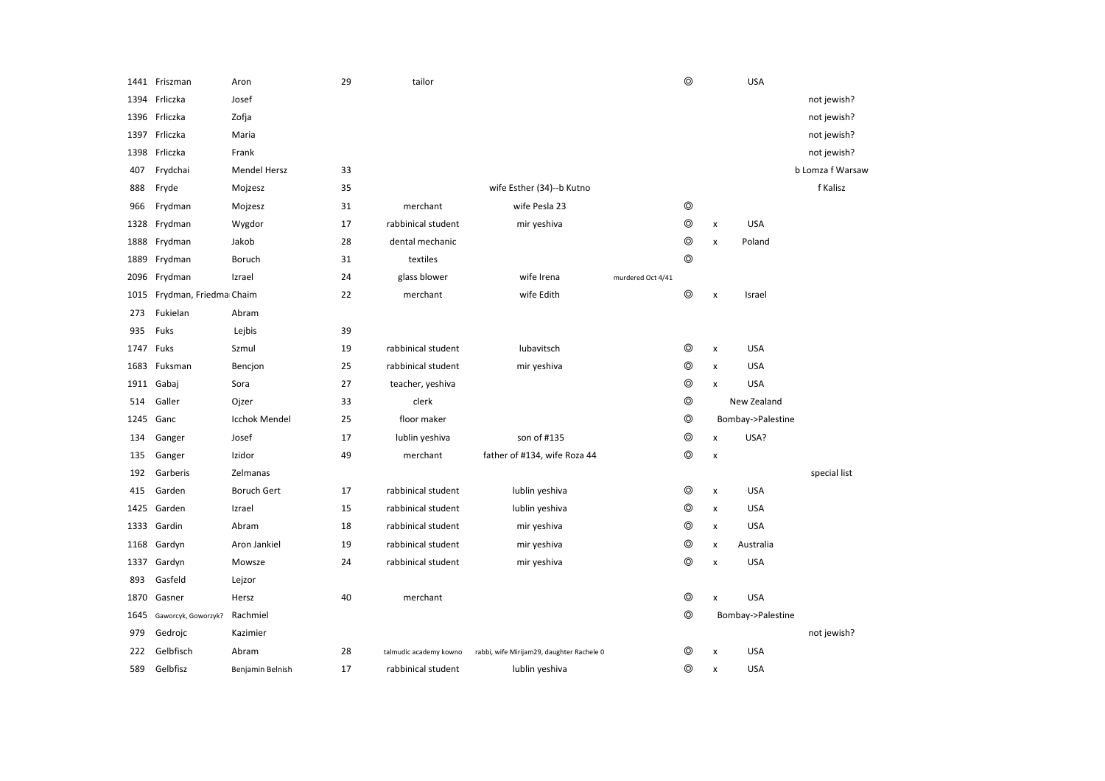|      | 1441 Friszman          | Aron                 | 29 | tailor                 |                                           |                   | $\circledcirc$ |                    | <b>USA</b>        |                  |
|------|------------------------|----------------------|----|------------------------|-------------------------------------------|-------------------|----------------|--------------------|-------------------|------------------|
| 1394 | Frliczka               | Josef                |    |                        |                                           |                   |                |                    |                   | not jewish?      |
| 1396 | Frliczka               | Zofja                |    |                        |                                           |                   |                |                    |                   | not jewish?      |
| 1397 | Frliczka               | Maria                |    |                        |                                           |                   |                |                    |                   | not jewish?      |
| 1398 | Frliczka               | Frank                |    |                        |                                           |                   |                |                    |                   | not jewish?      |
| 407  | Frydchai               | <b>Mendel Hersz</b>  | 33 |                        |                                           |                   |                |                    |                   | b Lomza f Warsaw |
| 888  | Fryde                  | Mojzesz              | 35 |                        | wife Esther (34)--b Kutno                 |                   |                |                    |                   | f Kalisz         |
| 966  | Frydman                | Mojzesz              | 31 | merchant               | wife Pesla 23                             |                   | $\circledcirc$ |                    |                   |                  |
| 1328 | Frydman                | Wygdor               | 17 | rabbinical student     | mir yeshiva                               |                   | $^\circledR$   | x                  | <b>USA</b>        |                  |
| 1888 | Frydman                | Jakob                | 28 | dental mechanic        |                                           |                   | $\circledcirc$ | x                  | Poland            |                  |
| 1889 | Frydman                | Boruch               | 31 | textiles               |                                           |                   | $\circledcirc$ |                    |                   |                  |
|      | 2096 Frydman           | Izrael               | 24 | glass blower           | wife Irena                                | murdered Oct 4/41 |                |                    |                   |                  |
| 1015 | Frydman, Friedma Chaim |                      | 22 | merchant               | wife Edith                                |                   | $\circledcirc$ | x                  | Israel            |                  |
| 273  | Fukielan               | Abram                |    |                        |                                           |                   |                |                    |                   |                  |
| 935  | Fuks                   | Lejbis               | 39 |                        |                                           |                   |                |                    |                   |                  |
| 1747 | Fuks                   | Szmul                | 19 | rabbinical student     | lubavitsch                                |                   | ⊚              | $\pmb{\mathsf{x}}$ | <b>USA</b>        |                  |
| 1683 | Fuksman                | Bencjon              | 25 | rabbinical student     | mir yeshiva                               |                   | $\circledcirc$ | $\mathsf{x}$       | <b>USA</b>        |                  |
|      | 1911 Gabaj             | Sora                 | 27 | teacher, yeshiva       |                                           |                   | $\circledcirc$ | $\pmb{\times}$     | <b>USA</b>        |                  |
| 514  | Galler                 | Ojzer                | 33 | clerk                  |                                           |                   | $^{\circ}$     |                    | New Zealand       |                  |
| 1245 | Ganc                   | <b>Icchok Mendel</b> | 25 | floor maker            |                                           |                   | $\circledcirc$ |                    | Bombay->Palestine |                  |
| 134  | Ganger                 | Josef                | 17 | lublin yeshiva         | son of #135                               |                   | $\circledcirc$ | $\pmb{\times}$     | USA?              |                  |
| 135  | Ganger                 | Izidor               | 49 | merchant               | father of #134, wife Roza 44              |                   | $\circledcirc$ | $\pmb{\times}$     |                   |                  |
| 192  | Garberis               | Zelmanas             |    |                        |                                           |                   |                |                    |                   | special list     |
| 415  | Garden                 | <b>Boruch Gert</b>   | 17 | rabbinical student     | lublin yeshiva                            |                   | ⊚              | x                  | <b>USA</b>        |                  |
| 1425 | Garden                 | Izrael               | 15 | rabbinical student     | lublin yeshiva                            |                   | $\circledcirc$ | x                  | <b>USA</b>        |                  |
| 1333 | Gardin                 | Abram                | 18 | rabbinical student     | mir yeshiva                               |                   | ⊚              | $\pmb{\times}$     | <b>USA</b>        |                  |
| 1168 | Gardyn                 | Aron Jankiel         | 19 | rabbinical student     | mir yeshiva                               |                   | ⊚              | $\pmb{\times}$     | Australia         |                  |
|      | 1337 Gardyn            | Mowsze               | 24 | rabbinical student     | mir yeshiva                               |                   | $\circledcirc$ | $\pmb{\mathsf{x}}$ | <b>USA</b>        |                  |
| 893  | Gasfeld                | Lejzor               |    |                        |                                           |                   |                |                    |                   |                  |
| 1870 | Gasner                 | Hersz                | 40 | merchant               |                                           |                   | $^{\circ}$     | x                  | <b>USA</b>        |                  |
| 1645 | Gaworcyk, Goworzyk?    | Rachmiel             |    |                        |                                           |                   | $\circledcirc$ |                    | Bombay->Palestine |                  |
| 979  | Gedrojc                | Kazimier             |    |                        |                                           |                   |                |                    |                   | not jewish?      |
| 222  | Gelbfisch              | Abram                | 28 | talmudic academy kowno | rabbi, wife Mirijam29, daughter Rachele 0 |                   | ⊚              | X                  | <b>USA</b>        |                  |
| 589  | Gelbfisz               | Benjamin Belnish     | 17 | rabbinical student     | lublin yeshiva                            |                   | $\circledcirc$ | X                  | <b>USA</b>        |                  |
|      |                        |                      |    |                        |                                           |                   |                |                    |                   |                  |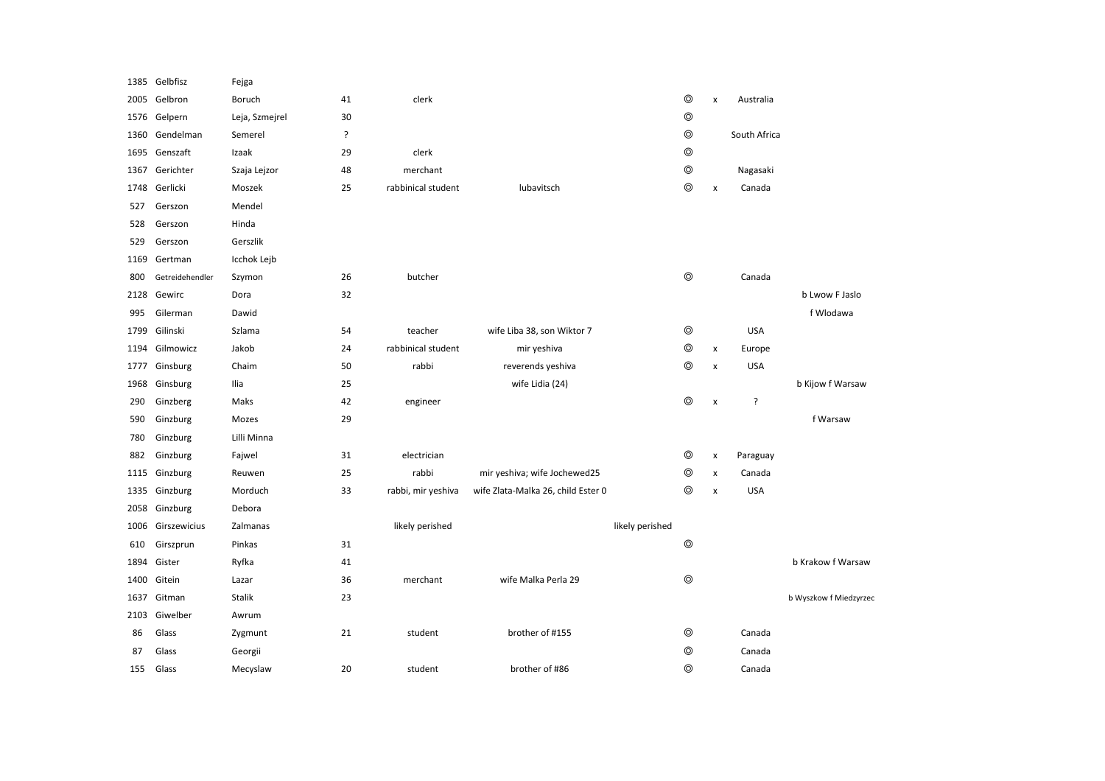| 1385 | Gelbfisz        | Fejga          |    |                    |                                    |                 |                |                |              |                        |
|------|-----------------|----------------|----|--------------------|------------------------------------|-----------------|----------------|----------------|--------------|------------------------|
| 2005 | Gelbron         | Boruch         | 41 | clerk              |                                    |                 | $\circledcirc$ | $\pmb{\times}$ | Australia    |                        |
| 1576 | Gelpern         | Leja, Szmejrel | 30 |                    |                                    |                 | $\circledcirc$ |                |              |                        |
| 1360 | Gendelman       | Semerel        | ŗ  |                    |                                    |                 | $\circledcirc$ |                | South Africa |                        |
| 1695 | Genszaft        | Izaak          | 29 | clerk              |                                    |                 | $\circledcirc$ |                |              |                        |
| 1367 | Gerichter       | Szaja Lejzor   | 48 | merchant           |                                    |                 | $\circledcirc$ |                | Nagasaki     |                        |
| 1748 | Gerlicki        | Moszek         | 25 | rabbinical student | lubavitsch                         |                 | $\circledcirc$ | $\pmb{\times}$ | Canada       |                        |
| 527  | Gerszon         | Mendel         |    |                    |                                    |                 |                |                |              |                        |
| 528  | Gerszon         | Hinda          |    |                    |                                    |                 |                |                |              |                        |
| 529  | Gerszon         | Gerszlik       |    |                    |                                    |                 |                |                |              |                        |
| 1169 | Gertman         | Icchok Lejb    |    |                    |                                    |                 |                |                |              |                        |
| 800  | Getreidehendler | Szymon         | 26 | butcher            |                                    |                 | $\circledcirc$ |                | Canada       |                        |
| 2128 | Gewirc          | Dora           | 32 |                    |                                    |                 |                |                |              | b Lwow F Jaslo         |
| 995  | Gilerman        | Dawid          |    |                    |                                    |                 |                |                |              | f Wlodawa              |
| 1799 | Gilinski        | Szlama         | 54 | teacher            | wife Liba 38, son Wiktor 7         |                 | ◎              |                | <b>USA</b>   |                        |
| 1194 | Gilmowicz       | Jakob          | 24 | rabbinical student | mir yeshiva                        |                 | $\circledcirc$ | $\pmb{\times}$ | Europe       |                        |
| 1777 | Ginsburg        | Chaim          | 50 | rabbi              | reverends yeshiva                  |                 | ⊚              | $\pmb{\times}$ | <b>USA</b>   |                        |
| 1968 | Ginsburg        | Ilia           | 25 |                    | wife Lidia (24)                    |                 |                |                |              | b Kijow f Warsaw       |
| 290  | Ginzberg        | Maks           | 42 | engineer           |                                    |                 | $\circledcirc$ | $\pmb{\times}$ | ?            |                        |
| 590  | Ginzburg        | Mozes          | 29 |                    |                                    |                 |                |                |              | f Warsaw               |
| 780  | Ginzburg        | Lilli Minna    |    |                    |                                    |                 |                |                |              |                        |
| 882  | Ginzburg        | Fajwel         | 31 | electrician        |                                    |                 | $\circledcirc$ | $\pmb{\times}$ | Paraguay     |                        |
| 1115 | Ginzburg        | Reuwen         | 25 | rabbi              | mir yeshiva; wife Jochewed25       |                 | ⊚              | $\mathsf{x}$   | Canada       |                        |
| 1335 | Ginzburg        | Morduch        | 33 | rabbi, mir yeshiva | wife Zlata-Malka 26, child Ester 0 |                 | ⊚              | $\pmb{\times}$ | <b>USA</b>   |                        |
| 2058 | Ginzburg        | Debora         |    |                    |                                    |                 |                |                |              |                        |
| 1006 | Girszewicius    | Zalmanas       |    | likely perished    |                                    | likely perished |                |                |              |                        |
| 610  | Girszprun       | Pinkas         | 31 |                    |                                    |                 | $\circledcirc$ |                |              |                        |
| 1894 | Gister          | Ryfka          | 41 |                    |                                    |                 |                |                |              | b Krakow f Warsaw      |
| 1400 | Gitein          | Lazar          | 36 | merchant           | wife Malka Perla 29                |                 | $\circledcirc$ |                |              |                        |
| 1637 | Gitman          | Stalik         | 23 |                    |                                    |                 |                |                |              | b Wyszkow f Miedzyrzec |
| 2103 | Giwelber        | Awrum          |    |                    |                                    |                 |                |                |              |                        |
| 86   | Glass           | Zygmunt        | 21 | student            | brother of #155                    |                 | $\circledcirc$ |                | Canada       |                        |
| 87   | Glass           | Georgii        |    |                    |                                    |                 | ⊚              |                | Canada       |                        |
| 155  | Glass           | Mecyslaw       | 20 | student            | brother of #86                     |                 | ⊚              |                | Canada       |                        |
|      |                 |                |    |                    |                                    |                 |                |                |              |                        |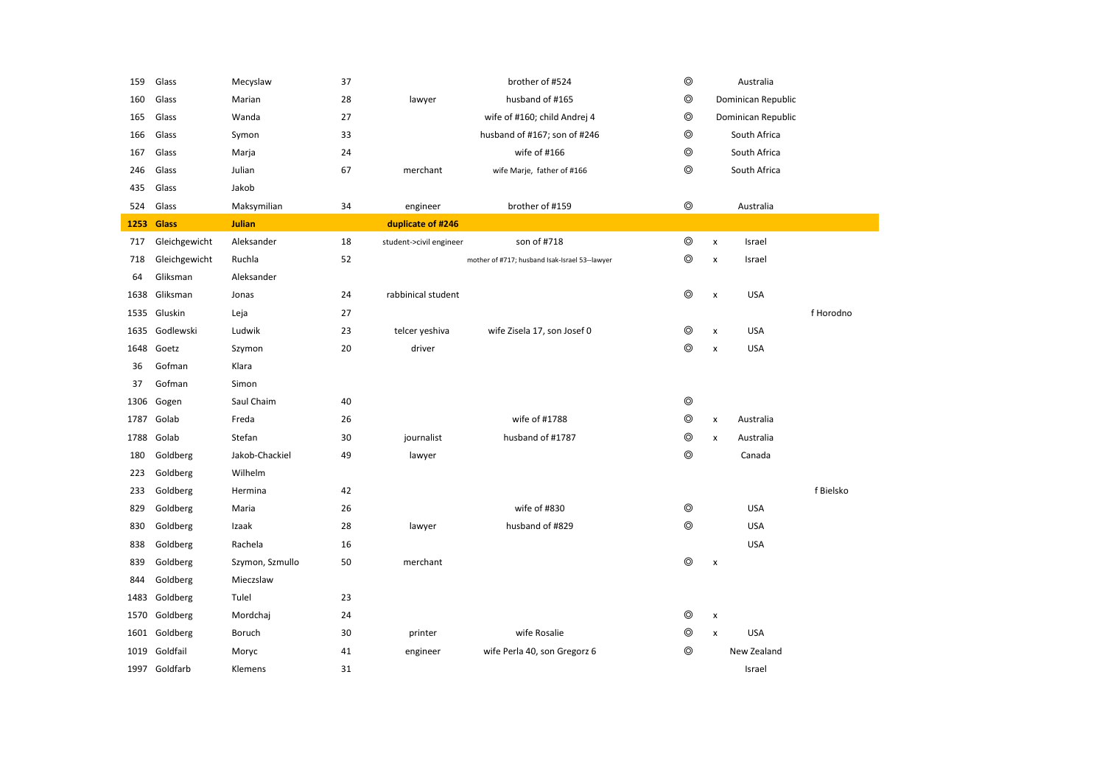| 159  | Glass         | Mecyslaw        | 37 |                         | brother of #524                                | $\circledcirc$ | Australia                    |           |
|------|---------------|-----------------|----|-------------------------|------------------------------------------------|----------------|------------------------------|-----------|
| 160  | Glass         | Marian          | 28 | lawyer                  | husband of #165                                | ⊚              | Dominican Republic           |           |
| 165  | Glass         | Wanda           | 27 |                         | wife of #160; child Andrej 4                   | ◎              | Dominican Republic           |           |
| 166  | Glass         | Symon           | 33 |                         | husband of #167; son of #246                   | $\circledcirc$ | South Africa                 |           |
| 167  | Glass         | Marja           | 24 |                         | wife of #166                                   | $\circledcirc$ | South Africa                 |           |
| 246  | Glass         | Julian          | 67 | merchant                | wife Marje, father of #166                     | $\circledcirc$ | South Africa                 |           |
| 435  | Glass         | Jakob           |    |                         |                                                |                |                              |           |
| 524  | Glass         | Maksymilian     | 34 | engineer                | brother of #159                                | $^{\circ}$     | Australia                    |           |
| 1253 | <b>Glass</b>  | <b>Julian</b>   |    | duplicate of #246       |                                                |                |                              |           |
| 717  | Gleichgewicht | Aleksander      | 18 | student->civil engineer | son of #718                                    | $\circledcirc$ | Israel<br>x                  |           |
| 718  | Gleichgewicht | Ruchla          | 52 |                         | mother of #717; husband Isak-Israel 53--lawyer | ⊚              | x<br>Israel                  |           |
| 64   | Gliksman      | Aleksander      |    |                         |                                                |                |                              |           |
| 1638 | Gliksman      | Jonas           | 24 | rabbinical student      |                                                | $\circledcirc$ | <b>USA</b><br>x              |           |
| 1535 | Gluskin       | Leja            | 27 |                         |                                                |                |                              | f Horodno |
| 1635 | Godlewski     | Ludwik          | 23 | telcer yeshiva          | wife Zisela 17, son Josef 0                    | ⊚              | <b>USA</b><br>x              |           |
| 1648 | Goetz         | Szymon          | 20 | driver                  |                                                | ⊚              | <b>USA</b><br>$\pmb{\times}$ |           |
| 36   | Gofman        | Klara           |    |                         |                                                |                |                              |           |
| 37   | Gofman        | Simon           |    |                         |                                                |                |                              |           |
| 1306 | Gogen         | Saul Chaim      | 40 |                         |                                                | $\circledcirc$ |                              |           |
| 1787 | Golab         | Freda           | 26 |                         | wife of #1788                                  | ⊚              | Australia<br>x               |           |
| 1788 | Golab         | Stefan          | 30 | journalist              | husband of #1787                               | $\circledcirc$ | x<br>Australia               |           |
| 180  | Goldberg      | Jakob-Chackiel  | 49 | lawyer                  |                                                | $\circledcirc$ | Canada                       |           |
| 223  | Goldberg      | Wilhelm         |    |                         |                                                |                |                              |           |
| 233  | Goldberg      | Hermina         | 42 |                         |                                                |                |                              | f Bielsko |
| 829  | Goldberg      | Maria           | 26 |                         | wife of #830                                   | $\circledcirc$ | <b>USA</b>                   |           |
| 830  | Goldberg      | Izaak           | 28 | lawyer                  | husband of #829                                | ⊚              | <b>USA</b>                   |           |
| 838  | Goldberg      | Rachela         | 16 |                         |                                                |                | <b>USA</b>                   |           |
| 839  | Goldberg      | Szymon, Szmullo | 50 | merchant                |                                                | $^{\circ}$     | x                            |           |
| 844  | Goldberg      | Mieczslaw       |    |                         |                                                |                |                              |           |
| 1483 | Goldberg      | Tulel           | 23 |                         |                                                |                |                              |           |
| 1570 | Goldberg      | Mordchaj        | 24 |                         |                                                | ⊚              | x                            |           |
|      | 1601 Goldberg | Boruch          | 30 | printer                 | wife Rosalie                                   | ◎              | <b>USA</b><br>x              |           |
| 1019 | Goldfail      | Moryc           | 41 | engineer                | wife Perla 40, son Gregorz 6                   | ⊚              | New Zealand                  |           |
|      | 1997 Goldfarb | Klemens         | 31 |                         |                                                |                | Israel                       |           |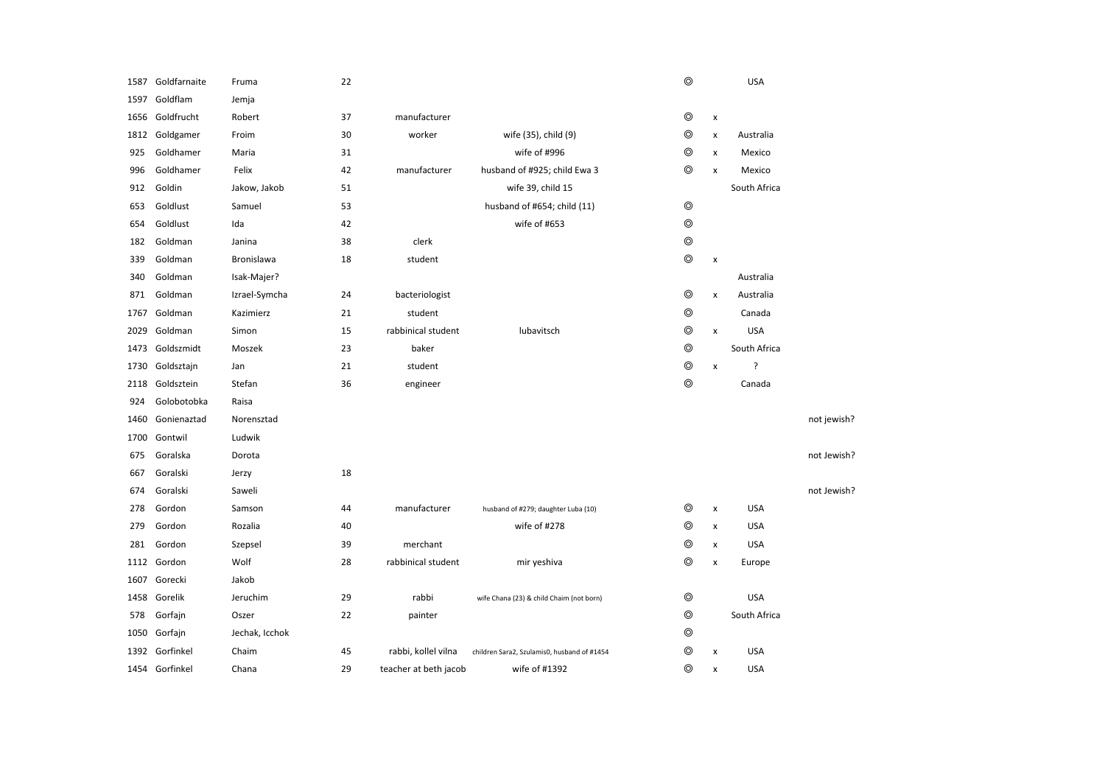| 1587 | Goldfarnaite   | Fruma          | 22 |                       |                                             | $\circledcirc$ |                | <b>USA</b>   |             |
|------|----------------|----------------|----|-----------------------|---------------------------------------------|----------------|----------------|--------------|-------------|
| 1597 | Goldflam       | Jemja          |    |                       |                                             |                |                |              |             |
| 1656 | Goldfrucht     | Robert         | 37 | manufacturer          |                                             | $\circledcirc$ | X              |              |             |
| 1812 | Goldgamer      | Froim          | 30 | worker                | wife (35), child (9)                        | $\circledcirc$ | x              | Australia    |             |
| 925  | Goldhamer      | Maria          | 31 |                       | wife of #996                                | ⊚              | x              | Mexico       |             |
| 996  | Goldhamer      | Felix          | 42 | manufacturer          | husband of #925; child Ewa 3                | $^{\circ}$     | x              | Mexico       |             |
| 912  | Goldin         | Jakow, Jakob   | 51 |                       | wife 39, child 15                           |                |                | South Africa |             |
| 653  | Goldlust       | Samuel         | 53 |                       | husband of #654; child (11)                 | $\circledcirc$ |                |              |             |
| 654  | Goldlust       | Ida            | 42 |                       | wife of #653                                | $\circledcirc$ |                |              |             |
| 182  | Goldman        | Janina         | 38 | clerk                 |                                             | $\circledcirc$ |                |              |             |
| 339  | Goldman        | Bronislawa     | 18 | student               |                                             | $\circledcirc$ | $\pmb{\times}$ |              |             |
| 340  | Goldman        | Isak-Majer?    |    |                       |                                             |                |                | Australia    |             |
| 871  | Goldman        | Izrael-Symcha  | 24 | bacteriologist        |                                             | $\circledcirc$ | x              | Australia    |             |
| 1767 | Goldman        | Kazimierz      | 21 | student               |                                             | $\circledcirc$ |                | Canada       |             |
| 2029 | Goldman        | Simon          | 15 | rabbinical student    | lubavitsch                                  | $^{\circ}$     | x              | <b>USA</b>   |             |
| 1473 | Goldszmidt     | Moszek         | 23 | baker                 |                                             | $^{\circ}$     |                | South Africa |             |
| 1730 | Goldsztajn     | Jan            | 21 | student               |                                             | $\circledcirc$ | X              | ?            |             |
| 2118 | Goldsztein     | Stefan         | 36 | engineer              |                                             | $\circledcirc$ |                | Canada       |             |
| 924  | Golobotobka    | Raisa          |    |                       |                                             |                |                |              |             |
| 1460 | Gonienaztad    | Norensztad     |    |                       |                                             |                |                |              | not jewish? |
| 1700 | Gontwil        | Ludwik         |    |                       |                                             |                |                |              |             |
| 675  | Goralska       | Dorota         |    |                       |                                             |                |                |              | not Jewish? |
| 667  | Goralski       | Jerzy          | 18 |                       |                                             |                |                |              |             |
| 674  | Goralski       | Saweli         |    |                       |                                             |                |                |              | not Jewish? |
| 278  | Gordon         | Samson         | 44 | manufacturer          | husband of #279; daughter Luba (10)         | ◎              | x              | <b>USA</b>   |             |
| 279  | Gordon         | Rozalia        | 40 |                       | wife of #278                                | $\circledcirc$ | x              | <b>USA</b>   |             |
| 281  | Gordon         | Szepsel        | 39 | merchant              |                                             | $\circledcirc$ | X              | <b>USA</b>   |             |
|      | 1112 Gordon    | Wolf           | 28 | rabbinical student    | mir yeshiva                                 | $\circledcirc$ | X              | Europe       |             |
| 1607 | Gorecki        | Jakob          |    |                       |                                             |                |                |              |             |
| 1458 | Gorelik        | Jeruchim       | 29 | rabbi                 | wife Chana (23) & child Chaim (not born)    | ◎              |                | <b>USA</b>   |             |
| 578  | Gorfajn        | Oszer          | 22 | painter               |                                             | $^{\circ}$     |                | South Africa |             |
| 1050 | Gorfajn        | Jechak, Icchok |    |                       |                                             | ⊚              |                |              |             |
| 1392 | Gorfinkel      | Chaim          | 45 | rabbi, kollel vilna   | children Sara2, Szulamis0, husband of #1454 | ⊚              | x              | <b>USA</b>   |             |
|      | 1454 Gorfinkel | Chana          | 29 | teacher at beth jacob | wife of #1392                               | ⊚              | x              | <b>USA</b>   |             |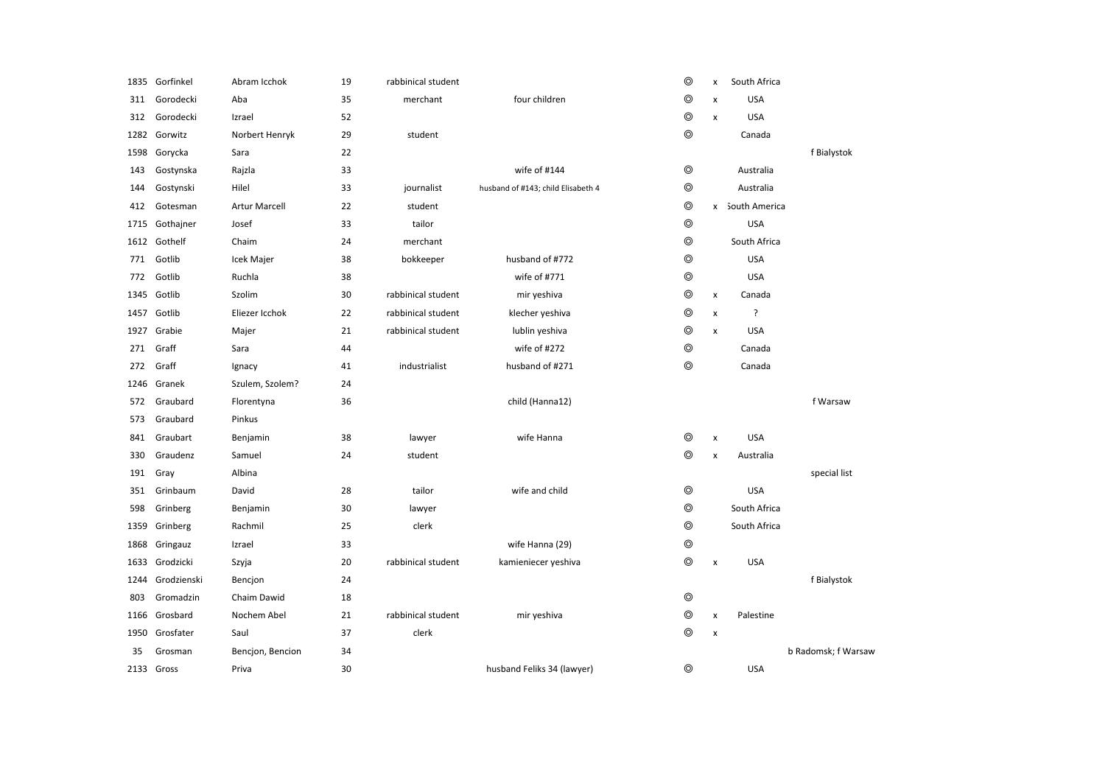|      | 1835 Gorfinkel | Abram Icchok         | 19 | rabbinical student |                                    | $\circledcirc$ | x                  | South Africa    |                     |
|------|----------------|----------------------|----|--------------------|------------------------------------|----------------|--------------------|-----------------|---------------------|
| 311  | Gorodecki      | Aba                  | 35 | merchant           | four children                      | $\circledcirc$ | x                  | <b>USA</b>      |                     |
| 312  | Gorodecki      | Izrael               | 52 |                    |                                    | $^{\circ}$     | X                  | <b>USA</b>      |                     |
| 1282 | Gorwitz        | Norbert Henryk       | 29 | student            |                                    | $^{\circ}$     |                    | Canada          |                     |
| 1598 | Gorycka        | Sara                 | 22 |                    |                                    |                |                    |                 | f Bialystok         |
| 143  | Gostynska      | Rajzla               | 33 |                    | wife of #144                       | $\circledcirc$ |                    | Australia       |                     |
| 144  | Gostynski      | Hilel                | 33 | journalist         | husband of #143; child Elisabeth 4 | $\circledcirc$ |                    | Australia       |                     |
| 412  | Gotesman       | <b>Artur Marcell</b> | 22 | student            |                                    | $\circledcirc$ |                    | x South America |                     |
| 1715 | Gothajner      | Josef                | 33 | tailor             |                                    | $^{\circ}$     |                    | <b>USA</b>      |                     |
| 1612 | Gothelf        | Chaim                | 24 | merchant           |                                    | $^{\circ}$     |                    | South Africa    |                     |
| 771  | Gotlib         | Icek Majer           | 38 | bokkeeper          | husband of #772                    | $\circledcirc$ |                    | <b>USA</b>      |                     |
| 772  | Gotlib         | Ruchla               | 38 |                    | wife of #771                       | $^{\circ}$     |                    | <b>USA</b>      |                     |
| 1345 | Gotlib         | Szolim               | 30 | rabbinical student | mir yeshiva                        | $\circledcirc$ | X                  | Canada          |                     |
| 1457 | Gotlib         | Eliezer Icchok       | 22 | rabbinical student | klecher yeshiva                    | $\circledcirc$ | $\pmb{\mathsf{x}}$ | ?               |                     |
| 1927 | Grabie         | Majer                | 21 | rabbinical student | lublin yeshiva                     | $\circledcirc$ | $\pmb{\mathsf{x}}$ | <b>USA</b>      |                     |
| 271  | Graff          | Sara                 | 44 |                    | wife of #272                       | $\circledcirc$ |                    | Canada          |                     |
| 272  | Graff          | Ignacy               | 41 | industrialist      | husband of #271                    | $\circledcirc$ |                    | Canada          |                     |
| 1246 | Granek         | Szulem, Szolem?      | 24 |                    |                                    |                |                    |                 |                     |
| 572  | Graubard       | Florentyna           | 36 |                    | child (Hanna12)                    |                |                    |                 | f Warsaw            |
| 573  | Graubard       | Pinkus               |    |                    |                                    |                |                    |                 |                     |
| 841  | Graubart       | Benjamin             | 38 | lawyer             | wife Hanna                         | $\circledcirc$ | X                  | <b>USA</b>      |                     |
| 330  | Graudenz       | Samuel               | 24 | student            |                                    | $\circledcirc$ | X                  | Australia       |                     |
| 191  | Gray           | Albina               |    |                    |                                    |                |                    |                 | special list        |
| 351  | Grinbaum       | David                | 28 | tailor             | wife and child                     | $\circledcirc$ |                    | <b>USA</b>      |                     |
| 598  | Grinberg       | Benjamin             | 30 | lawyer             |                                    | $\circledcirc$ |                    | South Africa    |                     |
| 1359 | Grinberg       | Rachmil              | 25 | clerk              |                                    | $\circledcirc$ |                    | South Africa    |                     |
| 1868 | Gringauz       | Izrael               | 33 |                    | wife Hanna (29)                    | $\circledcirc$ |                    |                 |                     |
| 1633 | Grodzicki      | Szyja                | 20 | rabbinical student | kamieniecer yeshiva                | $^{\circ}$     | X                  | <b>USA</b>      |                     |
| 1244 | Grodzienski    | Bencion              | 24 |                    |                                    |                |                    |                 | f Bialystok         |
| 803  | Gromadzin      | Chaim Dawid          | 18 |                    |                                    | $\circledcirc$ |                    |                 |                     |
| 1166 | Grosbard       | Nochem Abel          | 21 | rabbinical student | mir yeshiva                        | $\circledcirc$ | X                  | Palestine       |                     |
| 1950 | Grosfater      | Saul                 | 37 | clerk              |                                    | $\circledcirc$ | X                  |                 |                     |
| 35   | Grosman        | Bencjon, Bencion     | 34 |                    |                                    |                |                    |                 | b Radomsk; f Warsaw |
|      | 2133 Gross     | Priva                | 30 |                    | husband Feliks 34 (lawyer)         | $\circledcirc$ |                    | <b>USA</b>      |                     |
|      |                |                      |    |                    |                                    |                |                    |                 |                     |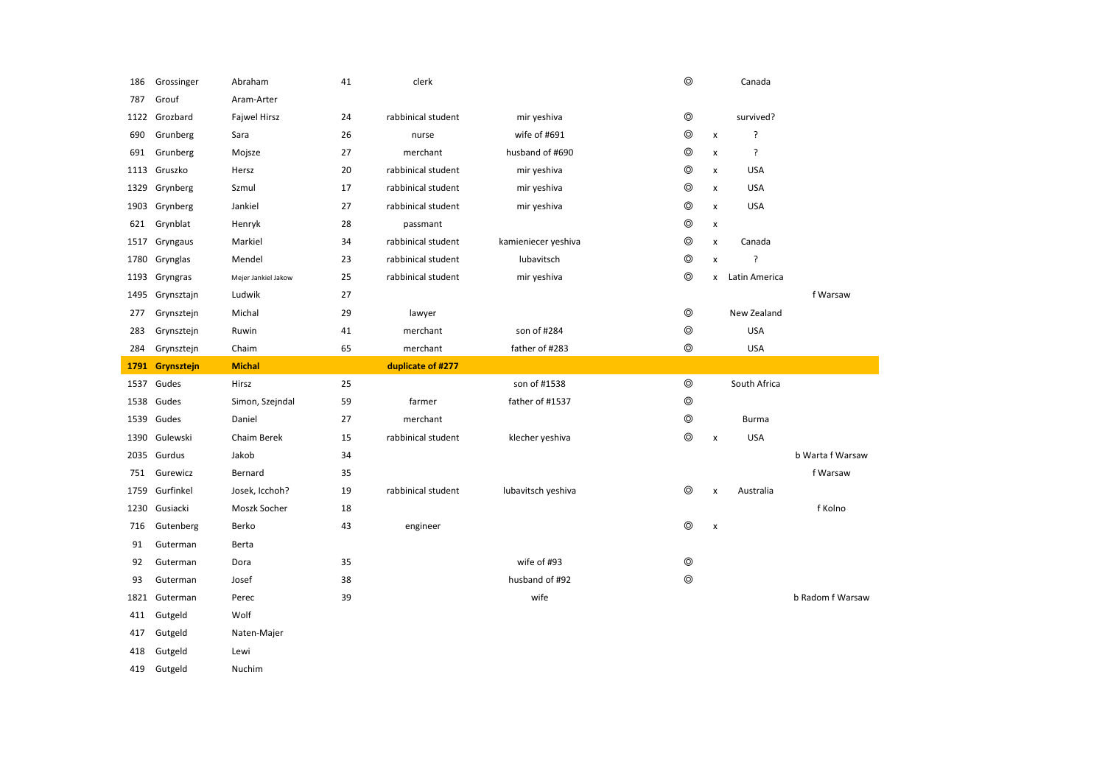| 186  | Grossinger      | Abraham             | 41 | clerk              |                     | $\circledcirc$ |                    | Canada        |                  |
|------|-----------------|---------------------|----|--------------------|---------------------|----------------|--------------------|---------------|------------------|
| 787  | Grouf           | Aram-Arter          |    |                    |                     |                |                    |               |                  |
| 1122 | Grozbard        | <b>Fajwel Hirsz</b> | 24 | rabbinical student | mir yeshiva         | $^{\circ}$     |                    | survived?     |                  |
| 690  | Grunberg        | Sara                | 26 | nurse              | wife of #691        | $\circledcirc$ | $\pmb{\times}$     | ?             |                  |
| 691  | Grunberg        | Mojsze              | 27 | merchant           | husband of #690     | $\circledcirc$ | x                  | ŗ             |                  |
| 1113 | Gruszko         | Hersz               | 20 | rabbinical student | mir yeshiva         | ⊚              | x                  | <b>USA</b>    |                  |
| 1329 | Grynberg        | Szmul               | 17 | rabbinical student | mir yeshiva         | $\circledcirc$ | $\pmb{\times}$     | <b>USA</b>    |                  |
| 1903 | Grynberg        | Jankiel             | 27 | rabbinical student | mir yeshiva         | $\circledcirc$ | x                  | <b>USA</b>    |                  |
| 621  | Grynblat        | Henryk              | 28 | passmant           |                     | ⊚              | x                  |               |                  |
| 1517 | Gryngaus        | Markiel             | 34 | rabbinical student | kamieniecer yeshiva | $^{\circ}$     | x                  | Canada        |                  |
| 1780 | Grynglas        | Mendel              | 23 | rabbinical student | lubavitsch          | $\circledcirc$ | $\pmb{\times}$     | ?             |                  |
| 1193 | Gryngras        | Mejer Jankiel Jakow | 25 | rabbinical student | mir yeshiva         | $\circledcirc$ | x                  | Latin America |                  |
|      | 1495 Grynsztajn | Ludwik              | 27 |                    |                     |                |                    |               | f Warsaw         |
| 277  | Grynsztejn      | Michal              | 29 | lawyer             |                     | $\circledcirc$ |                    | New Zealand   |                  |
| 283  | Grynsztejn      | Ruwin               | 41 | merchant           | son of #284         | $\circledcirc$ |                    | <b>USA</b>    |                  |
| 284  | Grynsztejn      | Chaim               | 65 | merchant           | father of #283      | $\circledcirc$ |                    | <b>USA</b>    |                  |
|      |                 |                     |    |                    |                     |                |                    |               |                  |
| 1791 | Grynsztejn      | <b>Michal</b>       |    | duplicate of #277  |                     |                |                    |               |                  |
| 1537 | Gudes           | Hirsz               | 25 |                    | son of #1538        | $\circledcirc$ |                    | South Africa  |                  |
| 1538 | Gudes           | Simon, Szejndal     | 59 | farmer             | father of #1537     | $\circledcirc$ |                    |               |                  |
| 1539 | Gudes           | Daniel              | 27 | merchant           |                     | $\circledcirc$ |                    | Burma         |                  |
| 1390 | Gulewski        | Chaim Berek         | 15 | rabbinical student | klecher yeshiva     | $^{\circ}$     | $\pmb{\times}$     | <b>USA</b>    |                  |
| 2035 | Gurdus          | Jakob               | 34 |                    |                     |                |                    |               | b Warta f Warsaw |
| 751  | Gurewicz        | Bernard             | 35 |                    |                     |                |                    |               | f Warsaw         |
| 1759 | Gurfinkel       | Josek, Icchoh?      | 19 | rabbinical student | lubavitsch yeshiva  | $\circledcirc$ | $\pmb{\mathsf{x}}$ | Australia     |                  |
| 1230 | Gusiacki        | Moszk Socher        | 18 |                    |                     |                |                    |               | f Kolno          |
| 716  | Gutenberg       | Berko               | 43 | engineer           |                     | $\circledcirc$ | $\pmb{\times}$     |               |                  |
| 91   | Guterman        | Berta               |    |                    |                     |                |                    |               |                  |
| 92   | Guterman        | Dora                | 35 |                    | wife of #93         | ⊚              |                    |               |                  |
| 93   | Guterman        | Josef               | 38 |                    | husband of #92      | $\circledcirc$ |                    |               |                  |
| 1821 | Guterman        | Perec               | 39 |                    | wife                |                |                    |               | b Radom f Warsaw |
| 411  | Gutgeld         | Wolf                |    |                    |                     |                |                    |               |                  |
| 417  | Gutgeld         | Naten-Majer         |    |                    |                     |                |                    |               |                  |

<sup>419</sup> Gutgeld Nuchim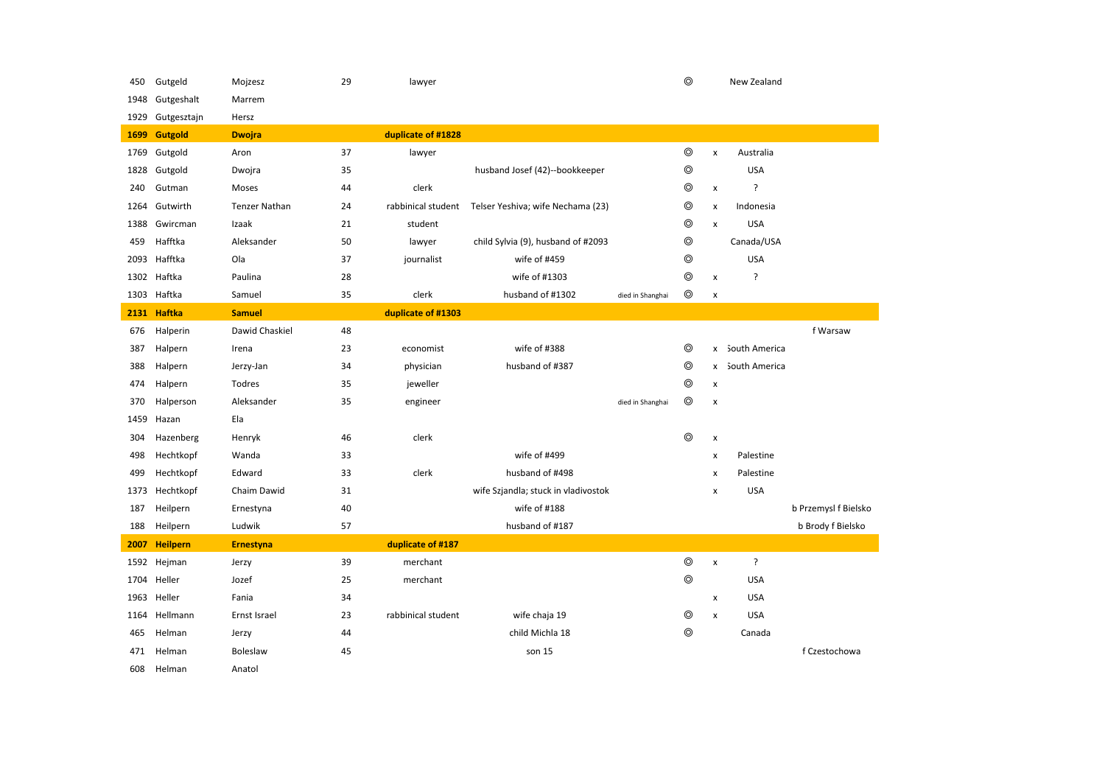| 450  | Gutgeld         | Mojzesz              | 29 | lawyer             |                                     |                  | $\circledcirc$ |                           | New Zealand     |                      |
|------|-----------------|----------------------|----|--------------------|-------------------------------------|------------------|----------------|---------------------------|-----------------|----------------------|
| 1948 | Gutgeshalt      | Marrem               |    |                    |                                     |                  |                |                           |                 |                      |
| 1929 | Gutgesztajn     | Hersz                |    |                    |                                     |                  |                |                           |                 |                      |
| 1699 | <b>Gutgold</b>  | <b>Dwojra</b>        |    | duplicate of #1828 |                                     |                  |                |                           |                 |                      |
| 1769 | Gutgold         | Aron                 | 37 | lawyer             |                                     |                  | $^{\circ}$     | $\pmb{\mathsf{x}}$        | Australia       |                      |
|      | 1828 Gutgold    | Dwojra               | 35 |                    | husband Josef (42)--bookkeeper      |                  | $^{\circ}$     |                           | <b>USA</b>      |                      |
| 240  | Gutman          | Moses                | 44 | clerk              |                                     |                  | $^{\circ}$     | X                         | ?               |                      |
| 1264 | Gutwirth        | <b>Tenzer Nathan</b> | 24 | rabbinical student | Telser Yeshiva; wife Nechama (23)   |                  | $\circledcirc$ | $\pmb{\mathsf{x}}$        | Indonesia       |                      |
| 1388 | Gwircman        | Izaak                | 21 | student            |                                     |                  | $\circledcirc$ | $\boldsymbol{\mathsf{x}}$ | <b>USA</b>      |                      |
| 459  | Hafftka         | Aleksander           | 50 | lawyer             | child Sylvia (9), husband of #2093  |                  | $^{\circ}$     |                           | Canada/USA      |                      |
| 2093 | Hafftka         | Ola                  | 37 | journalist         | wife of #459                        |                  | $\circledcirc$ |                           | <b>USA</b>      |                      |
| 1302 | Haftka          | Paulina              | 28 |                    | wife of #1303                       |                  | $\circledcirc$ | X                         | ?               |                      |
| 1303 | Haftka          | Samuel               | 35 | clerk              | husband of #1302                    | died in Shanghai | $^{\circ}$     | x                         |                 |                      |
| 2131 | Haftka          | <b>Samuel</b>        |    | duplicate of #1303 |                                     |                  |                |                           |                 |                      |
| 676  | Halperin        | Dawid Chaskiel       | 48 |                    |                                     |                  |                |                           |                 | f Warsaw             |
| 387  | Halpern         | Irena                | 23 | economist          | wife of #388                        |                  | $\circledcirc$ |                           | x South America |                      |
| 388  | Halpern         | Jerzy-Jan            | 34 | physician          | husband of #387                     |                  | $^{\circ}$     | x                         | South America   |                      |
| 474  | Halpern         | Todres               | 35 | jeweller           |                                     |                  | $^{\circ}$     | X                         |                 |                      |
| 370  | Halperson       | Aleksander           | 35 | engineer           |                                     | died in Shanghai | $^{\circ}$     | x                         |                 |                      |
| 1459 | Hazan           | Ela                  |    |                    |                                     |                  |                |                           |                 |                      |
| 304  | Hazenberg       | Henryk               | 46 | clerk              |                                     |                  | $^{\circ}$     | X                         |                 |                      |
| 498  | Hechtkopf       | Wanda                | 33 |                    | wife of #499                        |                  |                | x                         | Palestine       |                      |
| 499  | Hechtkopf       | Edward               | 33 | clerk              | husband of #498                     |                  |                | x                         | Palestine       |                      |
| 1373 | Hechtkopf       | Chaim Dawid          | 31 |                    | wife Szjandla; stuck in vladivostok |                  |                | x                         | <b>USA</b>      |                      |
| 187  | Heilpern        | Ernestyna            | 40 |                    | wife of #188                        |                  |                |                           |                 | b Przemysl f Bielsko |
| 188  | Heilpern        | Ludwik               | 57 |                    | husband of #187                     |                  |                |                           |                 | b Brody f Bielsko    |
| 2007 | <b>Heilpern</b> | <b>Ernestyna</b>     |    | duplicate of #187  |                                     |                  |                |                           |                 |                      |
| 1592 | Hejman          | Jerzy                | 39 | merchant           |                                     |                  | $\circledcirc$ | $\pmb{\mathsf{x}}$        | ?               |                      |
|      | 1704 Heller     | Jozef                | 25 | merchant           |                                     |                  | $\circledcirc$ |                           | <b>USA</b>      |                      |
| 1963 | Heller          | Fania                | 34 |                    |                                     |                  |                | X                         | <b>USA</b>      |                      |
| 1164 | Hellmann        | Ernst Israel         | 23 | rabbinical student | wife chaja 19                       |                  | $^{\circ}$     | X                         | <b>USA</b>      |                      |
| 465  | Helman          | Jerzy                | 44 |                    | child Michla 18                     |                  | $^{\circ}$     |                           | Canada          |                      |
| 471  | Helman          | Boleslaw             | 45 |                    | son 15                              |                  |                |                           |                 | f Czestochowa        |
| 608  | Helman          | Anatol               |    |                    |                                     |                  |                |                           |                 |                      |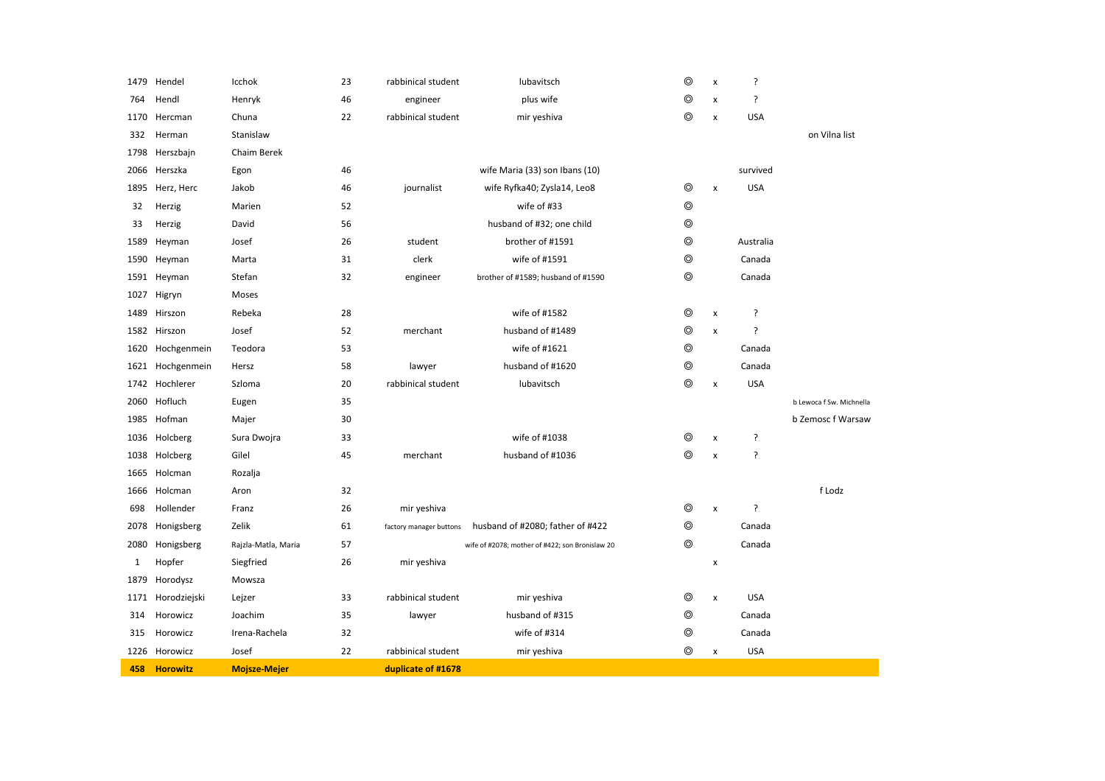|      | 1479 Hendel     | Icchok              | 23 | rabbinical student      | lubavitsch                                      | $^{\circ}$     | $\pmb{\times}$ | ?          |                          |
|------|-----------------|---------------------|----|-------------------------|-------------------------------------------------|----------------|----------------|------------|--------------------------|
| 764  | Hendl           | Henryk              | 46 | engineer                | plus wife                                       | ⊚              | x              | ?          |                          |
| 1170 | Hercman         | Chuna               | 22 | rabbinical student      | mir yeshiva                                     | $^{\circ}$     | x              | <b>USA</b> |                          |
| 332  | Herman          | Stanislaw           |    |                         |                                                 |                |                |            | on Vilna list            |
| 1798 | Herszbajn       | Chaim Berek         |    |                         |                                                 |                |                |            |                          |
| 2066 | Herszka         | Egon                | 46 |                         | wife Maria (33) son Ibans (10)                  |                |                | survived   |                          |
| 1895 | Herz, Herc      | Jakob               | 46 | journalist              | wife Ryfka40; Zysla14, Leo8                     | $\circledcirc$ | $\pmb{\times}$ | <b>USA</b> |                          |
| 32   | Herzig          | Marien              | 52 |                         | wife of #33                                     | $\circledcirc$ |                |            |                          |
| 33   | Herzig          | David               | 56 |                         | husband of #32; one child                       | $\circledcirc$ |                |            |                          |
| 1589 | Heyman          | Josef               | 26 | student                 | brother of #1591                                | $^{\circ}$     |                | Australia  |                          |
| 1590 | Heyman          | Marta               | 31 | clerk                   | wife of #1591                                   | $\circledcirc$ |                | Canada     |                          |
|      | 1591 Heyman     | Stefan              | 32 | engineer                | brother of #1589; husband of #1590              | $\circledcirc$ |                | Canada     |                          |
| 1027 | Higryn          | Moses               |    |                         |                                                 |                |                |            |                          |
| 1489 | Hirszon         | Rebeka              | 28 |                         | wife of #1582                                   | $^{\circ}$     | $\pmb{\times}$ | ?          |                          |
|      | 1582 Hirszon    | Josef               | 52 | merchant                | husband of #1489                                | $^{\circ}$     | $\pmb{\times}$ | ŗ          |                          |
| 1620 | Hochgenmein     | Teodora             | 53 |                         | wife of #1621                                   | $\circledcirc$ |                | Canada     |                          |
| 1621 | Hochgenmein     | Hersz               | 58 | lawyer                  | husband of #1620                                | $\circledcirc$ |                | Canada     |                          |
|      | 1742 Hochlerer  | Szloma              | 20 | rabbinical student      | lubavitsch                                      | $\circledcirc$ | $\pmb{\times}$ | <b>USA</b> |                          |
| 2060 | Hofluch         | Eugen               | 35 |                         |                                                 |                |                |            | b Lewoca f Sw. Michnella |
| 1985 | Hofman          | Majer               | 30 |                         |                                                 |                |                |            | b Zemosc f Warsaw        |
| 1036 | Holcberg        | Sura Dwojra         | 33 |                         | wife of #1038                                   | ⊚              | $\pmb{\times}$ | ŗ          |                          |
| 1038 | Holcberg        | Gilel               | 45 | merchant                | husband of #1036                                | $\circledcirc$ | $\pmb{\times}$ | ?          |                          |
| 1665 | Holcman         | Rozalja             |    |                         |                                                 |                |                |            |                          |
| 1666 | Holcman         | Aron                | 32 |                         |                                                 |                |                |            | f Lodz                   |
| 698  | Hollender       | Franz               | 26 | mir yeshiva             |                                                 | $^{\circ}$     | x              | ?          |                          |
| 2078 | Honigsberg      | Zelik               | 61 | factory manager buttons | husband of #2080; father of #422                | $^{\circ}$     |                | Canada     |                          |
| 2080 | Honigsberg      | Rajzla-Matla, Maria | 57 |                         | wife of #2078; mother of #422; son Bronislaw 20 | $\circledcirc$ |                | Canada     |                          |
| 1    | Hopfer          | Siegfried           | 26 | mir yeshiva             |                                                 |                | $\pmb{\times}$ |            |                          |
| 1879 | Horodysz        | Mowsza              |    |                         |                                                 |                |                |            |                          |
| 1171 | Horodziejski    | Lejzer              | 33 | rabbinical student      | mir yeshiva                                     | $\circledcirc$ | $\pmb{\times}$ | <b>USA</b> |                          |
| 314  | Horowicz        | Joachim             | 35 | lawyer                  | husband of #315                                 | $\circledcirc$ |                | Canada     |                          |
| 315  | Horowicz        | Irena-Rachela       | 32 |                         | wife of #314                                    | $\circledcirc$ |                | Canada     |                          |
| 1226 | Horowicz        | Josef               | 22 | rabbinical student      | mir yeshiva                                     | $\circledcirc$ | $\pmb{\times}$ | <b>USA</b> |                          |
| 458  | <b>Horowitz</b> | <b>Mojsze-Mejer</b> |    | duplicate of #1678      |                                                 |                |                |            |                          |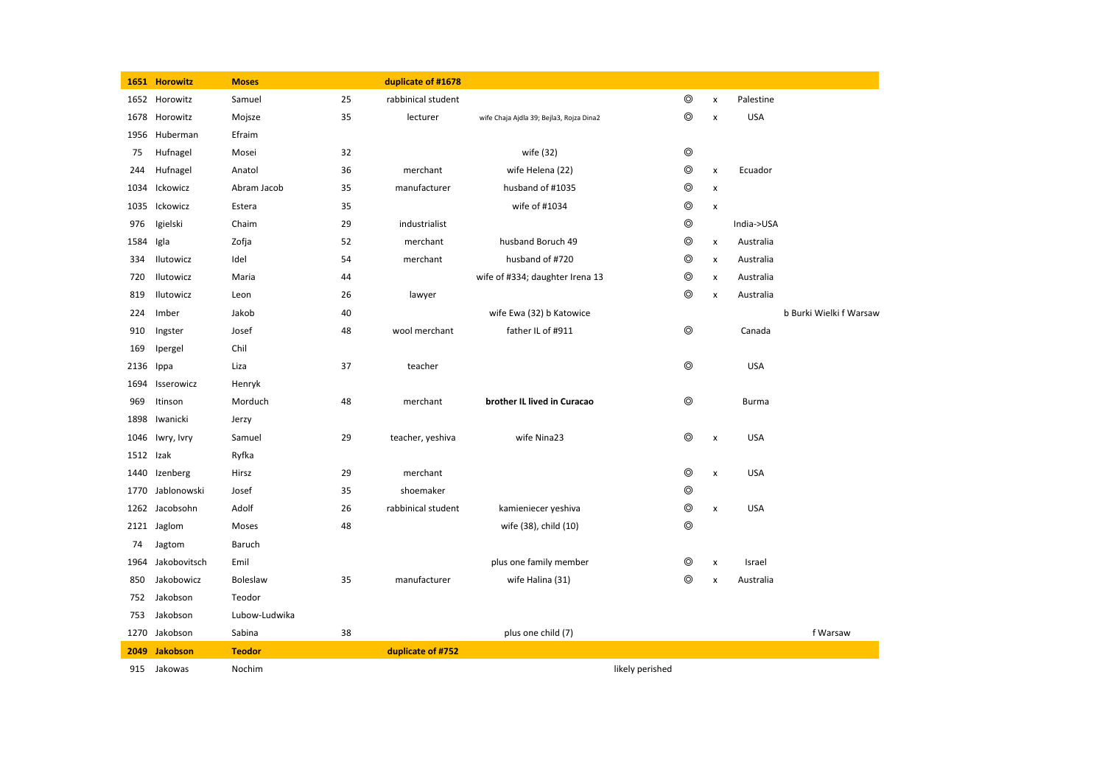|           | 1651 Horowitz   | <b>Moses</b>  |    | duplicate of #1678 |                                          |                 |                |                    |            |                         |
|-----------|-----------------|---------------|----|--------------------|------------------------------------------|-----------------|----------------|--------------------|------------|-------------------------|
|           | 1652 Horowitz   | Samuel        | 25 | rabbinical student |                                          |                 | $\circledcirc$ | $\pmb{\mathsf{x}}$ | Palestine  |                         |
| 1678      | Horowitz        | Mojsze        | 35 | lecturer           | wife Chaja Ajdla 39; Bejla3, Rojza Dina2 |                 | $\circledcirc$ | $\pmb{\times}$     | <b>USA</b> |                         |
| 1956      | Huberman        | Efraim        |    |                    |                                          |                 |                |                    |            |                         |
| 75        | Hufnagel        | Mosei         | 32 |                    | wife (32)                                |                 | $\circledcirc$ |                    |            |                         |
| 244       | Hufnagel        | Anatol        | 36 | merchant           | wife Helena (22)                         |                 | $\circledcirc$ | $\pmb{\times}$     | Ecuador    |                         |
| 1034      | Ickowicz        | Abram Jacob   | 35 | manufacturer       | husband of #1035                         |                 | $\circledcirc$ | x                  |            |                         |
| 1035      | Ickowicz        | Estera        | 35 |                    | wife of #1034                            |                 | $\circledcirc$ | $\pmb{\times}$     |            |                         |
| 976       | Igielski        | Chaim         | 29 | industrialist      |                                          |                 | $\circledcirc$ |                    | India->USA |                         |
| 1584      | Igla            | Zofja         | 52 | merchant           | husband Boruch 49                        |                 | ◎              | x                  | Australia  |                         |
| 334       | Ilutowicz       | Idel          | 54 | merchant           | husband of #720                          |                 | ◎              | x                  | Australia  |                         |
| 720       | Ilutowicz       | Maria         | 44 |                    | wife of #334; daughter Irena 13          |                 | ◎              | $\pmb{\times}$     | Australia  |                         |
| 819       | Ilutowicz       | Leon          | 26 | lawyer             |                                          |                 | $\circledcirc$ | x                  | Australia  |                         |
| 224       | Imber           | Jakob         | 40 |                    | wife Ewa (32) b Katowice                 |                 |                |                    |            | b Burki Wielki f Warsaw |
| 910       | Ingster         | Josef         | 48 | wool merchant      | father IL of #911                        |                 | $\circledcirc$ |                    | Canada     |                         |
| 169       | Ipergel         | Chil          |    |                    |                                          |                 |                |                    |            |                         |
| 2136      | Ippa            | Liza          | 37 | teacher            |                                          |                 | $\circledcirc$ |                    | <b>USA</b> |                         |
| 1694      | Isserowicz      | Henryk        |    |                    |                                          |                 |                |                    |            |                         |
| 969       | Itinson         | Morduch       | 48 | merchant           | brother IL lived in Curacao              |                 | $\circledcirc$ |                    | Burma      |                         |
| 1898      | Iwanicki        | Jerzy         |    |                    |                                          |                 |                |                    |            |                         |
| 1046      | Iwry, Ivry      | Samuel        | 29 | teacher, yeshiva   | wife Nina23                              |                 | $^{\circ}$     | $\pmb{\times}$     | <b>USA</b> |                         |
| 1512 Izak |                 | Ryfka         |    |                    |                                          |                 |                |                    |            |                         |
| 1440      | Izenberg        | Hirsz         | 29 | merchant           |                                          |                 | ⊚              | X                  | <b>USA</b> |                         |
| 1770      | Jablonowski     | Josef         | 35 | shoemaker          |                                          |                 | $\circledcirc$ |                    |            |                         |
|           | 1262 Jacobsohn  | Adolf         | 26 | rabbinical student | kamieniecer yeshiva                      |                 | $\circledcirc$ | x                  | <b>USA</b> |                         |
|           | 2121 Jaglom     | Moses         | 48 |                    | wife (38), child (10)                    |                 | $\circledcirc$ |                    |            |                         |
| 74        | Jagtom          | Baruch        |    |                    |                                          |                 |                |                    |            |                         |
| 1964      | Jakobovitsch    | Emil          |    |                    | plus one family member                   |                 | ◎              | $\pmb{\times}$     | Israel     |                         |
| 850       | Jakobowicz      | Boleslaw      | 35 | manufacturer       | wife Halina (31)                         |                 | $^{\circ}$     | $\pmb{\mathsf{x}}$ | Australia  |                         |
| 752       | Jakobson        | Teodor        |    |                    |                                          |                 |                |                    |            |                         |
| 753       | Jakobson        | Lubow-Ludwika |    |                    |                                          |                 |                |                    |            |                         |
|           | 1270 Jakobson   | Sabina        | 38 |                    | plus one child (7)                       |                 |                |                    |            | f Warsaw                |
| 2049      | <b>Jakobson</b> | <b>Teodor</b> |    | duplicate of #752  |                                          |                 |                |                    |            |                         |
|           | 915 Jakowas     | Nochim        |    |                    |                                          | likely perished |                |                    |            |                         |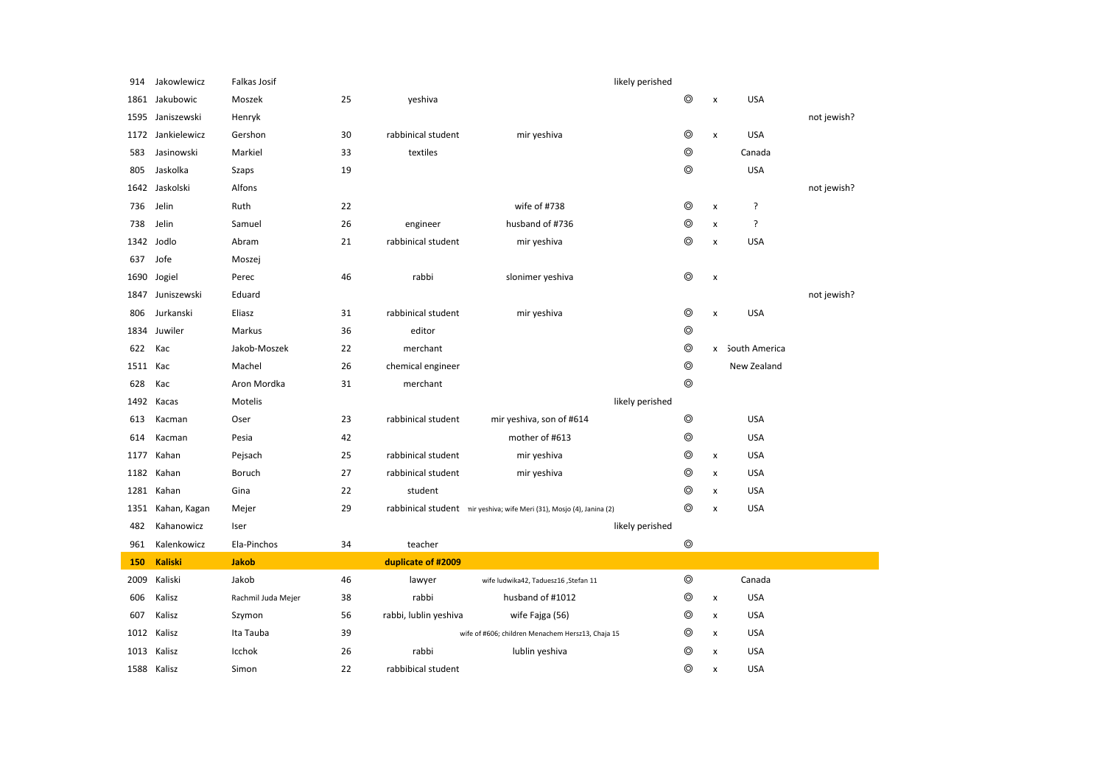| 914      | Jakowlewicz       | Falkas Josif       |    |                       | likely perished                                                       |                |                |                 |             |
|----------|-------------------|--------------------|----|-----------------------|-----------------------------------------------------------------------|----------------|----------------|-----------------|-------------|
| 1861     | Jakubowic         | Moszek             | 25 | yeshiva               |                                                                       | ⊚              | x              | <b>USA</b>      |             |
| 1595     | Janiszewski       | Henryk             |    |                       |                                                                       |                |                |                 | not jewish? |
|          | 1172 Jankielewicz | Gershon            | 30 | rabbinical student    | mir yeshiva                                                           | $\circledcirc$ | x              | <b>USA</b>      |             |
| 583      | Jasinowski        | Markiel            | 33 | textiles              |                                                                       | ⊚              |                | Canada          |             |
| 805      | Jaskolka          | Szaps              | 19 |                       |                                                                       | $\circledcirc$ |                | <b>USA</b>      |             |
| 1642     | Jaskolski         | Alfons             |    |                       |                                                                       |                |                |                 | not jewish? |
| 736      | Jelin             | Ruth               | 22 |                       | wife of #738                                                          | $\circledcirc$ | x              | ?               |             |
| 738      | Jelin             | Samuel             | 26 | engineer              | husband of #736                                                       | $\circledcirc$ | x              | ?               |             |
|          | 1342 Jodlo        | Abram              | 21 | rabbinical student    | mir yeshiva                                                           | $\circledcirc$ | x              | <b>USA</b>      |             |
| 637      | Jofe              | Moszej             |    |                       |                                                                       |                |                |                 |             |
| 1690     | Jogiel            | Perec              | 46 | rabbi                 | slonimer yeshiva                                                      | $\circledcirc$ | $\pmb{\times}$ |                 |             |
|          | 1847 Juniszewski  | Eduard             |    |                       |                                                                       |                |                |                 | not jewish? |
| 806      | Jurkanski         | Eliasz             | 31 | rabbinical student    | mir yeshiva                                                           | $\circledcirc$ | $\pmb{\times}$ | <b>USA</b>      |             |
| 1834     | Juwiler           | Markus             | 36 | editor                |                                                                       | $\circledcirc$ |                |                 |             |
| 622      | Kac               | Jakob-Moszek       | 22 | merchant              |                                                                       | $\circledcirc$ |                | x South America |             |
| 1511 Kac |                   | Machel             | 26 | chemical engineer     |                                                                       | $\circledcirc$ |                | New Zealand     |             |
| 628      | Kac               | Aron Mordka        | 31 | merchant              |                                                                       | $\circledcirc$ |                |                 |             |
| 1492     | Kacas             | Motelis            |    |                       | likely perished                                                       |                |                |                 |             |
| 613      | Kacman            | Oser               | 23 | rabbinical student    | mir yeshiva, son of #614                                              | $\circledcirc$ |                | <b>USA</b>      |             |
| 614      | Kacman            | Pesia              | 42 |                       | mother of #613                                                        | $\circledcirc$ |                | <b>USA</b>      |             |
| 1177     | Kahan             | Pejsach            | 25 | rabbinical student    | mir yeshiva                                                           | $\circledcirc$ | x              | <b>USA</b>      |             |
| 1182     | Kahan             | Boruch             | 27 | rabbinical student    | mir yeshiva                                                           | ⊚              | x              | <b>USA</b>      |             |
| 1281     | Kahan             | Gina               | 22 | student               |                                                                       | $\circledcirc$ | $\pmb{\times}$ | <b>USA</b>      |             |
| 1351     | Kahan, Kagan      | Mejer              | 29 |                       | rabbinical student nir yeshiva; wife Meri (31), Mosjo (4), Janina (2) | $\circledcirc$ | $\pmb{\times}$ | <b>USA</b>      |             |
| 482      | Kahanowicz        | Iser               |    |                       | likely perished                                                       |                |                |                 |             |
| 961      | Kalenkowicz       | Ela-Pinchos        | 34 | teacher               |                                                                       | $\circledcirc$ |                |                 |             |
| 150      | <b>Kaliski</b>    | <b>Jakob</b>       |    | duplicate of #2009    |                                                                       |                |                |                 |             |
| 2009     | Kaliski           | Jakob              | 46 | lawyer                | wife ludwika42, Taduesz16 ,Stefan 11                                  | $\circledcirc$ |                | Canada          |             |
| 606      | Kalisz            | Rachmil Juda Mejer | 38 | rabbi                 | husband of #1012                                                      | $\circledcirc$ | x              | <b>USA</b>      |             |
| 607      | Kalisz            | Szymon             | 56 | rabbi, lublin yeshiva | wife Fajga (56)                                                       | $\circledcirc$ | x              | <b>USA</b>      |             |
| 1012     | Kalisz            | Ita Tauba          | 39 |                       | wife of #606; children Menachem Hersz13, Chaja 15                     | $^{\circ}$     | x              | <b>USA</b>      |             |
| 1013     | Kalisz            | Icchok             | 26 | rabbi                 | lublin yeshiva                                                        | $\circledcirc$ | X              | <b>USA</b>      |             |
|          | 1588 Kalisz       | Simon              | 22 | rabbibical student    |                                                                       | $\circledcirc$ | x              | <b>USA</b>      |             |
|          |                   |                    |    |                       |                                                                       |                |                |                 |             |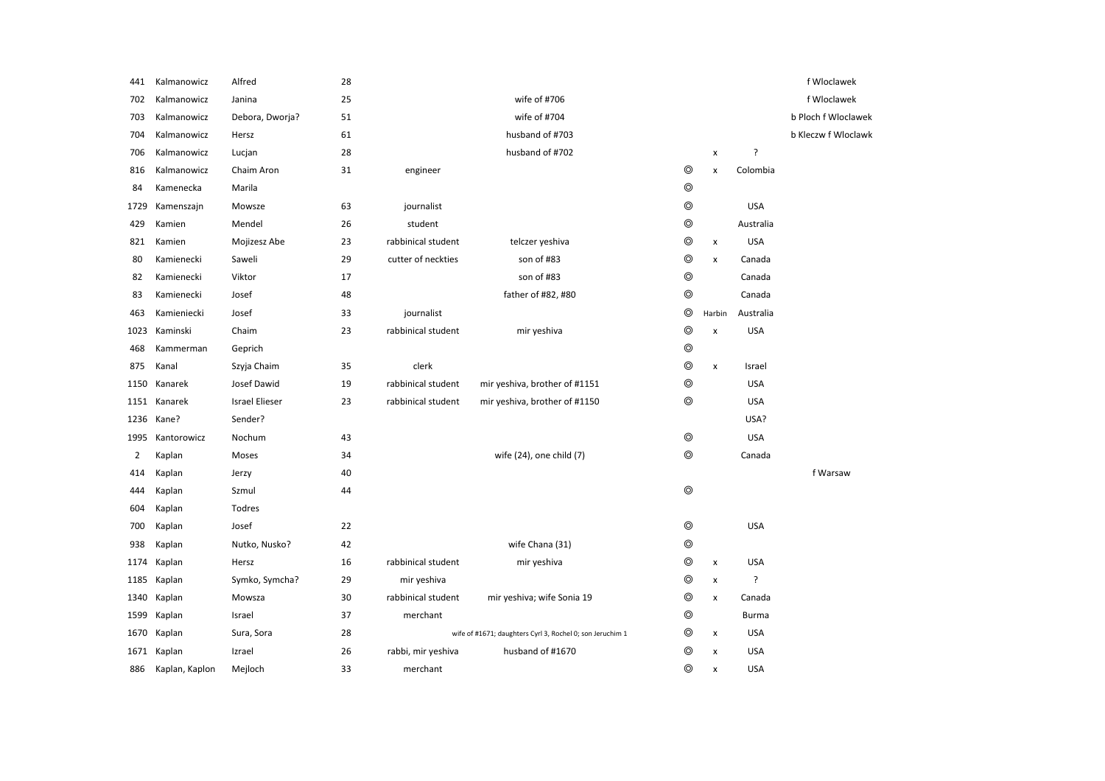| 441            | Kalmanowicz    | Alfred                | 28 |                    |                                                           |                |                    |              | f Wloclawek         |
|----------------|----------------|-----------------------|----|--------------------|-----------------------------------------------------------|----------------|--------------------|--------------|---------------------|
| 702            | Kalmanowicz    | Janina                | 25 |                    | wife of #706                                              |                |                    |              | f Wloclawek         |
| 703            | Kalmanowicz    | Debora, Dworja?       | 51 |                    | wife of #704                                              |                |                    |              | b Ploch f Wloclawek |
| 704            | Kalmanowicz    | Hersz                 | 61 |                    | husband of #703                                           |                |                    |              | b Kleczw f Wloclawk |
| 706            | Kalmanowicz    | Lucjan                | 28 |                    | husband of #702                                           |                | $\pmb{\times}$     | ?            |                     |
| 816            | Kalmanowicz    | Chaim Aron            | 31 | engineer           |                                                           | $\circledcirc$ | $\pmb{\times}$     | Colombia     |                     |
| 84             | Kamenecka      | Marila                |    |                    |                                                           | $^{\circ}$     |                    |              |                     |
| 1729           | Kamenszajn     | Mowsze                | 63 | journalist         |                                                           | $^{\circ}$     |                    | <b>USA</b>   |                     |
| 429            | Kamien         | Mendel                | 26 | student            |                                                           | $\circledcirc$ |                    | Australia    |                     |
| 821            | Kamien         | Mojizesz Abe          | 23 | rabbinical student | telczer yeshiva                                           | $\circledcirc$ | $\pmb{\times}$     | <b>USA</b>   |                     |
| 80             | Kamienecki     | Saweli                | 29 | cutter of neckties | son of #83                                                | $\circledcirc$ | x                  | Canada       |                     |
| 82             | Kamienecki     | Viktor                | 17 |                    | son of #83                                                | $\circledcirc$ |                    | Canada       |                     |
| 83             | Kamienecki     | Josef                 | 48 |                    | father of #82, #80                                        | $\circledcirc$ |                    | Canada       |                     |
| 463            | Kamieniecki    | Josef                 | 33 | journalist         |                                                           | $\circledcirc$ | Harbin             | Australia    |                     |
| 1023           | Kaminski       | Chaim                 | 23 | rabbinical student | mir yeshiva                                               | $\circledcirc$ | $\pmb{\times}$     | <b>USA</b>   |                     |
| 468            | Kammerman      | Geprich               |    |                    |                                                           | $\circledcirc$ |                    |              |                     |
| 875            | Kanal          | Szyja Chaim           | 35 | clerk              |                                                           | $\circledcirc$ | $\pmb{\mathsf{x}}$ | Israel       |                     |
| 1150           | Kanarek        | Josef Dawid           | 19 | rabbinical student | mir yeshiva, brother of #1151                             | $\circledcirc$ |                    | <b>USA</b>   |                     |
| 1151           | Kanarek        | <b>Israel Elieser</b> | 23 | rabbinical student | mir yeshiva, brother of #1150                             | $\circledcirc$ |                    | <b>USA</b>   |                     |
| 1236           | Kane?          | Sender?               |    |                    |                                                           |                |                    | USA?         |                     |
| 1995           | Kantorowicz    | Nochum                | 43 |                    |                                                           | $\circledcirc$ |                    | <b>USA</b>   |                     |
| $\overline{2}$ | Kaplan         | Moses                 | 34 |                    | wife (24), one child (7)                                  | $\circledcirc$ |                    | Canada       |                     |
| 414            | Kaplan         | Jerzy                 | 40 |                    |                                                           |                |                    |              | f Warsaw            |
| 444            | Kaplan         | Szmul                 | 44 |                    |                                                           | $^{\circ}$     |                    |              |                     |
| 604            | Kaplan         | Todres                |    |                    |                                                           |                |                    |              |                     |
| 700            | Kaplan         | Josef                 | 22 |                    |                                                           | $^{\circ}$     |                    | <b>USA</b>   |                     |
| 938            | Kaplan         | Nutko, Nusko?         | 42 |                    | wife Chana (31)                                           | $\circledcirc$ |                    |              |                     |
| 1174           | Kaplan         | Hersz                 | 16 | rabbinical student | mir yeshiva                                               | $\circledcirc$ | $\pmb{\times}$     | <b>USA</b>   |                     |
| 1185           | Kaplan         | Symko, Symcha?        | 29 | mir yeshiva        |                                                           | $\circledcirc$ | $\pmb{\times}$     | ?            |                     |
| 1340           | Kaplan         | Mowsza                | 30 | rabbinical student | mir yeshiva; wife Sonia 19                                | $\circledcirc$ | $\pmb{\times}$     | Canada       |                     |
| 1599           | Kaplan         | Israel                | 37 | merchant           |                                                           | $\circledcirc$ |                    | <b>Burma</b> |                     |
| 1670           | Kaplan         | Sura, Sora            | 28 |                    | wife of #1671; daughters Cyrl 3, Rochel 0; son Jeruchim 1 | ⊚              | $\pmb{\chi}$       | <b>USA</b>   |                     |
| 1671           | Kaplan         | Izrael                | 26 | rabbi, mir yeshiva | husband of #1670                                          | ⊚              | $\pmb{\times}$     | <b>USA</b>   |                     |
| 886            | Kaplan, Kaplon | Mejloch               | 33 | merchant           |                                                           | ⊚              | $\pmb{\times}$     | <b>USA</b>   |                     |
|                |                |                       |    |                    |                                                           |                |                    |              |                     |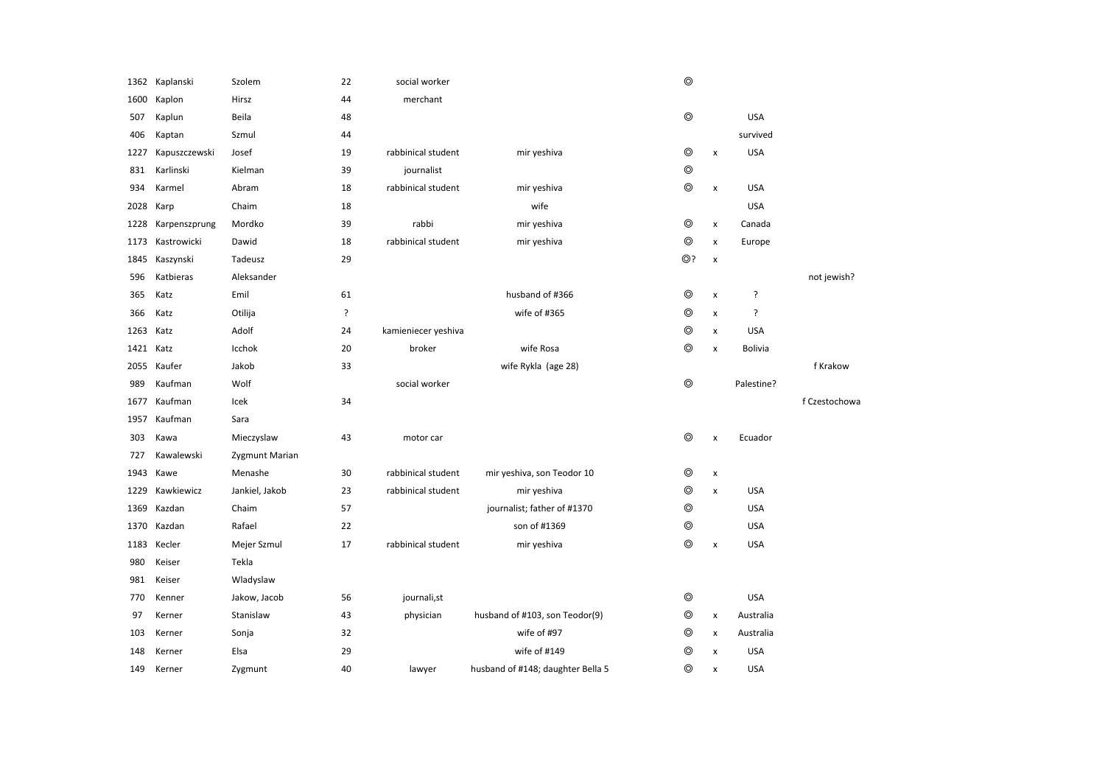|           | 1362 Kaplanski | Szolem         | 22 | social worker       |                                   | $\circledcirc$ |                    |            |               |
|-----------|----------------|----------------|----|---------------------|-----------------------------------|----------------|--------------------|------------|---------------|
| 1600      | Kaplon         | Hirsz          | 44 | merchant            |                                   |                |                    |            |               |
| 507       | Kaplun         | Beila          | 48 |                     |                                   | $\circledcirc$ |                    | <b>USA</b> |               |
| 406       | Kaptan         | Szmul          | 44 |                     |                                   |                |                    | survived   |               |
| 1227      | Kapuszczewski  | Josef          | 19 | rabbinical student  | mir yeshiva                       | $\circledcirc$ | $\pmb{\times}$     | <b>USA</b> |               |
| 831       | Karlinski      | Kielman        | 39 | journalist          |                                   | $\circledcirc$ |                    |            |               |
| 934       | Karmel         | Abram          | 18 | rabbinical student  | mir yeshiva                       | $\circledcirc$ | $\pmb{\times}$     | <b>USA</b> |               |
| 2028      | Karp           | Chaim          | 18 |                     | wife                              |                |                    | <b>USA</b> |               |
| 1228      | Karpenszprung  | Mordko         | 39 | rabbi               | mir yeshiva                       | $\circledcirc$ | $\pmb{\mathsf{x}}$ | Canada     |               |
| 1173      | Kastrowicki    | Dawid          | 18 | rabbinical student  | mir yeshiva                       | $\circledcirc$ | $\pmb{\times}$     | Europe     |               |
| 1845      | Kaszynski      | Tadeusz        | 29 |                     |                                   | ⊚?             | $\pmb{\times}$     |            |               |
| 596       | Katbieras      | Aleksander     |    |                     |                                   |                |                    |            | not jewish?   |
| 365       | Katz           | Emil           | 61 |                     | husband of #366                   | $^{\circ}$     | $\pmb{\times}$     | ŗ          |               |
| 366       | Katz           | Otilija        | ?  |                     | wife of #365                      | $\circledcirc$ | x                  | ç.         |               |
| 1263      | Katz           | Adolf          | 24 | kamieniecer yeshiva |                                   | $\circledcirc$ | $\pmb{\mathsf{x}}$ | <b>USA</b> |               |
| 1421 Katz |                | Icchok         | 20 | broker              | wife Rosa                         | $\circledcirc$ | $\pmb{\times}$     | Bolivia    |               |
| 2055      | Kaufer         | Jakob          | 33 |                     | wife Rykla (age 28)               |                |                    |            | f Krakow      |
|           |                |                |    |                     |                                   |                |                    |            |               |
| 989       | Kaufman        | Wolf           |    | social worker       |                                   | ⊚              |                    | Palestine? |               |
| 1677      | Kaufman        | Icek           | 34 |                     |                                   |                |                    |            | f Czestochowa |
| 1957      | Kaufman        | Sara           |    |                     |                                   |                |                    |            |               |
| 303       | Kawa           | Mieczyslaw     | 43 | motor car           |                                   | $\circledcirc$ | $\pmb{\times}$     | Ecuador    |               |
| 727       | Kawalewski     | Zygmunt Marian |    |                     |                                   |                |                    |            |               |
| 1943      | Kawe           | Menashe        | 30 | rabbinical student  | mir yeshiva, son Teodor 10        | ◎              | x                  |            |               |
| 1229      | Kawkiewicz     | Jankiel, Jakob | 23 | rabbinical student  | mir yeshiva                       | $^{\circ}$     | $\pmb{\times}$     | <b>USA</b> |               |
| 1369      | Kazdan         | Chaim          | 57 |                     | journalist; father of #1370       | $^{\circ}$     |                    | <b>USA</b> |               |
| 1370      | Kazdan         | Rafael         | 22 |                     | son of #1369                      | $\circledcirc$ |                    | <b>USA</b> |               |
| 1183      | Kecler         | Mejer Szmul    | 17 | rabbinical student  | mir yeshiva                       | $\circledcirc$ | $\pmb{\times}$     | <b>USA</b> |               |
| 980       | Keiser         | Tekla          |    |                     |                                   |                |                    |            |               |
| 981       | Keiser         | Wladyslaw      |    |                     |                                   |                |                    |            |               |
| 770       | Kenner         | Jakow, Jacob   | 56 | journali,st         |                                   | $^{\circ}$     |                    | <b>USA</b> |               |
| 97        | Kerner         | Stanislaw      | 43 | physician           | husband of #103, son Teodor(9)    | ⊚              | $\pmb{\times}$     | Australia  |               |
| 103       | Kerner         | Sonja          | 32 |                     | wife of #97                       | $\circledcirc$ | $\pmb{\times}$     | Australia  |               |
| 148       | Kerner         | Elsa           | 29 |                     | wife of #149                      | $\circledcirc$ | $\pmb{\times}$     | <b>USA</b> |               |
| 149       | Kerner         | Zygmunt        | 40 | lawyer              | husband of #148; daughter Bella 5 | $\circledcirc$ | $\pmb{\times}$     | <b>USA</b> |               |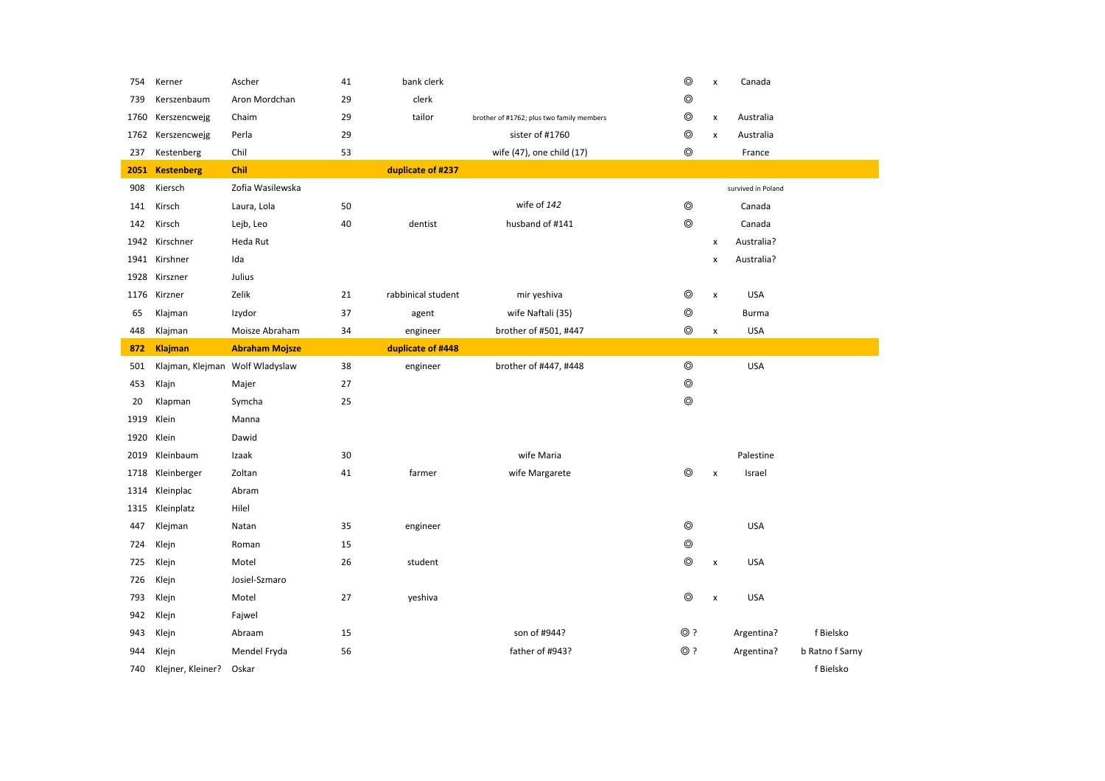| 754  | Kerner                          | Ascher                | 41 | bank clerk         |                                           | $\circledcirc$ | x                  | Canada             |                 |
|------|---------------------------------|-----------------------|----|--------------------|-------------------------------------------|----------------|--------------------|--------------------|-----------------|
| 739  | Kerszenbaum                     | Aron Mordchan         | 29 | clerk              |                                           | ⊚              |                    |                    |                 |
| 1760 | Kerszencwejg                    | Chaim                 | 29 | tailor             | brother of #1762; plus two family members | $\circledcirc$ | $\pmb{\times}$     | Australia          |                 |
| 1762 | Kerszencwejg                    | Perla                 | 29 |                    | sister of #1760                           | ⊚              | x                  | Australia          |                 |
| 237  | Kestenberg                      | Chil                  | 53 |                    | wife (47), one child (17)                 | $\circledcirc$ |                    | France             |                 |
| 2051 | <b>Kestenberg</b>               | Chil                  |    | duplicate of #237  |                                           |                |                    |                    |                 |
| 908  | Kiersch                         | Zofia Wasilewska      |    |                    |                                           |                |                    | survived in Poland |                 |
| 141  | Kirsch                          | Laura, Lola           | 50 |                    | wife of 142                               | $\circledcirc$ |                    | Canada             |                 |
| 142  | Kirsch                          | Lejb, Leo             | 40 | dentist            | husband of #141                           | $\circledcirc$ |                    | Canada             |                 |
| 1942 | Kirschner                       | Heda Rut              |    |                    |                                           |                | x                  | Australia?         |                 |
| 1941 | Kirshner                        | Ida                   |    |                    |                                           |                | x                  | Australia?         |                 |
| 1928 | Kirszner                        | Julius                |    |                    |                                           |                |                    |                    |                 |
| 1176 | Kirzner                         | Zelik                 | 21 | rabbinical student | mir yeshiva                               | ⊚              | $\pmb{\times}$     | <b>USA</b>         |                 |
| 65   | Klajman                         | Izydor                | 37 | agent              | wife Naftali (35)                         | ◎              |                    | <b>Burma</b>       |                 |
| 448  | Klajman                         | Moisze Abraham        | 34 | engineer           | brother of #501, #447                     | $\circledcirc$ | x                  | <b>USA</b>         |                 |
| 872  | <b>Klajman</b>                  | <b>Abraham Mojsze</b> |    | duplicate of #448  |                                           |                |                    |                    |                 |
| 501  | Klajman, Klejman Wolf Wladyslaw |                       | 38 | engineer           | brother of #447, #448                     | $^{\circ}$     |                    | <b>USA</b>         |                 |
| 453  | Klajn                           | Majer                 | 27 |                    |                                           | $\circledcirc$ |                    |                    |                 |
| 20   | Klapman                         | Symcha                | 25 |                    |                                           | $\circledcirc$ |                    |                    |                 |
| 1919 | Klein                           | Manna                 |    |                    |                                           |                |                    |                    |                 |
| 1920 | Klein                           | Dawid                 |    |                    |                                           |                |                    |                    |                 |
| 2019 | Kleinbaum                       | Izaak                 | 30 |                    | wife Maria                                |                |                    | Palestine          |                 |
| 1718 | Kleinberger                     | Zoltan                | 41 | farmer             | wife Margarete                            | $\circledcirc$ | x                  | Israel             |                 |
| 1314 | Kleinplac                       | Abram                 |    |                    |                                           |                |                    |                    |                 |
| 1315 | Kleinplatz                      | Hilel                 |    |                    |                                           |                |                    |                    |                 |
| 447  | Klejman                         | Natan                 | 35 | engineer           |                                           | $\circledcirc$ |                    | <b>USA</b>         |                 |
| 724  | Klejn                           | Roman                 | 15 |                    |                                           | $\circledcirc$ |                    |                    |                 |
| 725  | Klejn                           | Motel                 | 26 | student            |                                           | $^{\circ}$     | $\pmb{\mathsf{x}}$ | <b>USA</b>         |                 |
| 726  | Klejn                           | Josiel-Szmaro         |    |                    |                                           |                |                    |                    |                 |
| 793  | Klejn                           | Motel                 | 27 | yeshiva            |                                           | ⊚              | $\pmb{\times}$     | <b>USA</b>         |                 |
| 942  | Klejn                           | Fajwel                |    |                    |                                           |                |                    |                    |                 |
| 943  | Klejn                           | Abraam                | 15 |                    | son of #944?                              | ⊚ ?            |                    | Argentina?         | f Bielsko       |
| 944  | Klejn                           | Mendel Fryda          | 56 |                    | father of #943?                           | $@$ ?          |                    | Argentina?         | b Ratno f Sarny |
| 740  | Klejner, Kleiner?               | Oskar                 |    |                    |                                           |                |                    |                    | f Bielsko       |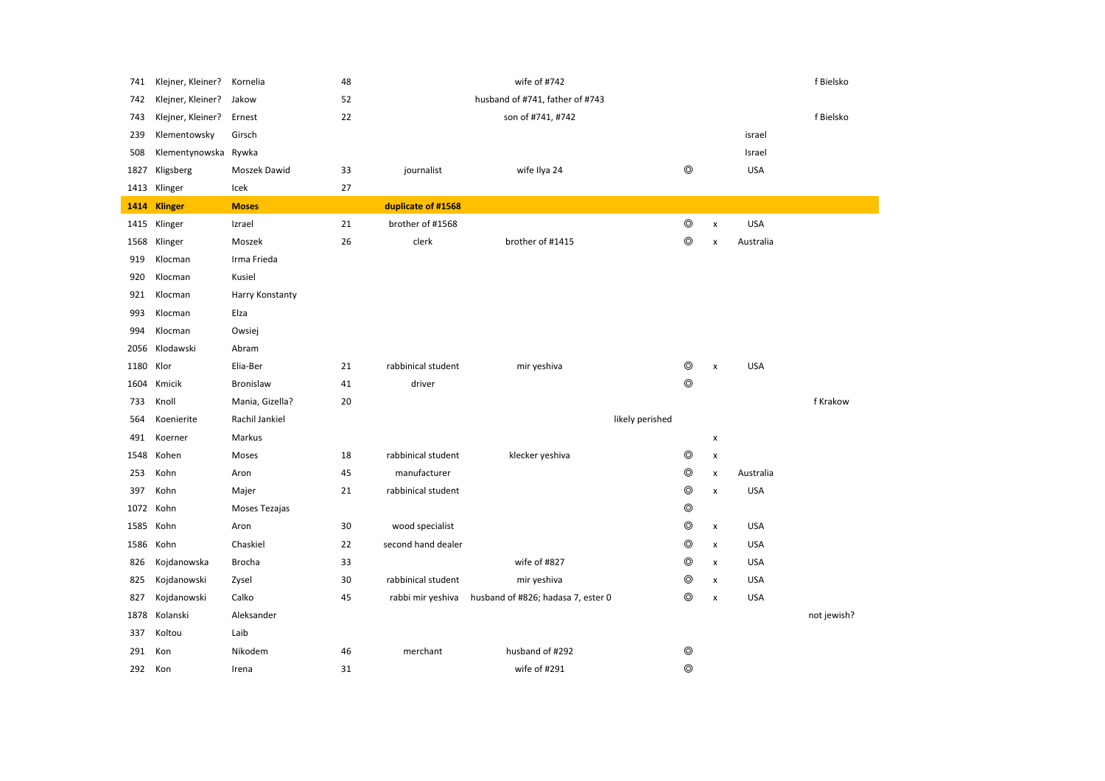| 741  | Klejner, Kleiner? | Kornelia        | 48 |                    | wife of #742                       |                |                    |            | f Bielsko   |
|------|-------------------|-----------------|----|--------------------|------------------------------------|----------------|--------------------|------------|-------------|
| 742  | Klejner, Kleiner? | Jakow           | 52 |                    | husband of #741, father of #743    |                |                    |            |             |
| 743  | Klejner, Kleiner? | Ernest          | 22 |                    | son of #741, #742                  |                |                    |            | f Bielsko   |
| 239  | Klementowsky      | Girsch          |    |                    |                                    |                |                    | israel     |             |
| 508  | Klementynowska    | Rywka           |    |                    |                                    |                |                    | Israel     |             |
| 1827 | Kligsberg         | Moszek Dawid    | 33 | journalist         | wife Ilya 24                       | $\circledcirc$ |                    | <b>USA</b> |             |
| 1413 | Klinger           | Icek            | 27 |                    |                                    |                |                    |            |             |
| 1414 | <b>Klinger</b>    | <b>Moses</b>    |    | duplicate of #1568 |                                    |                |                    |            |             |
| 1415 | Klinger           | Izrael          | 21 | brother of #1568   |                                    | $\circledcirc$ | $\pmb{\times}$     | <b>USA</b> |             |
|      | 1568 Klinger      | Moszek          | 26 | clerk              | brother of #1415                   | $\circledcirc$ | $\pmb{\times}$     | Australia  |             |
| 919  | Klocman           | Irma Frieda     |    |                    |                                    |                |                    |            |             |
| 920  | Klocman           | Kusiel          |    |                    |                                    |                |                    |            |             |
| 921  | Klocman           | Harry Konstanty |    |                    |                                    |                |                    |            |             |
| 993  | Klocman           | Elza            |    |                    |                                    |                |                    |            |             |
| 994  | Klocman           | Owsiej          |    |                    |                                    |                |                    |            |             |
| 2056 | Klodawski         | Abram           |    |                    |                                    |                |                    |            |             |
| 1180 | Klor              | Elia-Ber        | 21 | rabbinical student | mir yeshiva                        | $\circledcirc$ | $\pmb{\mathsf{x}}$ | <b>USA</b> |             |
| 1604 | Kmicik            | Bronislaw       | 41 | driver             |                                    | $\circledcirc$ |                    |            |             |
| 733  | Knoll             | Mania, Gizella? | 20 |                    |                                    |                |                    |            | f Krakow    |
| 564  | Koenierite        | Rachil Jankiel  |    |                    | likely perished                    |                |                    |            |             |
| 491  | Koerner           | Markus          |    |                    |                                    |                | $\pmb{\times}$     |            |             |
| 1548 | Kohen             | Moses           | 18 | rabbinical student | klecker yeshiva                    | $\circledcirc$ | $\pmb{\mathsf{x}}$ |            |             |
| 253  | Kohn              | Aron            | 45 | manufacturer       |                                    | $\circledcirc$ | x                  | Australia  |             |
| 397  | Kohn              | Majer           | 21 | rabbinical student |                                    | $\circledcirc$ | $\pmb{\mathsf{x}}$ | <b>USA</b> |             |
| 1072 | Kohn              | Moses Tezajas   |    |                    |                                    | $\circledcirc$ |                    |            |             |
| 1585 | Kohn              | Aron            | 30 | wood specialist    |                                    | $\circledcirc$ | $\pmb{\mathsf{x}}$ | <b>USA</b> |             |
|      | 1586 Kohn         | Chaskiel        | 22 | second hand dealer |                                    | $\circledcirc$ | x                  | <b>USA</b> |             |
| 826  | Kojdanowska       | Brocha          | 33 |                    | wife of #827                       | $\circledcirc$ | $\pmb{\mathsf{x}}$ | <b>USA</b> |             |
| 825  | Kojdanowski       | Zysel           | 30 | rabbinical student | mir yeshiva                        | $\circledcirc$ | $\pmb{\times}$     | <b>USA</b> |             |
| 827  | Kojdanowski       | Calko           | 45 | rabbi mir yeshiva  | husband of #826; hadasa 7, ester 0 | $\circledcirc$ | $\pmb{\times}$     | <b>USA</b> |             |
| 1878 | Kolanski          | Aleksander      |    |                    |                                    |                |                    |            | not jewish? |
| 337  | Koltou            | Laib            |    |                    |                                    |                |                    |            |             |
| 291  | Kon               | Nikodem         | 46 | merchant           | husband of #292                    | $\circledcirc$ |                    |            |             |
| 292  | Kon               | Irena           | 31 |                    | wife of #291                       | $\circledcirc$ |                    |            |             |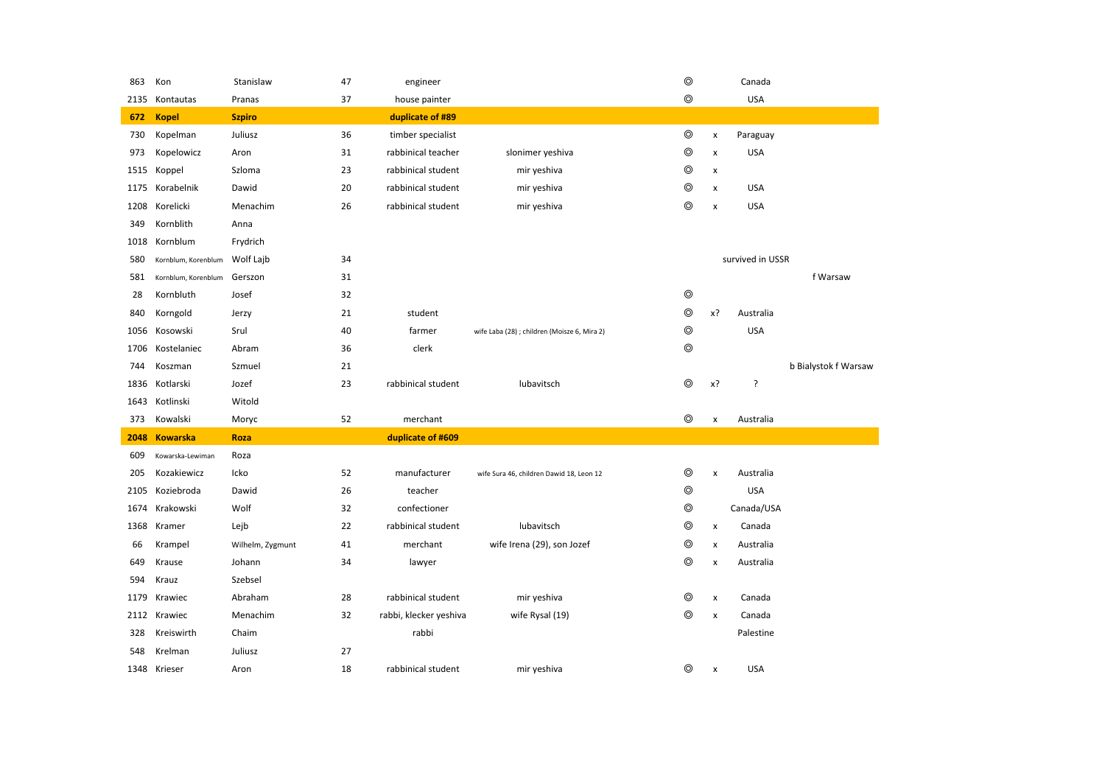|      | Kon                 | Stanislaw        | 47 | engineer               |                                              | $\circledcirc$ |                    | Canada           |                      |
|------|---------------------|------------------|----|------------------------|----------------------------------------------|----------------|--------------------|------------------|----------------------|
| 2135 | Kontautas           | Pranas           | 37 | house painter          |                                              | $^{\circ}$     |                    | <b>USA</b>       |                      |
| 672  | <b>Kopel</b>        | <b>Szpiro</b>    |    | duplicate of #89       |                                              |                |                    |                  |                      |
| 730  | Kopelman            | Juliusz          | 36 | timber specialist      |                                              | $^{\circ}$     | $\pmb{\times}$     | Paraguay         |                      |
| 973  | Kopelowicz          | Aron             | 31 | rabbinical teacher     | slonimer yeshiva                             | $\circledcirc$ | $\pmb{\times}$     | <b>USA</b>       |                      |
| 1515 | Koppel              | Szloma           | 23 | rabbinical student     | mir yeshiva                                  | $\circledcirc$ | $\pmb{\times}$     |                  |                      |
| 1175 | Korabelnik          | Dawid            | 20 | rabbinical student     | mir yeshiva                                  | $^{\circ}$     | x                  | <b>USA</b>       |                      |
| 1208 | Korelicki           | Menachim         | 26 | rabbinical student     | mir yeshiva                                  | $\circledcirc$ | $\pmb{\times}$     | <b>USA</b>       |                      |
| 349  | Kornblith           | Anna             |    |                        |                                              |                |                    |                  |                      |
| 1018 | Kornblum            | Frydrich         |    |                        |                                              |                |                    |                  |                      |
| 580  | Kornblum, Korenblum | Wolf Lajb        | 34 |                        |                                              |                |                    | survived in USSR |                      |
| 581  | Kornblum, Korenblum | Gerszon          | 31 |                        |                                              |                |                    |                  | f Warsaw             |
| 28   | Kornbluth           | Josef            | 32 |                        |                                              | $\circledcirc$ |                    |                  |                      |
| 840  | Korngold            | Jerzy            | 21 | student                |                                              | $\circledcirc$ | x?                 | Australia        |                      |
| 1056 | Kosowski            | Srul             | 40 | farmer                 | wife Laba (28) ; children (Moisze 6, Mira 2) | $\circledcirc$ |                    | <b>USA</b>       |                      |
| 1706 | Kostelaniec         | Abram            | 36 | clerk                  |                                              | $\circledcirc$ |                    |                  |                      |
| 744  | Koszman             | Szmuel           | 21 |                        |                                              |                |                    |                  | b Bialystok f Warsaw |
| 1836 | Kotlarski           | Jozef            | 23 | rabbinical student     | lubavitsch                                   | $\circledcirc$ | x?                 | ŗ                |                      |
| 1643 | Kotlinski           | Witold           |    |                        |                                              |                |                    |                  |                      |
| 373  | Kowalski            | Moryc            | 52 | merchant               |                                              | $\circledcirc$ | $\pmb{\times}$     | Australia        |                      |
| 2048 | <b>Kowarska</b>     | Roza             |    | duplicate of #609      |                                              |                |                    |                  |                      |
| 609  | Kowarska-Lewiman    | Roza             |    |                        |                                              |                |                    |                  |                      |
| 205  | Kozakiewicz         | Icko             | 52 | manufacturer           | wife Sura 46, children Dawid 18, Leon 12     | $\circledcirc$ | $\pmb{\times}$     | Australia        |                      |
| 2105 | Koziebroda          | Dawid            | 26 | teacher                |                                              | $\circledcirc$ |                    | <b>USA</b>       |                      |
| 1674 | Krakowski           | Wolf             | 32 | confectioner           |                                              | $\circledcirc$ |                    | Canada/USA       |                      |
| 1368 | Kramer              | Lejb             | 22 | rabbinical student     | lubavitsch                                   | $\circledcirc$ | $\pmb{\mathsf{x}}$ | Canada           |                      |
|      |                     |                  |    |                        |                                              |                |                    |                  |                      |
| 66   | Krampel             | Wilhelm, Zygmunt | 41 | merchant               | wife Irena (29), son Jozef                   | ⊚              | $\pmb{\times}$     | Australia        |                      |
| 649  | Krause              | Johann           | 34 | lawyer                 |                                              | $\circledcirc$ | $\pmb{\times}$     | Australia        |                      |
| 594  | Krauz               | Szebsel          |    |                        |                                              |                |                    |                  |                      |
| 1179 | Krawiec             | Abraham          | 28 | rabbinical student     | mir yeshiva                                  | $\circledcirc$ | $\pmb{\times}$     | Canada           |                      |
| 2112 | Krawiec             | Menachim         | 32 | rabbi, klecker yeshiva | wife Rysal (19)                              | $\circledcirc$ | $\pmb{\times}$     | Canada           |                      |
| 328  | Kreiswirth          | Chaim            |    | rabbi                  |                                              |                |                    | Palestine        |                      |
| 548  | Krelman             | Juliusz          | 27 |                        |                                              |                |                    |                  |                      |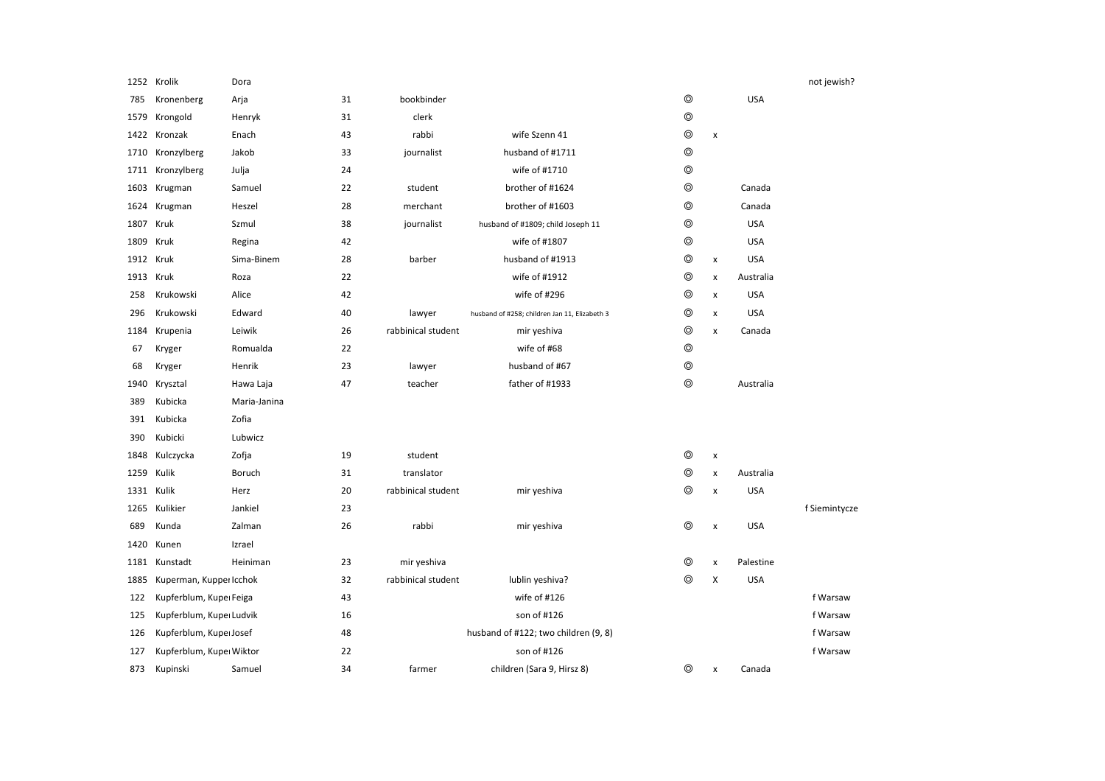|            | 1252 Krolik              | Dora         |    |                    |                                               |                |                    |            | not jewish?   |
|------------|--------------------------|--------------|----|--------------------|-----------------------------------------------|----------------|--------------------|------------|---------------|
| 785        | Kronenberg               | Arja         | 31 | bookbinder         |                                               | $\circledcirc$ |                    | <b>USA</b> |               |
| 1579       | Krongold                 | Henryk       | 31 | clerk              |                                               | $\circledcirc$ |                    |            |               |
| 1422       | Kronzak                  | Enach        | 43 | rabbi              | wife Szenn 41                                 | $\circledcirc$ | x                  |            |               |
| 1710       | Kronzylberg              | Jakob        | 33 | journalist         | husband of #1711                              | $\circledcirc$ |                    |            |               |
| 1711       | Kronzylberg              | Julja        | 24 |                    | wife of #1710                                 | $\circledcirc$ |                    |            |               |
| 1603       | Krugman                  | Samuel       | 22 | student            | brother of #1624                              | $\circledcirc$ |                    | Canada     |               |
| 1624       | Krugman                  | Heszel       | 28 | merchant           | brother of #1603                              | $\circledcirc$ |                    | Canada     |               |
| 1807       | Kruk                     | Szmul        | 38 | journalist         | husband of #1809; child Joseph 11             | ⊚              |                    | <b>USA</b> |               |
| 1809       | Kruk                     | Regina       | 42 |                    | wife of #1807                                 | ⊚              |                    | <b>USA</b> |               |
| 1912 Kruk  |                          | Sima-Binem   | 28 | barber             | husband of #1913                              | $\circledcirc$ | x                  | <b>USA</b> |               |
| 1913       | Kruk                     | Roza         | 22 |                    | wife of #1912                                 | $\circledcirc$ | x                  | Australia  |               |
| 258        | Krukowski                | Alice        | 42 |                    | wife of #296                                  | ⊚              | x                  | <b>USA</b> |               |
| 296        | Krukowski                | Edward       | 40 | lawyer             | husband of #258; children Jan 11, Elizabeth 3 | ⊚              | x                  | <b>USA</b> |               |
| 1184       | Krupenia                 | Leiwik       | 26 | rabbinical student | mir yeshiva                                   | ⊚              | $\pmb{\times}$     | Canada     |               |
| 67         | Kryger                   | Romualda     | 22 |                    | wife of #68                                   | $\circledcirc$ |                    |            |               |
| 68         | Kryger                   | Henrik       | 23 | lawyer             | husband of #67                                | $\circledcirc$ |                    |            |               |
| 1940       | Krysztal                 | Hawa Laja    | 47 | teacher            | father of #1933                               | ⊚              |                    | Australia  |               |
| 389        | Kubicka                  | Maria-Janina |    |                    |                                               |                |                    |            |               |
| 391        | Kubicka                  | Zofia        |    |                    |                                               |                |                    |            |               |
| 390        | Kubicki                  | Lubwicz      |    |                    |                                               |                |                    |            |               |
| 1848       | Kulczycka                | Zofja        | 19 | student            |                                               | $\circledcirc$ | $\pmb{\chi}$       |            |               |
| 1259       | Kulik                    | Boruch       | 31 | translator         |                                               | ⊚              | x                  | Australia  |               |
| 1331 Kulik |                          | Herz         | 20 | rabbinical student | mir yeshiva                                   | ⊚              | x                  | <b>USA</b> |               |
| 1265       | Kulikier                 | Jankiel      | 23 |                    |                                               |                |                    |            | f Siemintycze |
| 689        | Kunda                    | Zalman       | 26 | rabbi              | mir yeshiva                                   | ⊚              | $\pmb{\mathsf{x}}$ | <b>USA</b> |               |
| 1420       | Kunen                    | Izrael       |    |                    |                                               |                |                    |            |               |
| 1181       | Kunstadt                 | Heiniman     | 23 | mir yeshiva        |                                               | ⊚              | $\pmb{\times}$     | Palestine  |               |
| 1885       | Kuperman, Kupper Icchok  |              | 32 | rabbinical student | lublin yeshiva?                               | $\circledcirc$ | X                  | <b>USA</b> |               |
| 122        | Kupferblum, Kupeı Feiga  |              | 43 |                    | wife of #126                                  |                |                    |            | f Warsaw      |
| 125        | Kupferblum, Kupeı Ludvik |              | 16 |                    | son of #126                                   |                |                    |            | f Warsaw      |
| 126        | Kupferblum, Kupeı Josef  |              | 48 |                    | husband of #122; two children (9, 8)          |                |                    |            | f Warsaw      |
| 127        | Kupferblum, Kupeı Wiktor |              | 22 |                    | son of #126                                   |                |                    |            | f Warsaw      |
| 873        | Kupinski                 | Samuel       | 34 | farmer             | children (Sara 9, Hirsz 8)                    | ⊚              | x                  | Canada     |               |
|            |                          |              |    |                    |                                               |                |                    |            |               |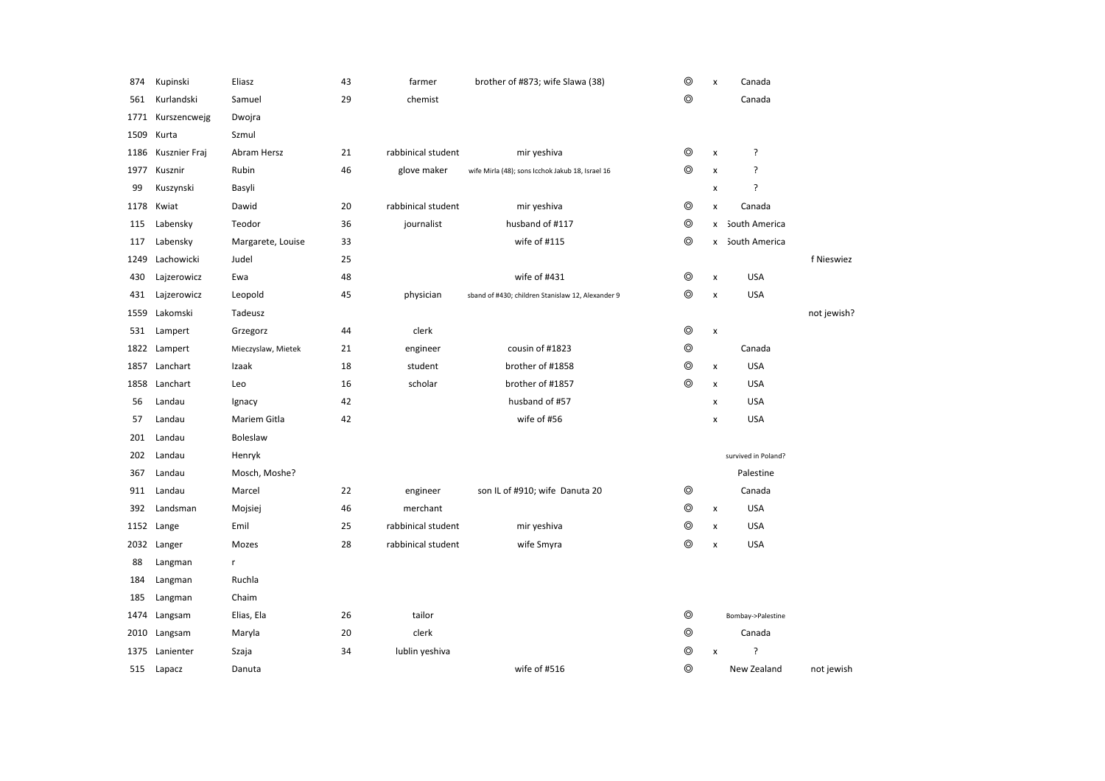| 874  | Kupinski      | Eliasz             | 43 | farmer             | brother of #873; wife Slawa (38)                  | $\circledcirc$ | X                  | Canada              |             |
|------|---------------|--------------------|----|--------------------|---------------------------------------------------|----------------|--------------------|---------------------|-------------|
| 561  | Kurlandski    | Samuel             | 29 | chemist            |                                                   | $\circledcirc$ |                    | Canada              |             |
| 1771 | Kurszencwejg  | Dwojra             |    |                    |                                                   |                |                    |                     |             |
| 1509 | Kurta         | Szmul              |    |                    |                                                   |                |                    |                     |             |
| 1186 | Kusznier Fraj | Abram Hersz        | 21 | rabbinical student | mir yeshiva                                       | ◎              | X                  | ?                   |             |
| 1977 | Kusznir       | Rubin              | 46 | glove maker        | wife Mirla (48); sons Icchok Jakub 18, Israel 16  | $^{\circ}$     | X                  | ?                   |             |
| 99   | Kuszynski     | Basyli             |    |                    |                                                   |                | X                  | ?                   |             |
| 1178 | Kwiat         | Dawid              | 20 | rabbinical student | mir yeshiva                                       | $\circledcirc$ | X                  | Canada              |             |
| 115  | Labensky      | Teodor             | 36 | journalist         | husband of #117                                   | $\circledcirc$ | x                  | South America       |             |
| 117  | Labensky      | Margarete, Louise  | 33 |                    | wife of #115                                      | ◎              | x                  | South America       |             |
| 1249 | Lachowicki    | Judel              | 25 |                    |                                                   |                |                    |                     | f Nieswiez  |
| 430  | Lajzerowicz   | Ewa                | 48 |                    | wife of #431                                      | $\circledcirc$ | $\pmb{\mathsf{x}}$ | <b>USA</b>          |             |
| 431  | Lajzerowicz   | Leopold            | 45 | physician          | sband of #430; children Stanislaw 12, Alexander 9 | $\circledcirc$ | X                  | <b>USA</b>          |             |
| 1559 | Lakomski      | Tadeusz            |    |                    |                                                   |                |                    |                     | not jewish? |
| 531  | Lampert       | Grzegorz           | 44 | clerk              |                                                   | $\circledcirc$ | $\pmb{\mathsf{x}}$ |                     |             |
| 1822 | Lampert       | Mieczyslaw, Mietek | 21 | engineer           | cousin of #1823                                   | $^{\circ}$     |                    | Canada              |             |
| 1857 | Lanchart      | Izaak              | 18 | student            | brother of #1858                                  | $\circledcirc$ | X                  | <b>USA</b>          |             |
| 1858 | Lanchart      | Leo                | 16 | scholar            | brother of #1857                                  | $\circledcirc$ | X                  | <b>USA</b>          |             |
| 56   | Landau        | Ignacy             | 42 |                    | husband of #57                                    |                | x                  | <b>USA</b>          |             |
| 57   | Landau        | Mariem Gitla       | 42 |                    | wife of #56                                       |                | X                  | <b>USA</b>          |             |
| 201  | Landau        | <b>Boleslaw</b>    |    |                    |                                                   |                |                    |                     |             |
| 202  | Landau        | Henryk             |    |                    |                                                   |                |                    | survived in Poland? |             |
| 367  | Landau        | Mosch, Moshe?      |    |                    |                                                   |                |                    | Palestine           |             |
| 911  | Landau        | Marcel             | 22 | engineer           | son IL of #910; wife Danuta 20                    | $\circledcirc$ |                    | Canada              |             |
| 392  | Landsman      | Mojsiej            | 46 | merchant           |                                                   | $^{\circ}$     | X                  | <b>USA</b>          |             |
| 1152 | Lange         | Emil               | 25 | rabbinical student | mir yeshiva                                       | $^{\circ}$     | X                  | <b>USA</b>          |             |
|      | 2032 Langer   | Mozes              | 28 | rabbinical student | wife Smyra                                        | $\circledcirc$ | X                  | <b>USA</b>          |             |
| 88   | Langman       | r.                 |    |                    |                                                   |                |                    |                     |             |
| 184  | Langman       | Ruchla             |    |                    |                                                   |                |                    |                     |             |
| 185  | Langman       | Chaim              |    |                    |                                                   |                |                    |                     |             |
| 1474 | Langsam       | Elias, Ela         | 26 | tailor             |                                                   | $^{\circ}$     |                    | Bombay->Palestine   |             |
|      | 2010 Langsam  | Maryla             | 20 | clerk              |                                                   | $\circledcirc$ |                    | Canada              |             |
| 1375 | Lanienter     | Szaja              | 34 | lublin yeshiva     |                                                   | $\circledcirc$ | X                  | ?                   |             |
| 515  | Lapacz        | Danuta             |    |                    | wife of #516                                      | $\circledcirc$ |                    | New Zealand         | not jewish  |
|      |               |                    |    |                    |                                                   |                |                    |                     |             |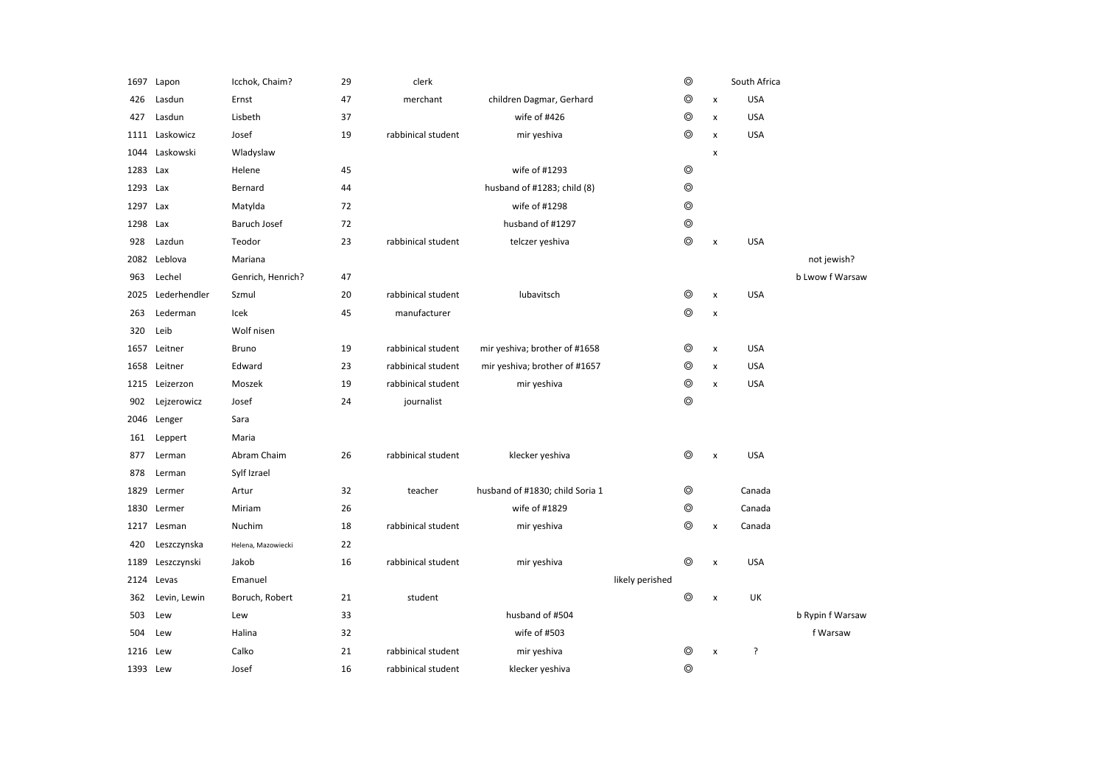| 1697     | Lapon          | Icchok, Chaim?     | 29 | clerk              |                                 |                 | $^{\circ}$     |                | South Africa |                  |
|----------|----------------|--------------------|----|--------------------|---------------------------------|-----------------|----------------|----------------|--------------|------------------|
| 426      | Lasdun         | Ernst              | 47 | merchant           | children Dagmar, Gerhard        |                 | $\circledcirc$ | $\pmb{\times}$ | <b>USA</b>   |                  |
| 427      | Lasdun         | Lisbeth            | 37 |                    | wife of #426                    |                 | $\circledcirc$ | $\pmb{\times}$ | <b>USA</b>   |                  |
|          | 1111 Laskowicz | Josef              | 19 | rabbinical student | mir yeshiva                     |                 | $\circledcirc$ | $\pmb{\times}$ | <b>USA</b>   |                  |
| 1044     | Laskowski      | Wladyslaw          |    |                    |                                 |                 |                | X              |              |                  |
| 1283     | Lax            | Helene             | 45 |                    | wife of #1293                   |                 | $^{\circ}$     |                |              |                  |
| 1293     | Lax            | Bernard            | 44 |                    | husband of #1283; child (8)     |                 | $\circledcirc$ |                |              |                  |
| 1297     | Lax            | Matylda            | 72 |                    | wife of #1298                   |                 | $\circledcirc$ |                |              |                  |
| 1298     | Lax            | Baruch Josef       | 72 |                    | husband of #1297                |                 | $\circledcirc$ |                |              |                  |
| 928      | Lazdun         | Teodor             | 23 | rabbinical student | telczer yeshiva                 |                 | $\circledcirc$ | $\pmb{\times}$ | <b>USA</b>   |                  |
|          | 2082 Leblova   | Mariana            |    |                    |                                 |                 |                |                |              | not jewish?      |
| 963      | Lechel         | Genrich, Henrich?  | 47 |                    |                                 |                 |                |                |              | b Lwow f Warsaw  |
| 2025     | Lederhendler   | Szmul              | 20 | rabbinical student | lubavitsch                      |                 | ⊚              | $\pmb{\times}$ | <b>USA</b>   |                  |
| 263      | Lederman       | Icek               | 45 | manufacturer       |                                 |                 | $\circledcirc$ | $\pmb{\times}$ |              |                  |
| 320      | Leib           | Wolf nisen         |    |                    |                                 |                 |                |                |              |                  |
| 1657     | Leitner        | Bruno              | 19 | rabbinical student | mir yeshiva; brother of #1658   |                 | ⊚              | $\pmb{\times}$ | <b>USA</b>   |                  |
|          | 1658 Leitner   | Edward             | 23 | rabbinical student | mir yeshiva; brother of #1657   |                 | $\circledcirc$ | $\pmb{\times}$ | <b>USA</b>   |                  |
|          | 1215 Leizerzon | Moszek             | 19 | rabbinical student | mir yeshiva                     |                 | $\circledcirc$ | $\pmb{\times}$ | <b>USA</b>   |                  |
| 902      | Leizerowicz    | Josef              | 24 | journalist         |                                 |                 | $\circledcirc$ |                |              |                  |
|          | 2046 Lenger    | Sara               |    |                    |                                 |                 |                |                |              |                  |
| 161      | Leppert        | Maria              |    |                    |                                 |                 |                |                |              |                  |
| 877      | Lerman         | Abram Chaim        | 26 | rabbinical student | klecker yeshiva                 |                 | $^{\circ}$     | $\pmb{\times}$ | <b>USA</b>   |                  |
| 878      | Lerman         | Sylf Izrael        |    |                    |                                 |                 |                |                |              |                  |
| 1829     | Lermer         | Artur              | 32 | teacher            | husband of #1830; child Soria 1 |                 | $\circledcirc$ |                | Canada       |                  |
| 1830     | Lermer         | Miriam             | 26 |                    | wife of #1829                   |                 | $\circledcirc$ |                | Canada       |                  |
|          | 1217 Lesman    | Nuchim             | 18 | rabbinical student | mir yeshiva                     |                 | ⊚              | $\pmb{\times}$ | Canada       |                  |
| 420      | Leszczynska    | Helena, Mazowiecki | 22 |                    |                                 |                 |                |                |              |                  |
| 1189     | Leszczynski    | Jakob              | 16 | rabbinical student | mir yeshiva                     |                 | $^{\circ}$     | $\pmb{\times}$ | <b>USA</b>   |                  |
|          | 2124 Levas     | Emanuel            |    |                    |                                 | likely perished |                |                |              |                  |
| 362      | Levin, Lewin   | Boruch, Robert     | 21 | student            |                                 |                 | $\circledcirc$ | x              | UK           |                  |
| 503      | Lew            | Lew                | 33 |                    | husband of #504                 |                 |                |                |              | b Rypin f Warsaw |
| 504      | Lew            | Halina             | 32 |                    | wife of #503                    |                 |                |                |              | f Warsaw         |
| 1216     | Lew            | Calko              | 21 | rabbinical student | mir yeshiva                     |                 | ⊚              | $\pmb{\times}$ | ŗ            |                  |
| 1393 Lew |                | Josef              | 16 | rabbinical student | klecker yeshiva                 |                 | $\circledcirc$ |                |              |                  |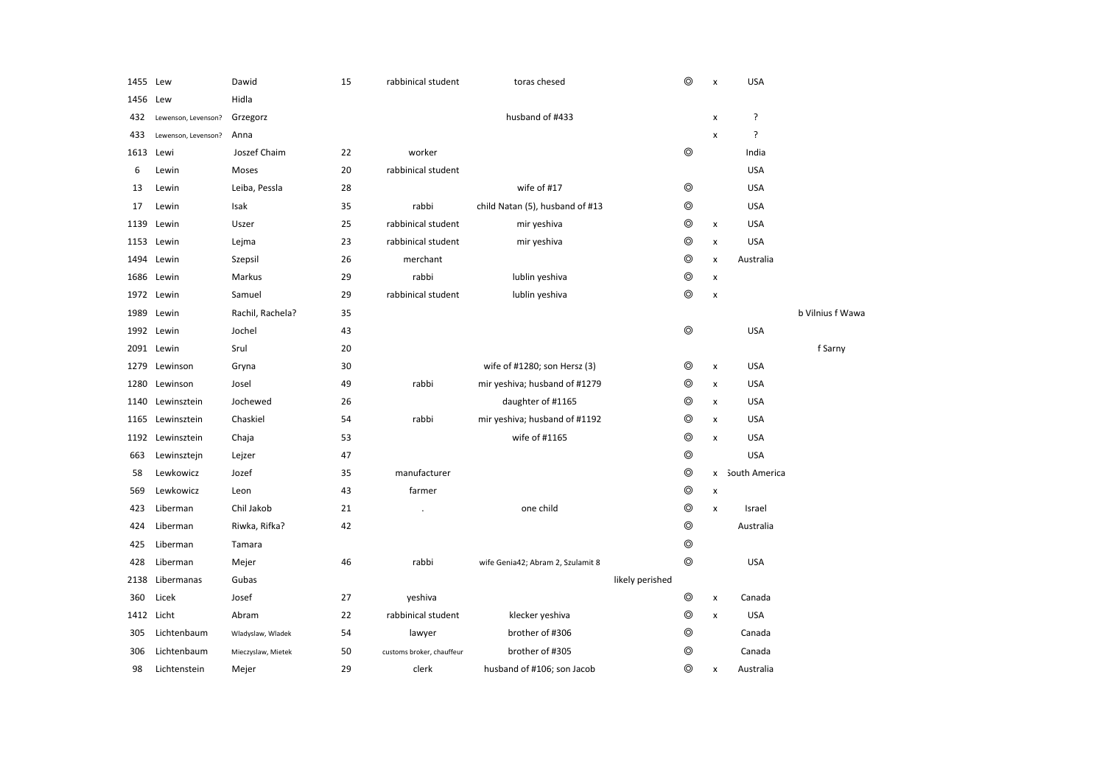| 1455       | Lew                 | Dawid              | 15 | rabbinical student        | toras chesed                      |                 | $\circledcirc$ | X                  | <b>USA</b>    |                  |
|------------|---------------------|--------------------|----|---------------------------|-----------------------------------|-----------------|----------------|--------------------|---------------|------------------|
| 1456       | Lew                 | Hidla              |    |                           |                                   |                 |                |                    |               |                  |
| 432        | Lewenson, Levenson? | Grzegorz           |    |                           | husband of #433                   |                 |                | X                  | ?             |                  |
| 433        | Lewenson, Levenson? | Anna               |    |                           |                                   |                 |                | X                  | ?             |                  |
| 1613       | Lewi                | Joszef Chaim       | 22 | worker                    |                                   |                 | $^{\circ}$     |                    | India         |                  |
| 6          | Lewin               | Moses              | 20 | rabbinical student        |                                   |                 |                |                    | <b>USA</b>    |                  |
| 13         | Lewin               | Leiba, Pessla      | 28 |                           | wife of #17                       |                 | $\circledcirc$ |                    | <b>USA</b>    |                  |
| 17         | Lewin               | Isak               | 35 | rabbi                     | child Natan (5), husband of #13   |                 | ◎              |                    | <b>USA</b>    |                  |
| 1139       | Lewin               | Uszer              | 25 | rabbinical student        | mir yeshiva                       |                 | ◎              | X                  | <b>USA</b>    |                  |
|            | 1153 Lewin          | Lejma              | 23 | rabbinical student        | mir yeshiva                       |                 | $\circledcirc$ | x                  | <b>USA</b>    |                  |
| 1494       | Lewin               | Szepsil            | 26 | merchant                  |                                   |                 | ◎              | x                  | Australia     |                  |
| 1686       | Lewin               | Markus             | 29 | rabbi                     | lublin yeshiva                    |                 | $\circledcirc$ | $\pmb{\mathsf{x}}$ |               |                  |
|            | 1972 Lewin          | Samuel             | 29 | rabbinical student        | lublin yeshiva                    |                 | $^{\circ}$     | $\pmb{\mathsf{x}}$ |               |                  |
| 1989       | Lewin               | Rachil, Rachela?   | 35 |                           |                                   |                 |                |                    |               | b Vilnius f Wawa |
|            | 1992 Lewin          | Jochel             | 43 |                           |                                   |                 | $\circledcirc$ |                    | <b>USA</b>    |                  |
|            | 2091 Lewin          | Srul               | 20 |                           |                                   |                 |                |                    |               | f Sarny          |
| 1279       | Lewinson            | Gryna              | 30 |                           | wife of #1280; son Hersz (3)      |                 | ◎              | x                  | <b>USA</b>    |                  |
| 1280       | Lewinson            | Josel              | 49 | rabbi                     | mir yeshiva; husband of #1279     |                 | ⊚              | $\pmb{\mathsf{x}}$ | <b>USA</b>    |                  |
| 1140       | Lewinsztein         | Jochewed           | 26 |                           | daughter of #1165                 |                 | ⊚              | x                  | <b>USA</b>    |                  |
| 1165       | Lewinsztein         | Chaskiel           | 54 | rabbi                     | mir yeshiva; husband of #1192     |                 | ⊚              | x                  | <b>USA</b>    |                  |
| 1192       | Lewinsztein         | Chaja              | 53 |                           | wife of #1165                     |                 | ⊚              | $\pmb{\times}$     | <b>USA</b>    |                  |
| 663        | Lewinsztejn         | Lejzer             | 47 |                           |                                   |                 | $\circledcirc$ |                    | <b>USA</b>    |                  |
| 58         | Lewkowicz           | Jozef              | 35 | manufacturer              |                                   |                 | ⊚              | x                  | South America |                  |
| 569        | Lewkowicz           | Leon               | 43 | farmer                    |                                   |                 | ⊚              | x                  |               |                  |
| 423        | Liberman            | Chil Jakob         | 21 |                           | one child                         |                 | ◎              | $\pmb{\mathsf{x}}$ | Israel        |                  |
| 424        | Liberman            | Riwka, Rifka?      | 42 |                           |                                   |                 | $\circledcirc$ |                    | Australia     |                  |
| 425        | Liberman            | Tamara             |    |                           |                                   |                 | ⊚              |                    |               |                  |
| 428        | Liberman            | Mejer              | 46 | rabbi                     | wife Genia42; Abram 2, Szulamit 8 |                 | $\circledcirc$ |                    | <b>USA</b>    |                  |
| 2138       | Libermanas          | Gubas              |    |                           |                                   | likely perished |                |                    |               |                  |
| 360        | Licek               | Josef              | 27 | yeshiva                   |                                   |                 | $\circledcirc$ | $\pmb{\times}$     | Canada        |                  |
| 1412 Licht |                     | Abram              | 22 | rabbinical student        | klecker yeshiva                   |                 | $\circledcirc$ | $\pmb{\mathsf{x}}$ | <b>USA</b>    |                  |
| 305        | Lichtenbaum         | Wladyslaw, Wladek  | 54 | lawyer                    | brother of #306                   |                 | $\circledcirc$ |                    | Canada        |                  |
| 306        | Lichtenbaum         | Mieczyslaw, Mietek | 50 | customs broker, chauffeur | brother of #305                   |                 | $\circledcirc$ |                    | Canada        |                  |
| 98         | Lichtenstein        | Mejer              | 29 | clerk                     | husband of #106; son Jacob        |                 | ⊚              | x                  | Australia     |                  |
|            |                     |                    |    |                           |                                   |                 |                |                    |               |                  |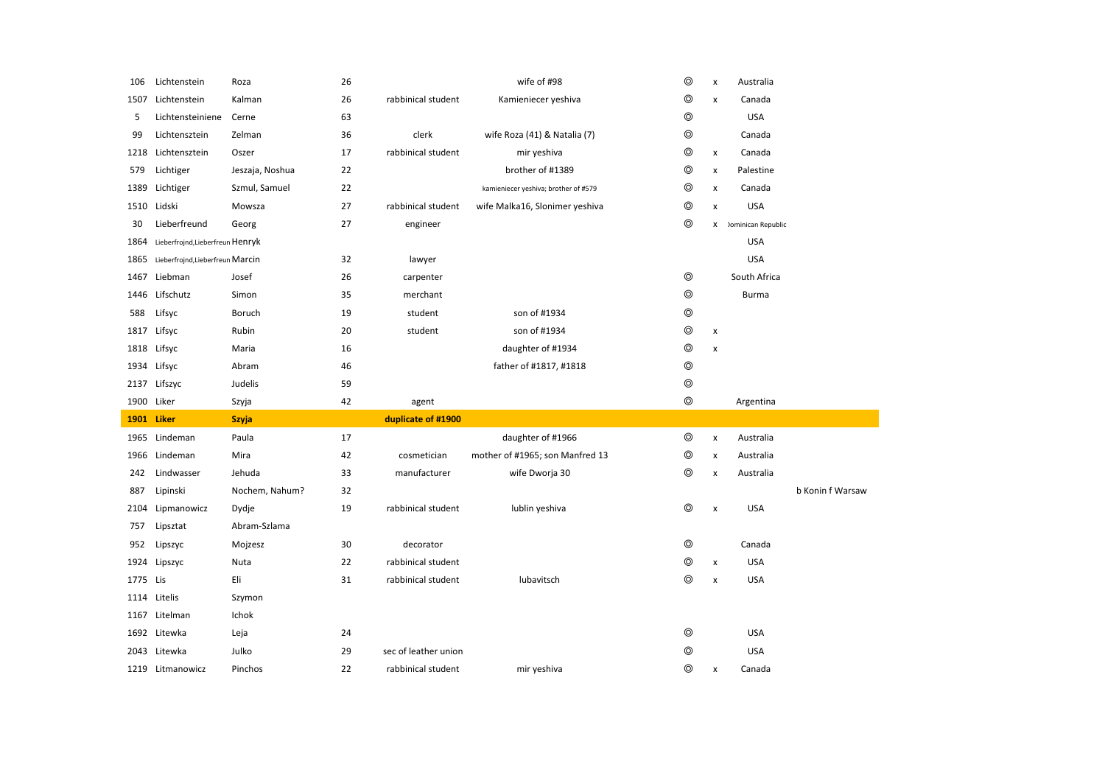| 106      | Lichtenstein                     | Roza            | 26 |                      | wife of #98                          | $\circledcirc$ | $\pmb{\chi}$              | Australia                 |                  |
|----------|----------------------------------|-----------------|----|----------------------|--------------------------------------|----------------|---------------------------|---------------------------|------------------|
| 1507     | Lichtenstein                     | Kalman          | 26 | rabbinical student   | Kamieniecer yeshiva                  | $\circledcirc$ | $\boldsymbol{\mathsf{x}}$ | Canada                    |                  |
| 5        | Lichtensteiniene                 | Cerne           | 63 |                      |                                      | $\circledcirc$ |                           | <b>USA</b>                |                  |
| 99       | Lichtensztein                    | Zelman          | 36 | clerk                | wife Roza (41) & Natalia (7)         | $\circledcirc$ |                           | Canada                    |                  |
| 1218     | Lichtensztein                    | Oszer           | 17 | rabbinical student   | mir yeshiva                          | $\circledcirc$ | $\pmb{\times}$            | Canada                    |                  |
| 579      | Lichtiger                        | Jeszaja, Noshua | 22 |                      | brother of #1389                     | $\circledcirc$ | $\pmb{\times}$            | Palestine                 |                  |
| 1389     | Lichtiger                        | Szmul, Samuel   | 22 |                      | kamieniecer yeshiva; brother of #579 | $\circledcirc$ | $\pmb{\times}$            | Canada                    |                  |
|          | 1510 Lidski                      | Mowsza          | 27 | rabbinical student   | wife Malka16, Slonimer yeshiva       | $\circledcirc$ | $\pmb{\times}$            | <b>USA</b>                |                  |
| 30       | Lieberfreund                     | Georg           | 27 | engineer             |                                      | $\circledcirc$ | x                         | <b>Dominican Republic</b> |                  |
| 1864     | Lieberfrojnd, Lieberfreun Henryk |                 |    |                      |                                      |                |                           | <b>USA</b>                |                  |
| 1865     | Lieberfrojnd, Lieberfreun Marcin |                 | 32 | lawyer               |                                      |                |                           | <b>USA</b>                |                  |
| 1467     | Liebman                          | Josef           | 26 | carpenter            |                                      | $^{\circ}$     |                           | South Africa              |                  |
|          | 1446 Lifschutz                   | Simon           | 35 | merchant             |                                      | $^{\circ}$     |                           | <b>Burma</b>              |                  |
| 588      | Lifsyc                           | Boruch          | 19 | student              | son of #1934                         | $^{\circ}$     |                           |                           |                  |
| 1817     | Lifsyc                           | Rubin           | 20 | student              | son of #1934                         | $^{\circ}$     | $\pmb{\times}$            |                           |                  |
| 1818     | Lifsyc                           | Maria           | 16 |                      | daughter of #1934                    | $\circledcirc$ | $\pmb{\times}$            |                           |                  |
|          | 1934 Lifsyc                      | Abram           | 46 |                      | father of #1817, #1818               | $\circledcirc$ |                           |                           |                  |
|          |                                  |                 |    |                      |                                      |                |                           |                           |                  |
|          | 2137 Lifszyc                     | Judelis         | 59 |                      |                                      | $\circledcirc$ |                           |                           |                  |
|          | 1900 Liker                       | Szyja           | 42 | agent                |                                      | $\circledcirc$ |                           | Argentina                 |                  |
| 1901     | Liker                            | <b>Szyja</b>    |    | duplicate of #1900   |                                      |                |                           |                           |                  |
| 1965     | Lindeman                         | Paula           | 17 |                      | daughter of #1966                    | $\circledcirc$ | x                         | Australia                 |                  |
|          | 1966 Lindeman                    | Mira            | 42 | cosmetician          | mother of #1965; son Manfred 13      | ⊚              | x                         | Australia                 |                  |
| 242      | Lindwasser                       | Jehuda          | 33 | manufacturer         | wife Dworja 30                       | ⊚              | X                         | Australia                 |                  |
| 887      | Lipinski                         | Nochem, Nahum?  | 32 |                      |                                      |                |                           |                           | b Konin f Warsaw |
| 2104     | Lipmanowicz                      | Dydje           | 19 | rabbinical student   | lublin yeshiva                       | $\circledcirc$ | x                         | <b>USA</b>                |                  |
| 757      | Lipsztat                         | Abram-Szlama    |    |                      |                                      |                |                           |                           |                  |
| 952      | Lipszyc                          | Mojzesz         | 30 | decorator            |                                      | $^{\circ}$     |                           | Canada                    |                  |
| 1924     | Lipszyc                          | Nuta            | 22 | rabbinical student   |                                      | $\circledcirc$ | $\pmb{\times}$            | <b>USA</b>                |                  |
| 1775 Lis |                                  | Eli             | 31 | rabbinical student   | lubavitsch                           | $\circledcirc$ | X                         | <b>USA</b>                |                  |
|          | 1114 Litelis                     | Szymon          |    |                      |                                      |                |                           |                           |                  |
|          | 1167 Litelman                    | Ichok           |    |                      |                                      |                |                           |                           |                  |
|          | 1692 Litewka                     | Leja            | 24 |                      |                                      | $\circledcirc$ |                           | <b>USA</b>                |                  |
|          | 2043 Litewka                     | Julko           | 29 | sec of leather union |                                      | $^\circledR$   |                           | <b>USA</b>                |                  |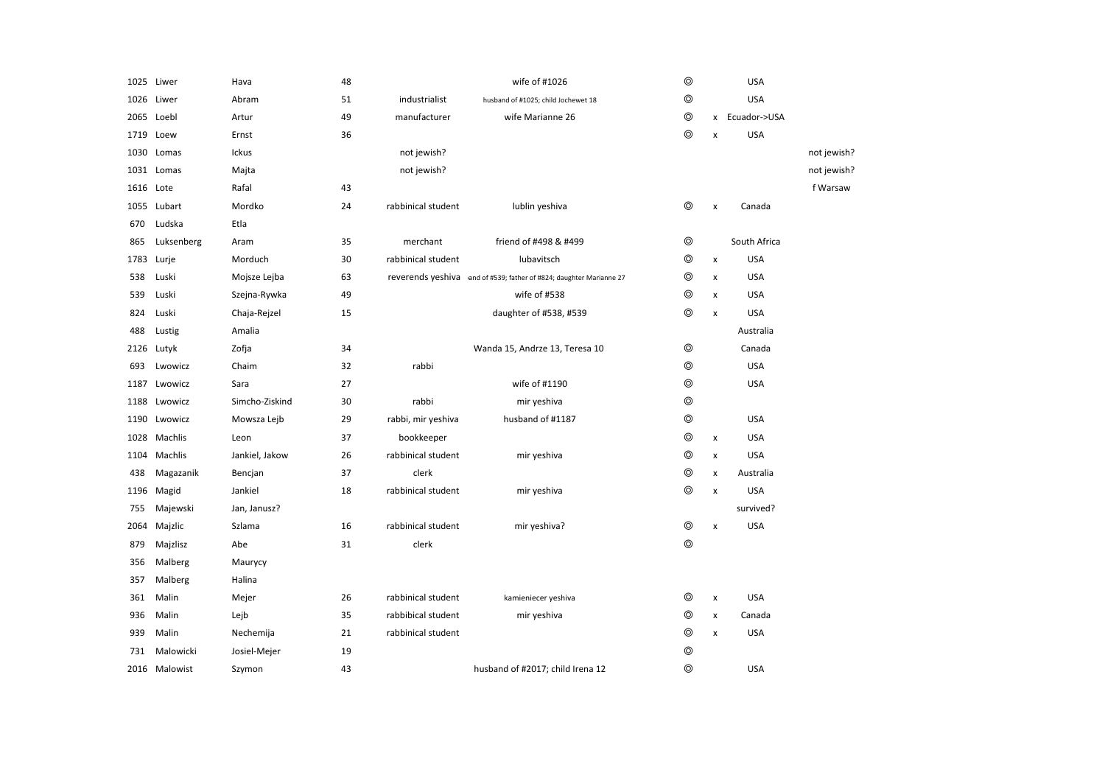|           | 1025 Liwer    | Hava           | 48 |                    | wife of #1026                                                       | $\circledcirc$ |   | <b>USA</b>     |             |
|-----------|---------------|----------------|----|--------------------|---------------------------------------------------------------------|----------------|---|----------------|-------------|
|           | 1026 Liwer    | Abram          | 51 | industrialist      | husband of #1025; child Jochewet 18                                 | $\circledcirc$ |   | <b>USA</b>     |             |
|           | 2065 Loebl    | Artur          | 49 | manufacturer       | wife Marianne 26                                                    | $\circledcirc$ |   | x Ecuador->USA |             |
| 1719      | Loew          | Ernst          | 36 |                    |                                                                     | $\circledcirc$ | x | <b>USA</b>     |             |
| 1030      | Lomas         | Ickus          |    | not jewish?        |                                                                     |                |   |                | not jewish? |
|           | 1031 Lomas    | Majta          |    | not jewish?        |                                                                     |                |   |                | not jewish? |
| 1616 Lote |               | Rafal          | 43 |                    |                                                                     |                |   |                | f Warsaw    |
| 1055      | Lubart        | Mordko         | 24 | rabbinical student | lublin yeshiva                                                      | ⊚              | X | Canada         |             |
| 670       | Ludska        | Etla           |    |                    |                                                                     |                |   |                |             |
| 865       | Luksenberg    | Aram           | 35 | merchant           | friend of #498 & #499                                               | $\circledcirc$ |   | South Africa   |             |
| 1783      | Lurje         | Morduch        | 30 | rabbinical student | lubavitsch                                                          | $\circledcirc$ | X | <b>USA</b>     |             |
| 538       | Luski         | Mojsze Lejba   | 63 |                    | reverends yeshiva and of #539; father of #824; daughter Marianne 27 | ◎              | x | <b>USA</b>     |             |
| 539       | Luski         | Szejna-Rywka   | 49 |                    | wife of #538                                                        | ◎              | X | <b>USA</b>     |             |
| 824       | Luski         | Chaja-Rejzel   | 15 |                    | daughter of #538, #539                                              | $\circledcirc$ | X | <b>USA</b>     |             |
| 488       | Lustig        | Amalia         |    |                    |                                                                     |                |   | Australia      |             |
|           | 2126 Lutyk    | Zofja          | 34 |                    | Wanda 15, Andrze 13, Teresa 10                                      | $\circledcirc$ |   | Canada         |             |
| 693       | Lwowicz       | Chaim          | 32 | rabbi              |                                                                     | $\circledcirc$ |   | <b>USA</b>     |             |
| 1187      | Lwowicz       | Sara           | 27 |                    | wife of #1190                                                       | $\circledcirc$ |   | <b>USA</b>     |             |
| 1188      | Lwowicz       | Simcho-Ziskind | 30 | rabbi              | mir yeshiva                                                         | $\circledcirc$ |   |                |             |
| 1190      | Lwowicz       | Mowsza Lejb    | 29 | rabbi, mir yeshiva | husband of #1187                                                    | $\circledcirc$ |   | <b>USA</b>     |             |
| 1028      | Machlis       | Leon           | 37 | bookkeeper         |                                                                     | $\circledcirc$ | x | <b>USA</b>     |             |
| 1104      | Machlis       | Jankiel, Jakow | 26 | rabbinical student | mir yeshiva                                                         | $\circledcirc$ | X | <b>USA</b>     |             |
| 438       | Magazanik     | Bencjan        | 37 | clerk              |                                                                     | $\circledcirc$ | X | Australia      |             |
| 1196      | Magid         | Jankiel        | 18 | rabbinical student | mir yeshiva                                                         | $\circledcirc$ | X | <b>USA</b>     |             |
| 755       | Majewski      | Jan, Janusz?   |    |                    |                                                                     |                |   | survived?      |             |
| 2064      | Majzlic       | Szlama         | 16 | rabbinical student | mir yeshiva?                                                        | $\circledcirc$ | X | <b>USA</b>     |             |
| 879       | Majzlisz      | Abe            | 31 | clerk              |                                                                     | $\circledcirc$ |   |                |             |
| 356       | Malberg       | Maurycy        |    |                    |                                                                     |                |   |                |             |
| 357       | Malberg       | Halina         |    |                    |                                                                     |                |   |                |             |
| 361       | Malin         | Mejer          | 26 | rabbinical student | kamieniecer yeshiva                                                 | ◎              | x | <b>USA</b>     |             |
| 936       | Malin         | Lejb           | 35 | rabbibical student | mir yeshiva                                                         | $\circledcirc$ | X | Canada         |             |
| 939       | Malin         | Nechemija      | 21 | rabbinical student |                                                                     | $\circledcirc$ | x | <b>USA</b>     |             |
| 731       | Malowicki     | Josiel-Mejer   | 19 |                    |                                                                     | $\circledcirc$ |   |                |             |
|           | 2016 Malowist | Szymon         | 43 |                    | husband of #2017; child Irena 12                                    | $\circledcirc$ |   | <b>USA</b>     |             |
|           |               |                |    |                    |                                                                     |                |   |                |             |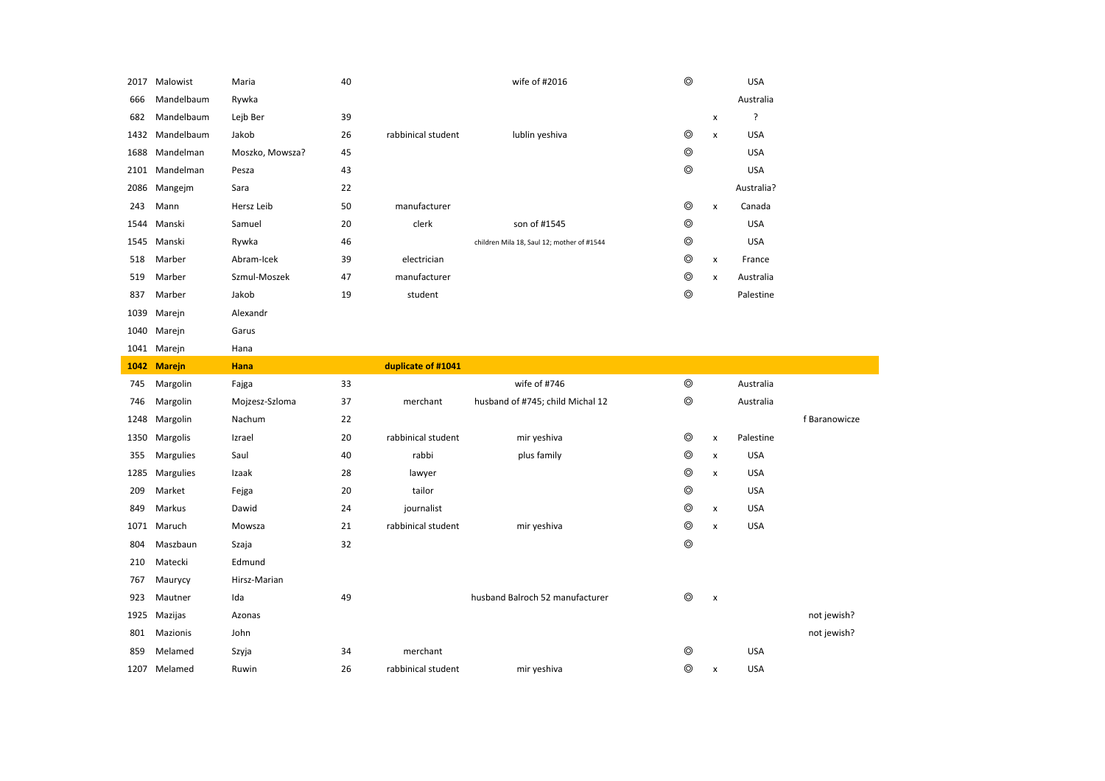|      | 2017 Malowist    | Maria           | 40 |                    | wife of #2016                              | $\circledcirc$ |                    | <b>USA</b> |               |
|------|------------------|-----------------|----|--------------------|--------------------------------------------|----------------|--------------------|------------|---------------|
| 666  | Mandelbaum       | Rywka           |    |                    |                                            |                |                    | Australia  |               |
| 682  | Mandelbaum       | Lejb Ber        | 39 |                    |                                            |                | $\pmb{\mathsf{x}}$ | ?          |               |
| 1432 | Mandelbaum       | Jakob           | 26 | rabbinical student | lublin yeshiva                             | $\circledcirc$ | $\pmb{\times}$     | <b>USA</b> |               |
| 1688 | Mandelman        | Moszko, Mowsza? | 45 |                    |                                            | $\circledcirc$ |                    | <b>USA</b> |               |
|      | 2101 Mandelman   | Pesza           | 43 |                    |                                            | $\circledcirc$ |                    | <b>USA</b> |               |
| 2086 | Mangejm          | Sara            | 22 |                    |                                            |                |                    | Australia? |               |
| 243  | Mann             | Hersz Leib      | 50 | manufacturer       |                                            | ◎              | $\pmb{\mathsf{x}}$ | Canada     |               |
| 1544 | Manski           | Samuel          | 20 | clerk              | son of #1545                               | $\circledcirc$ |                    | <b>USA</b> |               |
| 1545 | Manski           | Rywka           | 46 |                    | children Mila 18, Saul 12; mother of #1544 | $\circledcirc$ |                    | <b>USA</b> |               |
| 518  | Marber           | Abram-Icek      | 39 | electrician        |                                            | ⊚              | x                  | France     |               |
| 519  | Marber           | Szmul-Moszek    | 47 | manufacturer       |                                            | ⊚              | $\pmb{\times}$     | Australia  |               |
| 837  | Marber           | Jakob           | 19 | student            |                                            | ⊚              |                    | Palestine  |               |
| 1039 | Marejn           | Alexandr        |    |                    |                                            |                |                    |            |               |
| 1040 | Marejn           | Garus           |    |                    |                                            |                |                    |            |               |
|      | 1041 Marejn      | Hana            |    |                    |                                            |                |                    |            |               |
|      | 1042 Marejn      | Hana            |    | duplicate of #1041 |                                            |                |                    |            |               |
|      |                  |                 |    |                    |                                            |                |                    |            |               |
| 745  | Margolin         | Fajga           | 33 |                    | wife of #746                               | $\circledcirc$ |                    | Australia  |               |
| 746  | Margolin         | Mojzesz-Szloma  | 37 | merchant           | husband of #745; child Michal 12           | $\circledcirc$ |                    | Australia  |               |
| 1248 | Margolin         | Nachum          | 22 |                    |                                            |                |                    |            | f Baranowicze |
| 1350 | Margolis         | Izrael          | 20 | rabbinical student | mir yeshiva                                | $\circledcirc$ | $\pmb{\times}$     | Palestine  |               |
| 355  | Margulies        | Saul            | 40 | rabbi              | plus family                                | ◎              | $\pmb{\times}$     | <b>USA</b> |               |
| 1285 | <b>Margulies</b> | Izaak           | 28 | lawyer             |                                            | ⊚              | $\pmb{\times}$     | <b>USA</b> |               |
| 209  | Market           | Fejga           | 20 | tailor             |                                            | $\circledcirc$ |                    | <b>USA</b> |               |
| 849  | Markus           | Dawid           | 24 | journalist         |                                            | ⊚              | x                  | <b>USA</b> |               |
| 1071 | Maruch           | Mowsza          | 21 | rabbinical student | mir yeshiva                                | ⊚              | $\pmb{\mathsf{x}}$ | <b>USA</b> |               |
| 804  | Maszbaun         | Szaja           | 32 |                    |                                            | $\circledcirc$ |                    |            |               |
| 210  | Matecki          | Edmund          |    |                    |                                            |                |                    |            |               |
| 767  | Maurycy          | Hirsz-Marian    |    |                    |                                            |                |                    |            |               |
| 923  | Mautner          | Ida             | 49 |                    | husband Balroch 52 manufacturer            | $^{\circ}$     | $\pmb{\times}$     |            |               |
| 1925 | Mazijas          | Azonas          |    |                    |                                            |                |                    |            | not jewish?   |
| 801  | Mazionis         | John            |    |                    |                                            |                |                    |            | not jewish?   |
| 859  | Melamed          | Szyja           | 34 | merchant           |                                            | ◎              |                    | <b>USA</b> |               |
|      | 1207 Melamed     | Ruwin           | 26 | rabbinical student | mir yeshiva                                | ⊚              | $\pmb{\times}$     | <b>USA</b> |               |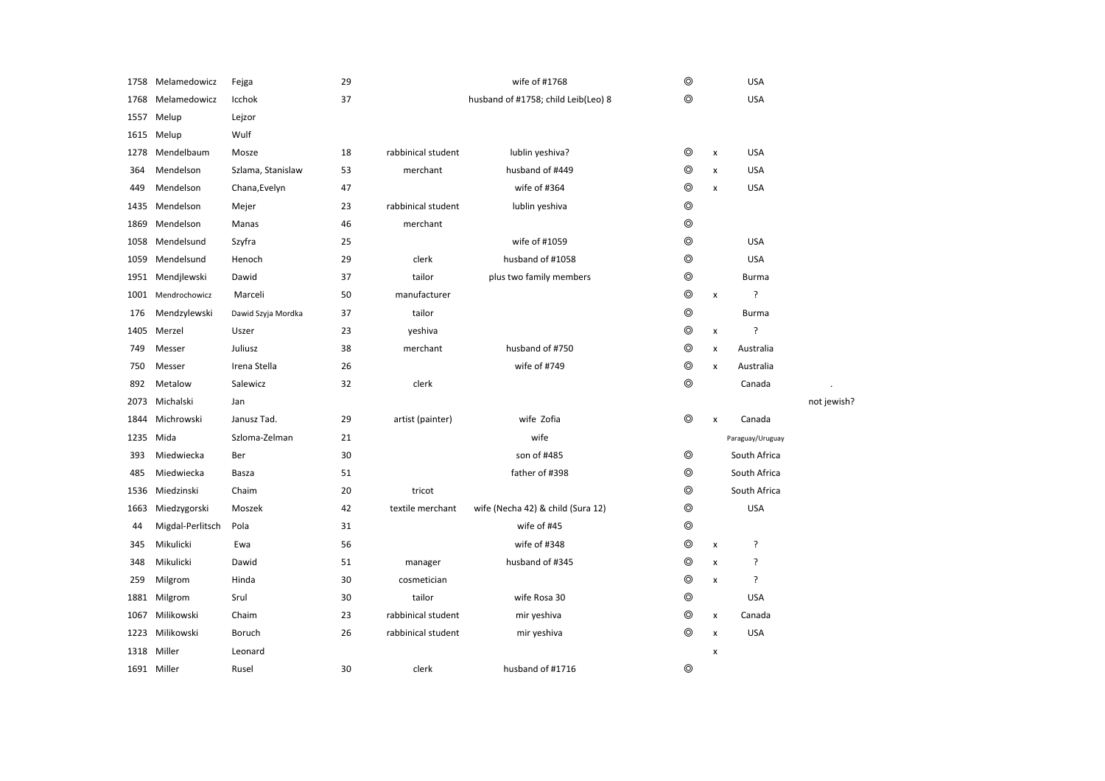| 1758 | Melamedowicz     | Fejga              | 29 |                    | wife of #1768                       | ⊚              |                | <b>USA</b>       |             |
|------|------------------|--------------------|----|--------------------|-------------------------------------|----------------|----------------|------------------|-------------|
| 1768 | Melamedowicz     | Icchok             | 37 |                    | husband of #1758; child Leib(Leo) 8 | ⊚              |                | <b>USA</b>       |             |
| 1557 | Melup            | Lejzor             |    |                    |                                     |                |                |                  |             |
| 1615 | Melup            | Wulf               |    |                    |                                     |                |                |                  |             |
| 1278 | Mendelbaum       | Mosze              | 18 | rabbinical student | lublin yeshiva?                     | ⊚              | $\pmb{\times}$ | <b>USA</b>       |             |
| 364  | Mendelson        | Szlama, Stanislaw  | 53 | merchant           | husband of #449                     | $\circledcirc$ | X              | <b>USA</b>       |             |
| 449  | Mendelson        | Chana, Evelyn      | 47 |                    | wife of #364                        | ◎              | x              | <b>USA</b>       |             |
| 1435 | Mendelson        | Mejer              | 23 | rabbinical student | lublin yeshiva                      | ⊚              |                |                  |             |
| 1869 | Mendelson        | Manas              | 46 | merchant           |                                     | $\circledcirc$ |                |                  |             |
| 1058 | Mendelsund       | Szyfra             | 25 |                    | wife of #1059                       | $^{\circ}$     |                | <b>USA</b>       |             |
| 1059 | Mendelsund       | Henoch             | 29 | clerk              | husband of #1058                    | $\circledcirc$ |                | <b>USA</b>       |             |
| 1951 | Mendjlewski      | Dawid              | 37 | tailor             | plus two family members             | $^{\circ}$     |                | <b>Burma</b>     |             |
| 1001 | Mendrochowicz    | Marceli            | 50 | manufacturer       |                                     | $\circledcirc$ | $\pmb{\times}$ | ?                |             |
| 176  | Mendzylewski     | Dawid Szyja Mordka | 37 | tailor             |                                     | $\circledcirc$ |                | Burma            |             |
|      | 1405 Merzel      | Uszer              | 23 | yeshiva            |                                     | $\circledcirc$ | $\pmb{\times}$ | ?                |             |
| 749  | Messer           | Juliusz            | 38 | merchant           | husband of #750                     | $\circledcirc$ | x              | Australia        |             |
| 750  | Messer           | Irena Stella       | 26 |                    | wife of #749                        | $^{\circ}$     | x              | Australia        |             |
| 892  | Metalow          | Salewicz           | 32 | clerk              |                                     | ⊚              |                | Canada           |             |
| 2073 | Michalski        | Jan                |    |                    |                                     |                |                |                  | not jewish? |
| 1844 | Michrowski       | Janusz Tad.        | 29 | artist (painter)   | wife Zofia                          | $\circledcirc$ | $\pmb{\times}$ | Canada           |             |
| 1235 | Mida             | Szloma-Zelman      | 21 |                    | wife                                |                |                | Paraguay/Uruguay |             |
| 393  | Miedwiecka       | Ber                | 30 |                    | son of #485                         | ⊚              |                | South Africa     |             |
| 485  | Miedwiecka       | Basza              | 51 |                    | father of #398                      | ⊚              |                | South Africa     |             |
| 1536 | Miedzinski       | Chaim              | 20 | tricot             |                                     | $\circledcirc$ |                | South Africa     |             |
| 1663 | Miedzygorski     | Moszek             | 42 | textile merchant   | wife (Necha 42) & child (Sura 12)   | $\circledcirc$ |                | <b>USA</b>       |             |
| 44   | Migdal-Perlitsch | Pola               | 31 |                    | wife of #45                         | $\circledcirc$ |                |                  |             |
| 345  | Mikulicki        | Ewa                | 56 |                    | wife of #348                        | $\circledcirc$ | x              | ?                |             |
| 348  | Mikulicki        | Dawid              | 51 | manager            | husband of #345                     | $\circledcirc$ | $\pmb{\times}$ | ŗ                |             |
| 259  | Milgrom          | Hinda              | 30 | cosmetician        |                                     | $\circledcirc$ | X              | ?                |             |
| 1881 | Milgrom          | Srul               | 30 | tailor             | wife Rosa 30                        | $\circledcirc$ |                | <b>USA</b>       |             |
| 1067 | Milikowski       | Chaim              | 23 | rabbinical student | mir yeshiva                         | ⊚              | x              | Canada           |             |
|      | 1223 Milikowski  | Boruch             | 26 | rabbinical student | mir yeshiva                         | ⊚              | x              | <b>USA</b>       |             |
| 1318 | Miller           | Leonard            |    |                    |                                     |                | X              |                  |             |
|      | 1691 Miller      | Rusel              | 30 | clerk              | husband of #1716                    | $\circledcirc$ |                |                  |             |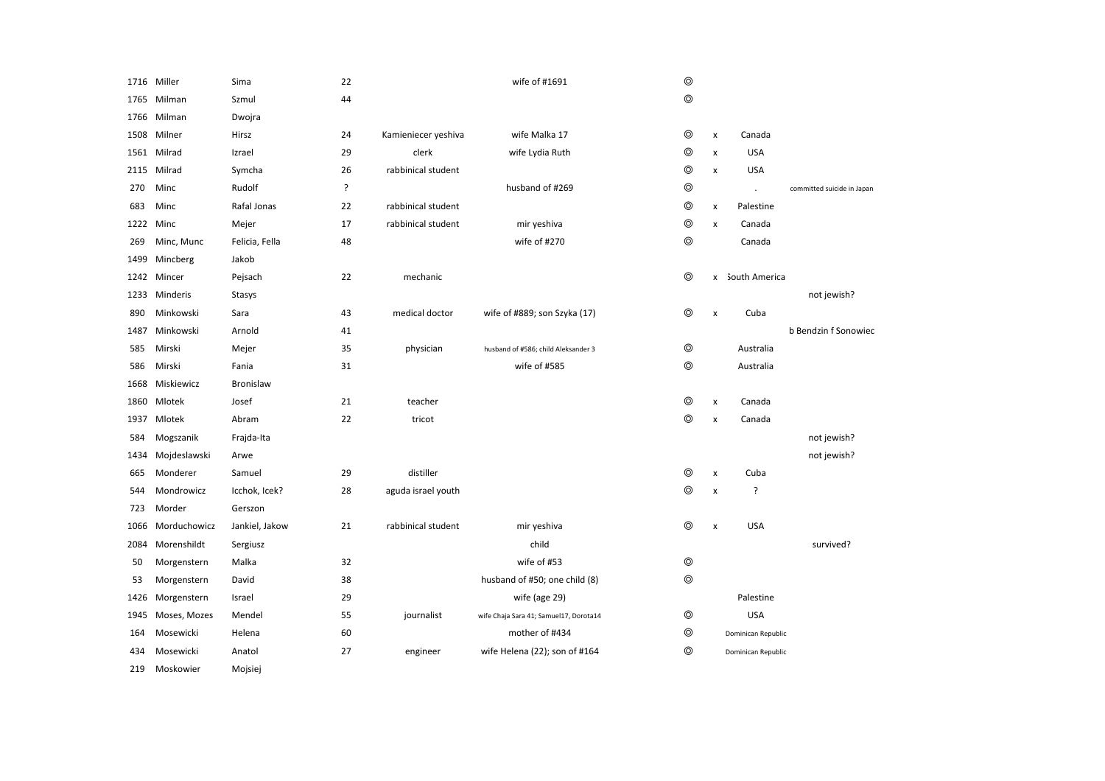|      | 1716 Miller  | Sima             | 22 |                     | wife of #1691                          | $\circledcirc$ |                |                    |                            |
|------|--------------|------------------|----|---------------------|----------------------------------------|----------------|----------------|--------------------|----------------------------|
| 1765 | Milman       | Szmul            | 44 |                     |                                        | $\circledcirc$ |                |                    |                            |
| 1766 | Milman       | Dwojra           |    |                     |                                        |                |                |                    |                            |
| 1508 | Milner       | Hirsz            | 24 | Kamieniecer yeshiva | wife Malka 17                          | ◎              | x              | Canada             |                            |
|      | 1561 Milrad  | Izrael           | 29 | clerk               | wife Lydia Ruth                        | $\circledcirc$ | x              | <b>USA</b>         |                            |
| 2115 | Milrad       | Symcha           | 26 | rabbinical student  |                                        | $\circledcirc$ | x              | <b>USA</b>         |                            |
| 270  | Minc         | Rudolf           | ?  |                     | husband of #269                        | $\circledcirc$ |                | $\cdot$            | committed suicide in Japan |
| 683  | Minc         | Rafal Jonas      | 22 | rabbinical student  |                                        | $\circledcirc$ | x              | Palestine          |                            |
|      | 1222 Minc    | Mejer            | 17 | rabbinical student  | mir yeshiva                            | $\circledcirc$ | x              | Canada             |                            |
| 269  | Minc, Munc   | Felicia, Fella   | 48 |                     | wife of #270                           | $\circledcirc$ |                | Canada             |                            |
| 1499 | Mincberg     | Jakob            |    |                     |                                        |                |                |                    |                            |
| 1242 | Mincer       | Pejsach          | 22 | mechanic            |                                        | $\circledcirc$ |                | x South America    |                            |
| 1233 | Minderis     | Stasys           |    |                     |                                        |                |                |                    | not jewish?                |
| 890  | Minkowski    | Sara             | 43 | medical doctor      | wife of #889; son Szyka (17)           | $\circledcirc$ | $\pmb{\times}$ | Cuba               |                            |
| 1487 | Minkowski    | Arnold           | 41 |                     |                                        |                |                |                    | b Bendzin f Sonowiec       |
| 585  | Mirski       | Mejer            | 35 | physician           | husband of #586; child Aleksander 3    | $\circledcirc$ |                | Australia          |                            |
| 586  | Mirski       | Fania            | 31 |                     | wife of #585                           | $\circledcirc$ |                | Australia          |                            |
| 1668 | Miskiewicz   | <b>Bronislaw</b> |    |                     |                                        |                |                |                    |                            |
| 1860 | Mlotek       | Josef            | 21 | teacher             |                                        | $\circledcirc$ | x              | Canada             |                            |
| 1937 | Mlotek       | Abram            | 22 | tricot              |                                        | $\circledcirc$ | x              | Canada             |                            |
| 584  | Mogszanik    | Frajda-Ita       |    |                     |                                        |                |                |                    | not jewish?                |
| 1434 | Mojdeslawski | Arwe             |    |                     |                                        |                |                |                    | not jewish?                |
| 665  | Monderer     | Samuel           | 29 | distiller           |                                        | ⊚              | x              | Cuba               |                            |
| 544  | Mondrowicz   | Icchok, Icek?    | 28 | aguda israel youth  |                                        | $\circledcirc$ | x              | ?                  |                            |
| 723  | Morder       | Gerszon          |    |                     |                                        |                |                |                    |                            |
| 1066 | Morduchowicz | Jankiel, Jakow   | 21 | rabbinical student  | mir yeshiva                            | ⊚              | $\pmb{\times}$ | <b>USA</b>         |                            |
| 2084 | Morenshildt  | Sergiusz         |    |                     | child                                  |                |                |                    | survived?                  |
| 50   | Morgenstern  | Malka            | 32 |                     | wife of #53                            | $\circledcirc$ |                |                    |                            |
| 53   | Morgenstern  | David            | 38 |                     | husband of #50; one child (8)          | ⊚              |                |                    |                            |
| 1426 | Morgenstern  | Israel           | 29 |                     | wife (age 29)                          |                |                | Palestine          |                            |
| 1945 | Moses, Mozes | Mendel           | 55 | journalist          | wife Chaja Sara 41; Samuel17, Dorota14 | $\circledcirc$ |                | <b>USA</b>         |                            |
| 164  | Mosewicki    | Helena           | 60 |                     | mother of #434                         | $\circledcirc$ |                | Dominican Republic |                            |
| 434  | Mosewicki    | Anatol           | 27 | engineer            | wife Helena (22); son of #164          | ⊚              |                | Dominican Republic |                            |
| 219  | Moskowier    | Mojsiej          |    |                     |                                        |                |                |                    |                            |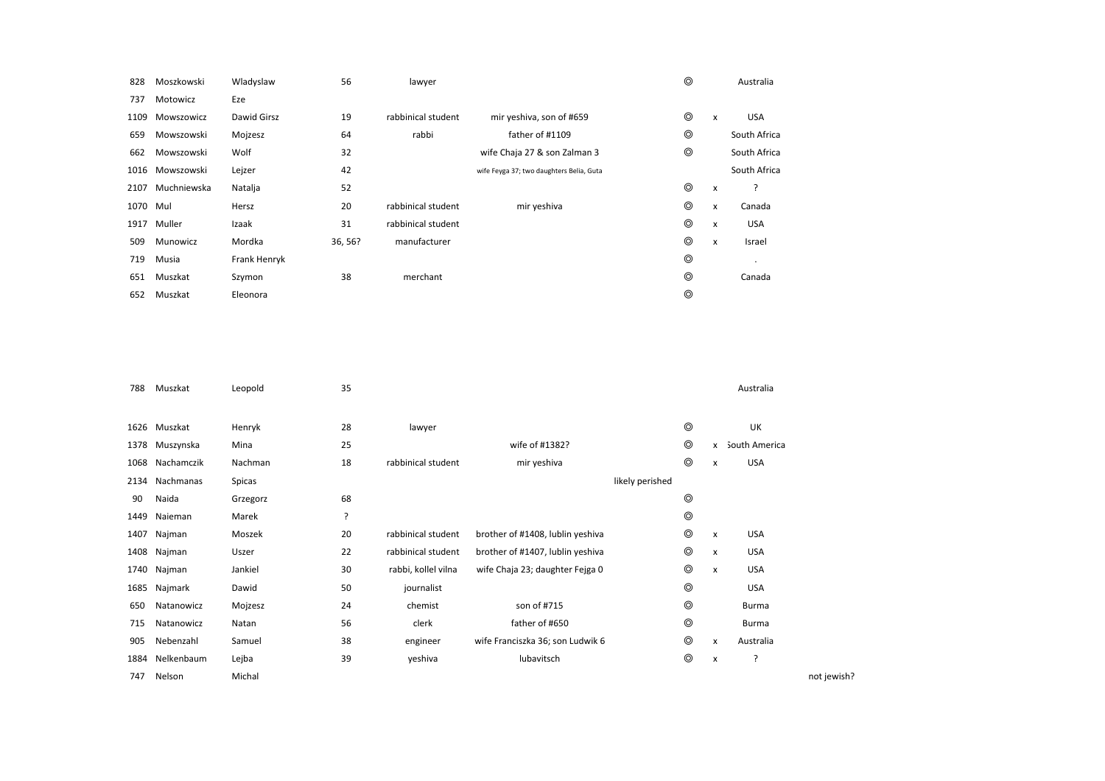| 828  | Moszkowski  | Wladyslaw    | 56      | lawyer             |                                          | $\circledcirc$ |   | Australia    |
|------|-------------|--------------|---------|--------------------|------------------------------------------|----------------|---|--------------|
| 737  | Motowicz    | Eze          |         |                    |                                          |                |   |              |
| 1109 | Mowszowicz  | Dawid Girsz  | 19      | rabbinical student | mir yeshiva, son of #659                 | $\circledcirc$ | x | <b>USA</b>   |
| 659  | Mowszowski  | Mojzesz      | 64      | rabbi              | father of #1109                          | $\circledcirc$ |   | South Africa |
| 662  | Mowszowski  | Wolf         | 32      |                    | wife Chaja 27 & son Zalman 3             | $\circledcirc$ |   | South Africa |
| 1016 | Mowszowski  | Lejzer       | 42      |                    | wife Feyga 37; two daughters Belia, Guta |                |   | South Africa |
| 2107 | Muchniewska | Natalja      | 52      |                    |                                          | ⊚              | x | ?            |
| 1070 | Mul         | Hersz        | 20      | rabbinical student | mir yeshiva                              | $\circledcirc$ | x | Canada       |
| 1917 | Muller      | Izaak        | 31      | rabbinical student |                                          | $\circledcirc$ | x | <b>USA</b>   |
| 509  | Munowicz    | Mordka       | 36, 56? | manufacturer       |                                          | $\circledcirc$ | x | Israel       |
| 719  | Musia       | Frank Henryk |         |                    |                                          | ⊚              |   |              |
| 651  | Muszkat     | Szymon       | 38      | merchant           |                                          | ⊚              |   | Canada       |
| 652  | Muszkat     | Eleonora     |         |                    |                                          | ⊚              |   |              |

| 788  | Muszkat    | Leopold  | 35 |                     |                                  |                 |                |                | Australia     |             |
|------|------------|----------|----|---------------------|----------------------------------|-----------------|----------------|----------------|---------------|-------------|
|      |            |          |    |                     |                                  |                 |                |                |               |             |
| 1626 | Muszkat    | Henryk   | 28 | lawyer              |                                  |                 | $\circledcirc$ |                | UK            |             |
| 1378 | Muszynska  | Mina     | 25 |                     | wife of #1382?                   |                 | $\circledcirc$ | x              | South America |             |
| 1068 | Nachamczik | Nachman  | 18 | rabbinical student  | mir yeshiva                      |                 | $^{\circ}$     | $\pmb{\times}$ | <b>USA</b>    |             |
| 2134 | Nachmanas  | Spicas   |    |                     |                                  | likely perished |                |                |               |             |
| 90   | Naida      | Grzegorz | 68 |                     |                                  |                 | ⊚              |                |               |             |
| 1449 | Naieman    | Marek    | ?  |                     |                                  |                 | $^{\circ}$     |                |               |             |
| 1407 | Najman     | Moszek   | 20 | rabbinical student  | brother of #1408, lublin yeshiva |                 | $^{\circ}$     | x              | <b>USA</b>    |             |
| 1408 | Najman     | Uszer    | 22 | rabbinical student  | brother of #1407, lublin yeshiva |                 | $^{\circ}$     | x              | <b>USA</b>    |             |
| 1740 | Najman     | Jankiel  | 30 | rabbi, kollel vilna | wife Chaja 23; daughter Fejga 0  |                 | $^{\circ}$     | X              | <b>USA</b>    |             |
| 1685 | Najmark    | Dawid    | 50 | journalist          |                                  |                 | $^{\circ}$     |                | <b>USA</b>    |             |
| 650  | Natanowicz | Mojzesz  | 24 | chemist             | son of #715                      |                 | $^{\circ}$     |                | Burma         |             |
| 715  | Natanowicz | Natan    | 56 | clerk               | father of #650                   |                 | $^{\circ}$     |                | Burma         |             |
| 905  | Nebenzahl  | Samuel   | 38 | engineer            | wife Franciszka 36; son Ludwik 6 |                 | $^{\circ}$     | x              | Australia     |             |
| 1884 | Nelkenbaum | Lejba    | 39 | yeshiva             | lubavitsch                       |                 | $\circledcirc$ | x              | ?             |             |
| 747  | Nelson     | Michal   |    |                     |                                  |                 |                |                |               | not jewish? |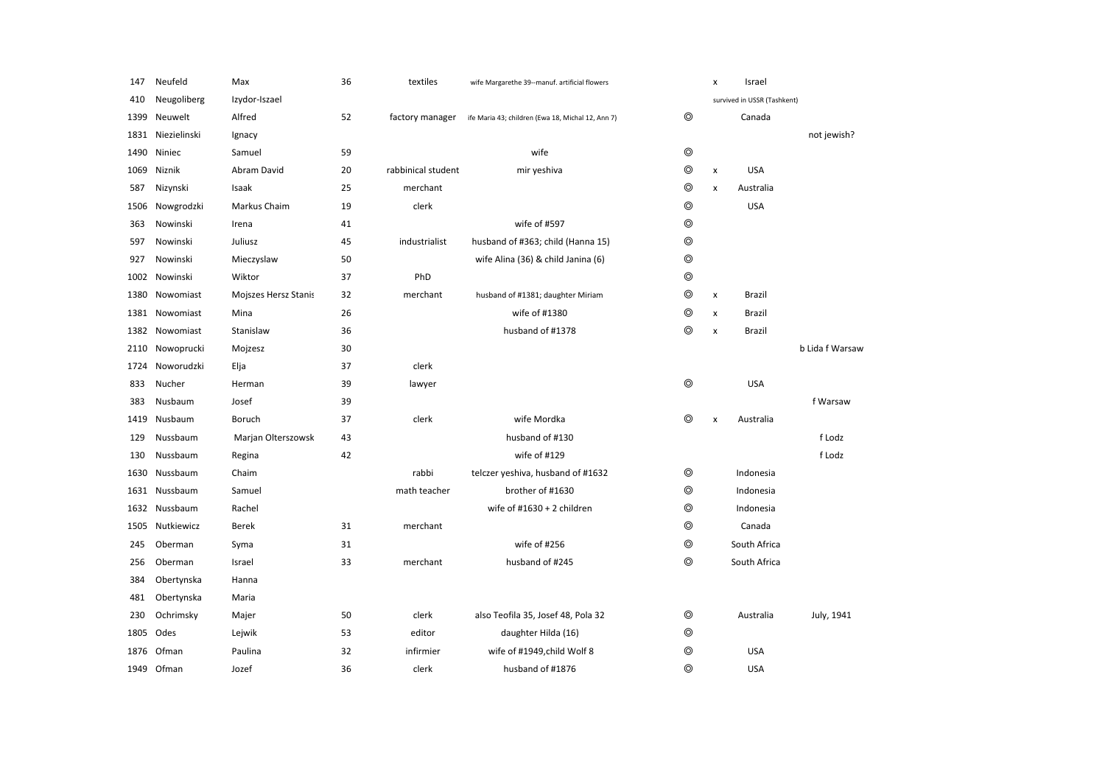| 147  | Neufeld       | Max                  | 36 | textiles           | wife Margarethe 39--manuf. artificial flowers     |                | x                  | Israel                      |                 |
|------|---------------|----------------------|----|--------------------|---------------------------------------------------|----------------|--------------------|-----------------------------|-----------------|
| 410  | Neugoliberg   | Izydor-Iszael        |    |                    |                                                   |                |                    | survived in USSR (Tashkent) |                 |
| 1399 | Neuwelt       | Alfred               | 52 | factory manager    | ife Maria 43; children (Ewa 18, Michal 12, Ann 7) | $^{\circ}$     |                    | Canada                      |                 |
| 1831 | Niezielinski  | Ignacy               |    |                    |                                                   |                |                    |                             | not jewish?     |
| 1490 | Niniec        | Samuel               | 59 |                    | wife                                              | $\circledcirc$ |                    |                             |                 |
| 1069 | Niznik        | Abram David          | 20 | rabbinical student | mir yeshiva                                       | $\circledcirc$ | $\pmb{\times}$     | <b>USA</b>                  |                 |
| 587  | Nizynski      | Isaak                | 25 | merchant           |                                                   | $\circledcirc$ | $\pmb{\times}$     | Australia                   |                 |
| 1506 | Nowgrodzki    | Markus Chaim         | 19 | clerk              |                                                   | $\circledcirc$ |                    | <b>USA</b>                  |                 |
| 363  | Nowinski      | Irena                | 41 |                    | wife of #597                                      | $\circledcirc$ |                    |                             |                 |
| 597  | Nowinski      | Juliusz              | 45 | industrialist      | husband of #363; child (Hanna 15)                 | $\circledcirc$ |                    |                             |                 |
| 927  | Nowinski      | Mieczyslaw           | 50 |                    | wife Alina (36) & child Janina (6)                | $\circledcirc$ |                    |                             |                 |
|      | 1002 Nowinski | Wiktor               | 37 | PhD                |                                                   | $\circledcirc$ |                    |                             |                 |
| 1380 | Nowomiast     | Mojszes Hersz Stanis | 32 | merchant           | husband of #1381; daughter Miriam                 | ⊚              | $\pmb{\times}$     | Brazil                      |                 |
| 1381 | Nowomiast     | Mina                 | 26 |                    | wife of #1380                                     | ⊚              | X                  | Brazil                      |                 |
| 1382 | Nowomiast     | Stanislaw            | 36 |                    | husband of #1378                                  | $\circledcirc$ | $\pmb{\times}$     | Brazil                      |                 |
| 2110 | Nowoprucki    | Mojzesz              | 30 |                    |                                                   |                |                    |                             | b Lida f Warsaw |
| 1724 | Noworudzki    | Elja                 | 37 | clerk              |                                                   |                |                    |                             |                 |
| 833  | Nucher        | Herman               | 39 | lawyer             |                                                   | $\circledcirc$ |                    | <b>USA</b>                  |                 |
| 383  | Nusbaum       | Josef                | 39 |                    |                                                   |                |                    |                             | f Warsaw        |
| 1419 | Nusbaum       | Boruch               | 37 | clerk              | wife Mordka                                       | $\circledcirc$ | $\pmb{\mathsf{x}}$ | Australia                   |                 |
| 129  | Nussbaum      | Marjan Olterszowsk   | 43 |                    | husband of #130                                   |                |                    |                             | f Lodz          |
| 130  | Nussbaum      | Regina               | 42 |                    | wife of #129                                      |                |                    |                             | f Lodz          |
| 1630 | Nussbaum      | Chaim                |    | rabbi              | telczer yeshiva, husband of #1632                 | ⊚              |                    | Indonesia                   |                 |
| 1631 | Nussbaum      | Samuel               |    | math teacher       | brother of #1630                                  | ⊚              |                    | Indonesia                   |                 |
| 1632 | Nussbaum      | Rachel               |    |                    | wife of $\#1630 + 2$ children                     | ⊚              |                    | Indonesia                   |                 |
| 1505 | Nutkiewicz    | <b>Berek</b>         | 31 | merchant           |                                                   | $\circledcirc$ |                    | Canada                      |                 |
| 245  | Oberman       | Syma                 | 31 |                    | wife of #256                                      | $\circledcirc$ |                    | South Africa                |                 |
| 256  | Oberman       | Israel               | 33 | merchant           | husband of #245                                   | $\circledcirc$ |                    | South Africa                |                 |
| 384  | Obertynska    | Hanna                |    |                    |                                                   |                |                    |                             |                 |
| 481  | Obertynska    | Maria                |    |                    |                                                   |                |                    |                             |                 |
| 230  | Ochrimsky     | Majer                | 50 | clerk              | also Teofila 35, Josef 48, Pola 32                | ◎              |                    | Australia                   | July, 1941      |
| 1805 | Odes          | Lejwik               | 53 | editor             | daughter Hilda (16)                               | $\circledcirc$ |                    |                             |                 |
| 1876 | Ofman         | Paulina              | 32 | infirmier          | wife of #1949,child Wolf 8                        | $\circledcirc$ |                    | <b>USA</b>                  |                 |
| 1949 | Ofman         | Jozef                | 36 | clerk              | husband of #1876                                  | ⊚              |                    | <b>USA</b>                  |                 |
|      |               |                      |    |                    |                                                   |                |                    |                             |                 |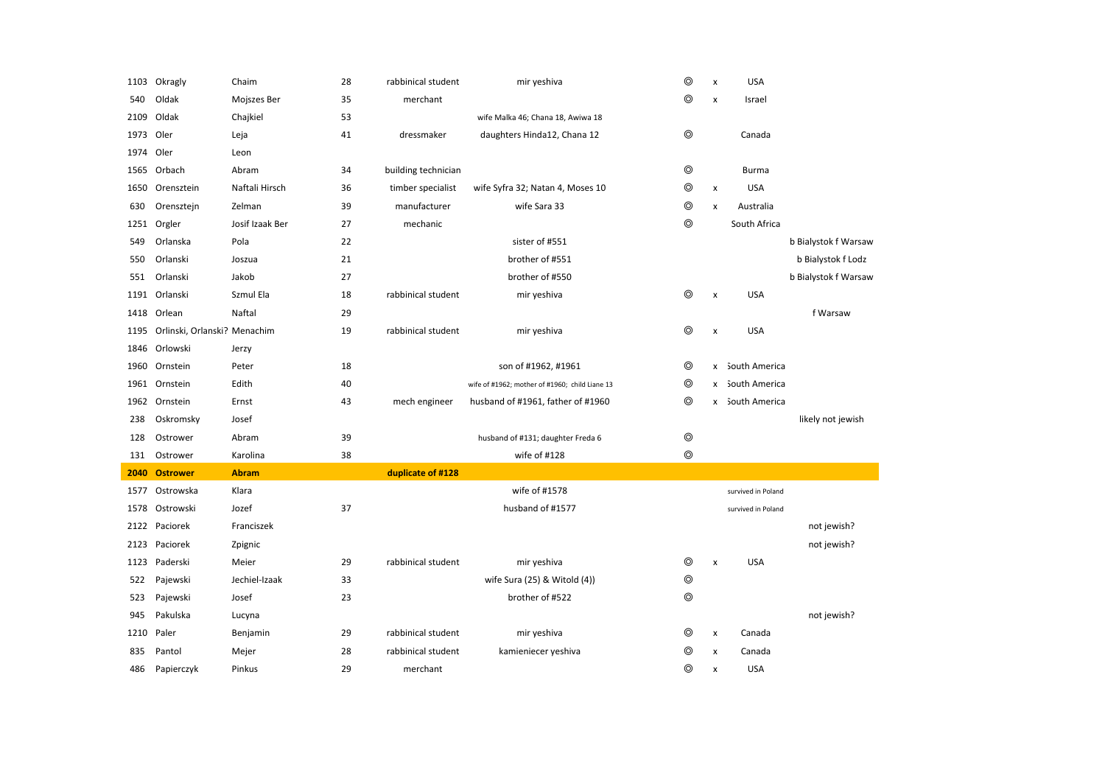| 1103 | Okragly                      | Chaim           | 28 | rabbinical student  | mir yeshiva                                    | $^{\circ}$     | x                  | <b>USA</b>         |                      |
|------|------------------------------|-----------------|----|---------------------|------------------------------------------------|----------------|--------------------|--------------------|----------------------|
| 540  | Oldak                        | Mojszes Ber     | 35 | merchant            |                                                | ⊚              | X                  | Israel             |                      |
| 2109 | Oldak                        | Chajkiel        | 53 |                     | wife Malka 46; Chana 18, Awiwa 18              |                |                    |                    |                      |
| 1973 | Oler                         | Leja            | 41 | dressmaker          | daughters Hinda12, Chana 12                    | ⊚              |                    | Canada             |                      |
| 1974 | Oler                         | Leon            |    |                     |                                                |                |                    |                    |                      |
| 1565 | Orbach                       | Abram           | 34 | building technician |                                                | $\circledcirc$ |                    | <b>Burma</b>       |                      |
| 1650 | Orensztein                   | Naftali Hirsch  | 36 | timber specialist   | wife Syfra 32; Natan 4, Moses 10               | $\circledcirc$ | x                  | <b>USA</b>         |                      |
| 630  | Orensztejn                   | Zelman          | 39 | manufacturer        | wife Sara 33                                   | ⊚              | x                  | Australia          |                      |
| 1251 | Orgler                       | Josif Izaak Ber | 27 | mechanic            |                                                | $^{\circ}$     |                    | South Africa       |                      |
| 549  | Orlanska                     | Pola            | 22 |                     | sister of #551                                 |                |                    |                    | b Bialystok f Warsaw |
| 550  | Orlanski                     | Joszua          | 21 |                     | brother of #551                                |                |                    |                    | b Bialystok f Lodz   |
| 551  | Orlanski                     | Jakob           | 27 |                     | brother of #550                                |                |                    |                    | b Bialystok f Warsaw |
|      | 1191 Orlanski                | Szmul Ela       | 18 | rabbinical student  | mir yeshiva                                    | ⊚              | $\pmb{\mathsf{x}}$ | <b>USA</b>         |                      |
| 1418 | Orlean                       | Naftal          | 29 |                     |                                                |                |                    |                    | f Warsaw             |
| 1195 | Orlinski, Orlanski? Menachim |                 | 19 | rabbinical student  | mir yeshiva                                    | $^{\circ}$     | X                  | <b>USA</b>         |                      |
| 1846 | Orlowski                     | Jerzy           |    |                     |                                                |                |                    |                    |                      |
| 1960 | Ornstein                     | Peter           | 18 |                     | son of #1962, #1961                            | ⊚              |                    | x South America    |                      |
|      | 1961 Ornstein                | Edith           | 40 |                     | wife of #1962; mother of #1960; child Liane 13 | ⊚              |                    | x South America    |                      |
|      | 1962 Ornstein                | Ernst           | 43 | mech engineer       | husband of #1961, father of #1960              | ⊚              |                    | x South America    |                      |
| 238  | Oskromsky                    | Josef           |    |                     |                                                |                |                    |                    | likely not jewish    |
| 128  | Ostrower                     | Abram           | 39 |                     | husband of #131; daughter Freda 6              | $\circledcirc$ |                    |                    |                      |
| 131  | Ostrower                     | Karolina        | 38 |                     | wife of #128                                   | ⊚              |                    |                    |                      |
| 2040 | <b>Ostrower</b>              | <b>Abram</b>    |    | duplicate of #128   |                                                |                |                    |                    |                      |
| 1577 | Ostrowska                    | Klara           |    |                     | wife of #1578                                  |                |                    | survived in Poland |                      |
| 1578 | Ostrowski                    | Jozef           | 37 |                     | husband of #1577                               |                |                    | survived in Poland |                      |
| 2122 | Paciorek                     | Franciszek      |    |                     |                                                |                |                    |                    | not jewish?          |
| 2123 | Paciorek                     | Zpignic         |    |                     |                                                |                |                    |                    | not jewish?          |
| 1123 | Paderski                     | Meier           | 29 | rabbinical student  | mir yeshiva                                    | $\circledcirc$ | x                  | <b>USA</b>         |                      |
| 522  | Pajewski                     | Jechiel-Izaak   | 33 |                     | wife Sura (25) & Witold (4))                   | $\circledcirc$ |                    |                    |                      |
| 523  | Pajewski                     | Josef           | 23 |                     | brother of #522                                | ⊚              |                    |                    |                      |
| 945  | Pakulska                     | Lucyna          |    |                     |                                                |                |                    |                    | not jewish?          |
| 1210 | Paler                        | Benjamin        | 29 | rabbinical student  | mir yeshiva                                    | ⊚              | $\pmb{\times}$     | Canada             |                      |
| 835  | Pantol                       | Mejer           | 28 | rabbinical student  | kamieniecer yeshiva                            | ⊚              | X                  | Canada             |                      |
|      |                              |                 |    |                     |                                                |                |                    |                    |                      |
| 486  | Papierczyk                   | Pinkus          | 29 | merchant            |                                                | ⊚              | x                  | <b>USA</b>         |                      |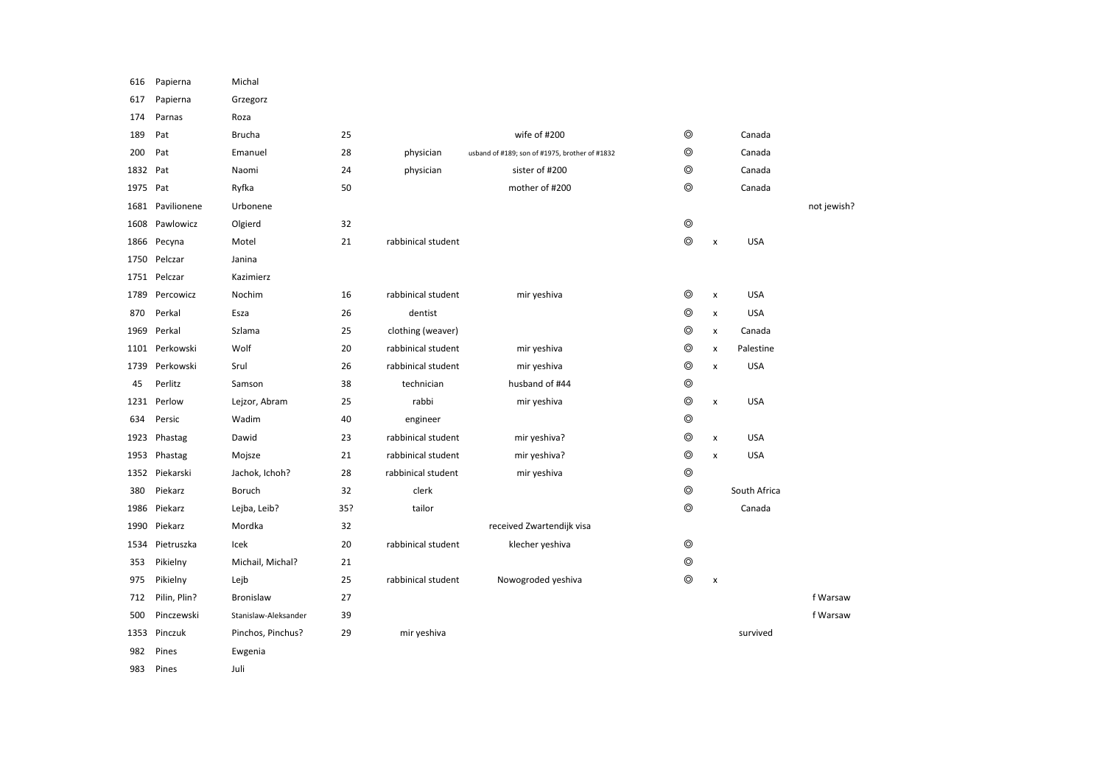| 616  | Papierna       | Michal               |     |                    |                                                |                |                |              |             |
|------|----------------|----------------------|-----|--------------------|------------------------------------------------|----------------|----------------|--------------|-------------|
| 617  | Papierna       | Grzegorz             |     |                    |                                                |                |                |              |             |
| 174  | Parnas         | Roza                 |     |                    |                                                |                |                |              |             |
| 189  | Pat            | <b>Brucha</b>        | 25  |                    | wife of #200                                   | $\circledcirc$ |                | Canada       |             |
| 200  | Pat            | Emanuel              | 28  | physician          | usband of #189; son of #1975, brother of #1832 | $^{\circ}$     |                | Canada       |             |
| 1832 | Pat            | Naomi                | 24  | physician          | sister of #200                                 | $\circledcirc$ |                | Canada       |             |
| 1975 | Pat            | Ryfka                | 50  |                    | mother of #200                                 | $^{\circ}$     |                | Canada       |             |
| 1681 | Pavilionene    | Urbonene             |     |                    |                                                |                |                |              | not jewish? |
| 1608 | Pawlowicz      | Olgierd              | 32  |                    |                                                | $\circledcirc$ |                |              |             |
| 1866 | Pecyna         | Motel                | 21  | rabbinical student |                                                | $\circledcirc$ | $\pmb{\times}$ | <b>USA</b>   |             |
| 1750 | Pelczar        | Janina               |     |                    |                                                |                |                |              |             |
|      | 1751 Pelczar   | Kazimierz            |     |                    |                                                |                |                |              |             |
| 1789 | Percowicz      | Nochim               | 16  | rabbinical student | mir yeshiva                                    | $^{\circ}$     | $\pmb{\times}$ | <b>USA</b>   |             |
| 870  | Perkal         | Esza                 | 26  | dentist            |                                                | $^{\circ}$     | $\pmb{\times}$ | <b>USA</b>   |             |
| 1969 | Perkal         | Szlama               | 25  | clothing (weaver)  |                                                | $\circledcirc$ | $\pmb{\times}$ | Canada       |             |
| 1101 | Perkowski      | Wolf                 | 20  | rabbinical student | mir yeshiva                                    | $\circledcirc$ | $\pmb{\times}$ | Palestine    |             |
| 1739 | Perkowski      | Srul                 | 26  | rabbinical student | mir yeshiva                                    | $^{\circ}$     | $\pmb{\times}$ | <b>USA</b>   |             |
| 45   | Perlitz        | Samson               | 38  | technician         | husband of #44                                 | $\circledcirc$ |                |              |             |
| 1231 | Perlow         | Lejzor, Abram        | 25  | rabbi              | mir yeshiva                                    | $\circledcirc$ | $\pmb{\times}$ | <b>USA</b>   |             |
| 634  | Persic         | Wadim                | 40  | engineer           |                                                | $\circledcirc$ |                |              |             |
| 1923 | Phastag        | Dawid                | 23  | rabbinical student | mir yeshiva?                                   | $\circledcirc$ | $\pmb{\times}$ | <b>USA</b>   |             |
| 1953 | Phastag        | Mojsze               | 21  | rabbinical student | mir yeshiva?                                   | $^{\circ}$     | $\pmb{\times}$ | <b>USA</b>   |             |
|      | 1352 Piekarski | Jachok, Ichoh?       | 28  | rabbinical student | mir yeshiva                                    | $\circledcirc$ |                |              |             |
| 380  | Piekarz        | Boruch               | 32  | clerk              |                                                | $\circledcirc$ |                | South Africa |             |
| 1986 | Piekarz        | Lejba, Leib?         | 35? | tailor             |                                                | $\circledcirc$ |                | Canada       |             |
| 1990 | Piekarz        | Mordka               | 32  |                    | received Zwartendijk visa                      |                |                |              |             |
| 1534 | Pietruszka     | Icek                 | 20  | rabbinical student | klecher yeshiva                                | $\circledcirc$ |                |              |             |
| 353  | Pikielny       | Michail, Michal?     | 21  |                    |                                                | $\circledcirc$ |                |              |             |
| 975  | Pikielny       | Lejb                 | 25  | rabbinical student | Nowogroded yeshiva                             | $^{\circ}$     | X              |              |             |
| 712  | Pilin, Plin?   | <b>Bronislaw</b>     | 27  |                    |                                                |                |                |              | f Warsaw    |
| 500  | Pinczewski     | Stanislaw-Aleksander | 39  |                    |                                                |                |                |              | f Warsaw    |
| 1353 | Pinczuk        | Pinchos, Pinchus?    | 29  | mir yeshiva        |                                                |                |                | survived     |             |
| 982  | Pines          | Ewgenia              |     |                    |                                                |                |                |              |             |
| 983  | Pines          | Juli                 |     |                    |                                                |                |                |              |             |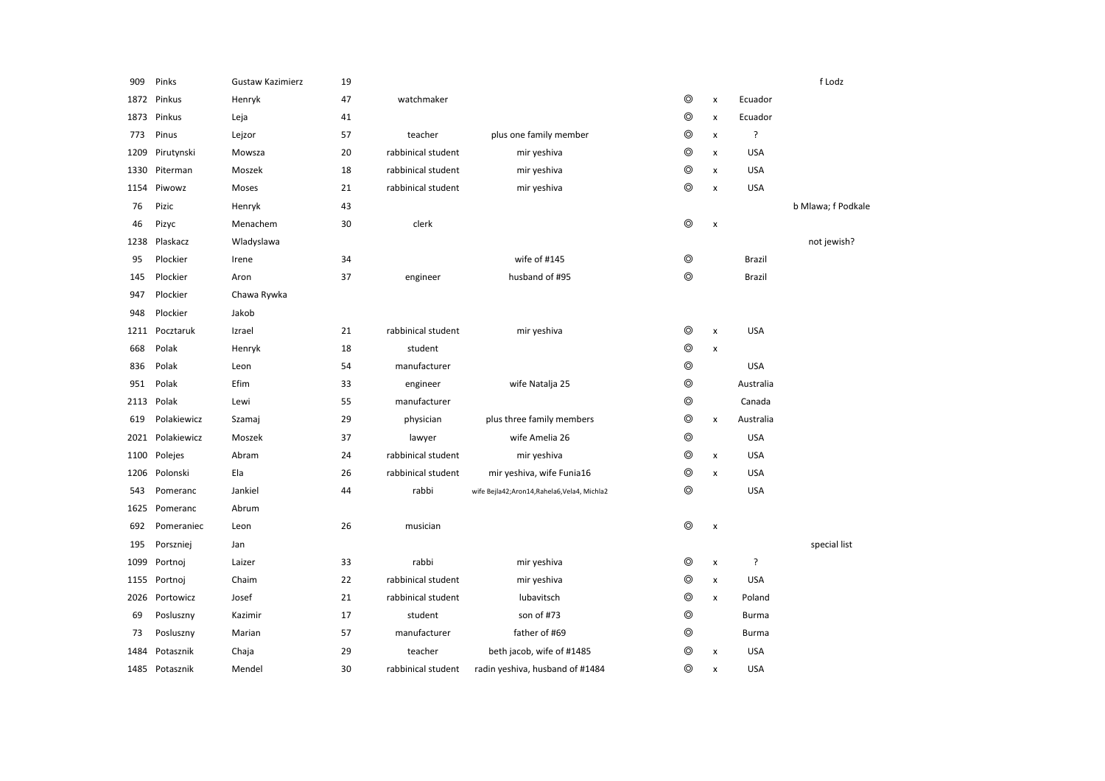| 909  | Pinks       | <b>Gustaw Kazimierz</b> | 19 |                    |                                            |                |                    |              | f Lodz             |
|------|-------------|-------------------------|----|--------------------|--------------------------------------------|----------------|--------------------|--------------|--------------------|
| 1872 | Pinkus      | Henryk                  | 47 | watchmaker         |                                            | ⊚              | x                  | Ecuador      |                    |
| 1873 | Pinkus      | Leja                    | 41 |                    |                                            | ⊚              | X                  | Ecuador      |                    |
| 773  | Pinus       | Lejzor                  | 57 | teacher            | plus one family member                     | ⊚              | x                  | ?            |                    |
| 1209 | Pirutynski  | Mowsza                  | 20 | rabbinical student | mir yeshiva                                | ⊚              | x                  | <b>USA</b>   |                    |
| 1330 | Piterman    | Moszek                  | 18 | rabbinical student | mir yeshiva                                | ⊚              | X                  | <b>USA</b>   |                    |
| 1154 | Piwowz      | Moses                   | 21 | rabbinical student | mir yeshiva                                | $\circledcirc$ | $\pmb{\mathsf{x}}$ | USA          |                    |
| 76   | Pizic       | Henryk                  | 43 |                    |                                            |                |                    |              | b Mlawa; f Podkale |
| 46   | Pizyc       | Menachem                | 30 | clerk              |                                            | $^{\circ}$     | X                  |              |                    |
| 1238 | Plaskacz    | Wladyslawa              |    |                    |                                            |                |                    |              | not jewish?        |
| 95   | Plockier    | Irene                   | 34 |                    | wife of #145                               | $\circledcirc$ |                    | Brazil       |                    |
| 145  | Plockier    | Aron                    | 37 | engineer           | husband of #95                             | $\circledcirc$ |                    | Brazil       |                    |
| 947  | Plockier    | Chawa Rywka             |    |                    |                                            |                |                    |              |                    |
| 948  | Plockier    | Jakob                   |    |                    |                                            |                |                    |              |                    |
| 1211 | Pocztaruk   | Izrael                  | 21 | rabbinical student | mir yeshiva                                | $\circledcirc$ | x                  | <b>USA</b>   |                    |
| 668  | Polak       | Henryk                  | 18 | student            |                                            | $\circledcirc$ | x                  |              |                    |
| 836  | Polak       | Leon                    | 54 | manufacturer       |                                            | $^{\circ}$     |                    | <b>USA</b>   |                    |
| 951  | Polak       | Efim                    | 33 | engineer           | wife Natalja 25                            | $\circledcirc$ |                    | Australia    |                    |
| 2113 | Polak       | Lewi                    | 55 | manufacturer       |                                            | $\circledcirc$ |                    | Canada       |                    |
| 619  | Polakiewicz | Szamaj                  | 29 | physician          | plus three family members                  | $\circledcirc$ | x                  | Australia    |                    |
| 2021 | Polakiewicz | Moszek                  | 37 | lawyer             | wife Amelia 26                             | ◎              |                    | <b>USA</b>   |                    |
| 1100 | Polejes     | Abram                   | 24 | rabbinical student | mir yeshiva                                | ⊚              | $\pmb{\mathsf{x}}$ | <b>USA</b>   |                    |
| 1206 | Polonski    | Ela                     | 26 | rabbinical student | mir yeshiva, wife Funia16                  | ⊚              | X                  | <b>USA</b>   |                    |
| 543  | Pomeranc    | Jankiel                 | 44 | rabbi              | wife Bejla42;Aron14,Rahela6,Vela4, Michla2 | ⊚              |                    | <b>USA</b>   |                    |
| 1625 | Pomeranc    | Abrum                   |    |                    |                                            |                |                    |              |                    |
| 692  | Pomeraniec  | Leon                    | 26 | musician           |                                            | $\circledcirc$ | X                  |              |                    |
| 195  | Porszniej   | Jan                     |    |                    |                                            |                |                    |              | special list       |
| 1099 | Portnoj     | Laizer                  | 33 | rabbi              | mir yeshiva                                | ◎              | $\pmb{\mathsf{x}}$ | ?            |                    |
| 1155 | Portnoj     | Chaim                   | 22 | rabbinical student | mir yeshiva                                | ◎              | x                  | <b>USA</b>   |                    |
| 2026 | Portowicz   | Josef                   | 21 | rabbinical student | lubavitsch                                 | $\circledcirc$ | x                  | Poland       |                    |
| 69   | Posluszny   | Kazimir                 | 17 | student            | son of #73                                 | $\circledcirc$ |                    | Burma        |                    |
| 73   | Posluszny   | Marian                  | 57 | manufacturer       | father of #69                              | ◎              |                    | <b>Burma</b> |                    |
| 1484 | Potasznik   | Chaja                   | 29 | teacher            | beth jacob, wife of #1485                  | ◎              | x                  | <b>USA</b>   |                    |
| 1485 | Potasznik   | Mendel                  | 30 | rabbinical student | radin yeshiva, husband of #1484            | ⊚              | x                  | <b>USA</b>   |                    |
|      |             |                         |    |                    |                                            |                |                    |              |                    |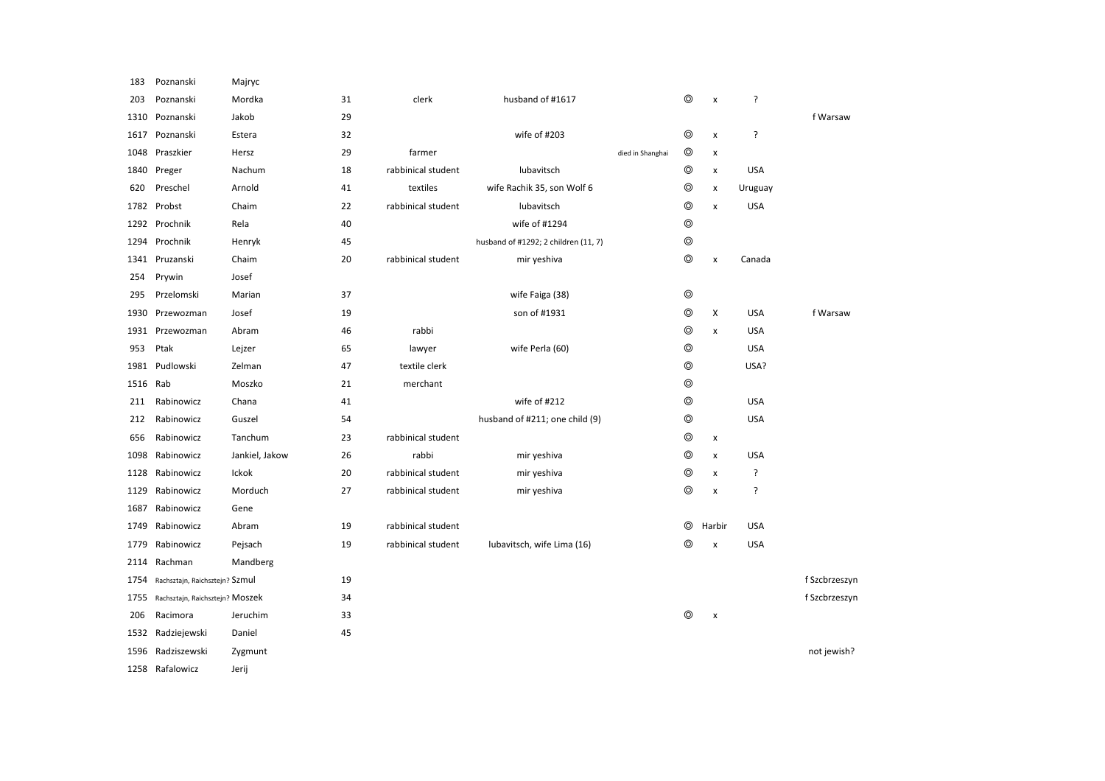| 183  | Poznanski                       | Majryc         |    |                    |                                      |                  |                |                           |            |               |
|------|---------------------------------|----------------|----|--------------------|--------------------------------------|------------------|----------------|---------------------------|------------|---------------|
| 203  | Poznanski                       | Mordka         | 31 | clerk              | husband of #1617                     |                  | ⊚              | $\boldsymbol{\mathsf{x}}$ | Ś.         |               |
| 1310 | Poznanski                       | Jakob          | 29 |                    |                                      |                  |                |                           |            | f Warsaw      |
| 1617 | Poznanski                       | Estera         | 32 |                    | wife of #203                         |                  | ⊚              | $\pmb{\times}$            | ç.         |               |
| 1048 | Praszkier                       | Hersz          | 29 | farmer             |                                      | died in Shanghai | ⊚              | $\pmb{\mathsf{x}}$        |            |               |
| 1840 | Preger                          | Nachum         | 18 | rabbinical student | lubavitsch                           |                  | ⊚              | $\pmb{\mathsf{x}}$        | <b>USA</b> |               |
| 620  | Preschel                        | Arnold         | 41 | textiles           | wife Rachik 35, son Wolf 6           |                  | $\circledcirc$ | $\pmb{\times}$            | Uruguay    |               |
| 1782 | Probst                          | Chaim          | 22 | rabbinical student | lubavitsch                           |                  | $^{\circ}$     | $\boldsymbol{\mathsf{x}}$ | <b>USA</b> |               |
|      | 1292 Prochnik                   | Rela           | 40 |                    | wife of #1294                        |                  | $\circledcirc$ |                           |            |               |
| 1294 | Prochnik                        | Henryk         | 45 |                    | husband of #1292; 2 children (11, 7) |                  | $^{\circ}$     |                           |            |               |
| 1341 | Pruzanski                       | Chaim          | 20 | rabbinical student | mir yeshiva                          |                  | $^{\circ}$     | $\pmb{\times}$            | Canada     |               |
| 254  | Prywin                          | Josef          |    |                    |                                      |                  |                |                           |            |               |
| 295  | Przelomski                      | Marian         | 37 |                    | wife Faiga (38)                      |                  | $^{\circ}$     |                           |            |               |
| 1930 | Przewozman                      | Josef          | 19 |                    | son of #1931                         |                  | ⊚              | Х                         | <b>USA</b> | f Warsaw      |
| 1931 | Przewozman                      | Abram          | 46 | rabbi              |                                      |                  | ⊚              | $\pmb{\times}$            | <b>USA</b> |               |
| 953  | Ptak                            | Lejzer         | 65 | lawyer             | wife Perla (60)                      |                  | $^{\circ}$     |                           | <b>USA</b> |               |
| 1981 | Pudlowski                       | Zelman         | 47 | textile clerk      |                                      |                  | $\circledcirc$ |                           | USA?       |               |
| 1516 | Rab                             | Moszko         | 21 | merchant           |                                      |                  | $^{\circ}$     |                           |            |               |
| 211  | Rabinowicz                      | Chana          | 41 |                    | wife of #212                         |                  | $^{\circ}$     |                           | <b>USA</b> |               |
| 212  | Rabinowicz                      | Guszel         | 54 |                    | husband of #211; one child (9)       |                  | $\circledcirc$ |                           | <b>USA</b> |               |
| 656  | Rabinowicz                      | Tanchum        | 23 | rabbinical student |                                      |                  | $^{\circ}$     | x                         |            |               |
| 1098 | Rabinowicz                      | Jankiel, Jakow | 26 | rabbi              | mir yeshiva                          |                  | ⊚              | $\pmb{\chi}$              | <b>USA</b> |               |
| 1128 | Rabinowicz                      | Ickok          | 20 | rabbinical student | mir yeshiva                          |                  | ⊚              | $\pmb{\times}$            | ç.         |               |
| 1129 | Rabinowicz                      | Morduch        | 27 | rabbinical student | mir yeshiva                          |                  | $^{\circ}$     | $\pmb{\times}$            | ç.         |               |
| 1687 | Rabinowicz                      | Gene           |    |                    |                                      |                  |                |                           |            |               |
| 1749 | Rabinowicz                      | Abram          | 19 | rabbinical student |                                      |                  | ⊚              | Harbir                    | <b>USA</b> |               |
| 1779 | Rabinowicz                      | Pejsach        | 19 | rabbinical student | lubavitsch, wife Lima (16)           |                  | ⊚              | x                         | <b>USA</b> |               |
| 2114 | Rachman                         | Mandberg       |    |                    |                                      |                  |                |                           |            |               |
| 1754 | Rachsztajn, Raichsztejn? Szmul  |                | 19 |                    |                                      |                  |                |                           |            | f Szcbrzeszyn |
| 1755 | Rachsztajn, Raichsztejn? MOSZek |                | 34 |                    |                                      |                  |                |                           |            | f Szcbrzeszyn |
| 206  | Racimora                        | Jeruchim       | 33 |                    |                                      |                  | ⊚              | $\pmb{\mathsf{x}}$        |            |               |
| 1532 | Radziejewski                    | Daniel         | 45 |                    |                                      |                  |                |                           |            |               |
| 1596 | Radziszewski                    | Zygmunt        |    |                    |                                      |                  |                |                           |            | not jewish?   |
|      | 1258 Rafalowicz                 | Jerij          |    |                    |                                      |                  |                |                           |            |               |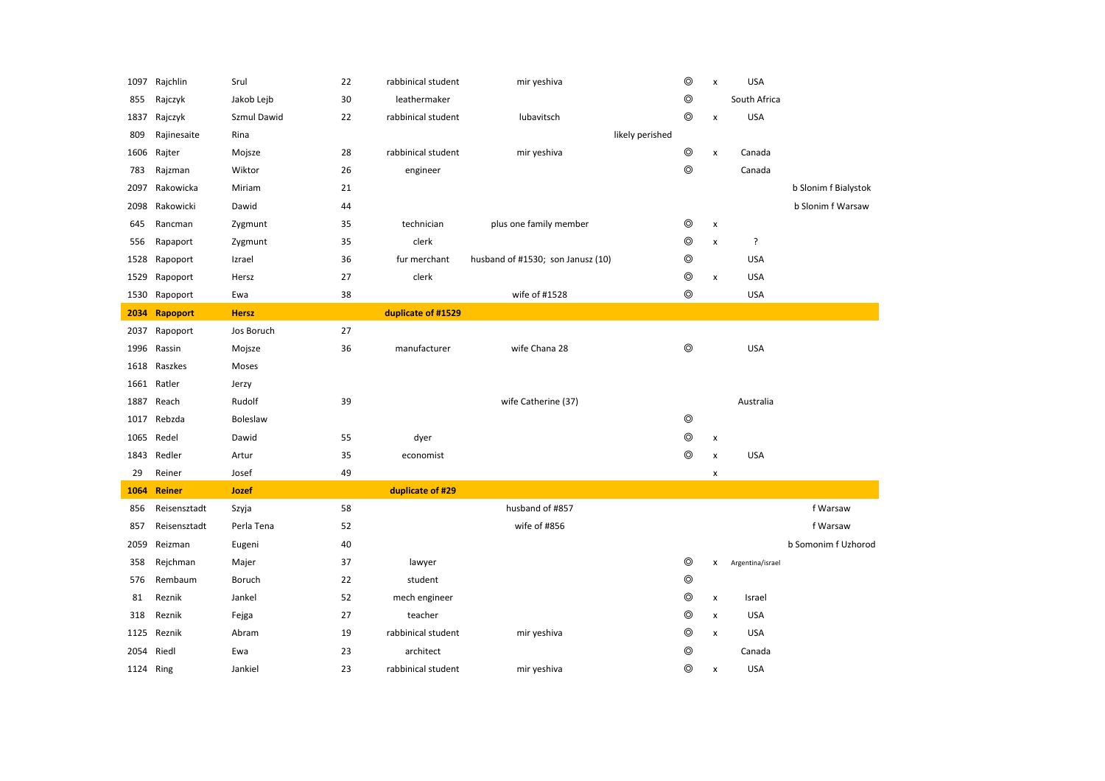| 1097      | Rajchlin     | Srul         | 22 | rabbinical student | mir yeshiva                       | $\circledcirc$ | $\pmb{\times}$     | <b>USA</b>       |                      |
|-----------|--------------|--------------|----|--------------------|-----------------------------------|----------------|--------------------|------------------|----------------------|
| 855       | Rajczyk      | Jakob Lejb   | 30 | leathermaker       |                                   | $\circledcirc$ |                    | South Africa     |                      |
| 1837      | Rajczyk      | Szmul Dawid  | 22 | rabbinical student | lubavitsch                        | $\circledcirc$ | x                  | <b>USA</b>       |                      |
| 809       | Rajinesaite  | Rina         |    |                    | likely perished                   |                |                    |                  |                      |
| 1606      | Rajter       | Mojsze       | 28 | rabbinical student | mir yeshiva                       | $^{\circ}$     | x                  | Canada           |                      |
| 783       | Rajzman      | Wiktor       | 26 | engineer           |                                   | $\circledcirc$ |                    | Canada           |                      |
| 2097      | Rakowicka    | Miriam       | 21 |                    |                                   |                |                    |                  | b Slonim f Bialystok |
| 2098      | Rakowicki    | Dawid        | 44 |                    |                                   |                |                    |                  | b Slonim f Warsaw    |
| 645       | Rancman      | Zygmunt      | 35 | technician         | plus one family member            | $\circledcirc$ | $\pmb{\times}$     |                  |                      |
| 556       | Rapaport     | Zygmunt      | 35 | clerk              |                                   | $\circledcirc$ | x                  | ç.               |                      |
| 1528      | Rapoport     | Izrael       | 36 | fur merchant       | husband of #1530; son Janusz (10) | $\circledcirc$ |                    | <b>USA</b>       |                      |
| 1529      | Rapoport     | Hersz        | 27 | clerk              |                                   | $\circledcirc$ | $\pmb{\times}$     | <b>USA</b>       |                      |
| 1530      | Rapoport     | Ewa          | 38 |                    | wife of #1528                     | $\circledcirc$ |                    | <b>USA</b>       |                      |
| 2034      | Rapoport     | <b>Hersz</b> |    | duplicate of #1529 |                                   |                |                    |                  |                      |
| 2037      | Rapoport     | Jos Boruch   | 27 |                    |                                   |                |                    |                  |                      |
| 1996      | Rassin       | Mojsze       | 36 | manufacturer       | wife Chana 28                     | $\circledcirc$ |                    | <b>USA</b>       |                      |
| 1618      | Raszkes      | Moses        |    |                    |                                   |                |                    |                  |                      |
|           | 1661 Ratler  | Jerzy        |    |                    |                                   |                |                    |                  |                      |
| 1887      | Reach        | Rudolf       | 39 |                    | wife Catherine (37)               |                |                    | Australia        |                      |
| 1017      | Rebzda       | Boleslaw     |    |                    |                                   | $\circledcirc$ |                    |                  |                      |
| 1065      | Redel        | Dawid        | 55 | dyer               |                                   | $\circledcirc$ | x                  |                  |                      |
| 1843      | Redler       | Artur        | 35 | economist          |                                   | $\circledcirc$ | $\pmb{\mathsf{x}}$ | <b>USA</b>       |                      |
| 29        | Reiner       | Josef        | 49 |                    |                                   |                | x                  |                  |                      |
| 1064      | Reiner       | Jozef        |    | duplicate of #29   |                                   |                |                    |                  |                      |
| 856       | Reisensztadt | Szyja        | 58 |                    | husband of #857                   |                |                    |                  | f Warsaw             |
| 857       | Reisensztadt | Perla Tena   | 52 |                    | wife of #856                      |                |                    |                  | f Warsaw             |
| 2059      | Reizman      | Eugeni       | 40 |                    |                                   |                |                    |                  | b Somonim f Uzhorod  |
| 358       | Rejchman     | Majer        | 37 | lawyer             |                                   | $\circledcirc$ | X                  | Argentina/israel |                      |
| 576       | Rembaum      | Boruch       | 22 | student            |                                   | $\circledcirc$ |                    |                  |                      |
| 81        | Reznik       | Jankel       | 52 | mech engineer      |                                   | $\circledcirc$ | x                  | Israel           |                      |
| 318       | Reznik       | Fejga        | 27 | teacher            |                                   | $\circledcirc$ | $\pmb{\times}$     | <b>USA</b>       |                      |
| 1125      | Reznik       | Abram        | 19 | rabbinical student | mir yeshiva                       | $\circledcirc$ | x                  | <b>USA</b>       |                      |
| 2054      | Riedl        | Ewa          | 23 | architect          |                                   | $\circledcirc$ |                    | Canada           |                      |
| 1124 Ring |              | Jankiel      | 23 | rabbinical student | mir yeshiva                       | $\circledcirc$ | x                  | <b>USA</b>       |                      |
|           |              |              |    |                    |                                   |                |                    |                  |                      |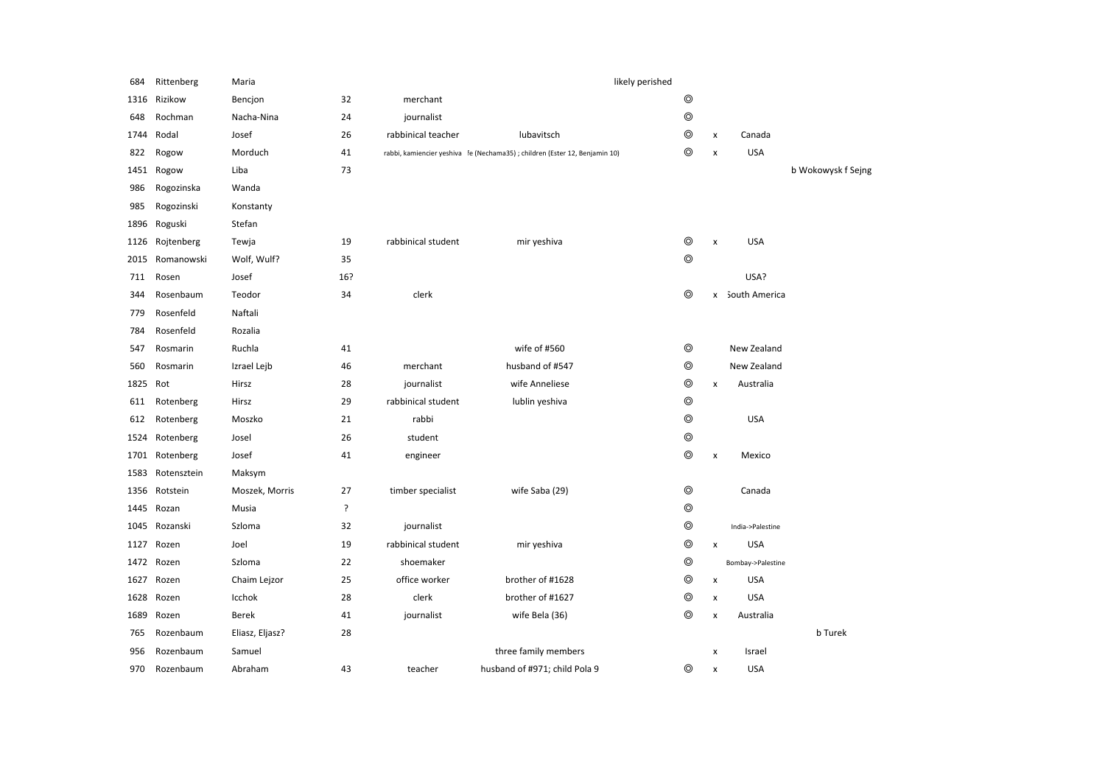| 684  | Rittenberg  | Maria           |     |                    | likely perished                                                             |                |                    |                   |                    |
|------|-------------|-----------------|-----|--------------------|-----------------------------------------------------------------------------|----------------|--------------------|-------------------|--------------------|
| 1316 | Rizikow     | Bencjon         | 32  | merchant           |                                                                             | $\circledcirc$ |                    |                   |                    |
| 648  | Rochman     | Nacha-Nina      | 24  | journalist         |                                                                             | $\circledcirc$ |                    |                   |                    |
| 1744 | Rodal       | Josef           | 26  | rabbinical teacher | lubavitsch                                                                  | $\circledcirc$ | x                  | Canada            |                    |
| 822  | Rogow       | Morduch         | 41  |                    | rabbi, kamiencier yeshiva fe (Nechama35) ; children (Ester 12, Benjamin 10) | $\circledcirc$ | X                  | <b>USA</b>        |                    |
| 1451 | Rogow       | Liba            | 73  |                    |                                                                             |                |                    |                   | b Wokowysk f Sejng |
| 986  | Rogozinska  | Wanda           |     |                    |                                                                             |                |                    |                   |                    |
| 985  | Rogozinski  | Konstanty       |     |                    |                                                                             |                |                    |                   |                    |
| 1896 | Roguski     | Stefan          |     |                    |                                                                             |                |                    |                   |                    |
| 1126 | Rojtenberg  | Tewja           | 19  | rabbinical student | mir yeshiva                                                                 | $\circledcirc$ | $\pmb{\times}$     | <b>USA</b>        |                    |
| 2015 | Romanowski  | Wolf, Wulf?     | 35  |                    |                                                                             | $\circledcirc$ |                    |                   |                    |
| 711  | Rosen       | Josef           | 16? |                    |                                                                             |                |                    | USA?              |                    |
| 344  | Rosenbaum   | Teodor          | 34  | clerk              |                                                                             | $\circledcirc$ |                    | x South America   |                    |
| 779  | Rosenfeld   | Naftali         |     |                    |                                                                             |                |                    |                   |                    |
| 784  | Rosenfeld   | Rozalia         |     |                    |                                                                             |                |                    |                   |                    |
| 547  | Rosmarin    | Ruchla          | 41  |                    | wife of #560                                                                | $\circledcirc$ |                    | New Zealand       |                    |
| 560  | Rosmarin    | Izrael Lejb     | 46  | merchant           | husband of #547                                                             | $\circledcirc$ |                    | New Zealand       |                    |
| 1825 | Rot         | Hirsz           | 28  | journalist         | wife Anneliese                                                              | $\circledcirc$ | x                  | Australia         |                    |
| 611  | Rotenberg   | Hirsz           | 29  | rabbinical student | lublin yeshiva                                                              | $\circledcirc$ |                    |                   |                    |
| 612  | Rotenberg   | Moszko          | 21  | rabbi              |                                                                             | $\circledcirc$ |                    | <b>USA</b>        |                    |
| 1524 | Rotenberg   | Josel           | 26  | student            |                                                                             | $\circledcirc$ |                    |                   |                    |
| 1701 | Rotenberg   | Josef           | 41  | engineer           |                                                                             | $\circledcirc$ | x                  | Mexico            |                    |
| 1583 | Rotensztein | Maksym          |     |                    |                                                                             |                |                    |                   |                    |
| 1356 | Rotstein    | Moszek, Morris  | 27  | timber specialist  | wife Saba (29)                                                              | $\circledcirc$ |                    | Canada            |                    |
| 1445 | Rozan       | Musia           | ?   |                    |                                                                             | $\circledcirc$ |                    |                   |                    |
| 1045 | Rozanski    | Szloma          | 32  | journalist         |                                                                             | $\circledcirc$ |                    | India->Palestine  |                    |
| 1127 | Rozen       | Joel            | 19  | rabbinical student | mir yeshiva                                                                 | $\circledcirc$ | X                  | <b>USA</b>        |                    |
| 1472 | Rozen       | Szloma          | 22  | shoemaker          |                                                                             | $\circledcirc$ |                    | Bombay->Palestine |                    |
| 1627 | Rozen       | Chaim Lejzor    | 25  | office worker      | brother of #1628                                                            | $\circledcirc$ | X                  | <b>USA</b>        |                    |
| 1628 | Rozen       | Icchok          | 28  | clerk              | brother of #1627                                                            | ◎              | x                  | <b>USA</b>        |                    |
| 1689 | Rozen       | <b>Berek</b>    | 41  | journalist         | wife Bela (36)                                                              | $\circledcirc$ | $\pmb{\mathsf{x}}$ | Australia         |                    |
| 765  | Rozenbaum   | Eliasz, Eljasz? | 28  |                    |                                                                             |                |                    |                   | <b>b</b> Turek     |
| 956  | Rozenbaum   | Samuel          |     |                    | three family members                                                        |                | x                  | Israel            |                    |
| 970  | Rozenbaum   | Abraham         | 43  | teacher            | husband of #971; child Pola 9                                               | $\circledcirc$ | X                  | <b>USA</b>        |                    |
|      |             |                 |     |                    |                                                                             |                |                    |                   |                    |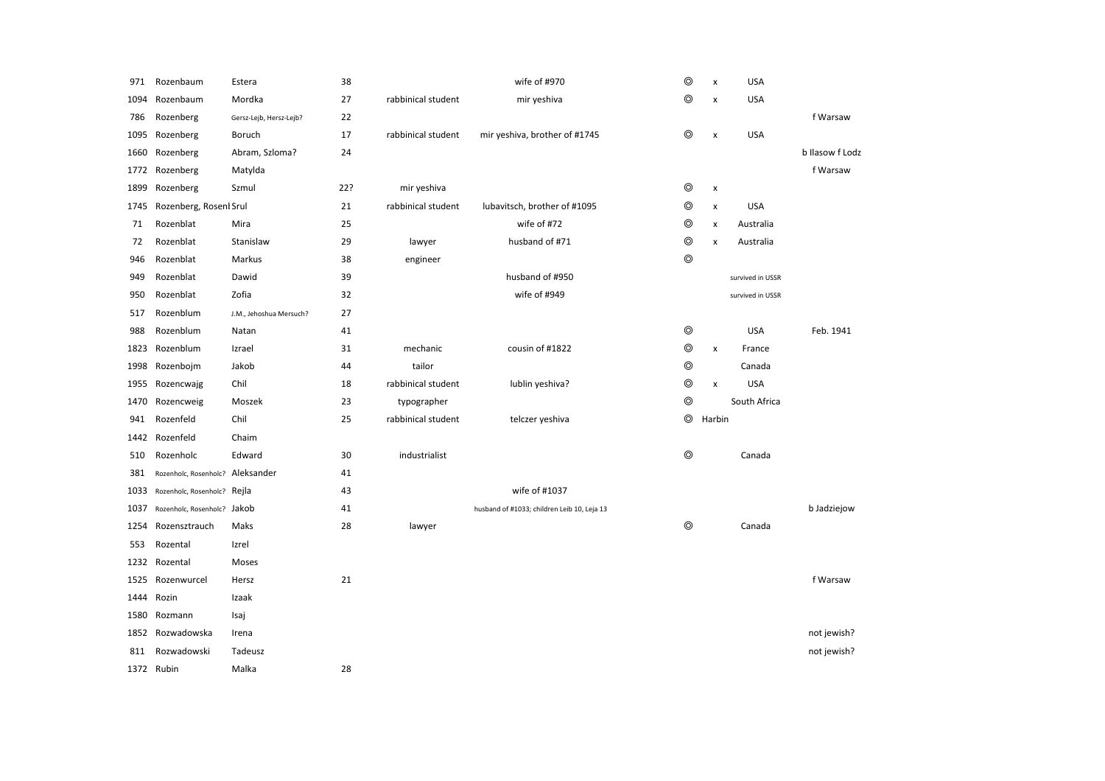| 971  | Rozenbaum                        | Estera                  | 38  |                    | wife of #970                                | $\circledcirc$ | X                  | <b>USA</b>       |                 |
|------|----------------------------------|-------------------------|-----|--------------------|---------------------------------------------|----------------|--------------------|------------------|-----------------|
| 1094 | Rozenbaum                        | Mordka                  | 27  | rabbinical student | mir yeshiva                                 | $\circledcirc$ | X                  | <b>USA</b>       |                 |
| 786  | Rozenberg                        | Gersz-Lejb, Hersz-Lejb? | 22  |                    |                                             |                |                    |                  | f Warsaw        |
| 1095 | Rozenberg                        | Boruch                  | 17  | rabbinical student | mir yeshiva, brother of #1745               | $\circledcirc$ | X                  | <b>USA</b>       |                 |
| 1660 | Rozenberg                        | Abram, Szloma?          | 24  |                    |                                             |                |                    |                  | b Ilasow f Lodz |
| 1772 | Rozenberg                        | Matylda                 |     |                    |                                             |                |                    |                  | f Warsaw        |
| 1899 | Rozenberg                        | Szmul                   | 22? | mir yeshiva        |                                             | $\circledcirc$ | X                  |                  |                 |
| 1745 | Rozenberg, Rosenl Srul           |                         | 21  | rabbinical student | lubavitsch, brother of #1095                | $\circledcirc$ | X                  | <b>USA</b>       |                 |
| 71   | Rozenblat                        | Mira                    | 25  |                    | wife of #72                                 | $\circledcirc$ | $\pmb{\mathsf{x}}$ | Australia        |                 |
| 72   | Rozenblat                        | Stanislaw               | 29  | lawyer             | husband of #71                              | $\circledcirc$ | X                  | Australia        |                 |
| 946  | Rozenblat                        | Markus                  | 38  | engineer           |                                             | $\circledcirc$ |                    |                  |                 |
| 949  | Rozenblat                        | Dawid                   | 39  |                    | husband of #950                             |                |                    | survived in USSR |                 |
| 950  | Rozenblat                        | Zofia                   | 32  |                    | wife of #949                                |                |                    | survived in USSR |                 |
| 517  | Rozenblum                        | J.M., Jehoshua Mersuch? | 27  |                    |                                             |                |                    |                  |                 |
| 988  | Rozenblum                        | Natan                   | 41  |                    |                                             | $\circledcirc$ |                    | <b>USA</b>       | Feb. 1941       |
| 1823 | Rozenblum                        | Izrael                  | 31  | mechanic           | cousin of #1822                             | $\circledcirc$ | X                  | France           |                 |
| 1998 | Rozenbojm                        | Jakob                   | 44  | tailor             |                                             | $\circledcirc$ |                    | Canada           |                 |
| 1955 | Rozencwajg                       | Chil                    | 18  | rabbinical student | lublin yeshiva?                             | $\circledcirc$ | X                  | <b>USA</b>       |                 |
| 1470 | Rozencweig                       | Moszek                  | 23  | typographer        |                                             | $\circledcirc$ |                    | South Africa     |                 |
| 941  | Rozenfeld                        | Chil                    | 25  | rabbinical student | telczer yeshiva                             | $\circledcirc$ | Harbin             |                  |                 |
| 1442 | Rozenfeld                        | Chaim                   |     |                    |                                             |                |                    |                  |                 |
| 510  | Rozenholc                        | Edward                  | 30  | industrialist      |                                             | ⊚              |                    | Canada           |                 |
| 381  | Rozenholc, Rosenholc? Aleksander |                         | 41  |                    |                                             |                |                    |                  |                 |
| 1033 | Rozenholc, Rosenholc? Rejla      |                         | 43  |                    | wife of #1037                               |                |                    |                  |                 |
| 1037 | Rozenholc, Rosenholc? Jakob      |                         | 41  |                    | husband of #1033; children Leib 10, Leja 13 |                |                    |                  | b Jadziejow     |
| 1254 | Rozensztrauch                    | Maks                    | 28  | lawyer             |                                             | $\circledcirc$ |                    | Canada           |                 |
| 553  | Rozental                         | Izrel                   |     |                    |                                             |                |                    |                  |                 |
| 1232 | Rozental                         | Moses                   |     |                    |                                             |                |                    |                  |                 |
| 1525 | Rozenwurcel                      | Hersz                   | 21  |                    |                                             |                |                    |                  | f Warsaw        |
| 1444 | Rozin                            | Izaak                   |     |                    |                                             |                |                    |                  |                 |
| 1580 | Rozmann                          | Isaj                    |     |                    |                                             |                |                    |                  |                 |
| 1852 | Rozwadowska                      | Irena                   |     |                    |                                             |                |                    |                  | not jewish?     |
| 811  | Rozwadowski                      | Tadeusz                 |     |                    |                                             |                |                    |                  | not jewish?     |
|      | 1372 Rubin                       | Malka                   | 28  |                    |                                             |                |                    |                  |                 |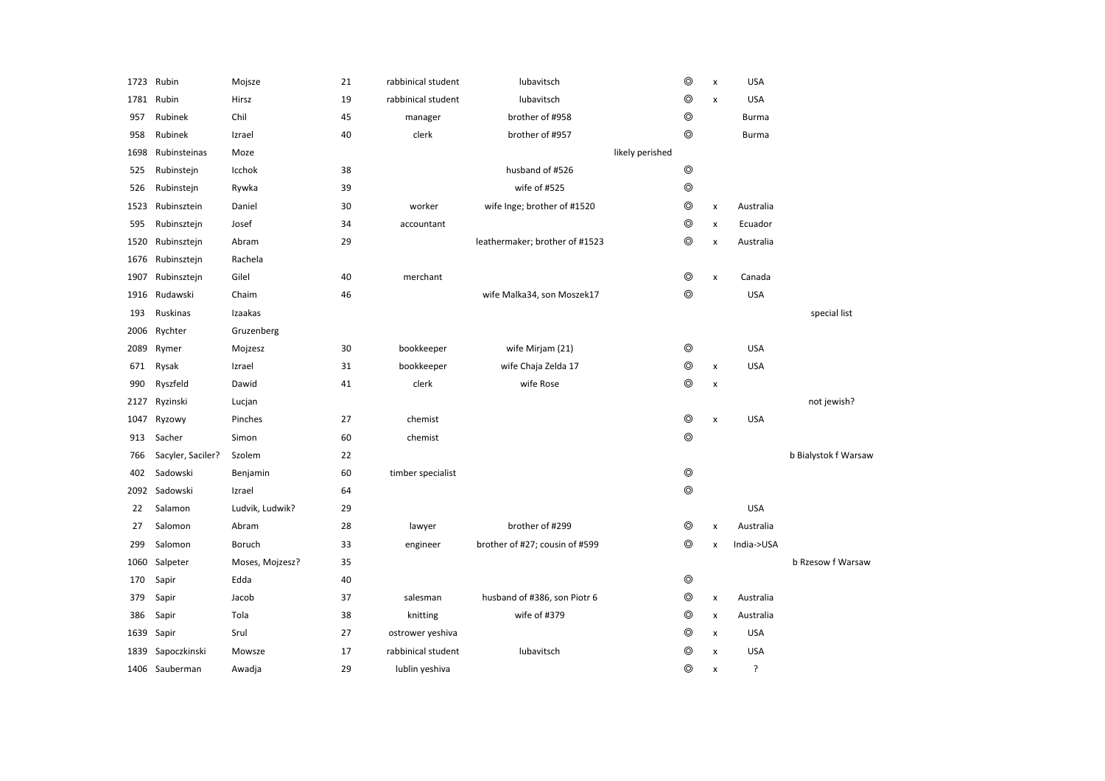| 1723 | Rubin             | Mojsze          | 21 | rabbinical student | lubavitsch                     | $\circledcirc$ | $\pmb{\times}$     | <b>USA</b>   |                      |
|------|-------------------|-----------------|----|--------------------|--------------------------------|----------------|--------------------|--------------|----------------------|
| 1781 | Rubin             | Hirsz           | 19 | rabbinical student | lubavitsch                     | $\circledcirc$ | $\pmb{\times}$     | <b>USA</b>   |                      |
| 957  | Rubinek           | Chil            | 45 | manager            | brother of #958                | $^{\circ}$     |                    | <b>Burma</b> |                      |
| 958  | Rubinek           | Izrael          | 40 | clerk              | brother of #957                | $\circledcirc$ |                    | Burma        |                      |
| 1698 | Rubinsteinas      | Moze            |    |                    | likely perished                |                |                    |              |                      |
| 525  | Rubinstejn        | Icchok          | 38 |                    | husband of #526                | $\circledcirc$ |                    |              |                      |
| 526  | Rubinstejn        | Rywka           | 39 |                    | wife of #525                   | $\circledcirc$ |                    |              |                      |
| 1523 | Rubinsztein       | Daniel          | 30 | worker             | wife Inge; brother of #1520    | $\circledcirc$ | $\pmb{\times}$     | Australia    |                      |
| 595  | Rubinsztejn       | Josef           | 34 | accountant         |                                | $\circledcirc$ | $\pmb{\times}$     | Ecuador      |                      |
| 1520 | Rubinsztejn       | Abram           | 29 |                    | leathermaker; brother of #1523 | $\circledcirc$ | $\pmb{\times}$     | Australia    |                      |
| 1676 | Rubinsztejn       | Rachela         |    |                    |                                |                |                    |              |                      |
| 1907 | Rubinsztejn       | Gilel           | 40 | merchant           |                                | $^{\circ}$     | $\pmb{\times}$     | Canada       |                      |
| 1916 | Rudawski          | Chaim           | 46 |                    | wife Malka34, son Moszek17     | $\circledcirc$ |                    | <b>USA</b>   |                      |
| 193  | Ruskinas          | Izaakas         |    |                    |                                |                |                    |              | special list         |
| 2006 | Rychter           | Gruzenberg      |    |                    |                                |                |                    |              |                      |
| 2089 | Rymer             | Mojzesz         | 30 | bookkeeper         | wife Mirjam (21)               | $\circledcirc$ |                    | <b>USA</b>   |                      |
| 671  | Rysak             | Izrael          | 31 | bookkeeper         | wife Chaja Zelda 17            | $\circledcirc$ | $\pmb{\times}$     | <b>USA</b>   |                      |
| 990  | Ryszfeld          | Dawid           | 41 | clerk              | wife Rose                      | $\circledcirc$ | $\pmb{\times}$     |              |                      |
| 2127 | Ryzinski          | Lucjan          |    |                    |                                |                |                    |              | not jewish?          |
| 1047 | Ryzowy            | Pinches         | 27 | chemist            |                                | $\circledcirc$ | $\pmb{\mathsf{x}}$ | <b>USA</b>   |                      |
| 913  | Sacher            | Simon           | 60 | chemist            |                                | $\circledcirc$ |                    |              |                      |
| 766  | Sacyler, Saciler? | Szolem          | 22 |                    |                                |                |                    |              | b Bialystok f Warsaw |
| 402  | Sadowski          | Benjamin        | 60 | timber specialist  |                                | $\circledcirc$ |                    |              |                      |
|      | 2092 Sadowski     | Izrael          | 64 |                    |                                | $^{\circ}$     |                    |              |                      |
| 22   | Salamon           | Ludvik, Ludwik? | 29 |                    |                                |                |                    | <b>USA</b>   |                      |
| 27   | Salomon           | Abram           | 28 | lawyer             | brother of #299                | $^{\circ}$     | $\pmb{\times}$     | Australia    |                      |
| 299  | Salomon           | Boruch          | 33 | engineer           | brother of #27; cousin of #599 | $\circledcirc$ | $\pmb{\times}$     | India->USA   |                      |
| 1060 | Salpeter          | Moses, Mojzesz? | 35 |                    |                                |                |                    |              | b Rzesow f Warsaw    |
| 170  | Sapir             | Edda            | 40 |                    |                                | $\circledcirc$ |                    |              |                      |
| 379  | Sapir             | Jacob           | 37 | salesman           | husband of #386, son Piotr 6   | $\circledcirc$ | $\pmb{\times}$     | Australia    |                      |
| 386  | Sapir             | Tola            | 38 | knitting           | wife of #379                   | $\circledcirc$ | $\pmb{\times}$     | Australia    |                      |
| 1639 | Sapir             | Srul            | 27 | ostrower yeshiva   |                                | $^{\circ}$     | $\pmb{\times}$     | <b>USA</b>   |                      |
| 1839 | Sapoczkinski      | Mowsze          | 17 | rabbinical student | lubavitsch                     | $^{\circ}$     | $\pmb{\times}$     | <b>USA</b>   |                      |
|      | 1406 Sauberman    | Awadja          | 29 | lublin yeshiva     |                                | $^{\circ}$     | x                  | ?            |                      |
|      |                   |                 |    |                    |                                |                |                    |              |                      |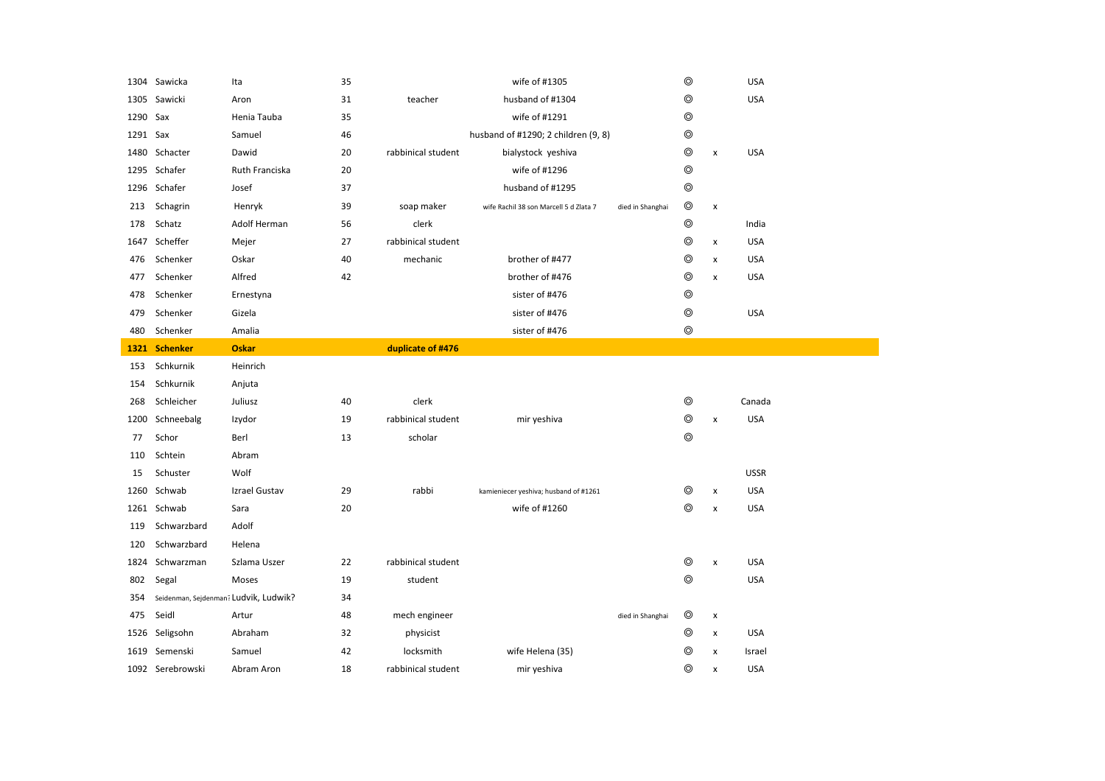|          | 1304 Sawicka                          | Ita            | 35 |                    | wife of #1305                          |                  | $\circledcirc$ |                | <b>USA</b>  |
|----------|---------------------------------------|----------------|----|--------------------|----------------------------------------|------------------|----------------|----------------|-------------|
| 1305     | Sawicki                               | Aron           | 31 | teacher            | husband of #1304                       |                  | $\circledcirc$ |                | <b>USA</b>  |
| 1290 Sax |                                       | Henia Tauba    | 35 |                    | wife of #1291                          |                  | $\circledcirc$ |                |             |
| 1291 Sax |                                       | Samuel         | 46 |                    | husband of #1290; 2 children (9, 8)    |                  | $\circledcirc$ |                |             |
| 1480     | Schacter                              | Dawid          | 20 | rabbinical student | bialystock yeshiva                     |                  | $\circledcirc$ | $\pmb{\times}$ | <b>USA</b>  |
|          | 1295 Schafer                          | Ruth Franciska | 20 |                    | wife of #1296                          |                  | $\circledcirc$ |                |             |
|          | 1296 Schafer                          | Josef          | 37 |                    | husband of #1295                       |                  | $\circledcirc$ |                |             |
| 213      | Schagrin                              | Henryk         | 39 | soap maker         | wife Rachil 38 son Marcell 5 d Zlata 7 | died in Shanghai | $\circledcirc$ | X              |             |
| 178      | Schatz                                | Adolf Herman   | 56 | clerk              |                                        |                  | $\circledcirc$ |                | India       |
| 1647     | Scheffer                              | Mejer          | 27 | rabbinical student |                                        |                  | $\circledcirc$ | $\pmb{\times}$ | <b>USA</b>  |
| 476      | Schenker                              | Oskar          | 40 | mechanic           | brother of #477                        |                  | $\circledcirc$ | $\pmb{\times}$ | <b>USA</b>  |
| 477      | Schenker                              | Alfred         | 42 |                    | brother of #476                        |                  | $\circledcirc$ | x              | <b>USA</b>  |
| 478      | Schenker                              | Ernestyna      |    |                    | sister of #476                         |                  | $\circledcirc$ |                |             |
| 479      | Schenker                              | Gizela         |    |                    | sister of #476                         |                  | $^{\circ}$     |                | <b>USA</b>  |
| 480      | Schenker                              | Amalia         |    |                    | sister of #476                         |                  | $\circledcirc$ |                |             |
| 1321     | <b>Schenker</b>                       | <b>Oskar</b>   |    | duplicate of #476  |                                        |                  |                |                |             |
| 153      | Schkurnik                             | Heinrich       |    |                    |                                        |                  |                |                |             |
|          |                                       |                |    |                    |                                        |                  |                |                |             |
| 154      | Schkurnik                             | Anjuta         |    |                    |                                        |                  |                |                |             |
| 268      | Schleicher                            | Juliusz        | 40 | clerk              |                                        |                  | $\circledcirc$ |                | Canada      |
|          | 1200 Schneebalg                       | Izydor         | 19 | rabbinical student | mir yeshiva                            |                  | $\circledcirc$ | $\pmb{\times}$ | <b>USA</b>  |
| 77       | Schor                                 | Berl           | 13 | scholar            |                                        |                  | $^{\circ}$     |                |             |
| 110      | Schtein                               | Abram          |    |                    |                                        |                  |                |                |             |
| 15       | Schuster                              | Wolf           |    |                    |                                        |                  |                |                | <b>USSR</b> |
|          | 1260 Schwab                           | Izrael Gustav  | 29 | rabbi              | kamieniecer yeshiva; husband of #1261  |                  | ⊚              | X              | <b>USA</b>  |
|          | 1261 Schwab                           | Sara           | 20 |                    | wife of #1260                          |                  | $\circledcirc$ | X              | <b>USA</b>  |
| 119      | Schwarzbard                           | Adolf          |    |                    |                                        |                  |                |                |             |
| 120      | Schwarzbard                           | Helena         |    |                    |                                        |                  |                |                |             |
| 1824     | Schwarzman                            | Szlama Uszer   | 22 | rabbinical student |                                        |                  | $^{\circ}$     | X              | <b>USA</b>  |
| 802      | Segal                                 | Moses          | 19 | student            |                                        |                  | $^{\circ}$     |                | <b>USA</b>  |
| 354      | Seidenman, Sejdenman? Ludvik, Ludwik? |                | 34 |                    |                                        |                  |                |                |             |
| 475      | Seidl                                 | Artur          | 48 | mech engineer      |                                        | died in Shanghai | ◎              | $\pmb{\times}$ |             |
|          | 1526 Seligsohn                        | Abraham        | 32 | physicist          |                                        |                  | $\circledcirc$ | $\pmb{\times}$ | <b>USA</b>  |
| 1619     | Semenski                              | Samuel         | 42 | locksmith          | wife Helena (35)                       |                  | ◎              | x              | Israel      |
|          | 1092 Serebrowski                      | Abram Aron     | 18 | rabbinical student | mir yeshiva                            |                  | $\circledcirc$ | x              | <b>USA</b>  |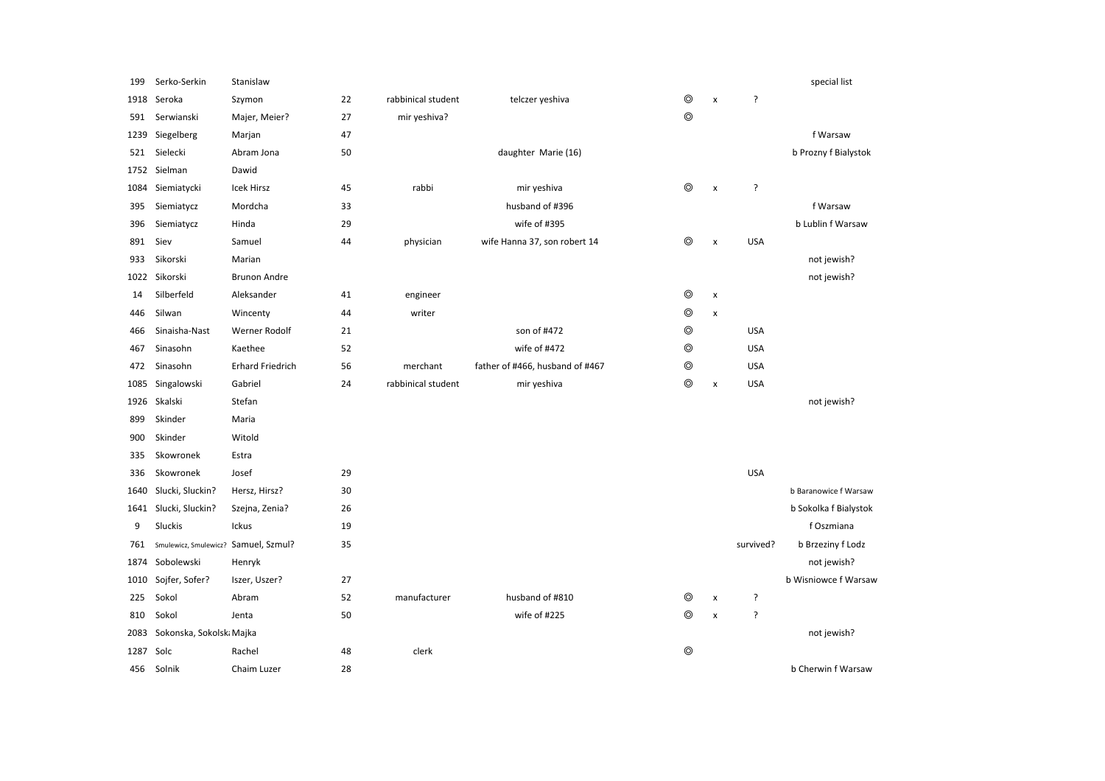| 199  | Serko-Serkin                         | Stanislaw               |    |                    |                                 |                |                    |            | special list          |
|------|--------------------------------------|-------------------------|----|--------------------|---------------------------------|----------------|--------------------|------------|-----------------------|
| 1918 | Seroka                               | Szymon                  | 22 | rabbinical student | telczer yeshiva                 | $^{\circ}$     | $\pmb{\times}$     | ?          |                       |
| 591  | Serwianski                           | Majer, Meier?           | 27 | mir yeshiva?       |                                 | $\circledcirc$ |                    |            |                       |
| 1239 | Siegelberg                           | Marjan                  | 47 |                    |                                 |                |                    |            | f Warsaw              |
| 521  | Sielecki                             | Abram Jona              | 50 |                    | daughter Marie (16)             |                |                    |            | b Prozny f Bialystok  |
| 1752 | Sielman                              | Dawid                   |    |                    |                                 |                |                    |            |                       |
| 1084 | Siemiatycki                          | <b>Icek Hirsz</b>       | 45 | rabbi              | mir yeshiva                     | $\circledcirc$ | $\pmb{\mathsf{x}}$ | ?          |                       |
| 395  | Siemiatycz                           | Mordcha                 | 33 |                    | husband of #396                 |                |                    |            | f Warsaw              |
| 396  | Siemiatycz                           | Hinda                   | 29 |                    | wife of #395                    |                |                    |            | b Lublin f Warsaw     |
| 891  | Siev                                 | Samuel                  | 44 | physician          | wife Hanna 37, son robert 14    | $\circledcirc$ | $\pmb{\times}$     | <b>USA</b> |                       |
| 933  | Sikorski                             | Marian                  |    |                    |                                 |                |                    |            | not jewish?           |
| 1022 | Sikorski                             | <b>Brunon Andre</b>     |    |                    |                                 |                |                    |            | not jewish?           |
| 14   | Silberfeld                           | Aleksander              | 41 | engineer           |                                 | $\circledcirc$ | X                  |            |                       |
| 446  | Silwan                               | Wincenty                | 44 | writer             |                                 | $\circledcirc$ | $\pmb{\mathsf{x}}$ |            |                       |
| 466  | Sinaisha-Nast                        | <b>Werner Rodolf</b>    | 21 |                    | son of #472                     | $\circledcirc$ |                    | <b>USA</b> |                       |
| 467  | Sinasohn                             | Kaethee                 | 52 |                    | wife of #472                    | $\circledcirc$ |                    | <b>USA</b> |                       |
| 472  | Sinasohn                             | <b>Erhard Friedrich</b> | 56 | merchant           | father of #466, husband of #467 | ⊚              |                    | <b>USA</b> |                       |
| 1085 | Singalowski                          | Gabriel                 | 24 | rabbinical student | mir yeshiva                     | $\circledcirc$ | $\pmb{\mathsf{x}}$ | <b>USA</b> |                       |
| 1926 | Skalski                              | Stefan                  |    |                    |                                 |                |                    |            | not jewish?           |
| 899  | Skinder                              | Maria                   |    |                    |                                 |                |                    |            |                       |
| 900  | Skinder                              | Witold                  |    |                    |                                 |                |                    |            |                       |
| 335  | Skowronek                            | Estra                   |    |                    |                                 |                |                    |            |                       |
| 336  | Skowronek                            | Josef                   | 29 |                    |                                 |                |                    | <b>USA</b> |                       |
| 1640 | Slucki, Sluckin?                     | Hersz, Hirsz?           | 30 |                    |                                 |                |                    |            | b Baranowice f Warsaw |
| 1641 | Slucki, Sluckin?                     | Szejna, Zenia?          | 26 |                    |                                 |                |                    |            | b Sokolka f Bialystok |
| 9    | Sluckis                              | Ickus                   | 19 |                    |                                 |                |                    |            | f Oszmiana            |
| 761  | Smulewicz, Smulewicz? Samuel, Szmul? |                         | 35 |                    |                                 |                |                    | survived?  | b Brzeziny f Lodz     |
| 1874 | Sobolewski                           | Henryk                  |    |                    |                                 |                |                    |            | not jewish?           |
| 1010 | Sojfer, Sofer?                       | Iszer, Uszer?           | 27 |                    |                                 |                |                    |            | b Wisniowce f Warsaw  |
| 225  | Sokol                                | Abram                   | 52 | manufacturer       | husband of #810                 | ⊚              | $\pmb{\times}$     | ?          |                       |
| 810  | Sokol                                | Jenta                   | 50 |                    | wife of #225                    | ⊚              | $\pmb{\mathsf{x}}$ | ?          |                       |
| 2083 | Sokonska, Sokolski Majka             |                         |    |                    |                                 |                |                    |            | not jewish?           |
| 1287 | Solc                                 | Rachel                  | 48 | clerk              |                                 | $\circledcirc$ |                    |            |                       |
| 456  | Solnik                               | Chaim Luzer             | 28 |                    |                                 |                |                    |            | b Cherwin f Warsaw    |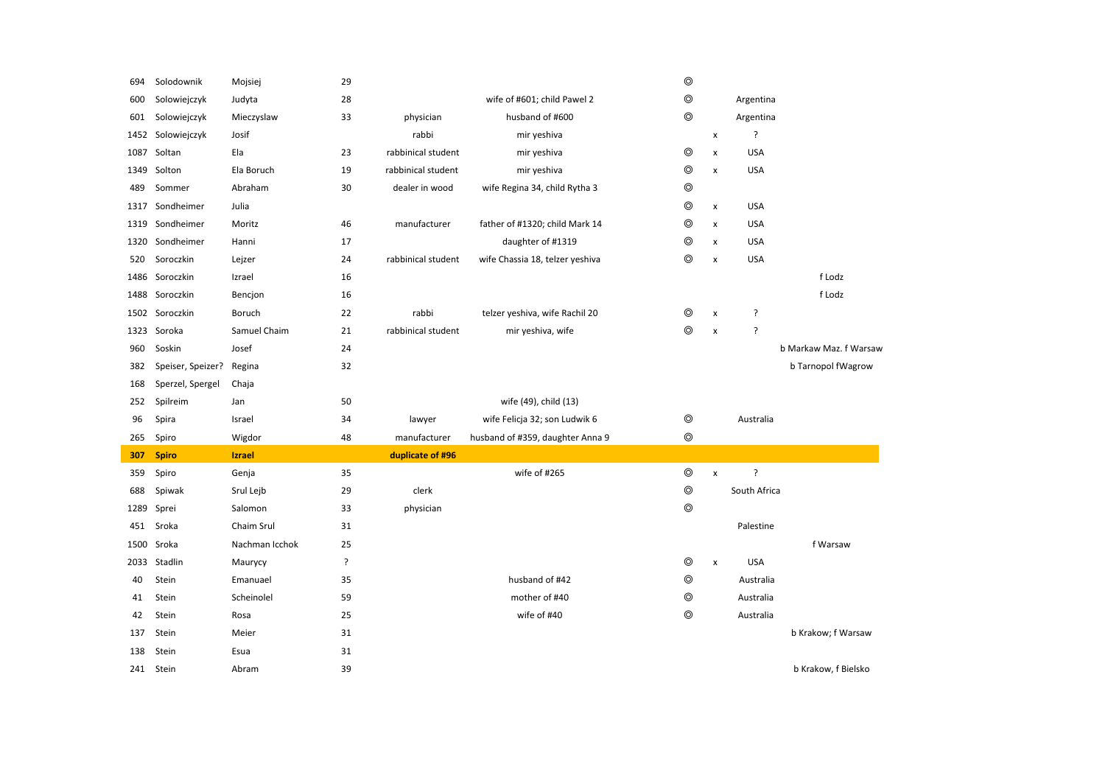| 694  | Solodownik        | Mojsiej        | 29                 |                    |                                  | $^{\circ}$     |                    |                |                        |
|------|-------------------|----------------|--------------------|--------------------|----------------------------------|----------------|--------------------|----------------|------------------------|
| 600  | Solowiejczyk      | Judyta         | 28                 |                    | wife of #601; child Pawel 2      | $^{\circ}$     |                    | Argentina      |                        |
| 601  | Solowiejczyk      | Mieczyslaw     | 33                 | physician          | husband of #600                  | $^{\circ}$     |                    | Argentina      |                        |
| 1452 | Solowiejczyk      | Josif          |                    | rabbi              | mir yeshiva                      |                | $\pmb{\times}$     | ?              |                        |
| 1087 | Soltan            | Ela            | 23                 | rabbinical student | mir yeshiva                      | $\circledcirc$ | $\pmb{\mathsf{x}}$ | <b>USA</b>     |                        |
| 1349 | Solton            | Ela Boruch     | 19                 | rabbinical student | mir yeshiva                      | $\circledcirc$ | $\pmb{\mathsf{x}}$ | <b>USA</b>     |                        |
| 489  | Sommer            | Abraham        | 30                 | dealer in wood     | wife Regina 34, child Rytha 3    | $\circledcirc$ |                    |                |                        |
| 1317 | Sondheimer        | Julia          |                    |                    |                                  | $^{\circ}$     | X                  | <b>USA</b>     |                        |
| 1319 | Sondheimer        | Moritz         | 46                 | manufacturer       | father of #1320; child Mark 14   | $\circledcirc$ | x                  | <b>USA</b>     |                        |
| 1320 | Sondheimer        | Hanni          | 17                 |                    | daughter of #1319                | $\circledcirc$ | $\pmb{\chi}$       | <b>USA</b>     |                        |
| 520  | Soroczkin         | Lejzer         | 24                 | rabbinical student | wife Chassia 18, telzer yeshiva  | $\circledcirc$ | $\pmb{\mathsf{x}}$ | <b>USA</b>     |                        |
|      | 1486 Soroczkin    | Izrael         | 16                 |                    |                                  |                |                    |                | f Lodz                 |
| 1488 | Soroczkin         | Bencjon        | 16                 |                    |                                  |                |                    |                | f Lodz                 |
| 1502 | Soroczkin         | Boruch         | 22                 | rabbi              | telzer yeshiva, wife Rachil 20   | ◎              | X                  | ?              |                        |
| 1323 | Soroka            | Samuel Chaim   | 21                 | rabbinical student | mir yeshiva, wife                | $^{\circ}$     | X                  | ŗ              |                        |
| 960  | Soskin            | Josef          | 24                 |                    |                                  |                |                    |                | b Markaw Maz. f Warsaw |
| 382  | Speiser, Speizer? | Regina         | 32                 |                    |                                  |                |                    |                | b Tarnopol fWagrow     |
| 168  | Sperzel, Spergel  | Chaja          |                    |                    |                                  |                |                    |                |                        |
|      |                   |                |                    |                    |                                  |                |                    |                |                        |
| 252  | Spilreim          | Jan            | 50                 |                    | wife (49), child (13)            |                |                    |                |                        |
| 96   | Spira             | Israel         | 34                 | lawyer             | wife Felicja 32; son Ludwik 6    | $^{\circ}$     |                    | Australia      |                        |
| 265  | Spiro             | Wigdor         | 48                 | manufacturer       | husband of #359, daughter Anna 9 | $\circledcirc$ |                    |                |                        |
| 307  | <b>Spiro</b>      | <b>Izrael</b>  |                    | duplicate of #96   |                                  |                |                    |                |                        |
| 359  | Spiro             | Genja          | 35                 |                    | wife of #265                     | $^{\circ}$     | $\pmb{\times}$     | $\overline{?}$ |                        |
| 688  | Spiwak            | Srul Lejb      | 29                 | clerk              |                                  | $^{\circ}$     |                    | South Africa   |                        |
| 1289 | Sprei             | Salomon        | 33                 | physician          |                                  | $\circledcirc$ |                    |                |                        |
| 451  | Sroka             | Chaim Srul     | 31                 |                    |                                  |                |                    | Palestine      |                        |
| 1500 | Sroka             | Nachman Icchok | 25                 |                    |                                  |                |                    |                | f Warsaw               |
| 2033 | Stadlin           | Maurycy        | $\overline{\cdot}$ |                    |                                  | $\circledcirc$ | $\pmb{\times}$     | <b>USA</b>     |                        |
| 40   | Stein             | Emanuael       | 35                 |                    | husband of #42                   | $\circledcirc$ |                    | Australia      |                        |
| 41   | Stein             | Scheinolel     | 59                 |                    | mother of #40                    | $\circledcirc$ |                    | Australia      |                        |
| 42   | Stein             | Rosa           | 25                 |                    | wife of #40                      | $\circledcirc$ |                    | Australia      |                        |
| 137  | Stein             | Meier          | 31                 |                    |                                  |                |                    |                | b Krakow; f Warsaw     |
| 138  | Stein             | Esua           | 31                 |                    |                                  |                |                    |                |                        |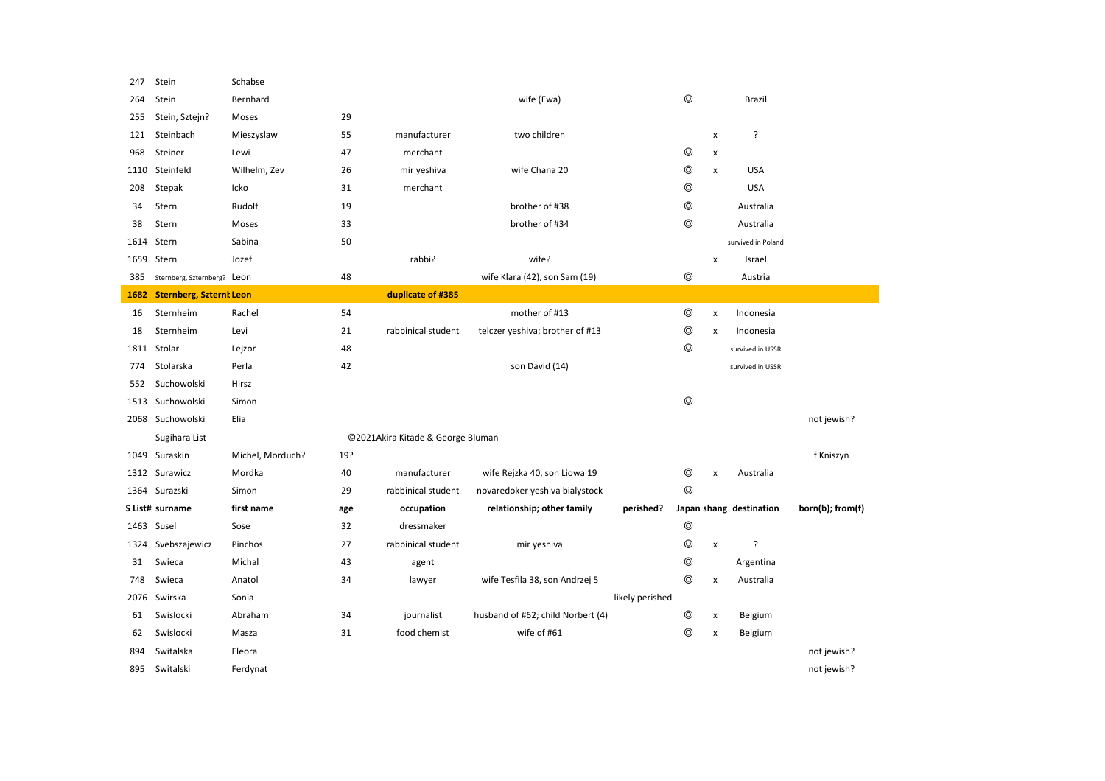| 247  | Stein                          | Schabse          |     |                                   |                                   |                 |                |                |                         |                  |
|------|--------------------------------|------------------|-----|-----------------------------------|-----------------------------------|-----------------|----------------|----------------|-------------------------|------------------|
| 264  | Stein                          | Bernhard         |     |                                   | wife (Ewa)                        |                 | ⊚              |                | Brazil                  |                  |
| 255  | Stein, Sztejn?                 | Moses            | 29  |                                   |                                   |                 |                |                |                         |                  |
| 121  | Steinbach                      | Mieszyslaw       | 55  | manufacturer                      | two children                      |                 |                | x              | ?                       |                  |
| 968  | Steiner                        | Lewi             | 47  | merchant                          |                                   |                 | ⊚              | x              |                         |                  |
| 1110 | Steinfeld                      | Wilhelm, Zev     | 26  | mir yeshiva                       | wife Chana 20                     |                 | $\circledcirc$ | $\pmb{\times}$ | <b>USA</b>              |                  |
| 208  | Stepak                         | Icko             | 31  | merchant                          |                                   |                 | ⊚              |                | <b>USA</b>              |                  |
| 34   | Stern                          | Rudolf           | 19  |                                   | brother of #38                    |                 | $^{\circ}$     |                | Australia               |                  |
| 38   | Stern                          | Moses            | 33  |                                   | brother of #34                    |                 | $\circledcirc$ |                | Australia               |                  |
| 1614 | Stern                          | Sabina           | 50  |                                   |                                   |                 |                |                | survived in Poland      |                  |
| 1659 | Stern                          | Jozef            |     | rabbi?                            | wife?                             |                 |                | x              | Israel                  |                  |
| 385  | Sternberg, Szternberg? Leon    |                  | 48  |                                   | wife Klara (42), son Sam (19)     |                 | $\circledcirc$ |                | Austria                 |                  |
| 1682 | <b>Sternberg, Szternt Leon</b> |                  |     | duplicate of #385                 |                                   |                 |                |                |                         |                  |
| 16   | Sternheim                      | Rachel           | 54  |                                   | mother of #13                     |                 | ⊚              | $\mathsf{x}$   | Indonesia               |                  |
| 18   | Sternheim                      | Levi             | 21  | rabbinical student                | telczer yeshiva; brother of #13   |                 | $^{\circ}$     | x              | Indonesia               |                  |
| 1811 | Stolar                         | Lejzor           | 48  |                                   |                                   |                 | $\circledcirc$ |                | survived in USSR        |                  |
| 774  | Stolarska                      | Perla            | 42  |                                   | son David (14)                    |                 |                |                | survived in USSR        |                  |
| 552  | Suchowolski                    | Hirsz            |     |                                   |                                   |                 |                |                |                         |                  |
|      | 1513 Suchowolski               | Simon            |     |                                   |                                   |                 | $\circledcirc$ |                |                         |                  |
|      | 2068 Suchowolski               | Elia             |     |                                   |                                   |                 |                |                |                         | not jewish?      |
|      | Sugihara List                  |                  |     | ©2021Akira Kitade & George Bluman |                                   |                 |                |                |                         |                  |
|      | 1049 Suraskin                  | Michel, Morduch? | 19? |                                   |                                   |                 |                |                |                         | f Kniszyn        |
|      | 1312 Surawicz                  | Mordka           | 40  | manufacturer                      | wife Rejzka 40, son Liowa 19      |                 | ◎              | x              | Australia               |                  |
| 1364 | Surazski                       | Simon            | 29  | rabbinical student                | novaredoker yeshiva bialystock    |                 | $\circledcirc$ |                |                         |                  |
|      | S List# surname                | first name       | age | occupation                        | relationship; other family        | perished?       |                |                | Japan shang destination | born(b); from(f) |
| 1463 | Susel                          | Sose             | 32  | dressmaker                        |                                   |                 | $\circledcirc$ |                |                         |                  |
| 1324 | Svebszajewicz                  | Pinchos          | 27  | rabbinical student                | mir yeshiva                       |                 | $\circledcirc$ | x              | ?                       |                  |
| 31   | Swieca                         | Michal           | 43  | agent                             |                                   |                 | $\circledcirc$ |                | Argentina               |                  |
| 748  | Swieca                         | Anatol           | 34  | lawyer                            | wife Tesfila 38, son Andrzej 5    |                 | $\circledcirc$ | x              | Australia               |                  |
| 2076 | Swirska                        | Sonia            |     |                                   |                                   | likely perished |                |                |                         |                  |
| 61   | Swislocki                      | Abraham          | 34  | journalist                        | husband of #62; child Norbert (4) |                 | $\circledcirc$ | x              | Belgium                 |                  |
| 62   | Swislocki                      | Masza            | 31  | food chemist                      | wife of #61                       |                 | ⊚              | $\pmb{\times}$ | Belgium                 |                  |
| 894  | Switalska                      | Eleora           |     |                                   |                                   |                 |                |                |                         | not jewish?      |
| 895  | Switalski                      | Ferdynat         |     |                                   |                                   |                 |                |                |                         | not jewish?      |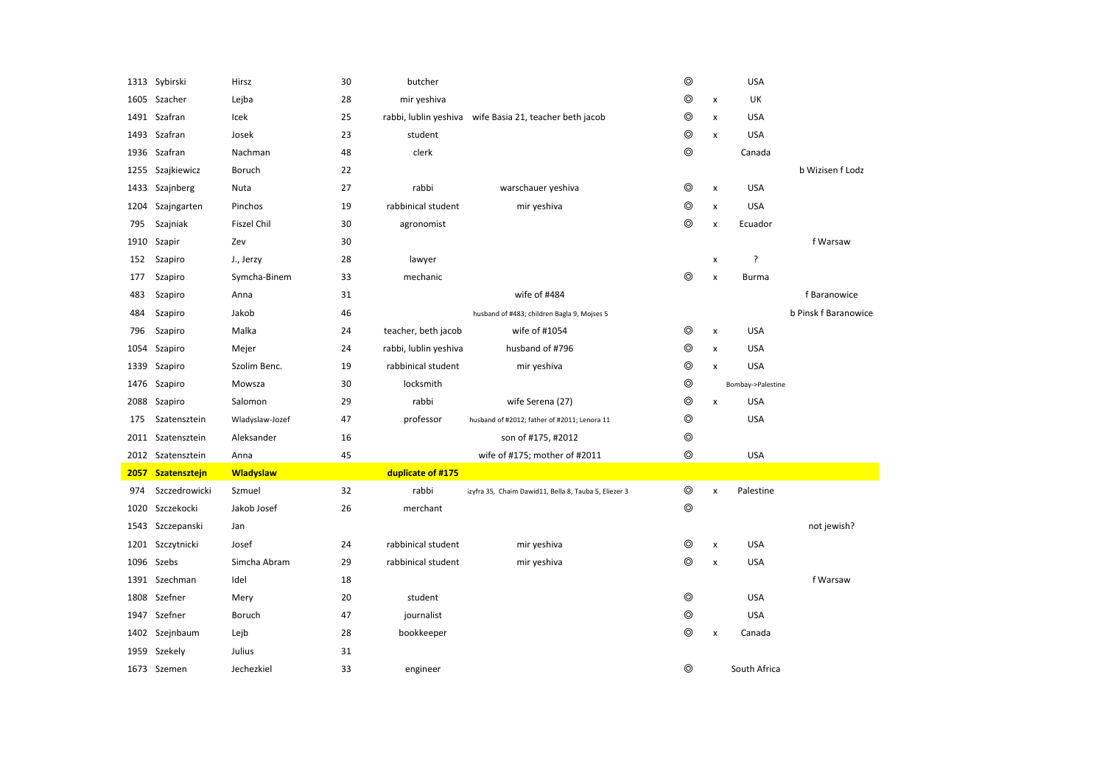|      | 1313 Sybirski     | Hirsz            | 30 | butcher               |                                                         | $\circledcirc$ |                    | <b>USA</b>        |                      |
|------|-------------------|------------------|----|-----------------------|---------------------------------------------------------|----------------|--------------------|-------------------|----------------------|
| 1605 | Szacher           | Lejba            | 28 | mir yeshiva           |                                                         | $\circledcirc$ | $\pmb{\times}$     | UK                |                      |
|      | 1491 Szafran      | Icek             | 25 |                       | rabbi, lublin yeshiva wife Basia 21, teacher beth jacob | ⊚              | x                  | <b>USA</b>        |                      |
| 1493 | Szafran           | Josek            | 23 | student               |                                                         | ⊚              | $\pmb{\times}$     | <b>USA</b>        |                      |
| 1936 | Szafran           | Nachman          | 48 | clerk                 |                                                         | $\circledcirc$ |                    | Canada            |                      |
| 1255 | Szajkiewicz       | Boruch           | 22 |                       |                                                         |                |                    |                   | b Wizisen f Lodz     |
| 1433 | Szajnberg         | Nuta             | 27 | rabbi                 | warschauer yeshiva                                      | $\circledcirc$ | $\pmb{\mathsf{x}}$ | <b>USA</b>        |                      |
| 1204 | Szajngarten       | Pinchos          | 19 | rabbinical student    | mir yeshiva                                             | $\circledcirc$ | x                  | <b>USA</b>        |                      |
| 795  | Szajniak          | Fiszel Chil      | 30 | agronomist            |                                                         | ⊚              | x                  | Ecuador           |                      |
| 1910 | Szapir            | Zev              | 30 |                       |                                                         |                |                    |                   | f Warsaw             |
| 152  | Szapiro           | J., Jerzy        | 28 | lawyer                |                                                         |                | x                  | ?                 |                      |
| 177  | Szapiro           | Symcha-Binem     | 33 | mechanic              |                                                         | ⊚              | $\pmb{\mathsf{x}}$ | <b>Burma</b>      |                      |
| 483  | Szapiro           | Anna             | 31 |                       | wife of #484                                            |                |                    |                   | f Baranowice         |
| 484  | Szapiro           | Jakob            | 46 |                       | husband of #483; children Bagla 9, Mojses 5             |                |                    |                   | b Pinsk f Baranowice |
| 796  | Szapiro           | Malka            | 24 | teacher, beth jacob   | wife of #1054                                           | ⊚              | $\pmb{\times}$     | <b>USA</b>        |                      |
| 1054 | Szapiro           | Mejer            | 24 | rabbi, lublin yeshiva | husband of #796                                         | $\circledcirc$ | $\pmb{\times}$     | <b>USA</b>        |                      |
| 1339 | Szapiro           | Szolim Benc.     | 19 | rabbinical student    | mir yeshiva                                             | $\circledcirc$ | x                  | <b>USA</b>        |                      |
| 1476 | Szapiro           | Mowsza           | 30 | locksmith             |                                                         | $\circledcirc$ |                    | Bombay->Palestine |                      |
| 2088 | Szapiro           | Salomon          | 29 | rabbi                 | wife Serena (27)                                        | $\circledcirc$ | x                  | <b>USA</b>        |                      |
| 175  | Szatensztein      | Wladyslaw-Jozef  | 47 | professor             | husband of #2012; father of #2011; Lenora 11            | ⊚              |                    | <b>USA</b>        |                      |
| 2011 | Szatensztein      | Aleksander       | 16 |                       | son of #175, #2012                                      | $\circledcirc$ |                    |                   |                      |
|      | 2012 Szatensztein |                  |    |                       | wife of #175; mother of #2011                           |                |                    |                   |                      |
| 2057 |                   | Anna             | 45 |                       |                                                         | $\circledcirc$ |                    | <b>USA</b>        |                      |
|      | Szatensztejn      | <b>Wladyslaw</b> |    | duplicate of #175     |                                                         |                |                    |                   |                      |
| 974  | Szczedrowicki     | Szmuel           | 32 | rabbi                 | izyfra 35, Chaim Dawid11, Bella 8, Tauba 5, Eliezer 3   | ⊚              | $\pmb{\times}$     | Palestine         |                      |
| 1020 | Szczekocki        | Jakob Josef      | 26 | merchant              |                                                         | $\circledcirc$ |                    |                   |                      |
| 1543 | Szczepanski       | Jan              |    |                       |                                                         |                |                    |                   | not jewish?          |
|      | 1201 Szczytnicki  | Josef            | 24 | rabbinical student    | mir yeshiva                                             | $\circledcirc$ | $\pmb{\times}$     | <b>USA</b>        |                      |
| 1096 | Szebs             | Simcha Abram     | 29 | rabbinical student    | mir yeshiva                                             | $\circledcirc$ | $\pmb{\times}$     | <b>USA</b>        |                      |
|      | 1391 Szechman     | Idel             | 18 |                       |                                                         |                |                    |                   | f Warsaw             |
| 1808 | Szefner           | Mery             | 20 | student               |                                                         | ⊚              |                    | <b>USA</b>        |                      |
|      | 1947 Szefner      | Boruch           | 47 | journalist            |                                                         | $\circledcirc$ |                    | <b>USA</b>        |                      |
|      | 1402 Szejnbaum    | Lejb             | 28 | bookkeeper            |                                                         | $\circledcirc$ | $\pmb{\times}$     | Canada            |                      |
| 1959 | Szekely           | Julius           | 31 |                       |                                                         |                |                    |                   |                      |
|      | 1673 Szemen       | Jechezkiel       | 33 | engineer              |                                                         | ⊚              |                    | South Africa      |                      |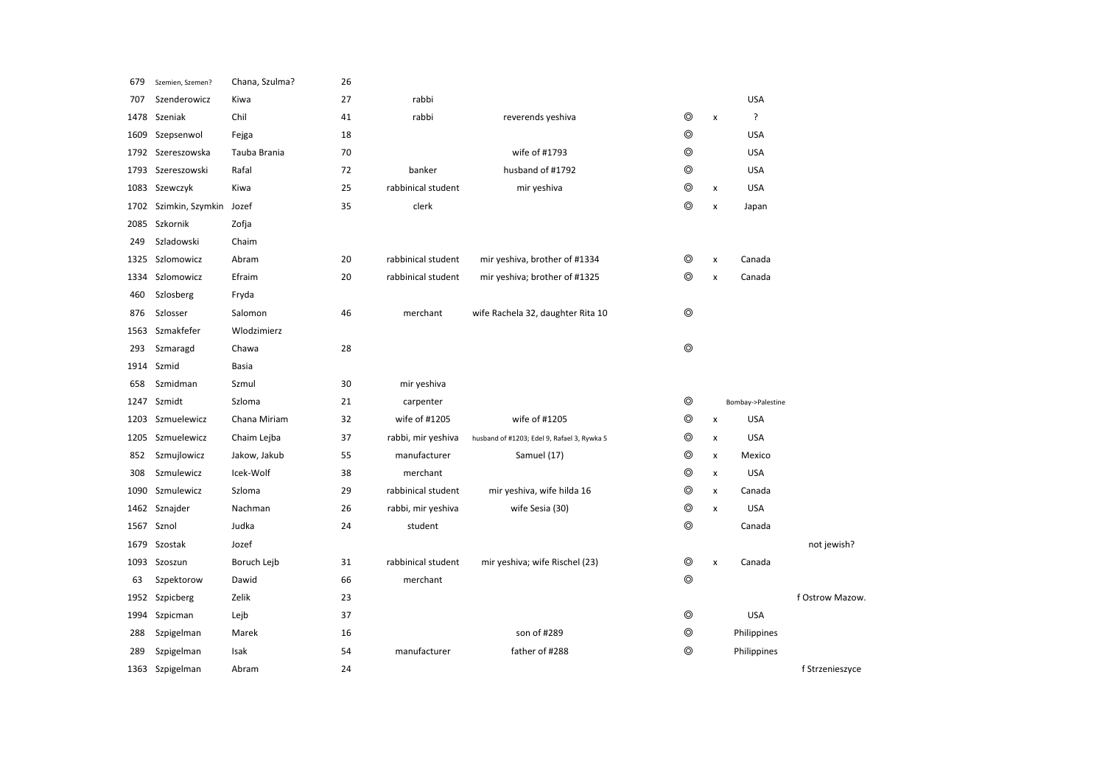| 679  | Szemien, Szemen?      | Chana, Szulma? | 26 |                    |                                             |                |                    |                   |                 |  |
|------|-----------------------|----------------|----|--------------------|---------------------------------------------|----------------|--------------------|-------------------|-----------------|--|
| 707  | Szenderowicz          | Kiwa           | 27 | rabbi              |                                             |                |                    | <b>USA</b>        |                 |  |
| 1478 | Szeniak               | Chil           | 41 | rabbi              | reverends yeshiva                           | ◎              | $\pmb{\mathsf{x}}$ | ?                 |                 |  |
| 1609 | Szepsenwol            | Fejga          | 18 |                    |                                             | ⊚              |                    | <b>USA</b>        |                 |  |
|      | 1792 Szereszowska     | Tauba Brania   | 70 |                    | wife of #1793                               | ⊚              |                    | <b>USA</b>        |                 |  |
|      | 1793 Szereszowski     | Rafal          | 72 | banker             | husband of #1792                            | $\circledcirc$ |                    | <b>USA</b>        |                 |  |
|      | 1083 Szewczyk         | Kiwa           | 25 | rabbinical student | mir yeshiva                                 | $\circledcirc$ | x                  | <b>USA</b>        |                 |  |
|      | 1702 Szimkin, Szymkin | Jozef          | 35 | clerk              |                                             | $^{\circ}$     | $\pmb{\times}$     | Japan             |                 |  |
| 2085 | Szkornik              | Zofja          |    |                    |                                             |                |                    |                   |                 |  |
| 249  | Szladowski            | Chaim          |    |                    |                                             |                |                    |                   |                 |  |
|      | 1325 Szlomowicz       | Abram          | 20 | rabbinical student | mir yeshiva, brother of #1334               | ◎              | $\pmb{\times}$     | Canada            |                 |  |
| 1334 | Szlomowicz            | Efraim         | 20 | rabbinical student | mir yeshiva; brother of #1325               | $^{\circ}$     | $\pmb{\times}$     | Canada            |                 |  |
| 460  | Szlosberg             | Fryda          |    |                    |                                             |                |                    |                   |                 |  |
| 876  | Szlosser              | Salomon        | 46 | merchant           | wife Rachela 32, daughter Rita 10           | $\circledcirc$ |                    |                   |                 |  |
| 1563 | Szmakfefer            | Wlodzimierz    |    |                    |                                             |                |                    |                   |                 |  |
| 293  | Szmaragd              | Chawa          | 28 |                    |                                             | $\circledcirc$ |                    |                   |                 |  |
|      | 1914 Szmid            | Basia          |    |                    |                                             |                |                    |                   |                 |  |
| 658  | Szmidman              | Szmul          | 30 | mir yeshiva        |                                             |                |                    |                   |                 |  |
| 1247 | Szmidt                | Szloma         | 21 | carpenter          |                                             | $\circledcirc$ |                    | Bombay->Palestine |                 |  |
| 1203 | Szmuelewicz           | Chana Miriam   | 32 | wife of #1205      | wife of #1205                               | $\circledcirc$ | $\pmb{\times}$     | <b>USA</b>        |                 |  |
|      | 1205 Szmuelewicz      | Chaim Lejba    | 37 | rabbi, mir yeshiva | husband of #1203; Edel 9, Rafael 3, Rywka 5 | ⊚              | $\pmb{\mathsf{x}}$ | <b>USA</b>        |                 |  |
| 852  | Szmujlowicz           | Jakow, Jakub   | 55 | manufacturer       | Samuel (17)                                 | ⊚              | x                  | Mexico            |                 |  |
| 308  | Szmulewicz            | Icek-Wolf      | 38 | merchant           |                                             | ⊚              | x                  | <b>USA</b>        |                 |  |
| 1090 | Szmulewicz            | Szloma         | 29 | rabbinical student | mir yeshiva, wife hilda 16                  | $\circledcirc$ | $\pmb{\times}$     | Canada            |                 |  |
| 1462 | Sznajder              | Nachman        | 26 | rabbi, mir yeshiva | wife Sesia (30)                             | $^{\circ}$     | $\pmb{\times}$     | <b>USA</b>        |                 |  |
|      | 1567 Sznol            | Judka          | 24 | student            |                                             | $^{\circ}$     |                    | Canada            |                 |  |
| 1679 | Szostak               | Jozef          |    |                    |                                             |                |                    |                   | not jewish?     |  |
| 1093 | Szoszun               | Boruch Lejb    | 31 | rabbinical student | mir yeshiva; wife Rischel (23)              | $^{\circledR}$ | $\pmb{\times}$     | Canada            |                 |  |
| 63   | Szpektorow            | Dawid          | 66 | merchant           |                                             | $\circledcirc$ |                    |                   |                 |  |
|      | 1952 Szpicberg        | Zelik          | 23 |                    |                                             |                |                    |                   | f Ostrow Mazow. |  |
| 1994 | Szpicman              | Lejb           | 37 |                    |                                             | $^{\circ}$     |                    | <b>USA</b>        |                 |  |
| 288  | Szpigelman            | Marek          | 16 |                    | son of #289                                 | $^{\circ}$     |                    | Philippines       |                 |  |
| 289  | Szpigelman            | Isak           | 54 | manufacturer       | father of #288                              | $^{\circ}$     |                    | Philippines       |                 |  |
|      | 1363 Szpigelman       | Abram          | 24 |                    |                                             |                |                    |                   | f Strzenieszyce |  |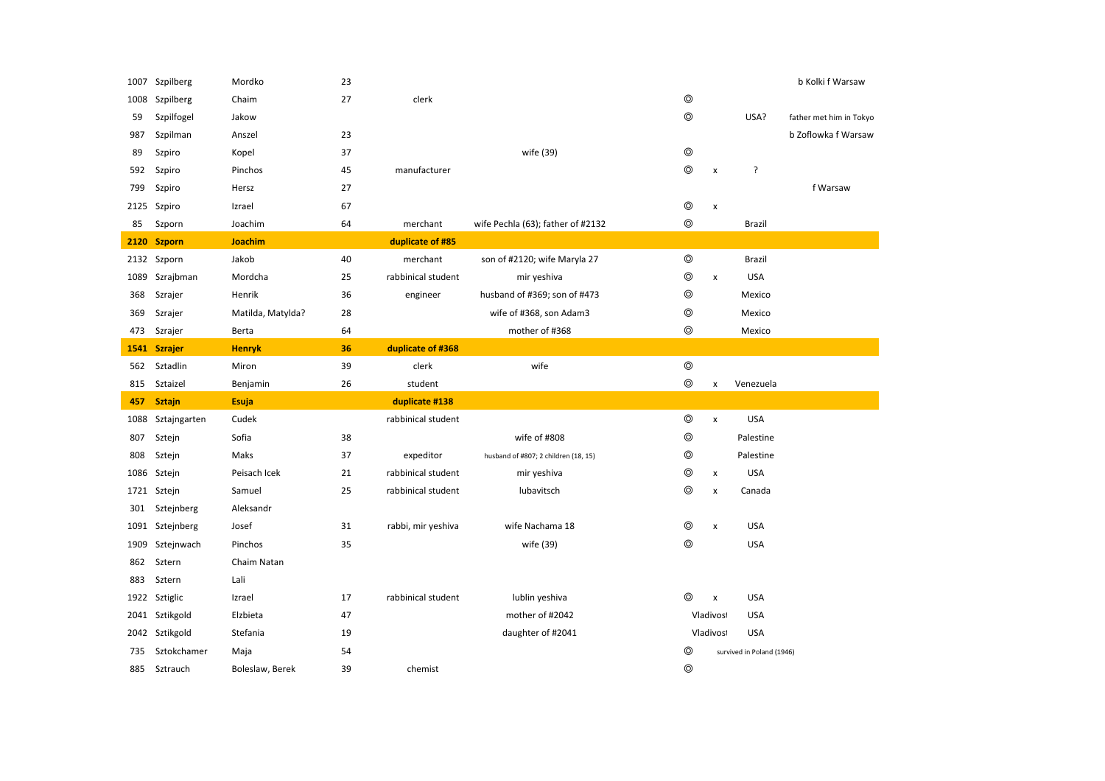|      | 1007 Szpilberg  | Mordko            | 23 |                    |                                      |                |                    |                           | b Kolki f Warsaw        |
|------|-----------------|-------------------|----|--------------------|--------------------------------------|----------------|--------------------|---------------------------|-------------------------|
| 1008 | Szpilberg       | Chaim             | 27 | clerk              |                                      | $\circledcirc$ |                    |                           |                         |
| 59   | Szpilfogel      | Jakow             |    |                    |                                      | $\circledcirc$ |                    | USA?                      | father met him in Tokyo |
| 987  | Szpilman        | Anszel            | 23 |                    |                                      |                |                    |                           | b Zoflowka f Warsaw     |
| 89   | Szpiro          | Kopel             | 37 |                    | wife (39)                            | $\circledcirc$ |                    |                           |                         |
| 592  | Szpiro          | Pinchos           | 45 | manufacturer       |                                      | $\circledcirc$ | $\pmb{\mathsf{x}}$ | ?                         |                         |
| 799  | Szpiro          | Hersz             | 27 |                    |                                      |                |                    |                           | f Warsaw                |
|      | 2125 Szpiro     | Izrael            | 67 |                    |                                      | $\circledcirc$ | $\pmb{\times}$     |                           |                         |
| 85   | Szporn          | Joachim           | 64 | merchant           | wife Pechla (63); father of #2132    | $\circledcirc$ |                    | Brazil                    |                         |
|      | 2120 Szporn     | <b>Joachim</b>    |    | duplicate of #85   |                                      |                |                    |                           |                         |
|      | 2132 Szporn     | Jakob             | 40 | merchant           | son of #2120; wife Maryla 27         | $\circledcirc$ |                    | Brazil                    |                         |
| 1089 | Szrajbman       | Mordcha           | 25 | rabbinical student | mir yeshiva                          | $\circledcirc$ | $\pmb{\times}$     | <b>USA</b>                |                         |
| 368  | Szrajer         | Henrik            | 36 | engineer           | husband of #369; son of #473         | $^{\circ}$     |                    | Mexico                    |                         |
| 369  | Szrajer         | Matilda, Matylda? | 28 |                    | wife of #368, son Adam3              | $\circledcirc$ |                    | Mexico                    |                         |
| 473  | Szrajer         | Berta             | 64 |                    | mother of #368                       | ⊚              |                    | Mexico                    |                         |
|      | 1541 Szrajer    | <b>Henryk</b>     | 36 | duplicate of #368  |                                      |                |                    |                           |                         |
| 562  | Sztadlin        | Miron             | 39 | clerk              | wife                                 | $\circledcirc$ |                    |                           |                         |
|      |                 |                   |    |                    |                                      |                |                    |                           |                         |
| 815  | Sztaizel        | Benjamin          | 26 | student            |                                      | $\circledcirc$ | x                  | Venezuela                 |                         |
| 457  | <b>Sztajn</b>   | <b>Esuja</b>      |    | duplicate #138     |                                      |                |                    |                           |                         |
| 1088 | Sztajngarten    | Cudek             |    | rabbinical student |                                      | $\circledcirc$ | $\pmb{\chi}$       | <b>USA</b>                |                         |
| 807  | Sztejn          | Sofia             | 38 |                    | wife of #808                         | $\circledcirc$ |                    | Palestine                 |                         |
| 808  | Sztejn          | Maks              | 37 | expeditor          | husband of #807; 2 children (18, 15) | $\circledcirc$ |                    | Palestine                 |                         |
| 1086 | Sztejn          | Peisach Icek      | 21 | rabbinical student | mir yeshiva                          | $\circledcirc$ | x                  | <b>USA</b>                |                         |
|      | 1721 Sztejn     | Samuel            | 25 | rabbinical student | lubavitsch                           | $\circledcirc$ | x                  | Canada                    |                         |
| 301  | Sztejnberg      | Aleksandr         |    |                    |                                      |                |                    |                           |                         |
|      | 1091 Sztejnberg | Josef             | 31 | rabbi, mir yeshiva | wife Nachama 18                      | $\circledcirc$ | $\pmb{\mathsf{x}}$ | <b>USA</b>                |                         |
| 1909 | Sztejnwach      | Pinchos           | 35 |                    | wife (39)                            | ⊚              |                    | <b>USA</b>                |                         |
| 862  | Sztern          | Chaim Natan       |    |                    |                                      |                |                    |                           |                         |
| 883  | Sztern          | Lali              |    |                    |                                      |                |                    |                           |                         |
|      | 1922 Sztiglic   | Izrael            | 17 | rabbinical student | lublin yeshiva                       | ⊚              | x                  | <b>USA</b>                |                         |
|      | 2041 Sztikgold  | Elzbieta          | 47 |                    | mother of #2042                      |                | Vladivost          | <b>USA</b>                |                         |
|      | 2042 Sztikgold  | Stefania          | 19 |                    | daughter of #2041                    |                | Vladivost          | <b>USA</b>                |                         |
| 735  | Sztokchamer     | Maja              | 54 |                    |                                      | ⊚              |                    | survived in Poland (1946) |                         |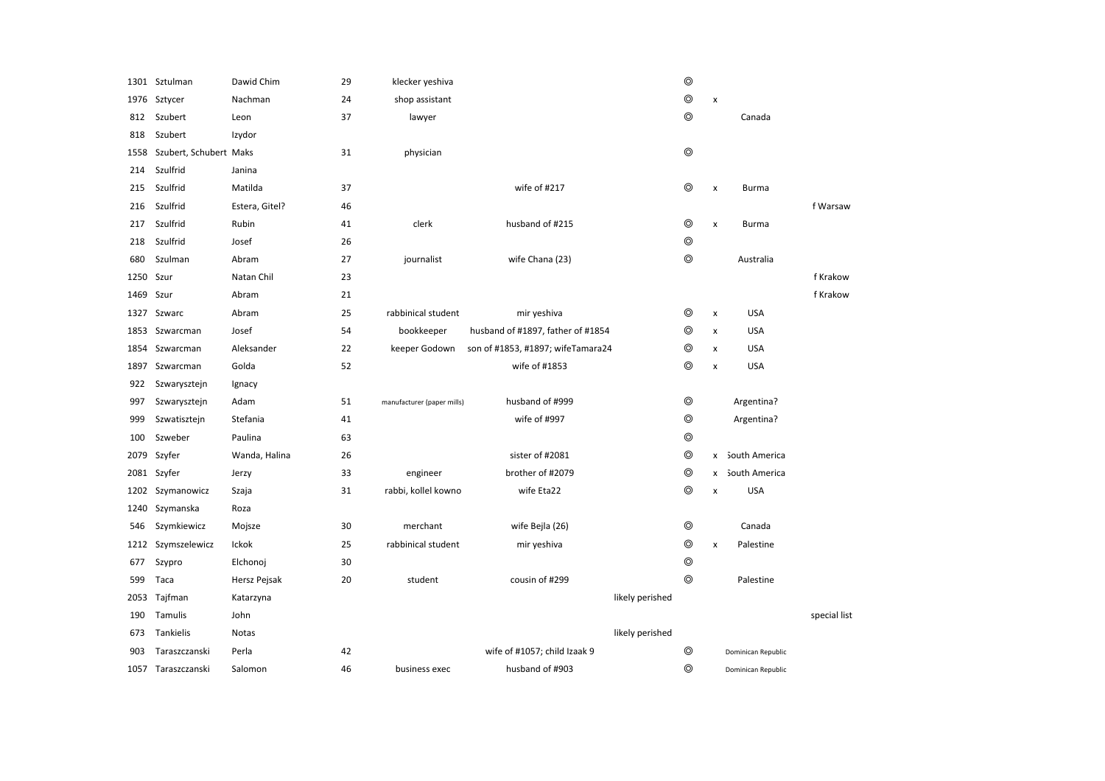|      | 1301 Sztulman          | Dawid Chim     | 29 | klecker yeshiva            |                                   | $\circledcirc$ |                |                    |              |
|------|------------------------|----------------|----|----------------------------|-----------------------------------|----------------|----------------|--------------------|--------------|
| 1976 | Sztycer                | Nachman        | 24 | shop assistant             |                                   | $\circledcirc$ | $\pmb{\times}$ |                    |              |
| 812  | Szubert                | Leon           | 37 | lawyer                     |                                   | ⊚              |                | Canada             |              |
| 818  | Szubert                | Izydor         |    |                            |                                   |                |                |                    |              |
| 1558 | Szubert, Schubert Maks |                | 31 | physician                  |                                   | $\circledcirc$ |                |                    |              |
| 214  | Szulfrid               | Janina         |    |                            |                                   |                |                |                    |              |
| 215  | Szulfrid               | Matilda        | 37 |                            | wife of #217                      | ⊚              | x              | Burma              |              |
| 216  | Szulfrid               | Estera, Gitel? | 46 |                            |                                   |                |                |                    | f Warsaw     |
| 217  | Szulfrid               | Rubin          | 41 | clerk                      | husband of #215                   | ⊚              | $\pmb{\times}$ | Burma              |              |
| 218  | Szulfrid               | Josef          | 26 |                            |                                   | $\circledcirc$ |                |                    |              |
| 680  | Szulman                | Abram          | 27 | journalist                 | wife Chana (23)                   | ⊚              |                | Australia          |              |
| 1250 | Szur                   | Natan Chil     | 23 |                            |                                   |                |                |                    | f Krakow     |
| 1469 | Szur                   | Abram          | 21 |                            |                                   |                |                |                    | f Krakow     |
|      | 1327 Szwarc            | Abram          | 25 | rabbinical student         | mir yeshiva                       | ⊚              | $\pmb{\times}$ | <b>USA</b>         |              |
| 1853 | Szwarcman              | Josef          | 54 | bookkeeper                 | husband of #1897, father of #1854 | ⊚              | $\pmb{\times}$ | <b>USA</b>         |              |
| 1854 | Szwarcman              | Aleksander     | 22 | keeper Godown              | son of #1853, #1897; wifeTamara24 | ⊚              | x              | <b>USA</b>         |              |
| 1897 | Szwarcman              | Golda          | 52 |                            | wife of #1853                     | ⊚              | x              | <b>USA</b>         |              |
| 922  | Szwarysztejn           | Ignacy         |    |                            |                                   |                |                |                    |              |
| 997  | Szwarysztejn           | Adam           | 51 | manufacturer (paper mills) | husband of #999                   | $\circledcirc$ |                | Argentina?         |              |
| 999  | Szwatisztejn           | Stefania       | 41 |                            | wife of #997                      | $\circledcirc$ |                | Argentina?         |              |
| 100  | Szweber                | Paulina        | 63 |                            |                                   | $\circledcirc$ |                |                    |              |
| 2079 | Szyfer                 | Wanda, Halina  | 26 |                            | sister of #2081                   | ⊚              | x              | South America      |              |
|      | 2081 Szyfer            | Jerzy          | 33 | engineer                   | brother of #2079                  | ⊚              | x              | South America      |              |
| 1202 | Szymanowicz            | Szaja          | 31 | rabbi, kollel kowno        | wife Eta22                        | ⊚              | X              | <b>USA</b>         |              |
| 1240 | Szymanska              | Roza           |    |                            |                                   |                |                |                    |              |
| 546  | Szymkiewicz            | Mojsze         | 30 | merchant                   | wife Bejla (26)                   | ⊚              |                | Canada             |              |
|      | 1212 Szymszelewicz     | Ickok          | 25 | rabbinical student         | mir yeshiva                       | $\circledcirc$ | x              | Palestine          |              |
| 677  | Szypro                 | Elchonoj       | 30 |                            |                                   | $\circledcirc$ |                |                    |              |
| 599  | Taca                   | Hersz Pejsak   | 20 | student                    | cousin of #299                    | ⊚              |                | Palestine          |              |
|      | 2053 Tajfman           | Katarzyna      |    |                            | likely perished                   |                |                |                    |              |
| 190  | Tamulis                | John           |    |                            |                                   |                |                |                    | special list |
| 673  | Tankielis              | <b>Notas</b>   |    |                            | likely perished                   |                |                |                    |              |
| 903  | Taraszczanski          | Perla          | 42 |                            | wife of #1057; child Izaak 9      | ⊚              |                | Dominican Republic |              |
|      | 1057 Taraszczanski     | Salomon        | 46 | business exec              | husband of #903                   | ⊚              |                | Dominican Republic |              |
|      |                        |                |    |                            |                                   |                |                |                    |              |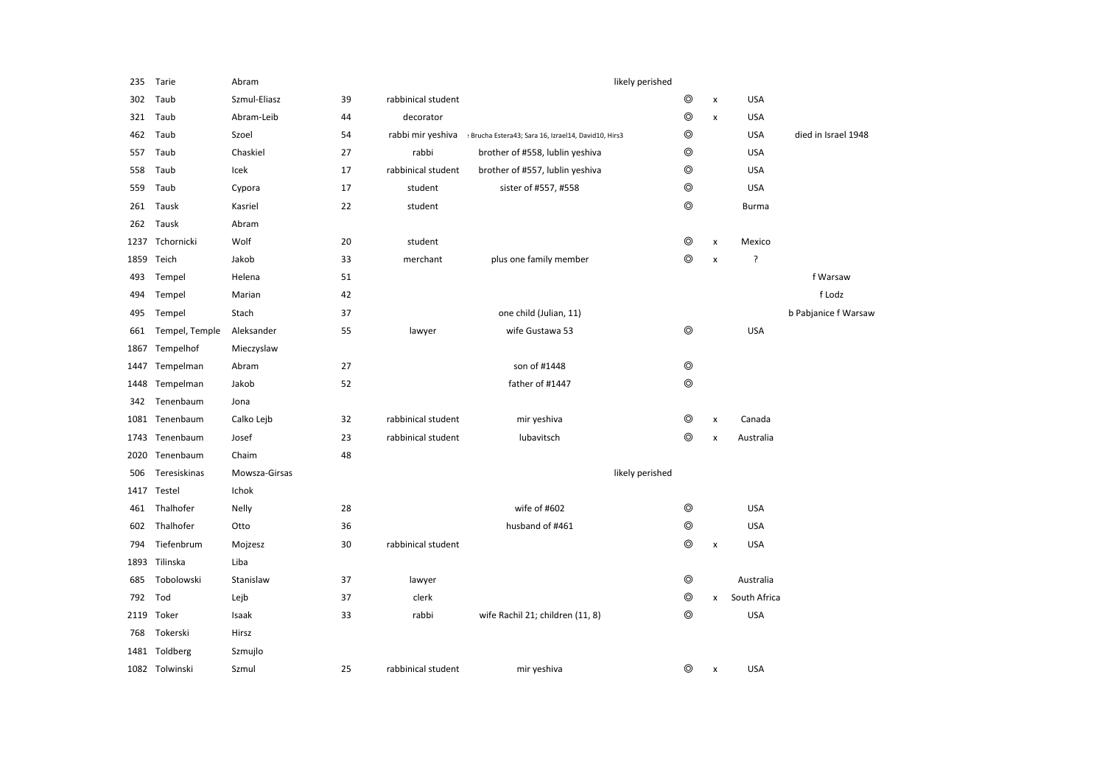| 235  | Tarie          | Abram         |    |                    | likely perished                                      |                |                    |              |                      |
|------|----------------|---------------|----|--------------------|------------------------------------------------------|----------------|--------------------|--------------|----------------------|
| 302  | Taub           | Szmul-Eliasz  | 39 | rabbinical student |                                                      | ⊚              | $\pmb{\times}$     | <b>USA</b>   |                      |
| 321  | Taub           | Abram-Leib    | 44 | decorator          |                                                      | $\circledcirc$ | $\pmb{\mathsf{x}}$ | <b>USA</b>   |                      |
| 462  | Taub           | Szoel         | 54 | rabbi mir yeshiva  | : Brucha Estera43; Sara 16, Izrael14, David10, Hirs3 | $\circledcirc$ |                    | <b>USA</b>   | died in Israel 1948  |
| 557  | Taub           | Chaskiel      | 27 | rabbi              | brother of #558, lublin yeshiva                      | $\circledcirc$ |                    | <b>USA</b>   |                      |
| 558  | Taub           | Icek          | 17 | rabbinical student | brother of #557, lublin yeshiva                      | $\circledcirc$ |                    | <b>USA</b>   |                      |
| 559  | Taub           | Cypora        | 17 | student            | sister of #557, #558                                 | $^{\circ}$     |                    | <b>USA</b>   |                      |
| 261  | Tausk          | Kasriel       | 22 | student            |                                                      | $^{\circ}$     |                    | <b>Burma</b> |                      |
| 262  | Tausk          | Abram         |    |                    |                                                      |                |                    |              |                      |
| 1237 | Tchornicki     | Wolf          | 20 | student            |                                                      | $\circledcirc$ | $\pmb{\times}$     | Mexico       |                      |
| 1859 | Teich          | Jakob         | 33 | merchant           | plus one family member                               | $\circledcirc$ | $\pmb{\times}$     | ?            |                      |
| 493  | Tempel         | Helena        | 51 |                    |                                                      |                |                    |              | f Warsaw             |
| 494  | Tempel         | Marian        | 42 |                    |                                                      |                |                    |              | f Lodz               |
| 495  | Tempel         | Stach         | 37 |                    | one child (Julian, 11)                               |                |                    |              | b Pabjanice f Warsaw |
| 661  | Tempel, Temple | Aleksander    | 55 | lawyer             | wife Gustawa 53                                      | $^{\circ}$     |                    | <b>USA</b>   |                      |
| 1867 | Tempelhof      | Mieczyslaw    |    |                    |                                                      |                |                    |              |                      |
| 1447 | Tempelman      | Abram         | 27 |                    | son of #1448                                         | $^{\circ}$     |                    |              |                      |
| 1448 | Tempelman      | Jakob         | 52 |                    | father of #1447                                      | $\circledcirc$ |                    |              |                      |
| 342  | Tenenbaum      | Jona          |    |                    |                                                      |                |                    |              |                      |
|      | 1081 Tenenbaum | Calko Lejb    | 32 | rabbinical student | mir yeshiva                                          | $\circledcirc$ | X                  | Canada       |                      |
| 1743 | Tenenbaum      | Josef         | 23 | rabbinical student | lubavitsch                                           | ⊚              | x                  | Australia    |                      |
| 2020 | Tenenbaum      | Chaim         | 48 |                    |                                                      |                |                    |              |                      |
| 506  | Teresiskinas   | Mowsza-Girsas |    |                    | likely perished                                      |                |                    |              |                      |
|      | 1417 Testel    | Ichok         |    |                    |                                                      |                |                    |              |                      |
| 461  | Thalhofer      | Nelly         | 28 |                    | wife of #602                                         | $\circledcirc$ |                    | <b>USA</b>   |                      |
| 602  | Thalhofer      | Otto          | 36 |                    | husband of #461                                      | $\circledcirc$ |                    | <b>USA</b>   |                      |
| 794  | Tiefenbrum     | Mojzesz       | 30 | rabbinical student |                                                      | $\circledcirc$ | x                  | <b>USA</b>   |                      |
|      | 1893 Tilinska  | Liba          |    |                    |                                                      |                |                    |              |                      |
| 685  | Tobolowski     | Stanislaw     | 37 | lawyer             |                                                      | $^{\circ}$     |                    | Australia    |                      |
| 792  | Tod            | Lejb          | 37 | clerk              |                                                      | $^{\circ}$     | x                  | South Africa |                      |
| 2119 | Toker          | Isaak         | 33 | rabbi              | wife Rachil 21; children (11, 8)                     | $\circledcirc$ |                    | <b>USA</b>   |                      |
| 768  | Tokerski       | Hirsz         |    |                    |                                                      |                |                    |              |                      |
|      | 1481 Toldberg  | Szmujlo       |    |                    |                                                      |                |                    |              |                      |
|      | 1082 Tolwinski | Szmul         | 25 | rabbinical student | mir yeshiva                                          | ⊚              | х                  | <b>USA</b>   |                      |
|      |                |               |    |                    |                                                      |                |                    |              |                      |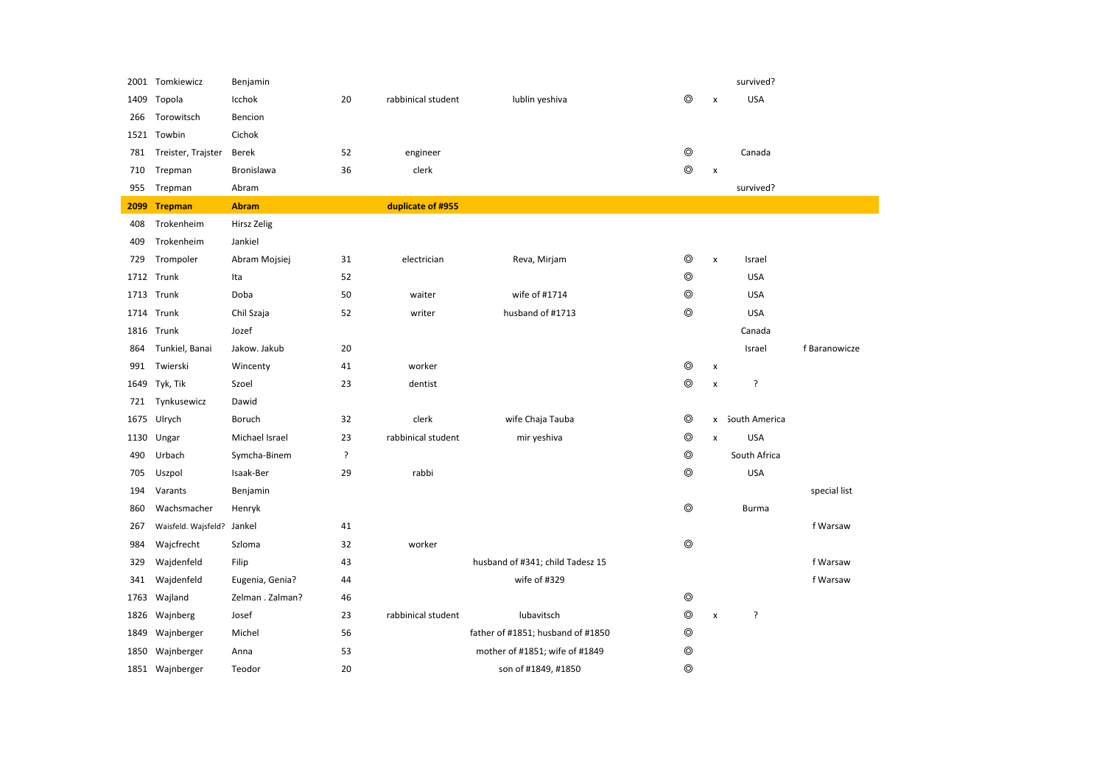|      | 2001 Tomkiewicz     | Benjamin         |    |                    |                                   |                |                    | survived?       |               |
|------|---------------------|------------------|----|--------------------|-----------------------------------|----------------|--------------------|-----------------|---------------|
| 1409 | Topola              | Icchok           | 20 | rabbinical student | lublin yeshiva                    | $\circledcirc$ | $\pmb{\mathsf{x}}$ | <b>USA</b>      |               |
| 266  | Torowitsch          | Bencion          |    |                    |                                   |                |                    |                 |               |
| 1521 | Towbin              | Cichok           |    |                    |                                   |                |                    |                 |               |
| 781  | Treister, Trajster  | Berek            | 52 | engineer           |                                   | $\circledcirc$ |                    | Canada          |               |
| 710  | Trepman             | Bronislawa       | 36 | clerk              |                                   | $\circledcirc$ | $\pmb{\mathsf{x}}$ |                 |               |
| 955  | Trepman             | Abram            |    |                    |                                   |                |                    | survived?       |               |
|      | 2099 Trepman        | <b>Abram</b>     |    | duplicate of #955  |                                   |                |                    |                 |               |
| 408  | Trokenheim          | Hirsz Zelig      |    |                    |                                   |                |                    |                 |               |
| 409  | Trokenheim          | Jankiel          |    |                    |                                   |                |                    |                 |               |
| 729  | Trompoler           | Abram Mojsiej    | 31 | electrician        | Reva, Mirjam                      | $\circledcirc$ | $\pmb{\times}$     | Israel          |               |
|      | 1712 Trunk          | Ita              | 52 |                    |                                   | $\circledcirc$ |                    | <b>USA</b>      |               |
|      | 1713 Trunk          | Doba             | 50 | waiter             | wife of #1714                     | ⊚              |                    | <b>USA</b>      |               |
| 1714 | Trunk               | Chil Szaja       | 52 | writer             | husband of #1713                  | $\circledcirc$ |                    | <b>USA</b>      |               |
|      | 1816 Trunk          | Jozef            |    |                    |                                   |                |                    | Canada          |               |
| 864  | Tunkiel, Banai      | Jakow. Jakub     | 20 |                    |                                   |                |                    | Israel          | f Baranowicze |
| 991  | Twierski            | Wincenty         | 41 | worker             |                                   | $\circledcirc$ | $\pmb{\mathsf{x}}$ |                 |               |
| 1649 | Tyk, Tik            | Szoel            | 23 | dentist            |                                   | $\circledcirc$ | x                  | ?               |               |
| 721  | Tynkusewicz         | Dawid            |    |                    |                                   |                |                    |                 |               |
| 1675 | Ulrych              | Boruch           | 32 | clerk              | wife Chaja Tauba                  | ⊚              |                    | x South America |               |
|      | 1130 Ungar          | Michael Israel   | 23 | rabbinical student | mir yeshiva                       | $\circledcirc$ | $\pmb{\times}$     | <b>USA</b>      |               |
| 490  | Urbach              | Symcha-Binem     | ŗ  |                    |                                   | $\circledcirc$ |                    | South Africa    |               |
| 705  | Uszpol              | Isaak-Ber        | 29 | rabbi              |                                   | $\circledcirc$ |                    | <b>USA</b>      |               |
| 194  | Varants             | Benjamin         |    |                    |                                   |                |                    |                 | special list  |
| 860  | Wachsmacher         | Henryk           |    |                    |                                   | $\circledcirc$ |                    | <b>Burma</b>    |               |
| 267  | Waisfeld. Wajsfeld? | Jankel           | 41 |                    |                                   |                |                    |                 | f Warsaw      |
| 984  | Wajcfrecht          | Szloma           | 32 | worker             |                                   | $\circledcirc$ |                    |                 |               |
| 329  | Wajdenfeld          | Filip            | 43 |                    | husband of #341; child Tadesz 15  |                |                    |                 | f Warsaw      |
| 341  | Wajdenfeld          | Eugenia, Genia?  | 44 |                    | wife of #329                      |                |                    |                 | f Warsaw      |
| 1763 | Wajland             | Zelman . Zalman? | 46 |                    |                                   | $\circledcirc$ |                    |                 |               |
| 1826 | Wajnberg            | Josef            | 23 | rabbinical student | lubavitsch                        | $\circledcirc$ | $\pmb{\times}$     | ?               |               |
| 1849 | Wajnberger          | Michel           | 56 |                    | father of #1851; husband of #1850 | ⊚              |                    |                 |               |
| 1850 | Wajnberger          | Anna             | 53 |                    | mother of #1851; wife of #1849    | ⊚              |                    |                 |               |
|      | 1851 Wajnberger     | Teodor           | 20 |                    | son of #1849, #1850               | $^{\circ}$     |                    |                 |               |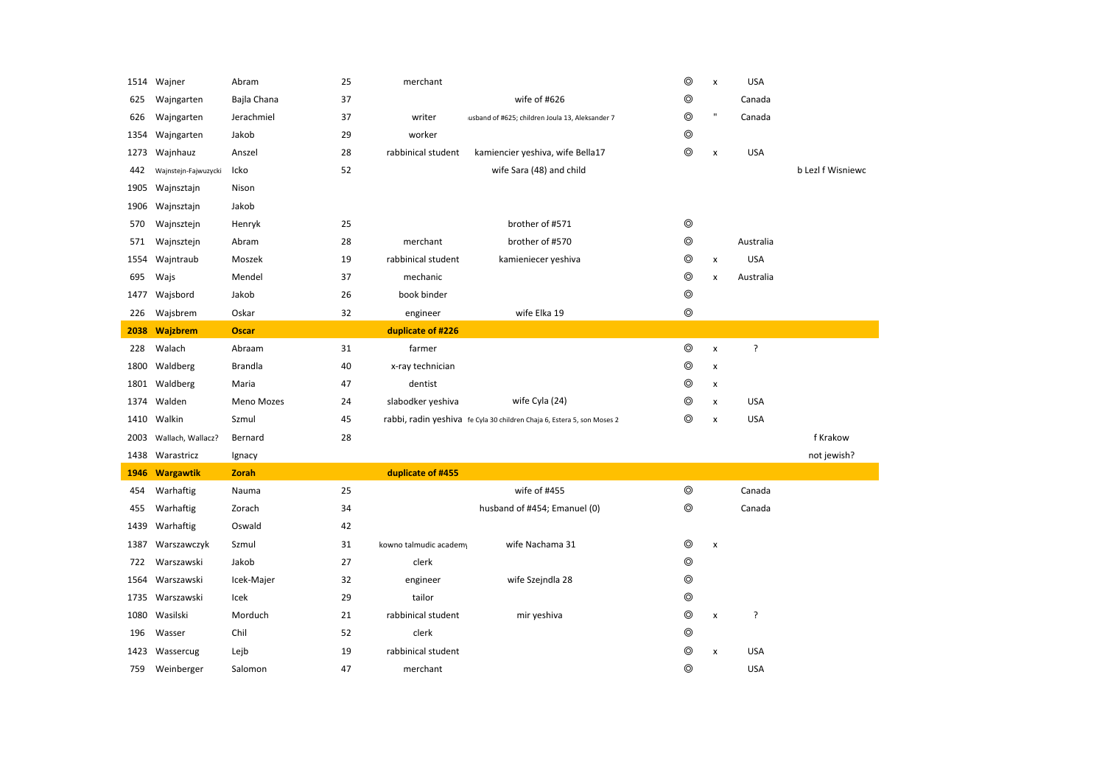|      | 1514 Wajner          | Abram          | 25 | merchant               |                                                                         | $^{\circ}$     | $\pmb{\times}$     | <b>USA</b> |                   |
|------|----------------------|----------------|----|------------------------|-------------------------------------------------------------------------|----------------|--------------------|------------|-------------------|
| 625  | Wajngarten           | Bajla Chana    | 37 |                        | wife of #626                                                            | ⊚              |                    | Canada     |                   |
| 626  | Wajngarten           | Jerachmiel     | 37 | writer                 | usband of #625; children Joula 13, Aleksander 7                         | ◎              | $\mathbf{u}$       | Canada     |                   |
| 1354 | Wajngarten           | Jakob          | 29 | worker                 |                                                                         | $\circledcirc$ |                    |            |                   |
| 1273 | Wajnhauz             | Anszel         | 28 | rabbinical student     | kamiencier yeshiva, wife Bella17                                        | $\circledcirc$ | X                  | <b>USA</b> |                   |
| 442  | Wajnstejn-Fajwuzycki | Icko           | 52 |                        | wife Sara (48) and child                                                |                |                    |            | b Lezl f Wisniewc |
| 1905 | Wajnsztajn           | Nison          |    |                        |                                                                         |                |                    |            |                   |
| 1906 | Wajnsztajn           | Jakob          |    |                        |                                                                         |                |                    |            |                   |
| 570  | Wajnsztejn           | Henryk         | 25 |                        | brother of #571                                                         | ◎              |                    |            |                   |
| 571  | Wajnsztejn           | Abram          | 28 | merchant               | brother of #570                                                         | $\circledcirc$ |                    | Australia  |                   |
| 1554 | Wajntraub            | Moszek         | 19 | rabbinical student     | kamieniecer yeshiva                                                     | ⊚              | $\pmb{\times}$     | <b>USA</b> |                   |
| 695  | Wajs                 | Mendel         | 37 | mechanic               |                                                                         | ◎              | $\mathsf{x}$       | Australia  |                   |
| 1477 | Wajsbord             | Jakob          | 26 | book binder            |                                                                         | $\circledcirc$ |                    |            |                   |
| 226  | Wajsbrem             | Oskar          | 32 | engineer               | wife Elka 19                                                            | $\circledcirc$ |                    |            |                   |
| 2038 | <b>Wajzbrem</b>      | <b>Oscar</b>   |    | duplicate of #226      |                                                                         |                |                    |            |                   |
| 228  | Walach               | Abraam         | 31 | farmer                 |                                                                         | $^{\circ}$     | $\pmb{\times}$     | ?          |                   |
| 1800 | Waldberg             | <b>Brandla</b> | 40 | x-ray technician       |                                                                         | ⊚              | x                  |            |                   |
| 1801 | Waldberg             | Maria          | 47 | dentist                |                                                                         | ⊚              | x                  |            |                   |
| 1374 | Walden               | Meno Mozes     | 24 | slabodker yeshiva      | wife Cyla (24)                                                          | ⊚              | $\pmb{\times}$     | <b>USA</b> |                   |
| 1410 | Walkin               | Szmul          | 45 |                        | rabbi, radin yeshiva fe Cyla 30 children Chaja 6, Estera 5, son Moses 2 | ⊚              | x                  | <b>USA</b> |                   |
| 2003 | Wallach, Wallacz?    | Bernard        | 28 |                        |                                                                         |                |                    |            | f Krakow          |
| 1438 | Warastricz           | Ignacy         |    |                        |                                                                         |                |                    |            | not jewish?       |
| 1946 | <b>Wargawtik</b>     | <b>Zorah</b>   |    | duplicate of #455      |                                                                         |                |                    |            |                   |
| 454  | Warhaftig            | Nauma          | 25 |                        | wife of #455                                                            | $\circledcirc$ |                    | Canada     |                   |
| 455  | Warhaftig            | Zorach         | 34 |                        | husband of #454; Emanuel (0)                                            | $\circledcirc$ |                    | Canada     |                   |
| 1439 | Warhaftig            | Oswald         | 42 |                        |                                                                         |                |                    |            |                   |
| 1387 | Warszawczyk          | Szmul          | 31 | kowno talmudic academy | wife Nachama 31                                                         | $\circledcirc$ | $\pmb{\mathsf{x}}$ |            |                   |
| 722  | Warszawski           | Jakob          | 27 | clerk                  |                                                                         | $\circledcirc$ |                    |            |                   |
| 1564 | Warszawski           | Icek-Majer     | 32 | engineer               | wife Szejndla 28                                                        | ⊚              |                    |            |                   |
| 1735 | Warszawski           | Icek           | 29 | tailor                 |                                                                         | $\circledcirc$ |                    |            |                   |
| 1080 | Wasilski             | Morduch        | 21 | rabbinical student     | mir yeshiva                                                             | $\circledcirc$ | $\pmb{\times}$     | ŗ          |                   |
| 196  | Wasser               | Chil           | 52 | clerk                  |                                                                         | $^{\circ}$     |                    |            |                   |
| 1423 | Wassercug            | Lejb           | 19 | rabbinical student     |                                                                         | ◎              | X                  | <b>USA</b> |                   |
| 759  | Weinberger           | Salomon        | 47 | merchant               |                                                                         | $^{\circ}$     |                    | <b>USA</b> |                   |
|      |                      |                |    |                        |                                                                         |                |                    |            |                   |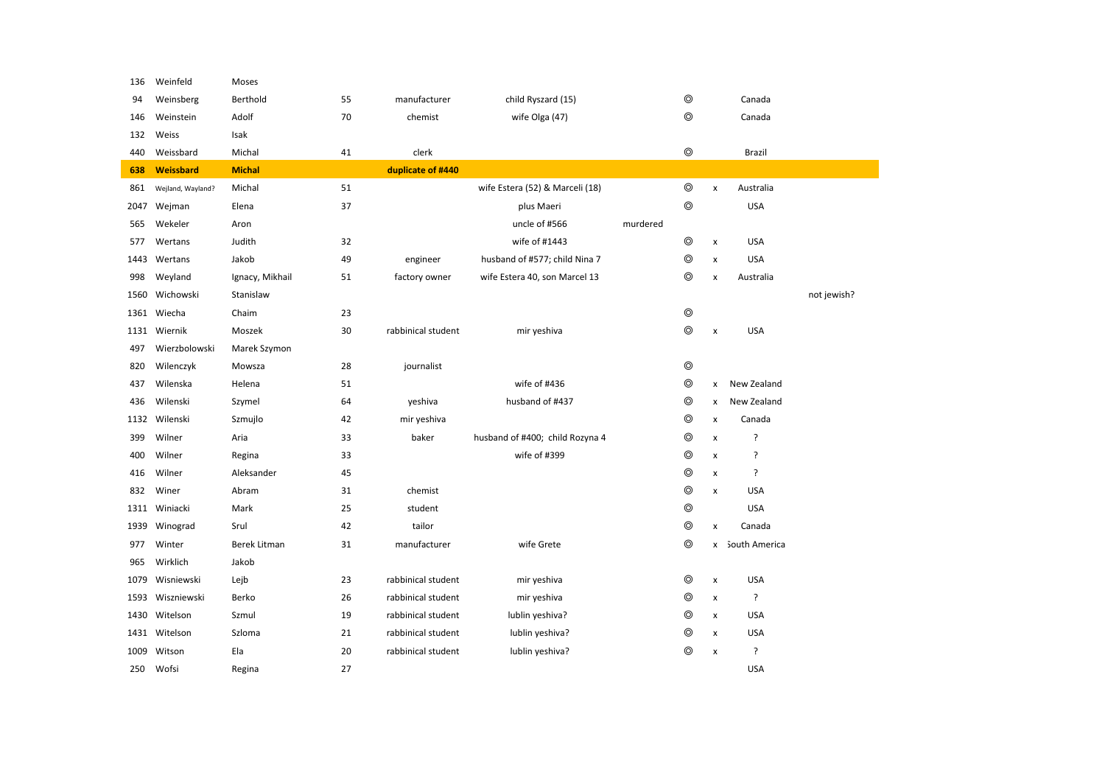| 136  | Weinfeld          | Moses               |    |                    |                                 |          |                |                    |                 |             |
|------|-------------------|---------------------|----|--------------------|---------------------------------|----------|----------------|--------------------|-----------------|-------------|
| 94   | Weinsberg         | Berthold            | 55 | manufacturer       | child Ryszard (15)              |          | ⊚              |                    | Canada          |             |
| 146  | Weinstein         | Adolf               | 70 | chemist            | wife Olga (47)                  |          | $\circledcirc$ |                    | Canada          |             |
| 132  | Weiss             | Isak                |    |                    |                                 |          |                |                    |                 |             |
| 440  | Weissbard         | Michal              | 41 | clerk              |                                 |          | $\circledcirc$ |                    | Brazil          |             |
| 638  | Weissbard         | <b>Michal</b>       |    | duplicate of #440  |                                 |          |                |                    |                 |             |
| 861  | Wejland, Wayland? | Michal              | 51 |                    | wife Estera (52) & Marceli (18) |          | $\circledcirc$ | $\pmb{\times}$     | Australia       |             |
| 2047 | Wejman            | Elena               | 37 |                    | plus Maeri                      |          | $\circledcirc$ |                    | <b>USA</b>      |             |
| 565  | Wekeler           | Aron                |    |                    | uncle of #566                   | murdered |                |                    |                 |             |
| 577  | Wertans           | Judith              | 32 |                    | wife of #1443                   |          | $\circledcirc$ | $\pmb{\times}$     | <b>USA</b>      |             |
| 1443 | Wertans           | Jakob               | 49 | engineer           | husband of #577; child Nina 7   |          | $\circledcirc$ | $\pmb{\mathsf{x}}$ | <b>USA</b>      |             |
| 998  | Weyland           | Ignacy, Mikhail     | 51 | factory owner      | wife Estera 40, son Marcel 13   |          | $\circledcirc$ | $\pmb{\times}$     | Australia       |             |
| 1560 | Wichowski         | Stanislaw           |    |                    |                                 |          |                |                    |                 | not jewish? |
|      | 1361 Wiecha       | Chaim               | 23 |                    |                                 |          | $\circledcirc$ |                    |                 |             |
|      | 1131 Wiernik      | Moszek              | 30 | rabbinical student | mir yeshiva                     |          | $\circledcirc$ | $\pmb{\times}$     | <b>USA</b>      |             |
| 497  | Wierzbolowski     | Marek Szymon        |    |                    |                                 |          |                |                    |                 |             |
| 820  | Wilenczyk         | Mowsza              | 28 | journalist         |                                 |          | $\circledcirc$ |                    |                 |             |
| 437  | Wilenska          | Helena              | 51 |                    | wife of #436                    |          | $\circledcirc$ | x                  | New Zealand     |             |
| 436  | Wilenski          | Szymel              | 64 | yeshiva            | husband of #437                 |          | $\circledcirc$ | x                  | New Zealand     |             |
| 1132 | Wilenski          | Szmujlo             | 42 | mir yeshiva        |                                 |          | $\circledcirc$ | $\pmb{\mathsf{x}}$ | Canada          |             |
| 399  | Wilner            | Aria                | 33 | baker              | husband of #400; child Rozyna 4 |          | $\circledcirc$ | $\pmb{\times}$     | ŗ               |             |
| 400  | Wilner            | Regina              | 33 |                    | wife of #399                    |          | $\circledcirc$ | $\pmb{\times}$     | ?               |             |
| 416  | Wilner            | Aleksander          | 45 |                    |                                 |          | $\circledcirc$ | $\pmb{\times}$     | ?               |             |
| 832  | Winer             | Abram               | 31 | chemist            |                                 |          | $\circledcirc$ | $\pmb{\times}$     | <b>USA</b>      |             |
| 1311 | Winiacki          | Mark                | 25 | student            |                                 |          | $\circledcirc$ |                    | <b>USA</b>      |             |
| 1939 | Winograd          | Srul                | 42 | tailor             |                                 |          | $\circledcirc$ | x                  | Canada          |             |
| 977  | Winter            | <b>Berek Litman</b> | 31 | manufacturer       | wife Grete                      |          | $\circledcirc$ |                    | x South America |             |
| 965  | Wirklich          | Jakob               |    |                    |                                 |          |                |                    |                 |             |
| 1079 | Wisniewski        | Lejb                | 23 | rabbinical student | mir yeshiva                     |          | $\circledcirc$ | $\pmb{\times}$     | <b>USA</b>      |             |
| 1593 | Wiszniewski       | Berko               | 26 | rabbinical student | mir yeshiva                     |          | $\circledcirc$ | x                  | ?               |             |
| 1430 | Witelson          | Szmul               | 19 | rabbinical student | lublin yeshiva?                 |          | ◎              | $\pmb{\times}$     | <b>USA</b>      |             |
|      | 1431 Witelson     | Szloma              | 21 | rabbinical student | lublin yeshiva?                 |          | $\circledcirc$ | $\pmb{\times}$     | <b>USA</b>      |             |
| 1009 | Witson            | Ela                 | 20 | rabbinical student | lublin yeshiva?                 |          | $\circledcirc$ | $\pmb{\times}$     | ?               |             |
| 250  | Wofsi             | Regina              | 27 |                    |                                 |          |                |                    | <b>USA</b>      |             |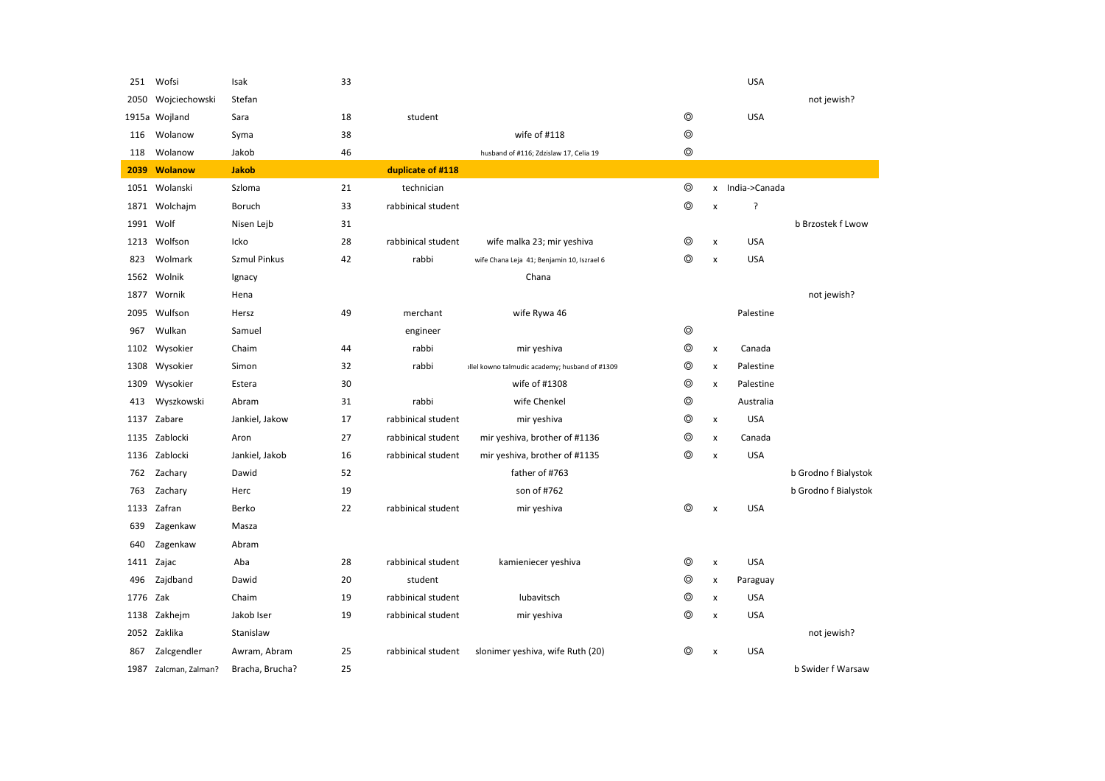| 251  | Wofsi                 | Isak                | 33 |                    |                                               |                |                    | <b>USA</b>      |                      |
|------|-----------------------|---------------------|----|--------------------|-----------------------------------------------|----------------|--------------------|-----------------|----------------------|
| 2050 | Wojciechowski         | Stefan              |    |                    |                                               |                |                    |                 | not jewish?          |
|      | 1915a Wojland         | Sara                | 18 | student            |                                               | ⊚              |                    | <b>USA</b>      |                      |
| 116  | Wolanow               | Syma                | 38 |                    | wife of #118                                  | $^{\circ}$     |                    |                 |                      |
| 118  | Wolanow               | Jakob               | 46 |                    | husband of #116; Zdzislaw 17, Celia 19        | $^{\circ}$     |                    |                 |                      |
| 2039 | Wolanow               | <b>Jakob</b>        |    | duplicate of #118  |                                               |                |                    |                 |                      |
|      | 1051 Wolanski         | Szloma              | 21 | technician         |                                               | ⊚              |                    | x India->Canada |                      |
| 1871 | Wolchajm              | Boruch              | 33 | rabbinical student |                                               | $\circledcirc$ | $\pmb{\mathsf{x}}$ | ?               |                      |
| 1991 | Wolf                  | Nisen Lejb          | 31 |                    |                                               |                |                    |                 | b Brzostek f Lwow    |
| 1213 | Wolfson               | Icko                | 28 | rabbinical student | wife malka 23; mir yeshiva                    | ⊚              | $\pmb{\mathsf{x}}$ | <b>USA</b>      |                      |
| 823  | Wolmark               | <b>Szmul Pinkus</b> | 42 | rabbi              | wife Chana Leja 41; Benjamin 10, Iszrael 6    | $^{\circ}$     | $\pmb{\mathsf{x}}$ | <b>USA</b>      |                      |
| 1562 | Wolnik                | Ignacy              |    |                    | Chana                                         |                |                    |                 |                      |
| 1877 | Wornik                | Hena                |    |                    |                                               |                |                    |                 | not jewish?          |
| 2095 | Wulfson               | Hersz               | 49 | merchant           | wife Rywa 46                                  |                |                    | Palestine       |                      |
| 967  | Wulkan                | Samuel              |    | engineer           |                                               | $\circledcirc$ |                    |                 |                      |
| 1102 | Wysokier              | Chaim               | 44 | rabbi              | mir yeshiva                                   | ⊚              | $\pmb{\times}$     | Canada          |                      |
| 1308 | Wysokier              | Simon               | 32 | rabbi              | Ilel kowno talmudic academy; husband of #1309 | ◎              | x                  | Palestine       |                      |
| 1309 | Wysokier              | Estera              | 30 |                    | wife of #1308                                 | ◎              | x                  | Palestine       |                      |
| 413  | Wyszkowski            | Abram               | 31 | rabbi              | wife Chenkel                                  | ⊚              |                    | Australia       |                      |
| 1137 | Zabare                | Jankiel, Jakow      | 17 | rabbinical student | mir yeshiva                                   | ⊚              | x                  | <b>USA</b>      |                      |
|      | 1135 Zablocki         | Aron                | 27 | rabbinical student | mir yeshiva, brother of #1136                 | ⊚              | $\pmb{\times}$     | Canada          |                      |
| 1136 | Zablocki              | Jankiel, Jakob      | 16 | rabbinical student | mir yeshiva, brother of #1135                 | ⊚              | $\pmb{\mathsf{x}}$ | <b>USA</b>      |                      |
| 762  | Zachary               | Dawid               | 52 |                    | father of #763                                |                |                    |                 | b Grodno f Bialystok |
| 763  | Zachary               | Herc                | 19 |                    | son of #762                                   |                |                    |                 | b Grodno f Bialystok |
| 1133 | Zafran                | Berko               | 22 | rabbinical student | mir yeshiva                                   | ⊚              | $\pmb{\mathsf{x}}$ | <b>USA</b>      |                      |
| 639  | Zagenkaw              | Masza               |    |                    |                                               |                |                    |                 |                      |
| 640  | Zagenkaw              | Abram               |    |                    |                                               |                |                    |                 |                      |
| 1411 | Zajac                 | Aba                 | 28 | rabbinical student | kamieniecer yeshiva                           | ⊚              | $\pmb{\times}$     | <b>USA</b>      |                      |
| 496  | Zajdband              | Dawid               | 20 | student            |                                               | ⊚              | x                  | Paraguay        |                      |
| 1776 | Zak                   | Chaim               | 19 | rabbinical student | lubavitsch                                    | ⊚              | x                  | <b>USA</b>      |                      |
| 1138 | Zakhejm               | Jakob Iser          | 19 | rabbinical student | mir yeshiva                                   | ⊚              | $\pmb{\times}$     | <b>USA</b>      |                      |
|      | 2052 Zaklika          | Stanislaw           |    |                    |                                               |                |                    |                 | not jewish?          |
| 867  | Zalcgendler           | Awram, Abram        | 25 | rabbinical student | slonimer yeshiva, wife Ruth (20)              | ⊚              | $\pmb{\times}$     | <b>USA</b>      |                      |
|      | 1987 Zalcman, Zalman? | Bracha, Brucha?     | 25 |                    |                                               |                |                    |                 | b Swider f Warsaw    |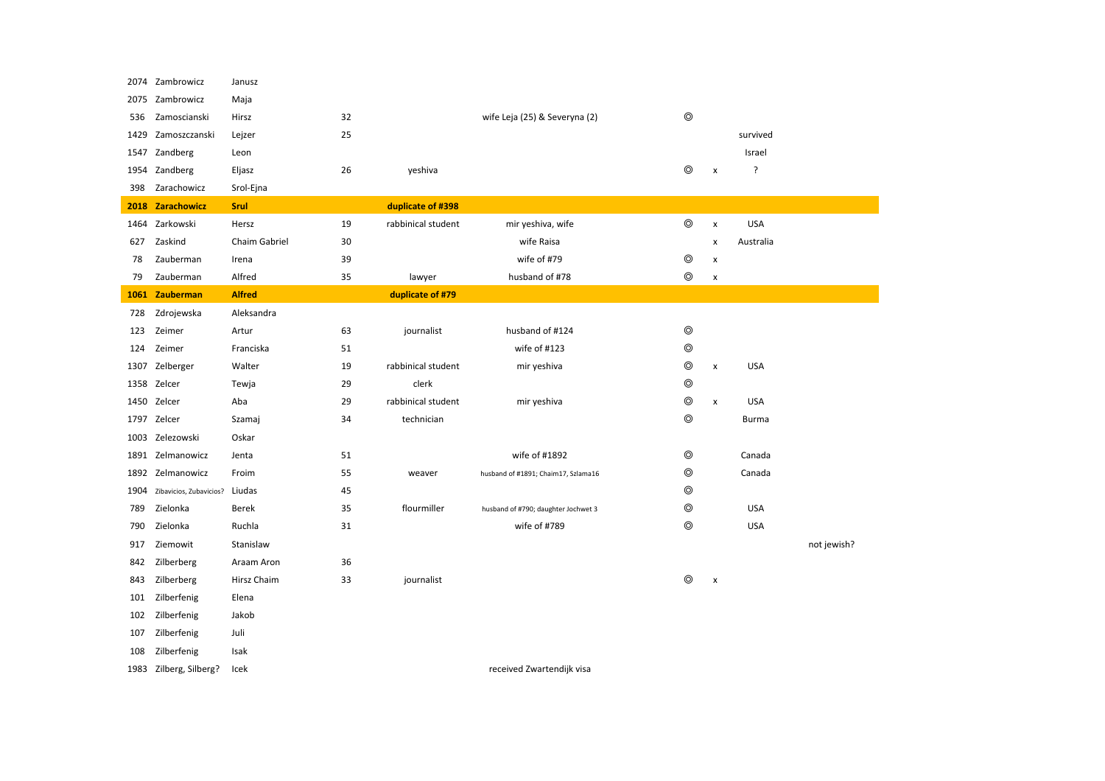| 2074 | Zambrowicz              | Janusz        |    |                    |                                     |                |                    |              |             |
|------|-------------------------|---------------|----|--------------------|-------------------------------------|----------------|--------------------|--------------|-------------|
| 2075 | Zambrowicz              | Maja          |    |                    |                                     |                |                    |              |             |
| 536  | Zamoscianski            | Hirsz         | 32 |                    | wife Leja (25) & Severyna (2)       | $\circledcirc$ |                    |              |             |
| 1429 | Zamoszczanski           | Lejzer        | 25 |                    |                                     |                |                    | survived     |             |
|      | 1547 Zandberg           | Leon          |    |                    |                                     |                |                    | Israel       |             |
| 1954 | Zandberg                | Eljasz        | 26 | yeshiva            |                                     | $\circledcirc$ | $\pmb{\mathsf{x}}$ | ?            |             |
| 398  | Zarachowicz             | Srol-Ejna     |    |                    |                                     |                |                    |              |             |
|      | 2018 Zarachowicz        | <b>Srul</b>   |    | duplicate of #398  |                                     |                |                    |              |             |
|      | 1464 Zarkowski          | Hersz         | 19 | rabbinical student | mir yeshiva, wife                   | $\circledcirc$ | $\pmb{\times}$     | <b>USA</b>   |             |
|      | 627 Zaskind             | Chaim Gabriel | 30 |                    | wife Raisa                          |                | $\pmb{\mathsf{x}}$ | Australia    |             |
| 78   | Zauberman               | Irena         | 39 |                    | wife of #79                         | $\circledcirc$ | X                  |              |             |
| 79   | Zauberman               | Alfred        | 35 | lawyer             | husband of #78                      | $\circledcirc$ | x                  |              |             |
| 1061 | Zauberman               | <b>Alfred</b> |    | duplicate of #79   |                                     |                |                    |              |             |
| 728  | Zdrojewska              | Aleksandra    |    |                    |                                     |                |                    |              |             |
| 123  | Zeimer                  | Artur         | 63 | journalist         | husband of #124                     | $\circledcirc$ |                    |              |             |
| 124  | Zeimer                  | Franciska     | 51 |                    | wife of #123                        | $\circledcirc$ |                    |              |             |
| 1307 | Zelberger               | Walter        | 19 | rabbinical student | mir yeshiva                         | $\circledcirc$ | x                  | <b>USA</b>   |             |
|      | 1358 Zelcer             | Tewja         | 29 | clerk              |                                     | $\circledcirc$ |                    |              |             |
|      | 1450 Zelcer             | Aba           | 29 | rabbinical student | mir yeshiva                         | $\circledcirc$ | $\pmb{\times}$     | <b>USA</b>   |             |
|      | 1797 Zelcer             | Szamaj        | 34 | technician         |                                     | $\circledcirc$ |                    | <b>Burma</b> |             |
|      | 1003 Zelezowski         | Oskar         |    |                    |                                     |                |                    |              |             |
| 1891 | Zelmanowicz             | Jenta         | 51 |                    | wife of #1892                       | $\circledcirc$ |                    | Canada       |             |
|      | 1892 Zelmanowicz        | Froim         | 55 | weaver             | husband of #1891; Chaim17, Szlama16 | ⊚              |                    | Canada       |             |
| 1904 | Zibavicios, Zubavicios? | Liudas        | 45 |                    |                                     | ⊚              |                    |              |             |
| 789  | Zielonka                | Berek         | 35 | flourmiller        | husband of #790; daughter Jochwet 3 | $\circledcirc$ |                    | <b>USA</b>   |             |
| 790  | Zielonka                | Ruchla        | 31 |                    | wife of #789                        | ⊚              |                    | <b>USA</b>   |             |
| 917  | Ziemowit                | Stanislaw     |    |                    |                                     |                |                    |              | not jewish? |
| 842  | Zilberberg              | Araam Aron    | 36 |                    |                                     |                |                    |              |             |
| 843  | Zilberberg              | Hirsz Chaim   | 33 | journalist         |                                     | $\circledcirc$ | $\pmb{\times}$     |              |             |
| 101  | Zilberfenig             | Elena         |    |                    |                                     |                |                    |              |             |
| 102  | Zilberfenig             | Jakob         |    |                    |                                     |                |                    |              |             |
| 107  | Zilberfenig             | Juli          |    |                    |                                     |                |                    |              |             |
| 108  | Zilberfenig             | Isak          |    |                    |                                     |                |                    |              |             |
|      | 1983 Zilberg, Silberg?  | Icek          |    |                    | received Zwartendijk visa           |                |                    |              |             |
|      |                         |               |    |                    |                                     |                |                    |              |             |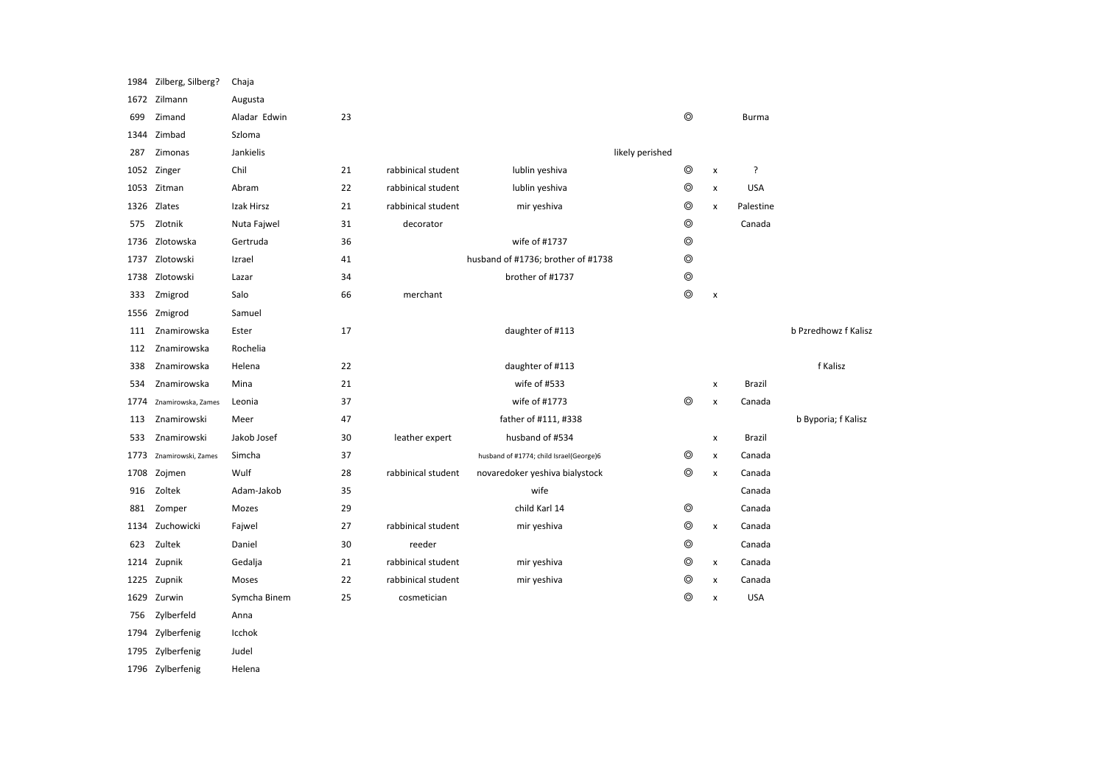| 1984 | Zilberg, Silberg?  | Chaja        |    |                    |                                         |                |                    |               |                      |
|------|--------------------|--------------|----|--------------------|-----------------------------------------|----------------|--------------------|---------------|----------------------|
|      | 1672 Zilmann       | Augusta      |    |                    |                                         |                |                    |               |                      |
| 699  | Zimand             | Aladar Edwin | 23 |                    |                                         | $^{\circ}$     |                    | Burma         |                      |
| 1344 | Zimbad             | Szloma       |    |                    |                                         |                |                    |               |                      |
| 287  | Zimonas            | Jankielis    |    |                    | likely perished                         |                |                    |               |                      |
|      | 1052 Zinger        | Chil         | 21 | rabbinical student | lublin yeshiva                          | $^{\circ}$     | x                  | ?             |                      |
| 1053 | Zitman             | Abram        | 22 | rabbinical student | lublin yeshiva                          | $\circledcirc$ | $\pmb{\times}$     | <b>USA</b>    |                      |
| 1326 | Zlates             | Izak Hirsz   | 21 | rabbinical student | mir yeshiva                             | ◎              | $\pmb{\times}$     | Palestine     |                      |
| 575  | Zlotnik            | Nuta Fajwel  | 31 | decorator          |                                         | $\circledcirc$ |                    | Canada        |                      |
| 1736 | Zlotowska          | Gertruda     | 36 |                    | wife of #1737                           | $\circledcirc$ |                    |               |                      |
| 1737 | Zlotowski          | Izrael       | 41 |                    | husband of #1736; brother of #1738      | $\circledcirc$ |                    |               |                      |
| 1738 | Zlotowski          | Lazar        | 34 |                    | brother of #1737                        | $\circledcirc$ |                    |               |                      |
| 333  | Zmigrod            | Salo         | 66 | merchant           |                                         | $^{\circ}$     | $\pmb{\times}$     |               |                      |
| 1556 | Zmigrod            | Samuel       |    |                    |                                         |                |                    |               |                      |
| 111  | Znamirowska        | Ester        | 17 |                    | daughter of #113                        |                |                    |               | b Pzredhowz f Kalisz |
| 112  | Znamirowska        | Rochelia     |    |                    |                                         |                |                    |               |                      |
| 338  | Znamirowska        | Helena       | 22 |                    | daughter of #113                        |                |                    |               | f Kalisz             |
| 534  | Znamirowska        | Mina         | 21 |                    | wife of #533                            |                | x                  | Brazil        |                      |
| 1774 | Znamirowska, Zames | Leonia       | 37 |                    | wife of #1773                           | ⊚              | $\pmb{\times}$     | Canada        |                      |
| 113  | Znamirowski        | Meer         | 47 |                    | father of #111, #338                    |                |                    |               | b Byporia; f Kalisz  |
| 533  | Znamirowski        | Jakob Josef  | 30 | leather expert     | husband of #534                         |                | $\pmb{\mathsf{x}}$ | <b>Brazil</b> |                      |
| 1773 | Znamirowski, Zames | Simcha       | 37 |                    | husband of #1774; child Israel(George)6 | ⊚              | x                  | Canada        |                      |
| 1708 | Zojmen             | Wulf         | 28 | rabbinical student | novaredoker yeshiva bialystock          | $\circledcirc$ | $\pmb{\times}$     | Canada        |                      |
| 916  | Zoltek             | Adam-Jakob   | 35 |                    | wife                                    |                |                    | Canada        |                      |
| 881  | Zomper             | Mozes        | 29 |                    | child Karl 14                           | $\circledcirc$ |                    | Canada        |                      |
| 1134 | Zuchowicki         | Fajwel       | 27 | rabbinical student | mir yeshiva                             | ⊚              | x                  | Canada        |                      |
| 623  | Zultek             | Daniel       | 30 | reeder             |                                         | $\circledcirc$ |                    | Canada        |                      |
| 1214 | Zupnik             | Gedalja      | 21 | rabbinical student | mir yeshiva                             | ⊚              | x                  | Canada        |                      |
| 1225 | Zupnik             | Moses        | 22 | rabbinical student | mir yeshiva                             | ⊚              | x                  | Canada        |                      |
| 1629 | Zurwin             | Symcha Binem | 25 | cosmetician        |                                         | ⊚              | $\pmb{\times}$     | <b>USA</b>    |                      |
| 756  | Zylberfeld         | Anna         |    |                    |                                         |                |                    |               |                      |
| 1794 | Zylberfenig        | Icchok       |    |                    |                                         |                |                    |               |                      |
| 1795 | Zylberfenig        | Judel        |    |                    |                                         |                |                    |               |                      |
|      | 1796 Zylberfenig   | Helena       |    |                    |                                         |                |                    |               |                      |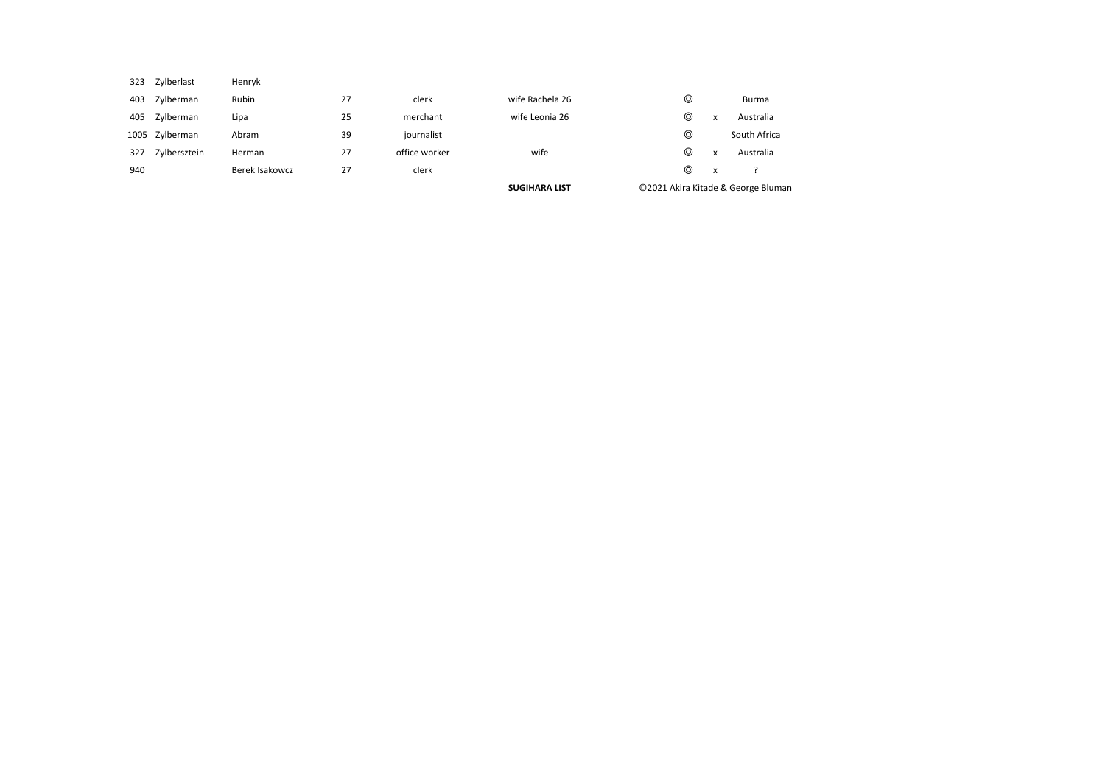|     |                |                |    |               | <b>SUGIHARA LIST</b> |                |   | ©2021 Akira Kitade & George Bluman |
|-----|----------------|----------------|----|---------------|----------------------|----------------|---|------------------------------------|
| 940 |                | Berek Isakowcz | 27 | clerk         |                      | ⊚              | X |                                    |
| 327 | Zylbersztein   | Herman         | 27 | office worker | wife                 | ⊚              | x | Australia                          |
|     | 1005 Zylberman | Abram          | 39 | journalist    |                      | ⊚              |   | South Africa                       |
| 405 | Zylberman      | Lipa           | 25 | merchant      | wife Leonia 26       | $\circledcirc$ | x | Australia                          |
| 403 | Zylberman      | Rubin          | 27 | clerk         | wife Rachela 26      | ⊚              |   | Burma                              |
| 323 | Zylberlast     | Henryk         |    |               |                      |                |   |                                    |